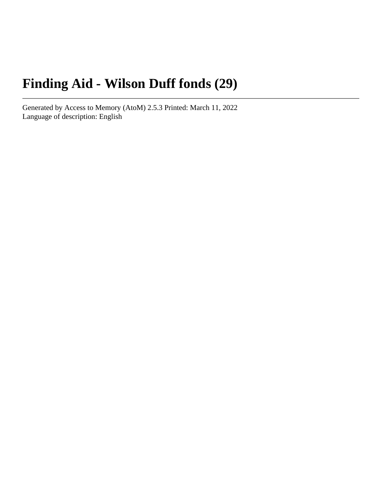# **Finding Aid - Wilson Duff fonds (29)**

Generated by Access to Memory (AtoM) 2.5.3 Printed: March 11, 2022 Language of description: English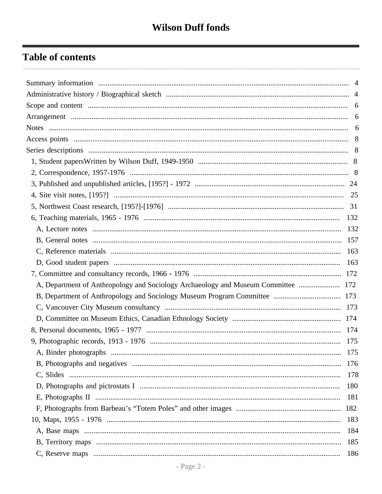# **Table of contents**

| A, Department of Anthropology and Sociology Archaeology and Museum Committee  172 |     |
|-----------------------------------------------------------------------------------|-----|
|                                                                                   |     |
|                                                                                   |     |
|                                                                                   |     |
|                                                                                   |     |
|                                                                                   |     |
|                                                                                   |     |
|                                                                                   | 176 |
|                                                                                   | 178 |
|                                                                                   | 180 |
|                                                                                   | 181 |
|                                                                                   |     |
|                                                                                   | 183 |
|                                                                                   | 184 |
|                                                                                   | 185 |
|                                                                                   | 186 |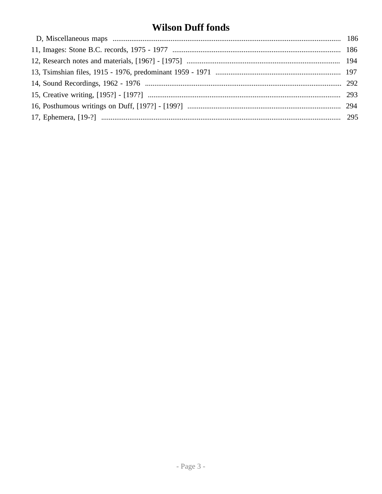# **Wilson Duff fonds**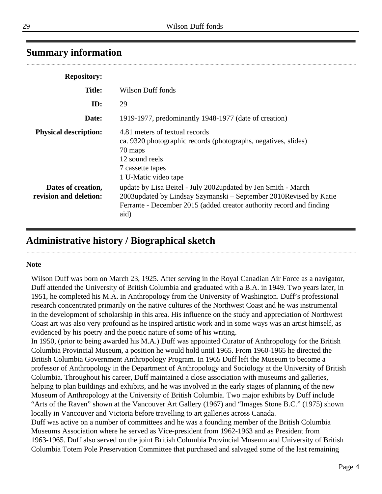## <span id="page-3-0"></span>**Summary information**

| <b>Repository:</b>                           |                                                                                                                                                                                                                    |
|----------------------------------------------|--------------------------------------------------------------------------------------------------------------------------------------------------------------------------------------------------------------------|
| <b>Title:</b>                                | Wilson Duff fonds                                                                                                                                                                                                  |
| ID:                                          | 29                                                                                                                                                                                                                 |
| Date:                                        | 1919-1977, predominantly 1948-1977 (date of creation)                                                                                                                                                              |
| <b>Physical description:</b>                 | 4.81 meters of textual records<br>ca. 9320 photographic records (photographs, negatives, slides)<br>70 maps<br>12 sound reels<br>7 cassette tapes<br>1 U-Matic video tape                                          |
| Dates of creation,<br>revision and deletion: | update by Lisa Beitel - July 2002updated by Jen Smith - March<br>2003updated by Lindsay Szymanski – September 2010Revised by Katie<br>Ferrante - December 2015 (added creator authority record and finding<br>aid) |

## <span id="page-3-1"></span>**Administrative history / Biographical sketch**

#### **Note**

Wilson Duff was born on March 23, 1925. After serving in the Royal Canadian Air Force as a navigator, Duff attended the University of British Columbia and graduated with a B.A. in 1949. Two years later, in 1951, he completed his M.A. in Anthropology from the University of Washington. Duff's professional research concentrated primarily on the native cultures of the Northwest Coast and he was instrumental in the development of scholarship in this area. His influence on the study and appreciation of Northwest Coast art was also very profound as he inspired artistic work and in some ways was an artist himself, as evidenced by his poetry and the poetic nature of some of his writing.

In 1950, (prior to being awarded his M.A.) Duff was appointed Curator of Anthropology for the British Columbia Provincial Museum, a position he would hold until 1965. From 1960-1965 he directed the British Columbia Government Anthropology Program. In 1965 Duff left the Museum to become a professor of Anthropology in the Department of Anthropology and Sociology at the University of British Columbia. Throughout his career, Duff maintained a close association with museums and galleries, helping to plan buildings and exhibits, and he was involved in the early stages of planning of the new Museum of Anthropology at the University of British Columbia. Two major exhibits by Duff include "Arts of the Raven" shown at the Vancouver Art Gallery (1967) and "Images Stone B.C." (1975) shown locally in Vancouver and Victoria before travelling to art galleries across Canada. Duff was active on a number of committees and he was a founding member of the British Columbia

Museums Association where he served as Vice-president from 1962-1963 and as President from 1963-1965. Duff also served on the joint British Columbia Provincial Museum and University of British Columbia Totem Pole Preservation Committee that purchased and salvaged some of the last remaining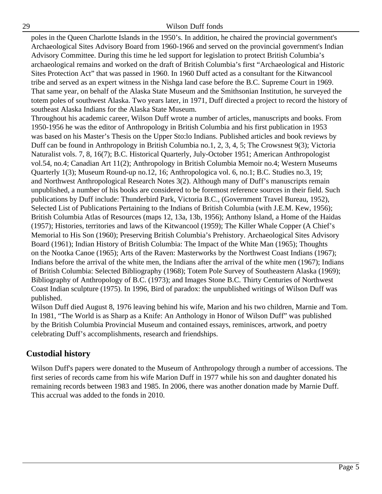poles in the Queen Charlotte Islands in the 1950's. In addition, he chaired the provincial government's Archaeological Sites Advisory Board from 1960-1966 and served on the provincial government's Indian Advisory Committee. During this time he led support for legislation to protect British Columbia's archaeological remains and worked on the draft of British Columbia's first "Archaeological and Historic Sites Protection Act" that was passed in 1960. In 1960 Duff acted as a consultant for the Kitwancool tribe and served as an expert witness in the Nishga land case before the B.C. Supreme Court in 1969. That same year, on behalf of the Alaska State Museum and the Smithsonian Institution, he surveyed the totem poles of southwest Alaska. Two years later, in 1971, Duff directed a project to record the history of southeast Alaska Indians for the Alaska State Museum.

Throughout his academic career, Wilson Duff wrote a number of articles, manuscripts and books. From 1950-1956 he was the editor of Anthropology in British Columbia and his first publication in 1953 was based on his Master's Thesis on the Upper Sto:lo Indians. Published articles and book reviews by Duff can be found in Anthropology in British Columbia no.1, 2, 3, 4, 5; The Crowsnest 9(3); Victoria Naturalist vols. 7, 8, 16(7); B.C. Historical Quarterly, July-October 1951; American Anthropologist vol.54, no.4; Canadian Art 11(2); Anthropology in British Columbia Memoir no.4; Western Museums Quarterly 1(3); Museum Round-up no.12, 16; Anthropologica vol. 6, no.1; B.C. Studies no.3, 19; and Northwest Anthropological Research Notes 3(2). Although many of Duff's manuscripts remain unpublished, a number of his books are considered to be foremost reference sources in their field. Such publications by Duff include: Thunderbird Park, Victoria B.C., (Government Travel Bureau, 1952), Selected List of Publications Pertaining to the Indians of British Columbia (with J.E.M. Kew, 1956); British Columbia Atlas of Resources (maps 12, 13a, 13b, 1956); Anthony Island, a Home of the Haidas (1957); Histories, territories and laws of the Kitwancool (1959); The Killer Whale Copper (A Chief's Memorial to His Son (1960); Preserving British Columbia's Prehistory. Archaeological Sites Advisory Board (1961); Indian History of British Columbia: The Impact of the White Man (1965); Thoughts on the Nootka Canoe (1965); Arts of the Raven: Masterworks by the Northwest Coast Indians (1967); Indians before the arrival of the white men, the Indians after the arrival of the white men (1967); Indians of British Columbia: Selected Bibliography (1968); Totem Pole Survey of Southeastern Alaska (1969); Bibliography of Anthropology of B.C. (1973); and Images Stone B.C. Thirty Centuries of Northwest Coast Indian sculpture (1975). In 1996, Bird of paradox: the unpublished writings of Wilson Duff was published.

Wilson Duff died August 8, 1976 leaving behind his wife, Marion and his two children, Marnie and Tom. In 1981, "The World is as Sharp as a Knife: An Anthology in Honor of Wilson Duff" was published by the British Columbia Provincial Museum and contained essays, reminisces, artwork, and poetry celebrating Duff's accomplishments, research and friendships.

## **Custodial history**

Wilson Duff's papers were donated to the Museum of Anthropology through a number of accessions. The first series of records came from his wife Marion Duff in 1977 while his son and daughter donated his remaining records between 1983 and 1985. In 2006, there was another donation made by Marnie Duff. This accrual was added to the fonds in 2010.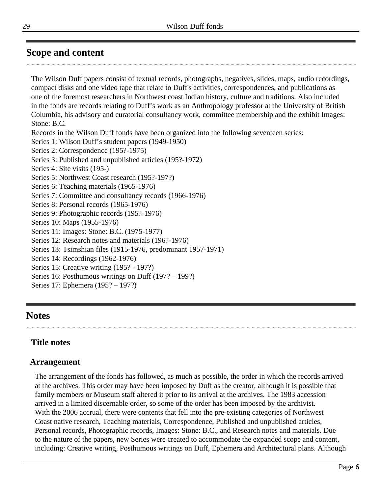## <span id="page-5-0"></span>**Scope and content**

The Wilson Duff papers consist of textual records, photographs, negatives, slides, maps, audio recordings, compact disks and one video tape that relate to Duff's activities, correspondences, and publications as one of the foremost researchers in Northwest coast Indian history, culture and traditions. Also included in the fonds are records relating to Duff's work as an Anthropology professor at the University of British Columbia, his advisory and curatorial consultancy work, committee membership and the exhibit Images: Stone: B.C. Records in the Wilson Duff fonds have been organized into the following seventeen series: Series 1: Wilson Duff's student papers (1949-1950) Series 2: Correspondence (195?-1975) Series 3: Published and unpublished articles (195?-1972) Series 4: Site visits (195-) Series 5: Northwest Coast research (195?-197?) Series 6: Teaching materials (1965-1976) Series 7: Committee and consultancy records (1966-1976) Series 8: Personal records (1965-1976) Series 9: Photographic records (195?-1976) Series 10: Maps (1955-1976) Series 11: Images: Stone: B.C. (1975-1977) Series 12: Research notes and materials (196?-1976) Series 13: Tsimshian files (1915-1976, predominant 1957-1971) Series 14: Recordings (1962-1976) Series 15: Creative writing (195? - 197?) Series 16: Posthumous writings on Duff (197? – 199?) Series 17: Ephemera (195? – 197?)

## <span id="page-5-2"></span>**Notes**

## **Title notes**

## <span id="page-5-1"></span>**Arrangement**

The arrangement of the fonds has followed, as much as possible, the order in which the records arrived at the archives. This order may have been imposed by Duff as the creator, although it is possible that family members or Museum staff altered it prior to its arrival at the archives. The 1983 accession arrived in a limited discernable order, so some of the order has been imposed by the archivist. With the 2006 accrual, there were contents that fell into the pre-existing categories of Northwest Coast native research, Teaching materials, Correspondence, Published and unpublished articles, Personal records, Photographic records, Images: Stone: B.C., and Research notes and materials. Due to the nature of the papers, new Series were created to accommodate the expanded scope and content, including: Creative writing, Posthumous writings on Duff, Ephemera and Architectural plans. Although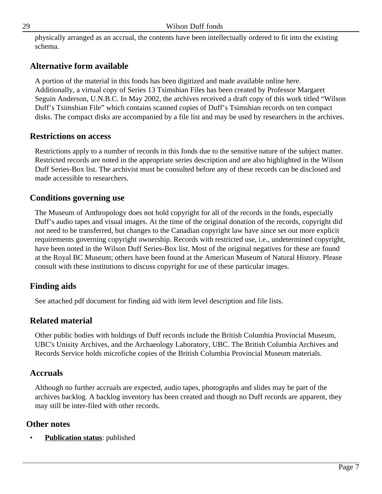physically arranged as an accrual, the contents have been intellectually ordered to fit into the existing schema.

## **Alternative form available**

A portion of the material in this fonds has been digitized and made available online here. Additionally, a virtual copy of Series 13 Tsimshian Files has been created by Professor Margaret Seguin Anderson, U.N.B.C. In May 2002, the archives received a draft copy of this work titled "Wilson Duff's Tsimshian File" which contains scanned copies of Duff's Tsimshian records on ten compact disks. The compact disks are accompanied by a file list and may be used by researchers in the archives.

## **Restrictions on access**

Restrictions apply to a number of records in this fonds due to the sensitive nature of the subject matter. Restricted records are noted in the appropriate series description and are also highlighted in the Wilson Duff Series-Box list. The archivist must be consulted before any of these records can be disclosed and made accessible to researchers.

## **Conditions governing use**

The Museum of Anthropology does not hold copyright for all of the records in the fonds, especially Duff's audio tapes and visual images. At the time of the original donation of the records, copyright did not need to be transferred, but changes to the Canadian copyright law have since set out more explicit requirements governing copyright ownership. Records with restricted use, i.e., undetermined copyright, have been noted in the Wilson Duff Series-Box list. Most of the original negatives for these are found at the Royal BC Museum; others have been found at the American Museum of Natural History. Please consult with these institutions to discuss copyright for use of these particular images.

## **Finding aids**

See attached pdf document for finding aid with item level description and file lists.

## **Related material**

Other public bodies with holdings of Duff records include the British Columbia Provincial Museum, UBC's Unisity Archives, and the Archaeology Laboratory, UBC. The British Columbia Archives and Records Service holds microfiche copies of the British Columbia Provincial Museum materials.

#### **Accruals**

Although no further accruals are expected, audio tapes, photographs and slides may be part of the archives backlog. A backlog inventory has been created and though no Duff records are apparent, they may still be inter-filed with other records.

#### **Other notes**

**Publication status:** published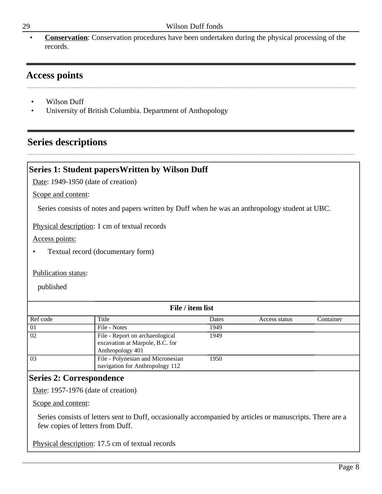• **Conservation**: Conservation procedures have been undertaken during the physical processing of the records.

## <span id="page-7-0"></span>**Access points**

- Wilson Duff
- University of British Columbia. Department of Anthopology

## <span id="page-7-1"></span>**Series descriptions**

## <span id="page-7-2"></span>**Series 1: Student papersWritten by Wilson Duff**

Date: 1949-1950 (date of creation)

Scope and content:

Series consists of notes and papers written by Duff when he was an anthropology student at UBC.

Physical description: 1 cm of textual records

Access points:

• Textual record (documentary form)

#### Publication status:

published

| File / item list |                                                                                        |       |               |           |
|------------------|----------------------------------------------------------------------------------------|-------|---------------|-----------|
| Ref code         | Title                                                                                  | Dates | Access status | Container |
| 01               | File - Notes                                                                           | 1949  |               |           |
| $\overline{02}$  | File - Report on archaeological<br>excavation at Marpole, B.C. for<br>Anthropology 401 | 1949  |               |           |
| 03               | File - Polynesian and Micronesian<br>navigation for Anthropology 112                   | 1950  |               |           |

#### <span id="page-7-3"></span>**Series 2: Correspondence**

Date: 1957-1976 (date of creation)

Scope and content:

Series consists of letters sent to Duff, occasionally accompanied by articles or manuscripts. There are a few copies of letters from Duff.

Physical description: 17.5 cm of textual records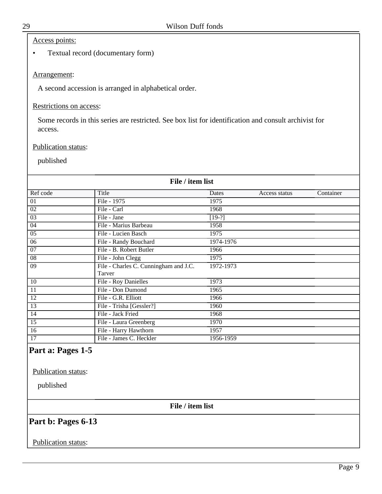#### Access points:

• Textual record (documentary form)

#### Arrangement:

A second accession is arranged in alphabetical order.

#### Restrictions on access:

Some records in this series are restricted. See box list for identification and consult archivist for access.

#### Publication status:

#### published

| File / item list |                                                                                                                                                                                                                                                                                                                                                                                                                |               |           |  |
|------------------|----------------------------------------------------------------------------------------------------------------------------------------------------------------------------------------------------------------------------------------------------------------------------------------------------------------------------------------------------------------------------------------------------------------|---------------|-----------|--|
|                  | Dates                                                                                                                                                                                                                                                                                                                                                                                                          | Access status | Container |  |
|                  | 1975                                                                                                                                                                                                                                                                                                                                                                                                           |               |           |  |
|                  | 1968                                                                                                                                                                                                                                                                                                                                                                                                           |               |           |  |
|                  | $[19-?]$                                                                                                                                                                                                                                                                                                                                                                                                       |               |           |  |
|                  | 1958                                                                                                                                                                                                                                                                                                                                                                                                           |               |           |  |
|                  | 1975                                                                                                                                                                                                                                                                                                                                                                                                           |               |           |  |
|                  | 1974-1976                                                                                                                                                                                                                                                                                                                                                                                                      |               |           |  |
|                  | 1966                                                                                                                                                                                                                                                                                                                                                                                                           |               |           |  |
|                  | 1975                                                                                                                                                                                                                                                                                                                                                                                                           |               |           |  |
|                  | 1972-1973                                                                                                                                                                                                                                                                                                                                                                                                      |               |           |  |
|                  |                                                                                                                                                                                                                                                                                                                                                                                                                |               |           |  |
|                  | 1973                                                                                                                                                                                                                                                                                                                                                                                                           |               |           |  |
|                  | 1965                                                                                                                                                                                                                                                                                                                                                                                                           |               |           |  |
|                  | 1966                                                                                                                                                                                                                                                                                                                                                                                                           |               |           |  |
|                  | 1960                                                                                                                                                                                                                                                                                                                                                                                                           |               |           |  |
|                  | 1968                                                                                                                                                                                                                                                                                                                                                                                                           |               |           |  |
|                  | 1970                                                                                                                                                                                                                                                                                                                                                                                                           |               |           |  |
|                  | 1957                                                                                                                                                                                                                                                                                                                                                                                                           |               |           |  |
|                  | 1956-1959                                                                                                                                                                                                                                                                                                                                                                                                      |               |           |  |
|                  | File - 1975<br>File - Carl<br>File - Jane<br>File - Marius Barbeau<br>File - Lucien Basch<br>File - Randy Bouchard<br>File - B. Robert Butler<br>File - John Clegg<br>File - Charles C. Cunningham and J.C.<br>File - Roy Danielles<br>File - Don Dumond<br>File - G.R. Elliott<br>File - Trisha [Gessler?]<br>File - Jack Fried<br>File - Laura Greenberg<br>File - Harry Hawthorn<br>File - James C. Heckler |               |           |  |

#### **Part a: Pages 1-5**

Publication status:

published

**File / item list**

## **Part b: Pages 6-13**

#### Publication status: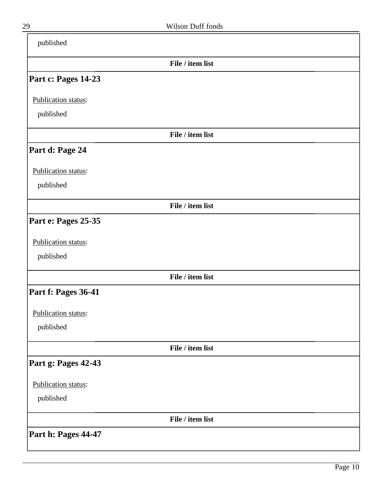| published           |                  |
|---------------------|------------------|
|                     | File / item list |
| Part c: Pages 14-23 |                  |
| Publication status: |                  |
| published           |                  |
|                     | File / item list |
| Part d: Page 24     |                  |
| Publication status: |                  |
| published           |                  |
|                     | File / item list |
| Part e: Pages 25-35 |                  |
| Publication status: |                  |
| published           |                  |
|                     | File / item list |
| Part f: Pages 36-41 |                  |
| Publication status: |                  |
| published           |                  |
|                     | File / item list |
| Part g: Pages 42-43 |                  |
| Publication status: |                  |
| published           |                  |
|                     | File / item list |
| Part h: Pages 44-47 |                  |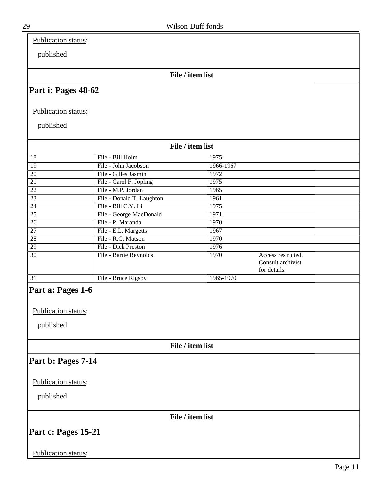Publication status:

published

#### **File / item list**

## **Part i: Pages 48-62**

Publication status:

published

| File / item list    |                           |           |                    |  |
|---------------------|---------------------------|-----------|--------------------|--|
| 18                  | File - Bill Holm          | 1975      |                    |  |
| 19                  | File - John Jacobson      | 1966-1967 |                    |  |
| 20                  | File - Gilles Jasmin      | 1972      |                    |  |
| 21                  | File - Carol F. Jopling   | 1975      |                    |  |
| $\overline{22}$     | File - M.P. Jordan        | 1965      |                    |  |
| $\overline{23}$     | File - Donald T. Laughton | 1961      |                    |  |
| 24                  | File - Bill C.Y. Li       | 1975      |                    |  |
| $\overline{25}$     | File - George MacDonald   | 1971      |                    |  |
| $\overline{26}$     | File - P. Maranda         | 1970      |                    |  |
| 27                  | File - E.L. Margetts      | 1967      |                    |  |
| 28                  | File - R.G. Matson        | 1970      |                    |  |
| 29                  | File - Dick Preston       | 1976      |                    |  |
| 30                  | File - Barrie Reynolds    | 1970      | Access restricted. |  |
|                     |                           |           | Consult archivist  |  |
|                     |                           |           | for details.       |  |
| $\overline{31}$     | File - Bruce Rigsby       | 1965-1970 |                    |  |
| Part a: Pages 1-6   |                           |           |                    |  |
| Publication status: |                           |           |                    |  |
| published           |                           |           |                    |  |

**File / item list**

## **Part b: Pages 7-14**

Publication status:

published

**File / item list**

**Part c: Pages 15-21**

Publication status: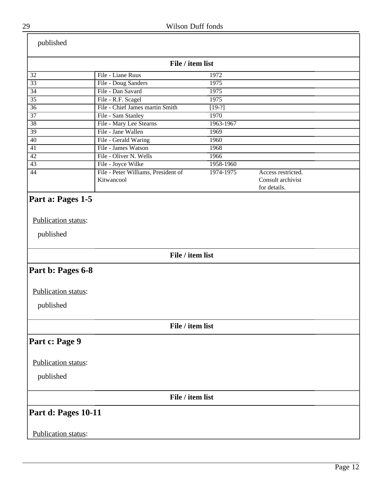| published                        |                                                   |           |                                                         |  |
|----------------------------------|---------------------------------------------------|-----------|---------------------------------------------------------|--|
|                                  | File / item list                                  |           |                                                         |  |
| 32                               | File - Liane Ruus                                 | 1972      |                                                         |  |
| $\overline{33}$                  | File - Doug Sanders                               | 1975      |                                                         |  |
| $\overline{34}$                  | File - Dan Savard                                 | 1975      |                                                         |  |
| $\overline{35}$                  | File - R.F. Scagel                                | 1975      |                                                         |  |
| $\overline{36}$                  | File - Chief James martin Smith                   | $[19-?]$  |                                                         |  |
| $\overline{37}$                  | File - Sam Stanley                                | 1970      |                                                         |  |
| $\overline{38}$                  | File - Mary Lee Stearns                           | 1963-1967 |                                                         |  |
| $\overline{39}$                  | File - Jane Wallen                                | 1969      |                                                         |  |
| $\overline{40}$                  | File - Gerald Waring                              | 1960      |                                                         |  |
| 41                               | File - James Watson                               | 1968      |                                                         |  |
| 42                               | File - Oliver N. Wells                            | 1966      |                                                         |  |
| $\overline{43}$                  | File - Joyce Wilke                                | 1958-1960 |                                                         |  |
| 44                               | File - Peter Williams, President of<br>Kitwancool | 1974-1975 | Access restricted.<br>Consult archivist<br>for details. |  |
| Publication status:<br>published |                                                   |           |                                                         |  |
|                                  | File / item list                                  |           |                                                         |  |
| Part b: Pages 6-8                |                                                   |           |                                                         |  |
| Publication status:              |                                                   |           |                                                         |  |
| published                        |                                                   |           |                                                         |  |
|                                  | File / item list                                  |           |                                                         |  |
| Part c: Page 9                   |                                                   |           |                                                         |  |
| Publication status:              |                                                   |           |                                                         |  |
| published                        |                                                   |           |                                                         |  |
|                                  | File / item list                                  |           |                                                         |  |
| Part d: Pages 10-11              |                                                   |           |                                                         |  |
| Publication status:              |                                                   |           |                                                         |  |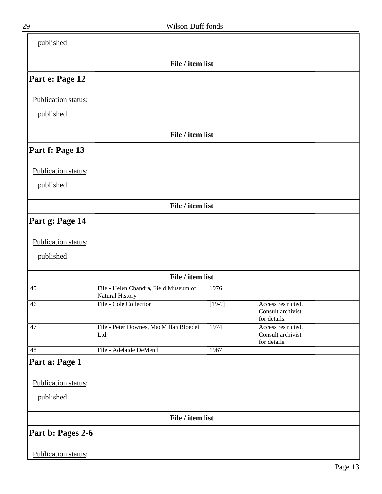| published                                          |                                                          |          |                                                         |
|----------------------------------------------------|----------------------------------------------------------|----------|---------------------------------------------------------|
|                                                    | File / item list                                         |          |                                                         |
| Part e: Page 12                                    |                                                          |          |                                                         |
| Publication status:                                |                                                          |          |                                                         |
| published                                          |                                                          |          |                                                         |
|                                                    | File / item list                                         |          |                                                         |
| Part f: Page 13                                    |                                                          |          |                                                         |
| Publication status:                                |                                                          |          |                                                         |
| published                                          |                                                          |          |                                                         |
|                                                    | File / item list                                         |          |                                                         |
| Part g: Page 14                                    |                                                          |          |                                                         |
| Publication status:<br>published                   |                                                          |          |                                                         |
|                                                    | File / item list                                         |          |                                                         |
| 45                                                 | File - Helen Chandra, Field Museum of<br>Natural History | 1976     |                                                         |
| 46                                                 | File - Cole Collection                                   | $[19-?]$ | Access restricted.<br>Consult archivist<br>for details. |
| 47                                                 | File - Peter Downes, MacMillan Bloedel<br>Ltd.           | 1974     | Access restricted.<br>Consult archivist<br>for details. |
| 48                                                 | File - Adelaide DeMenil                                  | 1967     |                                                         |
| Part a: Page 1<br>Publication status:<br>published |                                                          |          |                                                         |
|                                                    | File / item list                                         |          |                                                         |
| Part b: Pages 2-6                                  |                                                          |          |                                                         |
| Publication status:                                |                                                          |          |                                                         |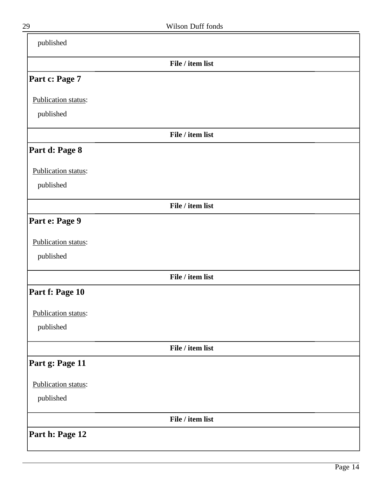| published           |                  |  |
|---------------------|------------------|--|
|                     | File / item list |  |
| Part c: Page 7      |                  |  |
| Publication status: |                  |  |
| published           |                  |  |
|                     | File / item list |  |
| Part d: Page 8      |                  |  |
| Publication status: |                  |  |
| published           |                  |  |
|                     | File / item list |  |
| Part e: Page 9      |                  |  |
| Publication status: |                  |  |
| published           |                  |  |
|                     | File / item list |  |
| Part f: Page 10     |                  |  |
| Publication status: |                  |  |
| published           |                  |  |
|                     | File / item list |  |
| Part g: Page 11     |                  |  |
| Publication status: |                  |  |
| published           |                  |  |
|                     | File / item list |  |
| Part h: Page 12     |                  |  |

 $\overline{\phantom{0}}$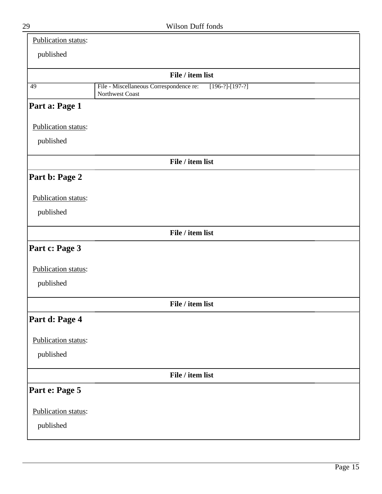| Publication status: |                                                                                 |
|---------------------|---------------------------------------------------------------------------------|
| published           |                                                                                 |
|                     | File / item list                                                                |
| 49                  | File - Miscellaneous Correspondence re:<br>$[196-?]-[197-?]$<br>Northwest Coast |
| Part a: Page 1      |                                                                                 |
| Publication status: |                                                                                 |
| published           |                                                                                 |
|                     | File / item list                                                                |
| Part b: Page 2      |                                                                                 |
| Publication status: |                                                                                 |
| published           |                                                                                 |
|                     | File / item list                                                                |
| Part c: Page 3      |                                                                                 |
| Publication status: |                                                                                 |
| published           |                                                                                 |
|                     | File / item list                                                                |
| Part d: Page 4      |                                                                                 |
| Publication status: |                                                                                 |
| published           |                                                                                 |
|                     | File / item list                                                                |
| Part e: Page 5      |                                                                                 |
| Publication status: |                                                                                 |
| published           |                                                                                 |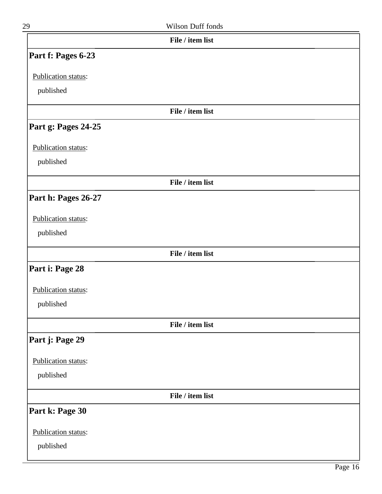| 29                  | Wilson Duff fonds |  |
|---------------------|-------------------|--|
|                     | File / item list  |  |
| Part f: Pages 6-23  |                   |  |
| Publication status: |                   |  |
| published           |                   |  |
|                     | File / item list  |  |
| Part g: Pages 24-25 |                   |  |
| Publication status: |                   |  |
| published           |                   |  |
|                     | File / item list  |  |
| Part h: Pages 26-27 |                   |  |
| Publication status: |                   |  |
| published           |                   |  |
|                     | File / item list  |  |
| Part i: Page 28     |                   |  |
| Publication status: |                   |  |
| published           |                   |  |
|                     | File / item list  |  |
| Part j: Page 29     |                   |  |
| Publication status: |                   |  |
| published           |                   |  |
|                     | File / item list  |  |
| Part k: Page 30     |                   |  |
| Publication status: |                   |  |
| published           |                   |  |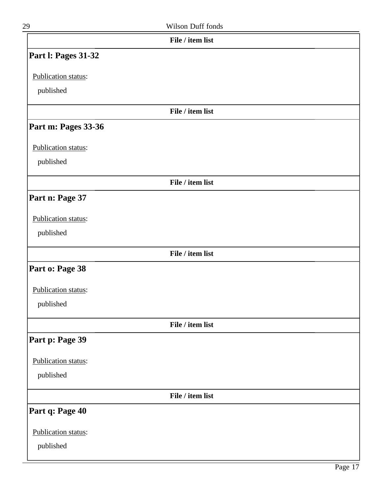| ٦ |
|---|

| 29                         | Wilson Duff fonds |  |
|----------------------------|-------------------|--|
|                            | File / item list  |  |
| <b>Part I: Pages 31-32</b> |                   |  |
| Publication status:        |                   |  |
| published                  |                   |  |
|                            | File / item list  |  |
| Part m: Pages 33-36        |                   |  |
| Publication status:        |                   |  |
| published                  |                   |  |
|                            | File / item list  |  |
| Part n: Page 37            |                   |  |
| Publication status:        |                   |  |
| published                  |                   |  |
|                            | File / item list  |  |
| Part o: Page 38            |                   |  |
| Publication status:        |                   |  |
| published                  |                   |  |
|                            | File / item list  |  |
| Part p: Page 39            |                   |  |
| Publication status:        |                   |  |
| published                  |                   |  |
|                            | File / item list  |  |
| Part q: Page 40            |                   |  |
| Publication status:        |                   |  |
| published                  |                   |  |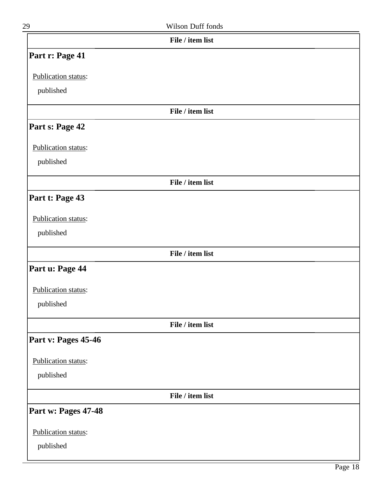| 29 |                            | Wilson Duff fonds |
|----|----------------------------|-------------------|
|    |                            | File / item list  |
|    | <b>Part r: Page 41</b>     |                   |
|    | <b>Publication status:</b> |                   |
|    | published                  |                   |

## **Part s: Page 42**

Publication status:

published

**File / item list**

**File / item list**

## **Part t: Page 43**

#### Publication status:

published

**File / item list**

## **Part u: Page 44**

#### Publication status:

published

**File / item list**

#### **Part v: Pages 45-46**

Publication status:

published

**File / item list**

### **Part w: Pages 47-48**

Publication status: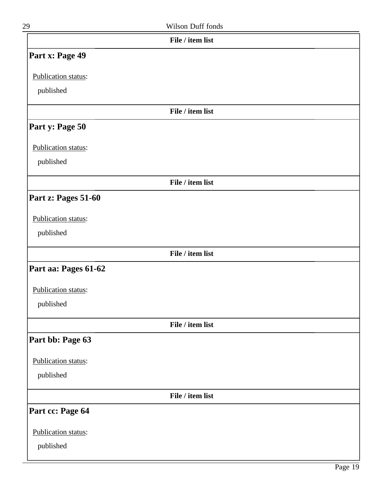| 29                     | <b>Wilson Duff fonds</b> |
|------------------------|--------------------------|
|                        | File / item list         |
| <b>Part x: Page 49</b> |                          |

Publication status:

published

#### **File / item list**

#### **Part y: Page 50**

Publication status:

published

**File / item list**

## **Part z: Pages 51-60**

#### Publication status:

published

**File / item list**

## **Part aa: Pages 61-62**

Publication status:

published

**File / item list**

## **Part bb: Page 63**

Publication status:

published

**File / item list**

## **Part cc: Page 64**

Publication status: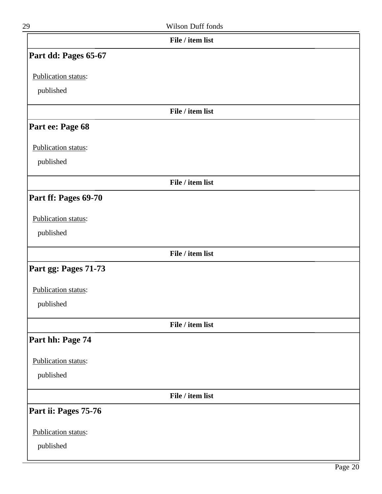| 29                   | Wilson Duff fonds |  |
|----------------------|-------------------|--|
|                      | File / item list  |  |
| Part dd: Pages 65-67 |                   |  |
| Publication status:  |                   |  |
| published            |                   |  |
|                      | File / item list  |  |
| Part ee: Page 68     |                   |  |
| Publication status:  |                   |  |
| published            |                   |  |
|                      | File / item list  |  |
| Part ff: Pages 69-70 |                   |  |
| Publication status:  |                   |  |
| published            |                   |  |
|                      | File / item list  |  |
| Part gg: Pages 71-73 |                   |  |
| Publication status:  |                   |  |
| published            |                   |  |
|                      | File / item list  |  |
| Part hh: Page 74     |                   |  |
| Publication status:  |                   |  |
| published            |                   |  |
|                      | File / item list  |  |
| Part ii: Pages 75-76 |                   |  |
| Publication status:  |                   |  |
| published            |                   |  |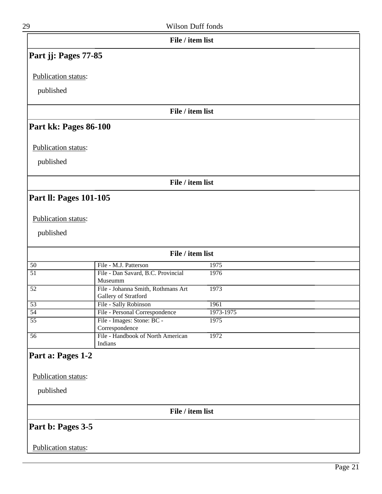| 29                            | Wilson Duff fonds                                          |           |
|-------------------------------|------------------------------------------------------------|-----------|
|                               | File / item list                                           |           |
| Part jj: Pages 77-85          |                                                            |           |
| Publication status:           |                                                            |           |
|                               |                                                            |           |
| published                     |                                                            |           |
|                               | File / item list                                           |           |
| Part kk: Pages 86-100         |                                                            |           |
| Publication status:           |                                                            |           |
| published                     |                                                            |           |
|                               | File / item list                                           |           |
|                               |                                                            |           |
| <b>Part II: Pages 101-105</b> |                                                            |           |
|                               |                                                            |           |
| Publication status:           |                                                            |           |
| published                     |                                                            |           |
|                               |                                                            |           |
|                               | File / item list                                           |           |
| 50                            | File - M.J. Patterson                                      | 1975      |
| $\overline{51}$               | File - Dan Savard, B.C. Provincial<br>Museumm              | 1976      |
| $\overline{52}$               | File - Johanna Smith, Rothmans Art<br>Gallery of Stratford | 1973      |
| $\overline{53}$               | File - Sally Robinson                                      | 1961      |
| $\overline{54}$               | File - Personal Correspondence                             | 1973-1975 |
| $\overline{55}$               | File - Images: Stone: BC -<br>Correspondence               | 1975      |
| $\overline{56}$               | File - Handbook of North American<br>Indians               | 1972      |
|                               |                                                            |           |
| Part a: Pages 1-2             |                                                            |           |
|                               |                                                            |           |
| Publication status:           |                                                            |           |
| published                     |                                                            |           |
|                               | File / item list                                           |           |
| Part b: Pages 3-5             |                                                            |           |
|                               |                                                            |           |
| Publication status:           |                                                            |           |
|                               |                                                            |           |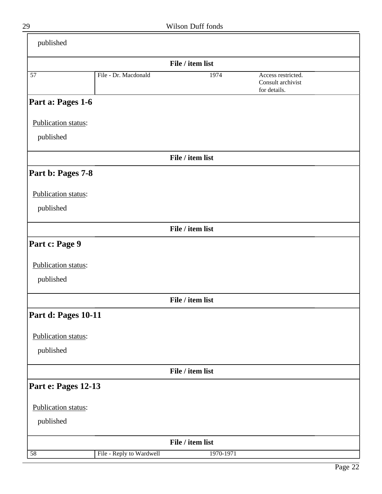|                     |                          | File / item list |                                                         |  |
|---------------------|--------------------------|------------------|---------------------------------------------------------|--|
| 57                  | File - Dr. Macdonald     | 1974             | Access restricted.<br>Consult archivist<br>for details. |  |
| Part a: Pages 1-6   |                          |                  |                                                         |  |
| Publication status: |                          |                  |                                                         |  |
| published           |                          |                  |                                                         |  |
|                     |                          | File / item list |                                                         |  |
| Part b: Pages 7-8   |                          |                  |                                                         |  |
| Publication status: |                          |                  |                                                         |  |
| published           |                          |                  |                                                         |  |
|                     |                          | File / item list |                                                         |  |
| Part c: Page 9      |                          |                  |                                                         |  |
| Publication status: |                          |                  |                                                         |  |
| published           |                          |                  |                                                         |  |
|                     |                          | File / item list |                                                         |  |
| Part d: Pages 10-11 |                          |                  |                                                         |  |
| Publication status: |                          |                  |                                                         |  |
| published           |                          |                  |                                                         |  |
|                     |                          | File / item list |                                                         |  |
| Part e: Pages 12-13 |                          |                  |                                                         |  |
| Publication status: |                          |                  |                                                         |  |
| published           |                          |                  |                                                         |  |
|                     |                          | File / item list |                                                         |  |
| 58                  | File - Reply to Wardwell | 1970-1971        |                                                         |  |

 $\equiv$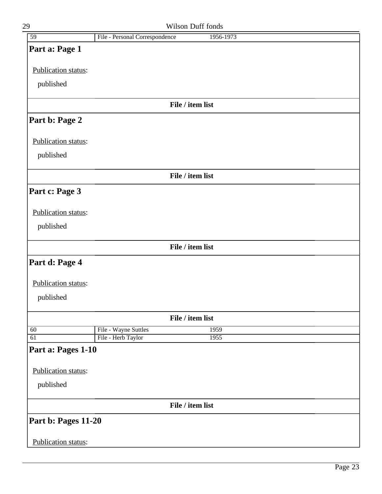| 59                  | File - Personal Correspondence |                  | 1956-1973 |  |
|---------------------|--------------------------------|------------------|-----------|--|
| Part a: Page 1      |                                |                  |           |  |
| Publication status: |                                |                  |           |  |
|                     |                                |                  |           |  |
| published           |                                |                  |           |  |
|                     |                                | File / item list |           |  |
| Part b: Page 2      |                                |                  |           |  |
| Publication status: |                                |                  |           |  |
| published           |                                |                  |           |  |
|                     |                                | File / item list |           |  |
| Part c: Page 3      |                                |                  |           |  |
| Publication status: |                                |                  |           |  |
| published           |                                |                  |           |  |
|                     |                                |                  |           |  |
|                     |                                | File / item list |           |  |
| Part d: Page 4      |                                |                  |           |  |
| Publication status: |                                |                  |           |  |
| published           |                                |                  |           |  |
|                     |                                | File / item list |           |  |
| 60                  | File - Wayne Suttles           |                  | 1959      |  |
| 61                  | File - Herb Taylor             |                  | 1955      |  |
| Part a: Pages 1-10  |                                |                  |           |  |
| Publication status: |                                |                  |           |  |
| published           |                                |                  |           |  |
|                     |                                | File / item list |           |  |
|                     |                                |                  |           |  |
| Part b: Pages 11-20 |                                |                  |           |  |
| Publication status: |                                |                  |           |  |

29 Wilson Duff fonds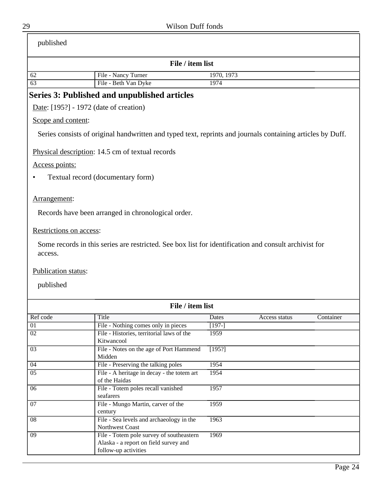<span id="page-23-0"></span>

| published                              |                                                                                                            |            |               |           |
|----------------------------------------|------------------------------------------------------------------------------------------------------------|------------|---------------|-----------|
|                                        | File / item list                                                                                           |            |               |           |
| 62                                     | File - Nancy Turner                                                                                        | 1970, 1973 |               |           |
| 63                                     | File - Beth Van Dyke                                                                                       | 1974       |               |           |
|                                        | Series 3: Published and unpublished articles                                                               |            |               |           |
| Date: [195?] - 1972 (date of creation) |                                                                                                            |            |               |           |
| Scope and content:                     |                                                                                                            |            |               |           |
|                                        | Series consists of original handwritten and typed text, reprints and journals containing articles by Duff. |            |               |           |
|                                        | Physical description: 14.5 cm of textual records                                                           |            |               |           |
| Access points:                         |                                                                                                            |            |               |           |
|                                        | Textual record (documentary form)                                                                          |            |               |           |
| Arrangement:                           |                                                                                                            |            |               |           |
|                                        | Records have been arranged in chronological order.                                                         |            |               |           |
| Restrictions on access:                |                                                                                                            |            |               |           |
| access.                                | Some records in this series are restricted. See box list for identification and consult archivist for      |            |               |           |
| Publication status:                    |                                                                                                            |            |               |           |
| published                              |                                                                                                            |            |               |           |
|                                        | File / item list                                                                                           |            |               |           |
| Ref code                               | Title                                                                                                      | Dates      | Access status | Container |
| $\overline{01}$                        | File - Nothing comes only in pieces                                                                        | $[197-]$   |               |           |
| $\overline{02}$                        | File - Histories, territorial laws of the<br>Kitwancool                                                    | 1959       |               |           |
| $\overline{03}$                        | File - Notes on the age of Port Hammend<br>Midden                                                          | [195?]     |               |           |
| $\overline{04}$                        | File - Preserving the talking poles                                                                        | 1954       |               |           |
| $\overline{05}$                        | File - A heritage in decay - the totem art                                                                 | 1954       |               |           |
|                                        | of the Haidas                                                                                              |            |               |           |
| $\overline{06}$                        | File - Totem poles recall vanished<br>seafarers                                                            | 1957       |               |           |
| $\overline{07}$                        | File - Mungo Martin, carver of the                                                                         | 1959       |               |           |
|                                        | century                                                                                                    |            |               |           |
| $\overline{08}$                        | File - Sea levels and archaeology in the<br>Northwest Coast                                                | 1963       |               |           |
| $\overline{09}$                        | File - Totem pole survey of southeastern                                                                   | 1969       |               |           |
|                                        | Alaska - a report on field survey and<br>follow-up activities                                              |            |               |           |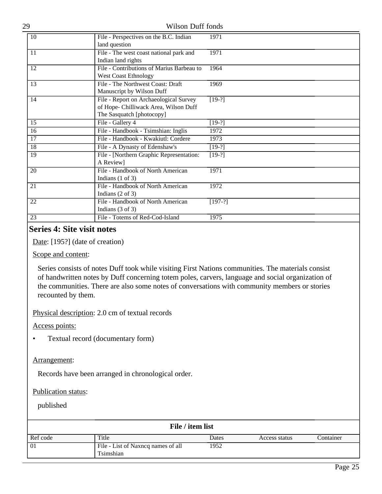| 29 | <b>Wilson Duff fonds</b>                                                                                     |           |
|----|--------------------------------------------------------------------------------------------------------------|-----------|
| 10 | File - Perspectives on the B.C. Indian<br>land question                                                      | 1971      |
| 11 | File - The west coast national park and<br>Indian land rights                                                | 1971      |
| 12 | File - Contributions of Marius Barbeau to<br><b>West Coast Ethnology</b>                                     | 1964      |
| 13 | File - The Northwest Coast: Draft<br>Manuscript by Wilson Duff                                               | 1969      |
| 14 | File - Report on Archaeological Survey<br>of Hope- Chilliwack Area, Wilson Duff<br>The Sasquatch [photocopy] | $[19-?]$  |
| 15 | File - Gallery 4                                                                                             | $[19-?]$  |
| 16 | File - Handbook - Tsimshian: Inglis                                                                          | 1972      |
| 17 | File - Handbook - Kwakiutl: Cordere                                                                          | 1973      |
| 18 | File - A Dynasty of Edenshaw's                                                                               | $[19-?]$  |
| 19 | File - [Northern Graphic Representation:<br>A Review]                                                        | $[19-?]$  |
| 20 | File - Handbook of North American<br>Indians $(1 \text{ of } 3)$                                             | 1971      |
| 21 | File - Handbook of North American<br>Indians $(2 \text{ of } 3)$                                             | 1972      |
| 22 | File - Handbook of North American<br>Indians $(3 \text{ of } 3)$                                             | $[197-?]$ |
| 23 | File - Totems of Red-Cod-Island                                                                              | 1975      |

## <span id="page-24-0"></span>**Series 4: Site visit notes**

Date: [195?] (date of creation)

#### Scope and content:

Series consists of notes Duff took while visiting First Nations communities. The materials consist of handwritten notes by Duff concerning totem poles, carvers, language and social organization of the communities. There are also some notes of conversations with community members or stories recounted by them.

Physical description: 2.0 cm of textual records

Access points:

• Textual record (documentary form)

#### Arrangement:

Records have been arranged in chronological order.

#### Publication status:

| File / item list |                                                 |       |               |           |
|------------------|-------------------------------------------------|-------|---------------|-----------|
| Ref code         | Title                                           | Dates | Access status | Container |
| $\overline{01}$  | File - List of Naxncq names of all<br>Tsimshian | 1952  |               |           |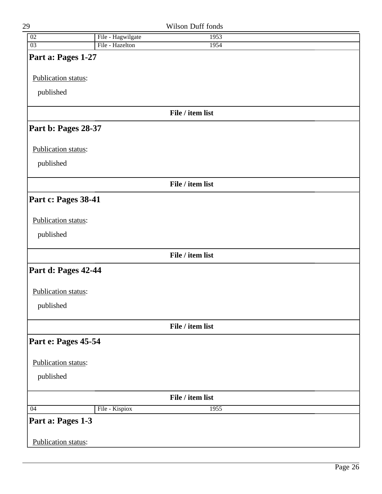| 29                  |                   | Wilson Duff fonds |  |
|---------------------|-------------------|-------------------|--|
| 02                  | File - Hagwilgate | 1953              |  |
| $\overline{03}$     | File - Hazelton   | 1954              |  |
| Part a: Pages 1-27  |                   |                   |  |
| Publication status: |                   |                   |  |
| published           |                   |                   |  |
|                     |                   | File / item list  |  |
| Part b: Pages 28-37 |                   |                   |  |
| Publication status: |                   |                   |  |
| published           |                   |                   |  |
|                     |                   | File / item list  |  |
| Part c: Pages 38-41 |                   |                   |  |
| Publication status: |                   |                   |  |
| published           |                   |                   |  |
|                     |                   | File / item list  |  |
| Part d: Pages 42-44 |                   |                   |  |
| Publication status: |                   |                   |  |
| published           |                   |                   |  |
|                     |                   | File / item list  |  |
| Part e: Pages 45-54 |                   |                   |  |
| Publication status: |                   |                   |  |
| published           |                   |                   |  |
|                     |                   | File / item list  |  |
| 04                  | File - Kispiox    | 1955              |  |
| Part a: Pages 1-3   |                   |                   |  |
| Publication status: |                   |                   |  |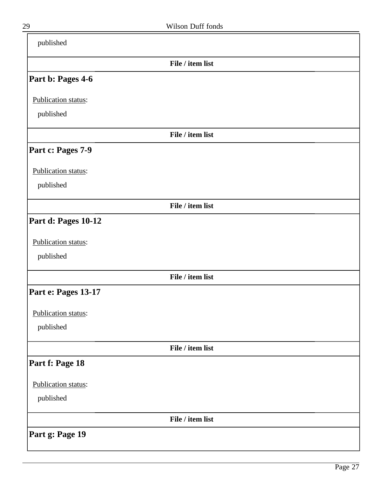| File / item list<br>Part b: Pages 4-6<br>Publication status:<br>published<br>File / item list<br>Part c: Pages 7-9<br>Publication status:<br>published<br>File / item list |  |
|----------------------------------------------------------------------------------------------------------------------------------------------------------------------------|--|
|                                                                                                                                                                            |  |
|                                                                                                                                                                            |  |
|                                                                                                                                                                            |  |
|                                                                                                                                                                            |  |
|                                                                                                                                                                            |  |
|                                                                                                                                                                            |  |
|                                                                                                                                                                            |  |
|                                                                                                                                                                            |  |
|                                                                                                                                                                            |  |
| Part d: Pages 10-12                                                                                                                                                        |  |
| Publication status:                                                                                                                                                        |  |
| published                                                                                                                                                                  |  |
| File / item list                                                                                                                                                           |  |
| Part e: Pages 13-17                                                                                                                                                        |  |
| Publication status:                                                                                                                                                        |  |
| published                                                                                                                                                                  |  |
| File / item list                                                                                                                                                           |  |
| Part f: Page 18                                                                                                                                                            |  |
| Publication status:                                                                                                                                                        |  |
| published                                                                                                                                                                  |  |
| File / item list                                                                                                                                                           |  |
| Part g: Page 19                                                                                                                                                            |  |

 $\overline{\phantom{0}}$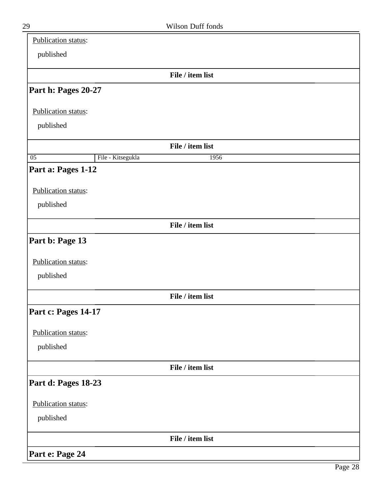| Publication status: |                   |                  |  |
|---------------------|-------------------|------------------|--|
| published           |                   |                  |  |
|                     |                   | File / item list |  |
| Part h: Pages 20-27 |                   |                  |  |
| Publication status: |                   |                  |  |
| published           |                   |                  |  |
|                     |                   | File / item list |  |
| $\overline{05}$     | File - Kitsegukla | 1956             |  |
| Part a: Pages 1-12  |                   |                  |  |
| Publication status: |                   |                  |  |
| published           |                   |                  |  |
|                     |                   | File / item list |  |
| Part b: Page 13     |                   |                  |  |
| Publication status: |                   |                  |  |
| published           |                   |                  |  |
|                     |                   | File / item list |  |
| Part c: Pages 14-17 |                   |                  |  |
| Publication status: |                   |                  |  |
| published           |                   |                  |  |
|                     |                   | File / item list |  |
| Part d: Pages 18-23 |                   |                  |  |
| Publication status: |                   |                  |  |
| published           |                   |                  |  |
|                     |                   | File / item list |  |
| Part e: Page 24     |                   |                  |  |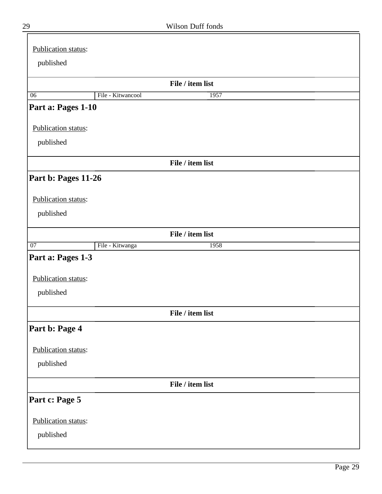| Publication status: |                   |                  |  |
|---------------------|-------------------|------------------|--|
|                     |                   |                  |  |
| published           |                   |                  |  |
|                     |                   | File / item list |  |
| 06                  | File - Kitwancool | 1957             |  |
| Part a: Pages 1-10  |                   |                  |  |
| Publication status: |                   |                  |  |
| published           |                   |                  |  |
|                     |                   | File / item list |  |
| Part b: Pages 11-26 |                   |                  |  |
| Publication status: |                   |                  |  |
| published           |                   |                  |  |
|                     |                   | File / item list |  |
|                     |                   |                  |  |
| $\overline{07}$     | File - Kitwanga   | 1958             |  |
| Part a: Pages 1-3   |                   |                  |  |
| Publication status: |                   |                  |  |
| published           |                   |                  |  |
|                     |                   | File / item list |  |
| Part b: Page 4      |                   |                  |  |
| Publication status: |                   |                  |  |
| published           |                   |                  |  |
|                     |                   | File / item list |  |
| Part c: Page 5      |                   |                  |  |
| Publication status: |                   |                  |  |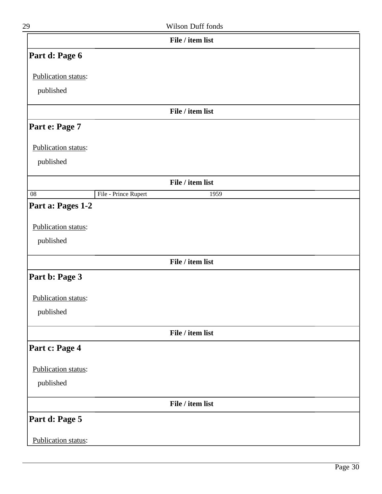| 29                  |                      | Wilson Duff fonds |  |
|---------------------|----------------------|-------------------|--|
|                     |                      | File / item list  |  |
| Part d: Page 6      |                      |                   |  |
| Publication status: |                      |                   |  |
| published           |                      |                   |  |
|                     |                      | File / item list  |  |
| Part e: Page 7      |                      |                   |  |
| Publication status: |                      |                   |  |
| published           |                      |                   |  |
|                     |                      | File / item list  |  |
| $\overline{08}$     | File - Prince Rupert | 1959              |  |
| Part a: Pages 1-2   |                      |                   |  |
| Publication status: |                      |                   |  |
| published           |                      |                   |  |
|                     |                      | File / item list  |  |
| Part b: Page 3      |                      |                   |  |
| Publication status: |                      |                   |  |
| published           |                      |                   |  |
|                     |                      | File / item list  |  |
| Part c: Page 4      |                      |                   |  |
| Publication status: |                      |                   |  |
| published           |                      |                   |  |
|                     |                      | File / item list  |  |
| Part d: Page 5      |                      |                   |  |
| Publication status: |                      |                   |  |

Page 30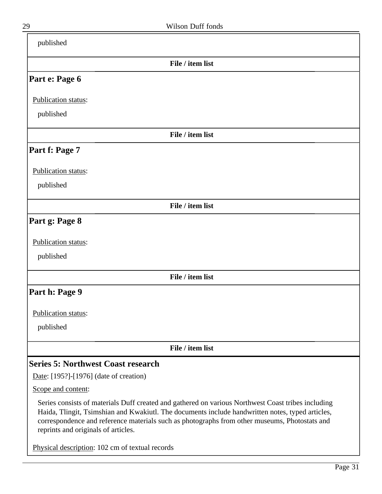<span id="page-30-0"></span>

| published                                                                                                                                                                                                                                                                                                                                      |
|------------------------------------------------------------------------------------------------------------------------------------------------------------------------------------------------------------------------------------------------------------------------------------------------------------------------------------------------|
| File / item list                                                                                                                                                                                                                                                                                                                               |
| Part e: Page 6                                                                                                                                                                                                                                                                                                                                 |
| Publication status:                                                                                                                                                                                                                                                                                                                            |
| published                                                                                                                                                                                                                                                                                                                                      |
| File / item list                                                                                                                                                                                                                                                                                                                               |
| Part f: Page 7                                                                                                                                                                                                                                                                                                                                 |
| Publication status:                                                                                                                                                                                                                                                                                                                            |
| published                                                                                                                                                                                                                                                                                                                                      |
| File / item list                                                                                                                                                                                                                                                                                                                               |
| Part g: Page 8                                                                                                                                                                                                                                                                                                                                 |
| Publication status:                                                                                                                                                                                                                                                                                                                            |
| published                                                                                                                                                                                                                                                                                                                                      |
| File / item list                                                                                                                                                                                                                                                                                                                               |
| Part h: Page 9                                                                                                                                                                                                                                                                                                                                 |
| Publication status:                                                                                                                                                                                                                                                                                                                            |
| published                                                                                                                                                                                                                                                                                                                                      |
| File / item list                                                                                                                                                                                                                                                                                                                               |
| <b>Series 5: Northwest Coast research</b>                                                                                                                                                                                                                                                                                                      |
| Date: [195?]-[1976] (date of creation)                                                                                                                                                                                                                                                                                                         |
| Scope and content:                                                                                                                                                                                                                                                                                                                             |
| Series consists of materials Duff created and gathered on various Northwest Coast tribes including<br>Haida, Tlingit, Tsimshian and Kwakiutl. The documents include handwritten notes, typed articles,<br>correspondence and reference materials such as photographs from other museums, Photostats and<br>reprints and originals of articles. |
| Physical description: 102 cm of textual records                                                                                                                                                                                                                                                                                                |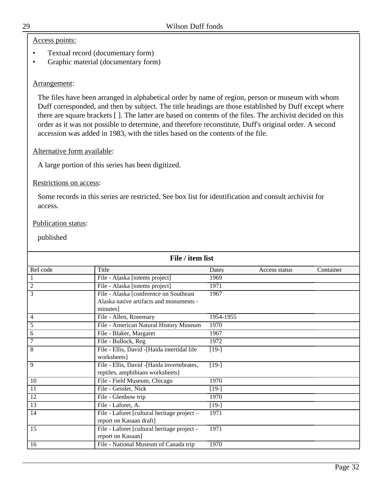#### Access points:

- Textual record (documentary form)
- Graphic material (documentary form)

#### Arrangement:

The files have been arranged in alphabetical order by name of region, person or museum with whom Duff corresponded, and then by subject. The title headings are those established by Duff except where there are square brackets [ ]. The latter are based on contents of the files. The archivist decided on this order as it was not possible to determine, and therefore reconstitute, Duff's original order. A second accession was added in 1983, with the titles based on the contents of the file.

#### Alternative form available:

A large portion of this series has been digitized.

#### Restrictions on access:

Some records in this series are restricted. See box list for identification and consult archivist for access.

#### Publication status:

| File / item list |                                              |           |               |           |
|------------------|----------------------------------------------|-----------|---------------|-----------|
| Ref code         | Title                                        | Dates     | Access status | Container |
|                  | File - Alaska [totems project]               | 1969      |               |           |
| $\overline{2}$   | File - Alaska [totems project]               | 1971      |               |           |
| $\overline{3}$   | File - Alaska [conference on Southeast       | 1967      |               |           |
|                  | Alaska native artifacts and monuments -      |           |               |           |
|                  | minutes                                      |           |               |           |
| 4                | File - Allen, Rosemary                       | 1954-1955 |               |           |
| 5                | File - American Natural History Museum       | 1970      |               |           |
| 6                | File - Blaker, Margaret                      | 1967      |               |           |
| 7                | File - Bullock, Reg                          | 1972      |               |           |
| 8                | File - Ellis, David - [Haida intertidal life | $[19-]$   |               |           |
|                  | worksheets]                                  |           |               |           |
| 9                | File - Ellis, David - [Haida invertebrates,  | $[19-]$   |               |           |
|                  | reptiles, amphibians worksheets]             |           |               |           |
| 10               | File - Field Museum, Chicago                 | 1970      |               |           |
| 11               | File - Gessler, Nick                         | $[19-]$   |               |           |
| 12               | File - Glenbow trip                          | 1970      |               |           |
| $\overline{13}$  | File - Laforet, A.                           | $[19-]$   |               |           |
| 14               | File - Laforet [cultural heritage project -  | 1971      |               |           |
|                  | report on Kasaan draft]                      |           |               |           |
| 15               | File - Laforet [cultural heritage project -  | 1971      |               |           |
|                  | report on Kasaan]                            |           |               |           |
| 16               | File - National Museum of Canada trip        | 1970      |               |           |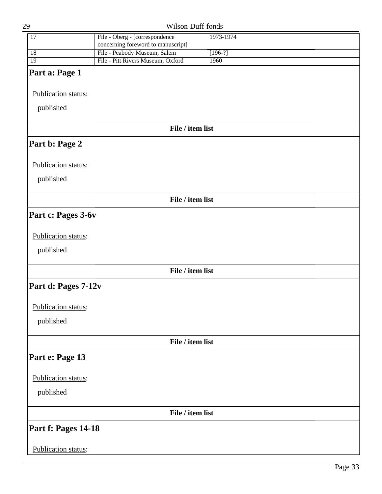| 29                  | Wilson Duff fonds                           |  |
|---------------------|---------------------------------------------|--|
| $\overline{17}$     | File - Oberg - [correspondence<br>1973-1974 |  |
|                     | concerning foreword to manuscript]          |  |
| 18                  | File - Peabody Museum, Salem<br>$[196-?]$   |  |
| $\overline{19}$     | File - Pitt Rivers Museum, Oxford<br>1960   |  |
| Part a: Page 1      |                                             |  |
|                     |                                             |  |
| Publication status: |                                             |  |
|                     |                                             |  |
| published           |                                             |  |
|                     |                                             |  |
|                     | File / item list                            |  |
|                     |                                             |  |
| Part b: Page 2      |                                             |  |
|                     |                                             |  |
| Publication status: |                                             |  |
|                     |                                             |  |
| published           |                                             |  |
|                     |                                             |  |
|                     | File / item list                            |  |
| Part c: Pages 3-6v  |                                             |  |
|                     |                                             |  |
|                     |                                             |  |
| Publication status: |                                             |  |
| published           |                                             |  |
|                     |                                             |  |
|                     | File / item list                            |  |
|                     |                                             |  |
| Part d: Pages 7-12v |                                             |  |
|                     |                                             |  |
| Publication status: |                                             |  |
|                     |                                             |  |
| published           |                                             |  |
|                     |                                             |  |
|                     | File / item list                            |  |
|                     |                                             |  |
| Part e: Page 13     |                                             |  |
|                     |                                             |  |
| Publication status: |                                             |  |
| published           |                                             |  |
|                     |                                             |  |
|                     | File / item list                            |  |
|                     |                                             |  |
| Part f: Pages 14-18 |                                             |  |
|                     |                                             |  |
| Publication status: |                                             |  |
|                     |                                             |  |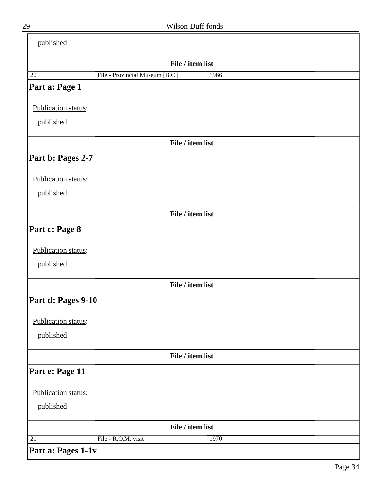| published           |                                         |
|---------------------|-----------------------------------------|
|                     | File / item list                        |
| 20                  | File - Provincial Museum [B.C.]<br>1966 |
| Part a: Page 1      |                                         |
| Publication status: |                                         |
| published           |                                         |
|                     | File / item list                        |
| Part b: Pages 2-7   |                                         |
| Publication status: |                                         |
| published           |                                         |
|                     | File / item list                        |
| Part c: Page 8      |                                         |
| Publication status: |                                         |
| published           |                                         |
|                     | File / item list                        |
| Part d: Pages 9-10  |                                         |
| Publication status: |                                         |
| published           |                                         |
|                     | File / item list                        |
| Part e: Page 11     |                                         |
| Publication status: |                                         |
| published           |                                         |
|                     | File / item list                        |
| 21                  | File - R.O.M. visit<br>1970             |
| Part a: Pages 1-1v  |                                         |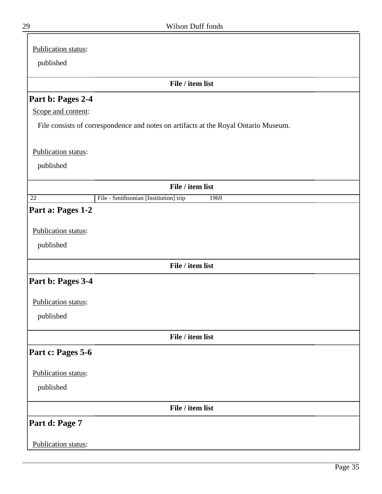| Publication status:                                                                 |  |
|-------------------------------------------------------------------------------------|--|
| published                                                                           |  |
| File / item list                                                                    |  |
| Part b: Pages 2-4                                                                   |  |
| Scope and content:                                                                  |  |
| File consists of correspondence and notes on artifacts at the Royal Ontario Museum. |  |
|                                                                                     |  |
| Publication status:                                                                 |  |
| published                                                                           |  |
| File / item list                                                                    |  |
| File - Smithsonian [Institution] trip<br>22<br>1969                                 |  |
| Part a: Pages 1-2                                                                   |  |
|                                                                                     |  |
| Publication status:                                                                 |  |
| published                                                                           |  |
| File / item list                                                                    |  |
| Part b: Pages 3-4                                                                   |  |
| Publication status:                                                                 |  |
|                                                                                     |  |
| published                                                                           |  |
| File / item list                                                                    |  |
| Part c: Pages 5-6                                                                   |  |
|                                                                                     |  |
| Publication status:                                                                 |  |
| published                                                                           |  |
| File / item list                                                                    |  |
| Part d: Page 7                                                                      |  |
|                                                                                     |  |
| Publication status:                                                                 |  |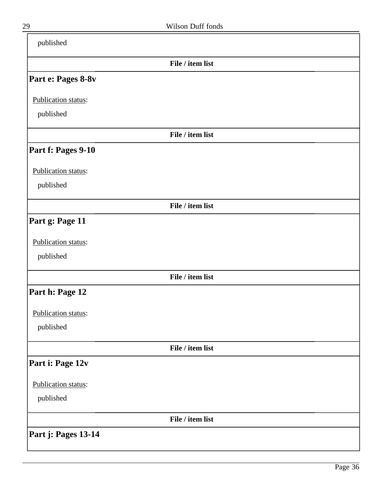| published           |                  |  |
|---------------------|------------------|--|
|                     | File / item list |  |
| Part e: Pages 8-8v  |                  |  |
| Publication status: |                  |  |
| published           |                  |  |
|                     | File / item list |  |
| Part f: Pages 9-10  |                  |  |
| Publication status: |                  |  |
| published           |                  |  |
|                     | File / item list |  |
| Part g: Page 11     |                  |  |
| Publication status: |                  |  |
| published           |                  |  |
|                     | File / item list |  |
| Part h: Page 12     |                  |  |
| Publication status: |                  |  |
| published           |                  |  |
|                     | File / item list |  |
| Part i: Page 12v    |                  |  |
| Publication status: |                  |  |
| published           |                  |  |
|                     | File / item list |  |
| Part j: Pages 13-14 |                  |  |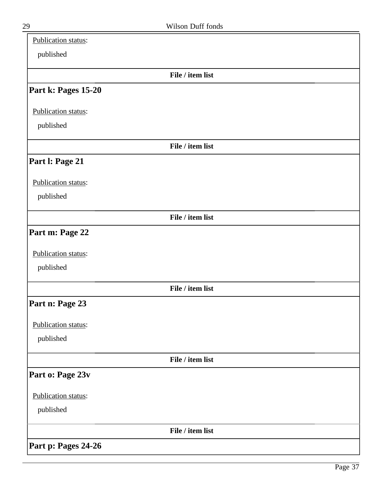| Publication status: |                  |  |
|---------------------|------------------|--|
| published           |                  |  |
|                     | File / item list |  |
| Part k: Pages 15-20 |                  |  |
| Publication status: |                  |  |
| published           |                  |  |
|                     | File / item list |  |
| Part I: Page 21     |                  |  |
| Publication status: |                  |  |
| published           |                  |  |
|                     | File / item list |  |
| Part m: Page 22     |                  |  |
| Publication status: |                  |  |
| published           |                  |  |
|                     | File / item list |  |
| Part n: Page 23     |                  |  |
| Publication status: |                  |  |
| published           |                  |  |
|                     | File / item list |  |
| Part o: Page 23v    |                  |  |
| Publication status: |                  |  |
| published           |                  |  |
|                     | File / item list |  |
| Part p: Pages 24-26 |                  |  |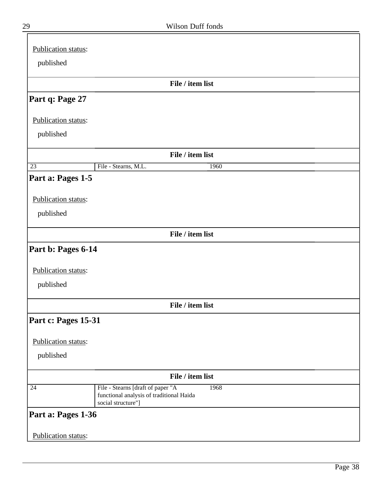| Publication status: |                                                                                                             |
|---------------------|-------------------------------------------------------------------------------------------------------------|
|                     |                                                                                                             |
| published           |                                                                                                             |
|                     | File / item list                                                                                            |
| Part q: Page 27     |                                                                                                             |
| Publication status: |                                                                                                             |
| published           |                                                                                                             |
|                     | File / item list                                                                                            |
| $\overline{23}$     | File - Stearns, M.L.<br>1960                                                                                |
| Part a: Pages 1-5   |                                                                                                             |
| Publication status: |                                                                                                             |
| published           |                                                                                                             |
|                     |                                                                                                             |
|                     | File / item list                                                                                            |
| Part b: Pages 6-14  |                                                                                                             |
| Publication status: |                                                                                                             |
| published           |                                                                                                             |
|                     |                                                                                                             |
|                     | File / item list                                                                                            |
| Part c: Pages 15-31 |                                                                                                             |
| Publication status: |                                                                                                             |
| published           |                                                                                                             |
|                     |                                                                                                             |
|                     | File / item list                                                                                            |
| 24                  | File - Stearns [draft of paper "A<br>1968<br>functional analysis of traditional Haida<br>social structure"] |
| Part a: Pages 1-36  |                                                                                                             |
| Publication status: |                                                                                                             |

ᆖ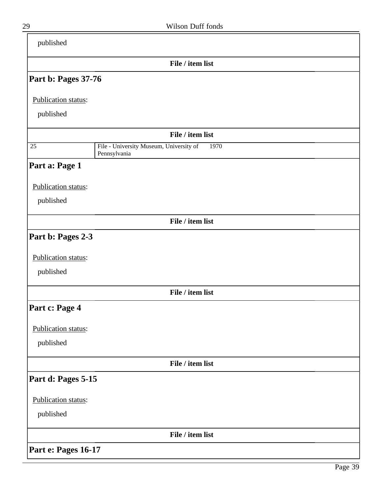| published           |                                                                 |
|---------------------|-----------------------------------------------------------------|
|                     | File / item list                                                |
| Part b: Pages 37-76 |                                                                 |
| Publication status: |                                                                 |
| published           |                                                                 |
|                     | File / item list                                                |
| $\overline{25}$     | File - University Museum, University of<br>1970<br>Pennsylvania |
| Part a: Page 1      |                                                                 |
| Publication status: |                                                                 |
| published           |                                                                 |
|                     | File / item list                                                |
| Part b: Pages 2-3   |                                                                 |
| Publication status: |                                                                 |
| published           |                                                                 |
|                     | File / item list                                                |
| Part c: Page 4      |                                                                 |
| Publication status: |                                                                 |
| published           |                                                                 |
|                     | File / item list                                                |
| Part d: Pages 5-15  |                                                                 |
| Publication status: |                                                                 |
| published           |                                                                 |
|                     | File / item list                                                |
| Part e: Pages 16-17 |                                                                 |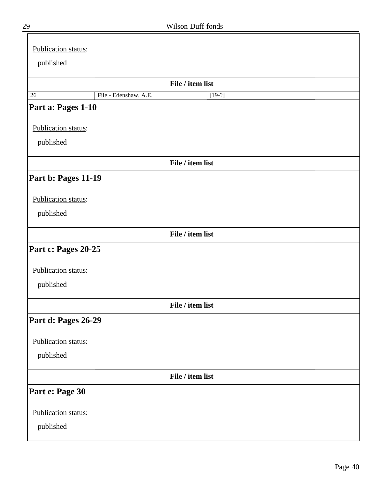| Publication status: |                       |                  |
|---------------------|-----------------------|------------------|
| published           |                       |                  |
|                     |                       |                  |
|                     |                       | File / item list |
| $\overline{26}$     | File - Edenshaw, A.E. | $[19-?]$         |
| Part a: Pages 1-10  |                       |                  |
| Publication status: |                       |                  |
| published           |                       |                  |
|                     |                       | File / item list |
| Part b: Pages 11-19 |                       |                  |
| Publication status: |                       |                  |
| published           |                       |                  |
|                     |                       | File / item list |
|                     |                       |                  |
| Part c: Pages 20-25 |                       |                  |
| Publication status: |                       |                  |
| published           |                       |                  |
|                     |                       | File / item list |
| Part d: Pages 26-29 |                       |                  |
|                     |                       |                  |
| Publication status: |                       |                  |
| published           |                       |                  |
|                     |                       | File / item list |
| Part e: Page 30     |                       |                  |
| Publication status: |                       |                  |
| published           |                       |                  |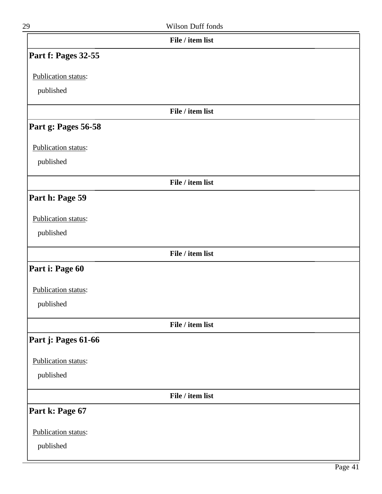| ٦ |
|---|

| 29                  | Wilson Duff fonds |  |
|---------------------|-------------------|--|
|                     | File / item list  |  |
| Part f: Pages 32-55 |                   |  |
| Publication status: |                   |  |
| published           |                   |  |
|                     | File / item list  |  |
| Part g: Pages 56-58 |                   |  |
| Publication status: |                   |  |
| published           |                   |  |
|                     | File / item list  |  |
| Part h: Page 59     |                   |  |
| Publication status: |                   |  |
| published           |                   |  |
|                     | File / item list  |  |
| Part i: Page 60     |                   |  |
| Publication status: |                   |  |
| published           |                   |  |
|                     | File / item list  |  |
| Part j: Pages 61-66 |                   |  |
| Publication status: |                   |  |
| published           |                   |  |
|                     | File / item list  |  |
| Part k: Page 67     |                   |  |
| Publication status: |                   |  |
| published           |                   |  |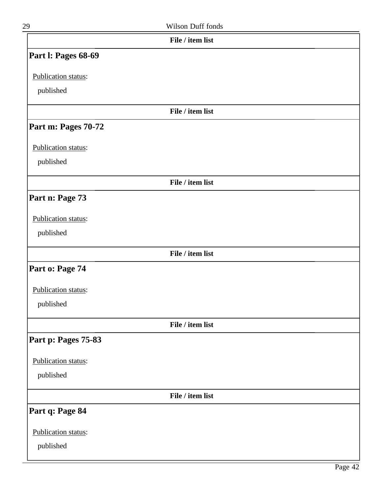| 29                  | Wilson Duff fonds |  |
|---------------------|-------------------|--|
|                     | File / item list  |  |
| Part I: Pages 68-69 |                   |  |
| Publication status: |                   |  |
| published           |                   |  |
|                     | File / item list  |  |
| Part m: Pages 70-72 |                   |  |
| Publication status: |                   |  |
| published           |                   |  |
|                     | File / item list  |  |
| Part n: Page 73     |                   |  |
| Publication status: |                   |  |
| published           |                   |  |
|                     | File / item list  |  |
| Part o: Page 74     |                   |  |
| Publication status: |                   |  |
| published           |                   |  |
|                     | File / item list  |  |
| Part p: Pages 75-83 |                   |  |
| Publication status: |                   |  |
| published           |                   |  |
|                     | File / item list  |  |
| Part q: Page 84     |                   |  |
| Publication status: |                   |  |
| published           |                   |  |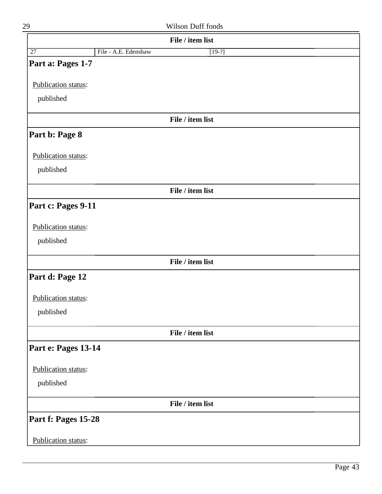| 29                         | Wilson Duff fonds                |  |
|----------------------------|----------------------------------|--|
|                            | File / item list                 |  |
| $\overline{27}$            | File - A.E. Edenshaw<br>$[19-?]$ |  |
| Part a: Pages 1-7          |                                  |  |
| Publication status:        |                                  |  |
| published                  |                                  |  |
|                            |                                  |  |
|                            | File / item list                 |  |
| Part b: Page 8             |                                  |  |
| <b>Publication status:</b> |                                  |  |
| published                  |                                  |  |
|                            | File / item list                 |  |
| Part c: Pages 9-11         |                                  |  |
|                            |                                  |  |
| Publication status:        |                                  |  |
| published                  |                                  |  |
|                            | File / item list                 |  |
| Part d: Page 12            |                                  |  |
| Publication status:        |                                  |  |
| published                  |                                  |  |
|                            | File / item list                 |  |
| Part e: Pages 13-14        |                                  |  |
| Publication status:        |                                  |  |
| published                  |                                  |  |
|                            |                                  |  |
|                            | File / item list                 |  |
| Part f: Pages 15-28        |                                  |  |
| Publication status:        |                                  |  |
|                            |                                  |  |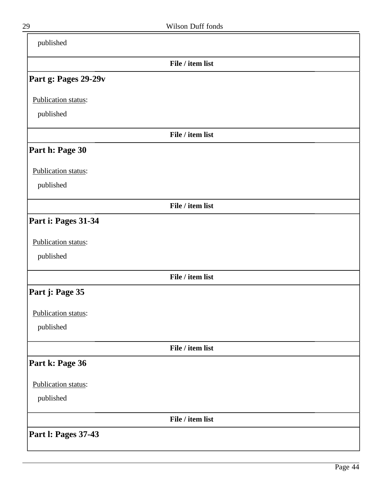| published                  |                  |  |
|----------------------------|------------------|--|
|                            | File / item list |  |
| Part g: Pages 29-29v       |                  |  |
| Publication status:        |                  |  |
| published                  |                  |  |
|                            | File / item list |  |
| Part h: Page 30            |                  |  |
| Publication status:        |                  |  |
| published                  |                  |  |
|                            | File / item list |  |
| Part i: Pages 31-34        |                  |  |
| Publication status:        |                  |  |
| published                  |                  |  |
|                            | File / item list |  |
| Part j: Page 35            |                  |  |
| Publication status:        |                  |  |
| published                  |                  |  |
|                            | File / item list |  |
| Part k: Page 36            |                  |  |
| Publication status:        |                  |  |
| published                  |                  |  |
|                            | File / item list |  |
| <b>Part I: Pages 37-43</b> |                  |  |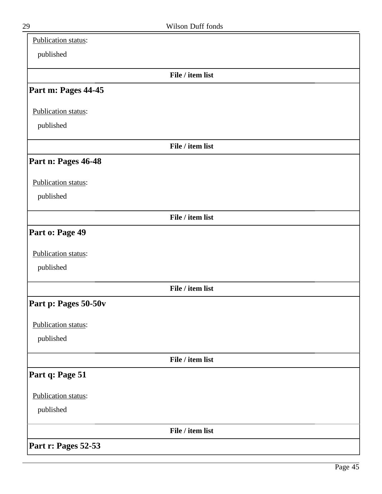| Publication status:  |                  |  |
|----------------------|------------------|--|
| published            |                  |  |
|                      | File / item list |  |
| Part m: Pages 44-45  |                  |  |
| Publication status:  |                  |  |
| published            |                  |  |
|                      | File / item list |  |
| Part n: Pages 46-48  |                  |  |
| Publication status:  |                  |  |
| published            |                  |  |
|                      | File / item list |  |
| Part o: Page 49      |                  |  |
| Publication status:  |                  |  |
| published            |                  |  |
|                      | File / item list |  |
| Part p: Pages 50-50v |                  |  |
| Publication status:  |                  |  |
| published            |                  |  |
|                      | File / item list |  |
| Part q: Page 51      |                  |  |
| Publication status:  |                  |  |
| published            |                  |  |
|                      | File / item list |  |
| Part r: Pages 52-53  |                  |  |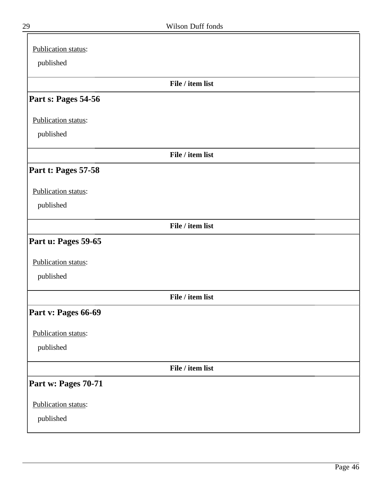| Publication status: |                  |
|---------------------|------------------|
| published           |                  |
|                     | File / item list |
| Part s: Pages 54-56 |                  |
| Publication status: |                  |
| published           |                  |
|                     | File / item list |
| Part t: Pages 57-58 |                  |
| Publication status: |                  |
| published           |                  |
|                     | File / item list |
| Part u: Pages 59-65 |                  |
| Publication status: |                  |
| published           |                  |
|                     | File / item list |
| Part v: Pages 66-69 |                  |
| Publication status: |                  |
| published           |                  |
|                     | File / item list |
| Part w: Pages 70-71 |                  |
| Publication status: |                  |
| published           |                  |

╕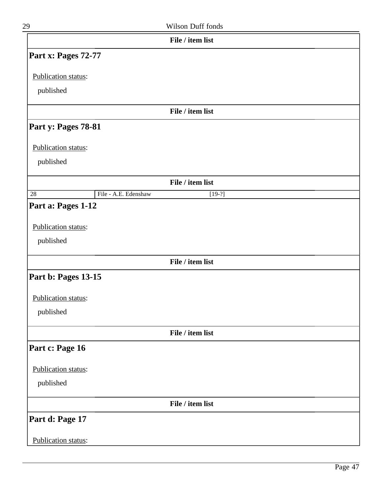| Wilson Duff fonds |
|-------------------|
|                   |
|                   |
|                   |

|                                  |                      | File / item list |  |
|----------------------------------|----------------------|------------------|--|
| Part x: Pages 72-77              |                      |                  |  |
| Publication status:              |                      |                  |  |
| published                        |                      |                  |  |
|                                  |                      | File / item list |  |
| Part y: Pages 78-81              |                      |                  |  |
| Publication status:              |                      |                  |  |
| published                        |                      |                  |  |
|                                  |                      | File / item list |  |
| 28                               | File - A.E. Edenshaw | $[19-?]$         |  |
| Publication status:<br>published |                      |                  |  |
|                                  |                      | File / item list |  |
| Part b: Pages 13-15              |                      |                  |  |
| Publication status:              |                      |                  |  |
| published                        |                      |                  |  |
|                                  |                      | File / item list |  |
| Part c: Page 16                  |                      |                  |  |
| Publication status:              |                      |                  |  |
| published                        |                      |                  |  |
|                                  |                      | File / item list |  |
| Part d: Page 17                  |                      |                  |  |
| Publication status:              |                      |                  |  |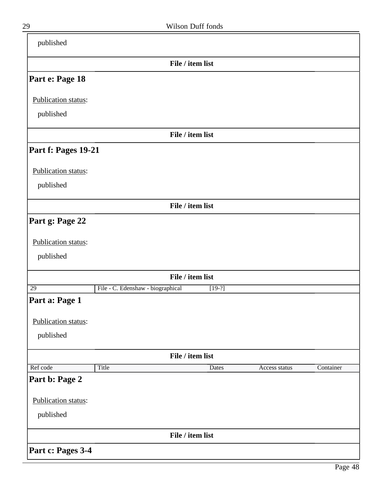| published           |                                   |          |               |           |
|---------------------|-----------------------------------|----------|---------------|-----------|
|                     | File / item list                  |          |               |           |
| Part e: Page 18     |                                   |          |               |           |
| Publication status: |                                   |          |               |           |
| published           |                                   |          |               |           |
|                     | File / item list                  |          |               |           |
| Part f: Pages 19-21 |                                   |          |               |           |
| Publication status: |                                   |          |               |           |
| published           |                                   |          |               |           |
|                     | File / item list                  |          |               |           |
| Part g: Page 22     |                                   |          |               |           |
| Publication status: |                                   |          |               |           |
| published           |                                   |          |               |           |
|                     | File / item list                  |          |               |           |
| $\overline{29}$     | File - C. Edenshaw - biographical | $[19-?]$ |               |           |
| Part a: Page 1      |                                   |          |               |           |
| Publication status: |                                   |          |               |           |
| published           |                                   |          |               |           |
|                     | File / item list                  |          |               |           |
| Ref code            | Title                             | Dates    | Access status | Container |
| Part b: Page 2      |                                   |          |               |           |
| Publication status: |                                   |          |               |           |
| published           |                                   |          |               |           |
|                     | File / item list                  |          |               |           |
| Part c: Pages 3-4   |                                   |          |               |           |

-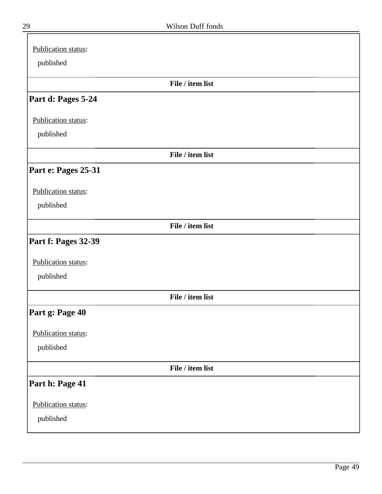| Publication status: |                  |  |
|---------------------|------------------|--|
| published           |                  |  |
|                     | File / item list |  |
| Part d: Pages 5-24  |                  |  |
| Publication status: |                  |  |
| published           |                  |  |
|                     | File / item list |  |
| Part e: Pages 25-31 |                  |  |
| Publication status: |                  |  |
| published           |                  |  |
|                     | File / item list |  |
| Part f: Pages 32-39 |                  |  |
| Publication status: |                  |  |
| published           |                  |  |
|                     | File / item list |  |
| Part g: Page 40     |                  |  |
| Publication status: |                  |  |
| published           |                  |  |
|                     | File / item list |  |
| Part h: Page 41     |                  |  |
| Publication status: |                  |  |
| published           |                  |  |
|                     |                  |  |

╕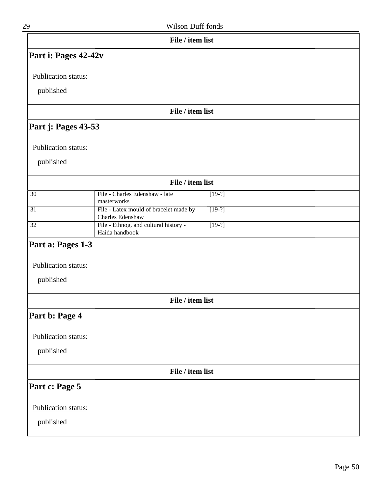| 29                   | Wilson Duff fonds                                                      |
|----------------------|------------------------------------------------------------------------|
|                      | File / item list                                                       |
| Part i: Pages 42-42v |                                                                        |
| Publication status:  |                                                                        |
| published            |                                                                        |
|                      | File / item list                                                       |
| Part j: Pages 43-53  |                                                                        |
| Publication status:  |                                                                        |
| published            |                                                                        |
|                      | File / item list                                                       |
| $\overline{30}$      | File - Charles Edenshaw - late<br>$[19-?]$<br>masterworks              |
| $\overline{31}$      | File - Latex mould of bracelet made by<br>$[19-?]$<br>Charles Edenshaw |
| $\overline{32}$      | File - Ethnog. and cultural history -<br>$[19-?]$<br>Haida handbook    |
| Part a: Pages 1-3    |                                                                        |
| Publication status:  |                                                                        |
| published            |                                                                        |
|                      | File / item list                                                       |
| Part b: Page 4       |                                                                        |
| Publication status:  |                                                                        |
| published            |                                                                        |
|                      | File / item list                                                       |
| Part c: Page 5       |                                                                        |
| Publication status:  |                                                                        |
| published            |                                                                        |
|                      |                                                                        |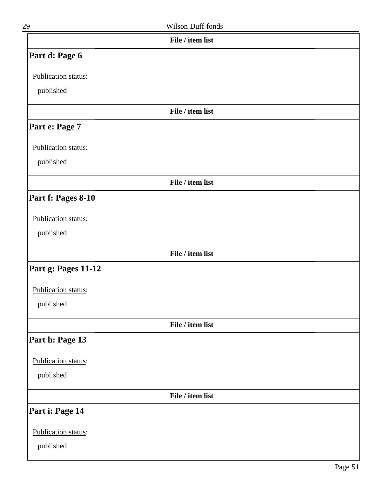| 29                  | <b>Wilson Duff fonds</b> |
|---------------------|--------------------------|
|                     | File / item list         |
| Part d: Page 6      |                          |
| Publication status: |                          |
| published           |                          |
|                     | File / item list         |
| Part e: Page 7      |                          |
| Publication status: |                          |
| published           |                          |
|                     | File / item list         |

# **Part f: Pages 8-10**

#### Publication status:

published

#### **File / item list**

# **Part g: Pages 11-12**

Publication status:

published

**File / item list**

## **Part h: Page 13**

Publication status:

published

**File / item list**

### **Part i: Page 14**

Publication status:

published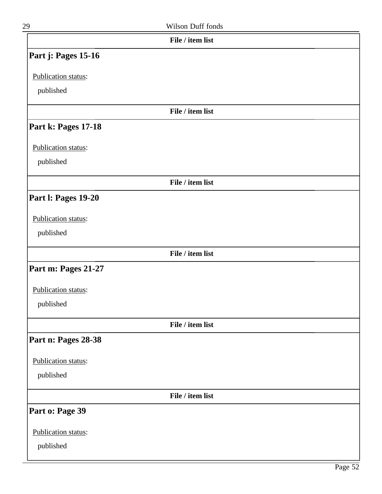|                     | File / item list |
|---------------------|------------------|
| Part j: Pages 15-16 |                  |
| Publication status: |                  |
| published           |                  |
|                     | File / item list |
|                     |                  |
| Part k: Pages 17-18 |                  |
| Publication status: |                  |
| published           |                  |
|                     | File / item list |
| Part I: Pages 19-20 |                  |
| Publication status: |                  |
| published           |                  |
|                     |                  |
|                     | File / item list |
| Part m: Pages 21-27 |                  |
| Publication status: |                  |
| published           |                  |
|                     | File / item list |
| Part n: Pages 28-38 |                  |
| Publication status: |                  |
| published           |                  |
|                     | File / item list |
| Part o: Page 39     |                  |
| Publication status: |                  |
| published           |                  |
|                     |                  |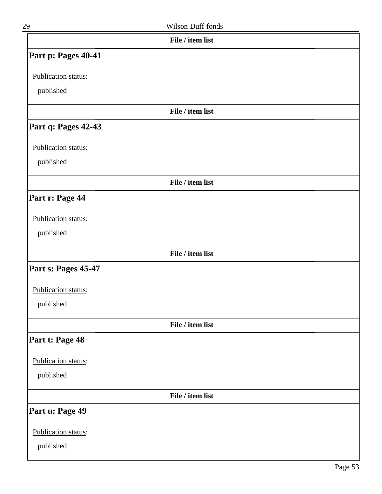| 29                  | Wilson Duff fonds |  |
|---------------------|-------------------|--|
|                     | File / item list  |  |
| Part p: Pages 40-41 |                   |  |
| Publication status: |                   |  |
| published           |                   |  |
|                     | File / item list  |  |
| Part q: Pages 42-43 |                   |  |
| Publication status: |                   |  |
| published           |                   |  |
|                     | File / item list  |  |
| Part r: Page 44     |                   |  |
| Publication status: |                   |  |
| published           |                   |  |
|                     | File / item list  |  |
| Part s: Pages 45-47 |                   |  |
| Publication status: |                   |  |
| published           |                   |  |
|                     | File / item list  |  |
| Part t: Page 48     |                   |  |
| Publication status: |                   |  |
| published           |                   |  |
|                     | File / item list  |  |
| Part u: Page 49     |                   |  |
| Publication status: |                   |  |
| published           |                   |  |
|                     |                   |  |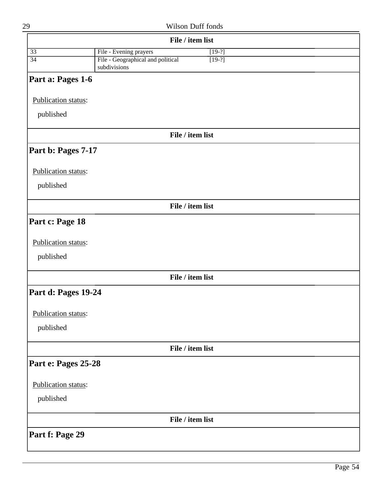|                     | File / item list                                              |
|---------------------|---------------------------------------------------------------|
| $\overline{33}$     | File - Evening prayers<br>$[19-?]$                            |
| $\overline{34}$     | File - Geographical and political<br>$[19-?]$<br>subdivisions |
| Part a: Pages 1-6   |                                                               |
| Publication status: |                                                               |
| published           |                                                               |
|                     | File / item list                                              |
| Part b: Pages 7-17  |                                                               |
| Publication status: |                                                               |
| published           |                                                               |
|                     | File / item list                                              |
| Part c: Page 18     |                                                               |
| Publication status: |                                                               |
| published           |                                                               |
|                     | File / item list                                              |
| Part d: Pages 19-24 |                                                               |
| Publication status: |                                                               |
| published           |                                                               |
|                     | File / item list                                              |
| Part e: Pages 25-28 |                                                               |
| Publication status: |                                                               |
| published           |                                                               |
|                     | File / item list                                              |
| Part f: Page 29     |                                                               |
|                     |                                                               |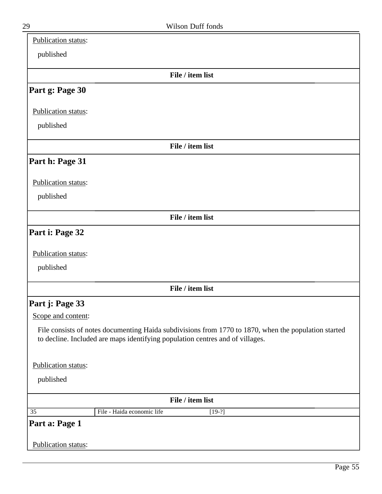| published<br>File / item list<br>Part g: Page 30<br>Publication status:<br>published<br>File / item list<br>Part h: Page 31<br>Publication status:<br>published<br>File / item list<br>Part i: Page 32 |
|--------------------------------------------------------------------------------------------------------------------------------------------------------------------------------------------------------|
|                                                                                                                                                                                                        |
|                                                                                                                                                                                                        |
|                                                                                                                                                                                                        |
|                                                                                                                                                                                                        |
|                                                                                                                                                                                                        |
|                                                                                                                                                                                                        |
|                                                                                                                                                                                                        |
|                                                                                                                                                                                                        |
|                                                                                                                                                                                                        |
|                                                                                                                                                                                                        |
|                                                                                                                                                                                                        |
|                                                                                                                                                                                                        |
|                                                                                                                                                                                                        |
|                                                                                                                                                                                                        |
| Publication status:                                                                                                                                                                                    |
| published                                                                                                                                                                                              |
|                                                                                                                                                                                                        |
| File / item list                                                                                                                                                                                       |
| Part j: Page 33                                                                                                                                                                                        |
| Scope and content:                                                                                                                                                                                     |
| File consists of notes documenting Haida subdivisions from 1770 to 1870, when the population started<br>to decline. Included are maps identifying population centres and of villages.                  |
| Publication status:                                                                                                                                                                                    |
| published                                                                                                                                                                                              |
| File / item list                                                                                                                                                                                       |
| File - Haida economic life<br>35<br>$[19-?]$                                                                                                                                                           |
| Part a: Page 1                                                                                                                                                                                         |
| Publication status:                                                                                                                                                                                    |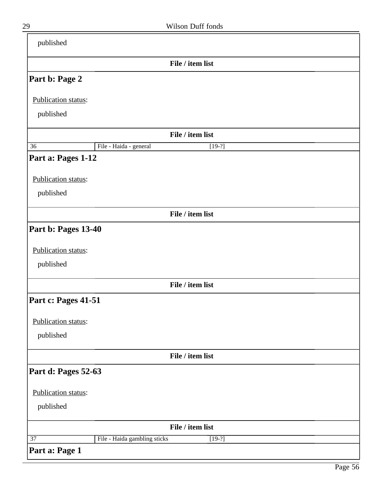| published                |                                          |
|--------------------------|------------------------------------------|
|                          | File / item list                         |
| Part b: Page 2           |                                          |
| Publication status:      |                                          |
| published                |                                          |
|                          |                                          |
|                          | File / item list                         |
| 36<br>Part a: Pages 1-12 | File - Haida - general<br>$[19-?]$       |
|                          |                                          |
| Publication status:      |                                          |
| published                |                                          |
|                          | File / item list                         |
| Part b: Pages 13-40      |                                          |
|                          |                                          |
| Publication status:      |                                          |
| published                |                                          |
|                          | File / item list                         |
| Part c: Pages 41-51      |                                          |
|                          |                                          |
| Publication status:      |                                          |
| published                |                                          |
|                          | File / item list                         |
| Part d: Pages 52-63      |                                          |
|                          |                                          |
| Publication status:      |                                          |
| published                |                                          |
|                          | File / item list                         |
| $\overline{37}$          | File - Haida gambling sticks<br>$[19-?]$ |
| Part a: Page 1           |                                          |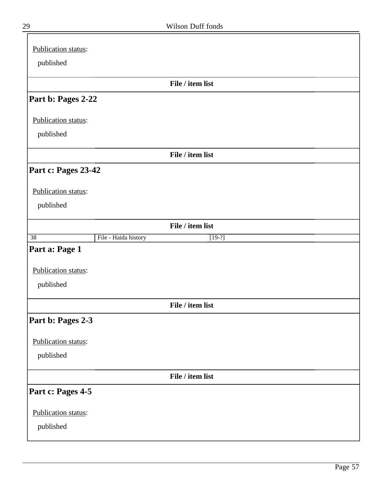| Publication status: |                      |                  |
|---------------------|----------------------|------------------|
| published           |                      |                  |
|                     |                      |                  |
|                     |                      | File / item list |
| Part b: Pages 2-22  |                      |                  |
| Publication status: |                      |                  |
| published           |                      |                  |
|                     |                      |                  |
|                     |                      | File / item list |
| Part c: Pages 23-42 |                      |                  |
| Publication status: |                      |                  |
| published           |                      |                  |
|                     |                      |                  |
|                     |                      | File / item list |
| $\overline{38}$     | File - Haida history | $[19-?]$         |
| Part a: Page 1      |                      |                  |
| Publication status: |                      |                  |
| published           |                      |                  |
|                     |                      |                  |
|                     |                      | File / item list |
| Part b: Pages 2-3   |                      |                  |
| Publication status: |                      |                  |
| published           |                      |                  |
|                     |                      |                  |
|                     |                      | File / item list |
| Part c: Pages 4-5   |                      |                  |
| Publication status: |                      |                  |
| published           |                      |                  |
|                     |                      |                  |

 $\equiv$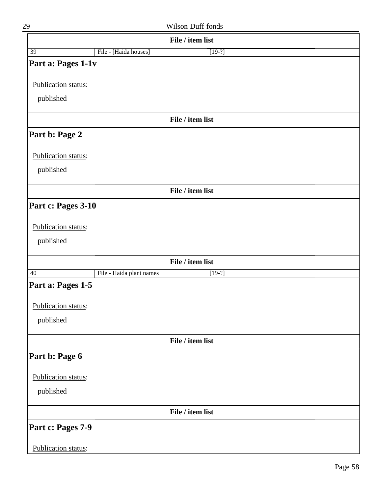| 29                  |                          | Wilson Duff fonds |  |
|---------------------|--------------------------|-------------------|--|
|                     |                          | File / item list  |  |
| 39                  | File - [Haida houses]    | $[19-?]$          |  |
| Part a: Pages 1-1v  |                          |                   |  |
|                     |                          |                   |  |
| Publication status: |                          |                   |  |
| published           |                          |                   |  |
|                     |                          | File / item list  |  |
| Part b: Page 2      |                          |                   |  |
| Publication status: |                          |                   |  |
| published           |                          |                   |  |
|                     |                          |                   |  |
|                     |                          | File / item list  |  |
| Part c: Pages 3-10  |                          |                   |  |
|                     |                          |                   |  |
| Publication status: |                          |                   |  |
| published           |                          |                   |  |
|                     |                          | File / item list  |  |
| 40                  | File - Haida plant names | $[19-?]$          |  |
| Part a: Pages 1-5   |                          |                   |  |
| Publication status: |                          |                   |  |
| published           |                          |                   |  |
|                     |                          |                   |  |
|                     |                          | File / item list  |  |
| Part b: Page 6      |                          |                   |  |
| Publication status: |                          |                   |  |
| published           |                          |                   |  |
|                     |                          |                   |  |
|                     |                          | File / item list  |  |
| Part c: Pages 7-9   |                          |                   |  |
| Publication status: |                          |                   |  |
|                     |                          |                   |  |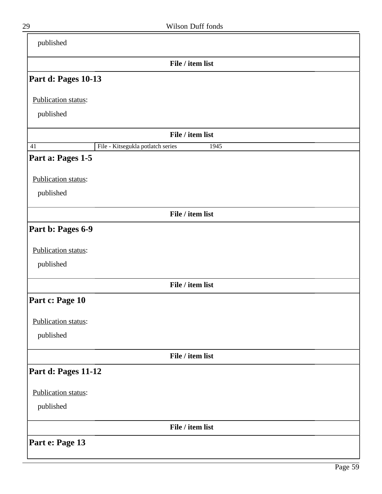| published           |                                           |
|---------------------|-------------------------------------------|
|                     | File / item list                          |
| Part d: Pages 10-13 |                                           |
| Publication status: |                                           |
| published           |                                           |
|                     | File / item list                          |
| 41                  | File - Kitsegukla potlatch series<br>1945 |
| Part a: Pages 1-5   |                                           |
| Publication status: |                                           |
| published           |                                           |
|                     | File / item list                          |
| Part b: Pages 6-9   |                                           |
| Publication status: |                                           |
| published           |                                           |
|                     | File / item list                          |
| Part c: Page 10     |                                           |
| Publication status: |                                           |
| published           |                                           |
|                     | File / item list                          |
| Part d: Pages 11-12 |                                           |
| Publication status: |                                           |
| published           |                                           |
|                     | File / item list                          |
| Part e: Page 13     |                                           |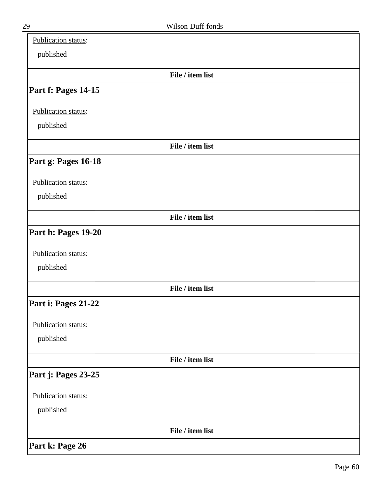| Publication status: |                  |  |
|---------------------|------------------|--|
| published           |                  |  |
|                     | File / item list |  |
| Part f: Pages 14-15 |                  |  |
| Publication status: |                  |  |
| published           |                  |  |
|                     | File / item list |  |
| Part g: Pages 16-18 |                  |  |
| Publication status: |                  |  |
| published           |                  |  |
|                     | File / item list |  |
| Part h: Pages 19-20 |                  |  |
| Publication status: |                  |  |
| published           |                  |  |
|                     | File / item list |  |
| Part i: Pages 21-22 |                  |  |
| Publication status: |                  |  |
| published           |                  |  |
|                     | File / item list |  |
| Part j: Pages 23-25 |                  |  |
| Publication status: |                  |  |
| published           |                  |  |
|                     | File / item list |  |
| Part k: Page 26     |                  |  |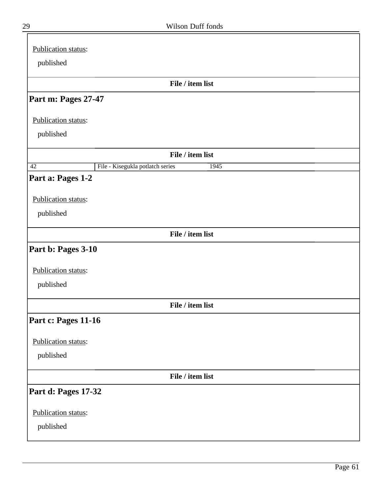| Publication status:                                         |
|-------------------------------------------------------------|
| published                                                   |
| File / item list                                            |
|                                                             |
| Part m: Pages 27-47                                         |
| Publication status:                                         |
| published                                                   |
|                                                             |
| File / item list                                            |
| File - Kisegukla potlatch series<br>$\overline{42}$<br>1945 |
| Part a: Pages 1-2                                           |
| Publication status:                                         |
|                                                             |
| published                                                   |
| File / item list                                            |
| Part b: Pages 3-10                                          |
|                                                             |
| Publication status:                                         |
| published                                                   |
|                                                             |
| File / item list                                            |
| Part c: Pages 11-16                                         |
| Publication status:                                         |
| published                                                   |
|                                                             |
| File / item list                                            |
| Part d: Pages 17-32                                         |
|                                                             |
| Publication status:                                         |
| published                                                   |
|                                                             |

 $\equiv$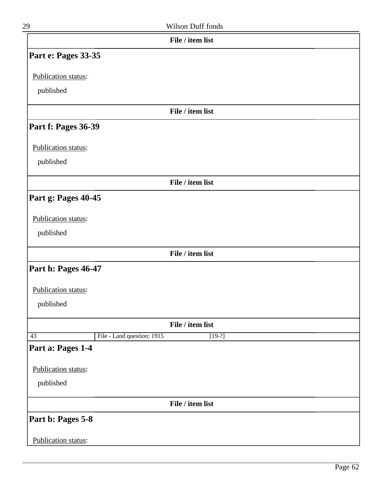| 29                         | Wilson Duff fonds                      |  |
|----------------------------|----------------------------------------|--|
|                            | File / item list                       |  |
| Part e: Pages 33-35        |                                        |  |
| Publication status:        |                                        |  |
| published                  |                                        |  |
|                            | File / item list                       |  |
| Part f: Pages 36-39        |                                        |  |
| Publication status:        |                                        |  |
| published                  |                                        |  |
|                            | File / item list                       |  |
| Part g: Pages 40-45        |                                        |  |
| Publication status:        |                                        |  |
| published                  |                                        |  |
|                            | File / item list                       |  |
| Part h: Pages 46-47        |                                        |  |
| Publication status:        |                                        |  |
| published                  |                                        |  |
|                            | File / item list                       |  |
| $\overline{43}$            | File - Land question: 1915<br>$[19-?]$ |  |
| Part a: Pages 1-4          |                                        |  |
| Publication status:        |                                        |  |
| published                  |                                        |  |
|                            | File / item list                       |  |
| Part b: Pages 5-8          |                                        |  |
| <b>Publication status:</b> |                                        |  |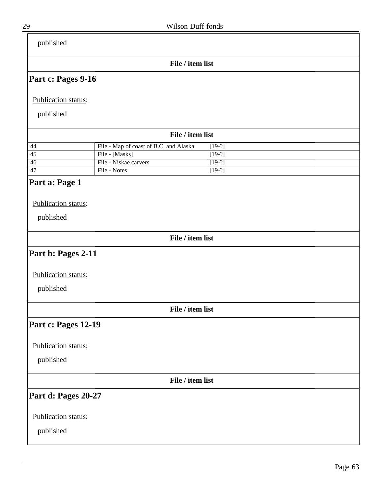| published             |                                                    |  |
|-----------------------|----------------------------------------------------|--|
|                       | File / item list                                   |  |
| Part c: Pages 9-16    |                                                    |  |
| Publication status:   |                                                    |  |
| published             |                                                    |  |
|                       | File / item list                                   |  |
| 44                    | File - Map of coast of B.C. and Alaska<br>$[19-?]$ |  |
| $\overline{45}$       | File - [Masks]<br>$[19-?]$                         |  |
| 46<br>$\overline{47}$ | File - Niskae carvers<br>$[19-?]$<br>File - Notes  |  |
|                       | $[19-?]$                                           |  |
| Part a: Page 1        |                                                    |  |
| Publication status:   |                                                    |  |
| published             |                                                    |  |
|                       | File / item list                                   |  |
|                       |                                                    |  |
| Part b: Pages 2-11    |                                                    |  |
|                       |                                                    |  |
| Publication status:   |                                                    |  |
|                       |                                                    |  |
| published             |                                                    |  |
|                       |                                                    |  |
|                       | File / item list                                   |  |
| Part c: Pages 12-19   |                                                    |  |
| Publication status:   |                                                    |  |
|                       |                                                    |  |
| published             |                                                    |  |
|                       | File / item list                                   |  |
| Part d: Pages 20-27   |                                                    |  |
| Publication status:   |                                                    |  |
|                       |                                                    |  |
| published             |                                                    |  |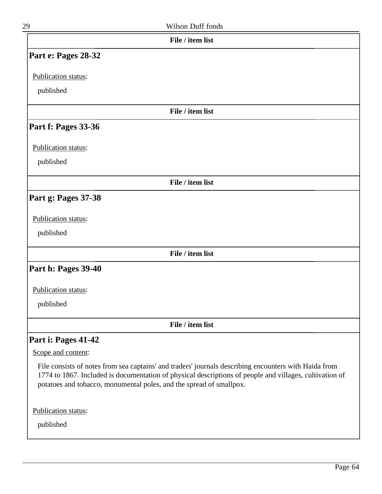| Wilson Duff fonds<br>29                                                                                                                                                                                                                                                                 |  |
|-----------------------------------------------------------------------------------------------------------------------------------------------------------------------------------------------------------------------------------------------------------------------------------------|--|
| File / item list                                                                                                                                                                                                                                                                        |  |
| Part e: Pages 28-32                                                                                                                                                                                                                                                                     |  |
| Publication status:                                                                                                                                                                                                                                                                     |  |
| published                                                                                                                                                                                                                                                                               |  |
| File / item list                                                                                                                                                                                                                                                                        |  |
| Part f: Pages 33-36                                                                                                                                                                                                                                                                     |  |
| Publication status:                                                                                                                                                                                                                                                                     |  |
| published                                                                                                                                                                                                                                                                               |  |
| File / item list                                                                                                                                                                                                                                                                        |  |
| Part g: Pages 37-38                                                                                                                                                                                                                                                                     |  |
| Publication status:                                                                                                                                                                                                                                                                     |  |
| published                                                                                                                                                                                                                                                                               |  |
| File / item list                                                                                                                                                                                                                                                                        |  |
| Part h: Pages 39-40                                                                                                                                                                                                                                                                     |  |
| Publication status:                                                                                                                                                                                                                                                                     |  |
| published                                                                                                                                                                                                                                                                               |  |
| File / item list                                                                                                                                                                                                                                                                        |  |
| Part i: Pages 41-42                                                                                                                                                                                                                                                                     |  |
| Scope and content:                                                                                                                                                                                                                                                                      |  |
| File consists of notes from sea captains' and traders' journals describing encounters with Haida from<br>1774 to 1867. Included is documentation of physical descriptions of people and villages, cultivation of<br>potatoes and tobacco, monumental poles, and the spread of smallpox. |  |
| Publication status:                                                                                                                                                                                                                                                                     |  |
| published                                                                                                                                                                                                                                                                               |  |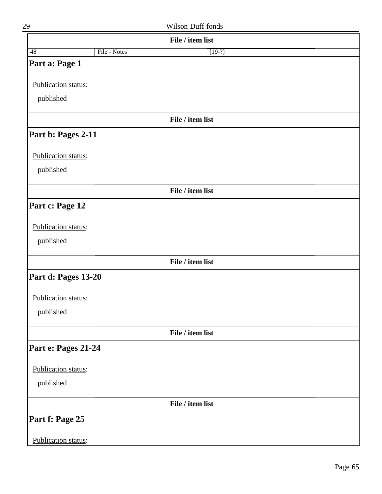|                     |              | File / item list |  |
|---------------------|--------------|------------------|--|
| $\overline{48}$     | File - Notes | $[19-?]$         |  |
| Part a: Page 1      |              |                  |  |
| Publication status: |              |                  |  |
|                     |              |                  |  |
| published           |              |                  |  |
|                     |              | File / item list |  |
| Part b: Pages 2-11  |              |                  |  |
| Publication status: |              |                  |  |
| published           |              |                  |  |
|                     |              | File / item list |  |
| Part c: Page 12     |              |                  |  |
| Publication status: |              |                  |  |
|                     |              |                  |  |
| published           |              |                  |  |
|                     |              | File / item list |  |
| Part d: Pages 13-20 |              |                  |  |
| Publication status: |              |                  |  |
| published           |              |                  |  |
|                     |              | File / item list |  |
| Part e: Pages 21-24 |              |                  |  |
|                     |              |                  |  |
| Publication status: |              |                  |  |
| published           |              |                  |  |
|                     |              | File / item list |  |
| Part f: Page 25     |              |                  |  |
| Publication status: |              |                  |  |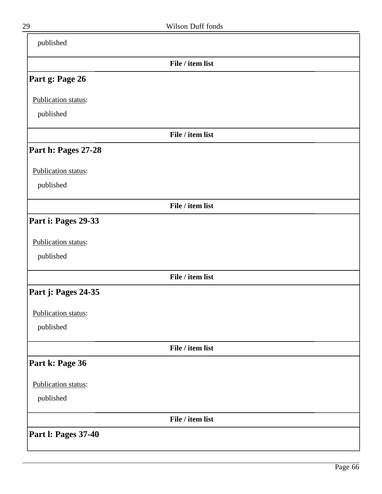| published                  |                  |  |
|----------------------------|------------------|--|
|                            | File / item list |  |
| Part g: Page 26            |                  |  |
| Publication status:        |                  |  |
| published                  |                  |  |
|                            | File / item list |  |
| Part h: Pages 27-28        |                  |  |
| Publication status:        |                  |  |
| published                  |                  |  |
|                            | File / item list |  |
| Part i: Pages 29-33        |                  |  |
| Publication status:        |                  |  |
| published                  |                  |  |
|                            | File / item list |  |
| Part j: Pages 24-35        |                  |  |
| Publication status:        |                  |  |
| published                  |                  |  |
|                            | File / item list |  |
| Part k: Page 36            |                  |  |
| Publication status:        |                  |  |
| published                  |                  |  |
|                            | File / item list |  |
| <b>Part I: Pages 37-40</b> |                  |  |

 $\overline{\phantom{0}}$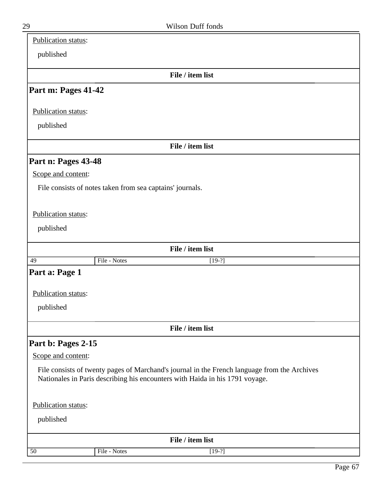| <b>Publication status:</b> |                                                                                              |  |
|----------------------------|----------------------------------------------------------------------------------------------|--|
| published                  |                                                                                              |  |
|                            |                                                                                              |  |
|                            | File / item list                                                                             |  |
| Part m: Pages 41-42        |                                                                                              |  |
| Publication status:        |                                                                                              |  |
| published                  |                                                                                              |  |
|                            |                                                                                              |  |
|                            | File / item list                                                                             |  |
| Part n: Pages 43-48        |                                                                                              |  |
| Scope and content:         |                                                                                              |  |
|                            | File consists of notes taken from sea captains' journals.                                    |  |
|                            |                                                                                              |  |
| Publication status:        |                                                                                              |  |
| published                  |                                                                                              |  |
|                            |                                                                                              |  |
|                            | File / item list                                                                             |  |
| 49                         | File - Notes<br>$[19-?]$                                                                     |  |
| Part a: Page 1             |                                                                                              |  |
| Publication status:        |                                                                                              |  |
| published                  |                                                                                              |  |
|                            |                                                                                              |  |
|                            | File / item list                                                                             |  |
| Part b: Pages 2-15         |                                                                                              |  |
| Scope and content:         |                                                                                              |  |
|                            | File consists of twenty pages of Marchand's journal in the French language from the Archives |  |
|                            | Nationales in Paris describing his encounters with Haida in his 1791 voyage.                 |  |
|                            |                                                                                              |  |
| Publication status:        |                                                                                              |  |
| published                  |                                                                                              |  |
| File / item list           |                                                                                              |  |
| 50                         | File - Notes<br>$[19-?]$                                                                     |  |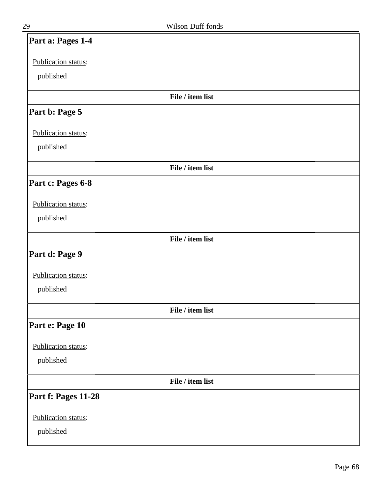| Part a: Pages 1-4   |
|---------------------|
| Publication status: |
| published           |
| File / item list    |
| Part b: Page 5      |
| Publication status: |
| published           |
| File / item list    |
| Part c: Pages 6-8   |
| Publication status: |
| published           |
| File / item list    |
| Part d: Page 9      |
| Publication status: |
| published           |
| File / item list    |
| Part e: Page 10     |
| Publication status: |
| published           |
| File / item list    |
| Part f: Pages 11-28 |
| Publication status: |
| published           |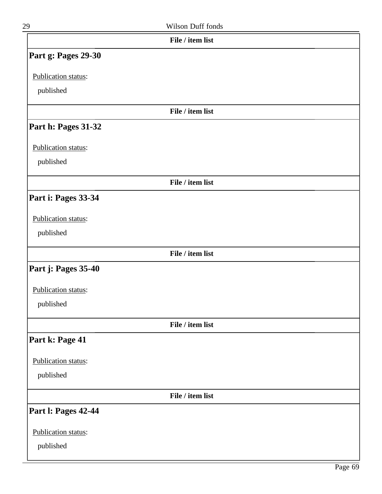| 29                         | Wilson Duff fonds |  |
|----------------------------|-------------------|--|
|                            | File / item list  |  |
| Part g: Pages 29-30        |                   |  |
| Publication status:        |                   |  |
| published                  |                   |  |
|                            | File / item list  |  |
| Part h: Pages 31-32        |                   |  |
| Publication status:        |                   |  |
| published                  |                   |  |
|                            | File / item list  |  |
| Part i: Pages 33-34        |                   |  |
| Publication status:        |                   |  |
| published                  |                   |  |
|                            | File / item list  |  |
| Part j: Pages 35-40        |                   |  |
| Publication status:        |                   |  |
| published                  |                   |  |
|                            | File / item list  |  |
| Part k: Page 41            |                   |  |
| Publication status:        |                   |  |
| published                  |                   |  |
|                            | File / item list  |  |
| <b>Part I: Pages 42-44</b> |                   |  |
| Publication status:        |                   |  |
| published                  |                   |  |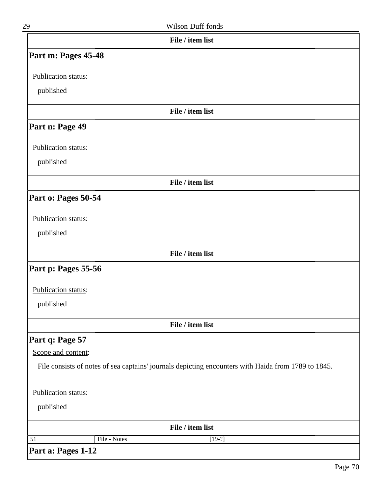| 29                              | Wilson Duff fonds                                                                                   |  |  |
|---------------------------------|-----------------------------------------------------------------------------------------------------|--|--|
|                                 | File / item list                                                                                    |  |  |
| Part m: Pages 45-48             |                                                                                                     |  |  |
| Publication status:             |                                                                                                     |  |  |
| published                       |                                                                                                     |  |  |
|                                 | File / item list                                                                                    |  |  |
| Part n: Page 49                 |                                                                                                     |  |  |
| Publication status:             |                                                                                                     |  |  |
| published                       |                                                                                                     |  |  |
|                                 | File / item list                                                                                    |  |  |
| Part o: Pages 50-54             |                                                                                                     |  |  |
| Publication status:             |                                                                                                     |  |  |
| published                       |                                                                                                     |  |  |
|                                 | File / item list                                                                                    |  |  |
| Part p: Pages 55-56             |                                                                                                     |  |  |
| Publication status:             |                                                                                                     |  |  |
| published                       |                                                                                                     |  |  |
|                                 | File / item list                                                                                    |  |  |
| Part q: Page 57                 |                                                                                                     |  |  |
| Scope and content:              |                                                                                                     |  |  |
|                                 | File consists of notes of sea captains' journals depicting encounters with Haida from 1789 to 1845. |  |  |
| Publication status:             |                                                                                                     |  |  |
| published                       |                                                                                                     |  |  |
| File / item list                |                                                                                                     |  |  |
| File - Notes<br>$\overline{51}$ | $[19-?]$                                                                                            |  |  |
| Part a: Pages 1-12              |                                                                                                     |  |  |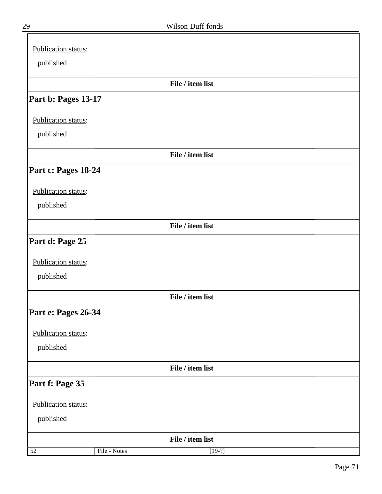| Publication status: |              |                  |  |
|---------------------|--------------|------------------|--|
| published           |              |                  |  |
|                     |              |                  |  |
|                     |              | File / item list |  |
| Part b: Pages 13-17 |              |                  |  |
| Publication status: |              |                  |  |
| published           |              |                  |  |
|                     |              | File / item list |  |
| Part c: Pages 18-24 |              |                  |  |
| Publication status: |              |                  |  |
| published           |              |                  |  |
|                     |              | File / item list |  |
| Part d: Page 25     |              |                  |  |
| Publication status: |              |                  |  |
| published           |              |                  |  |
|                     |              | File / item list |  |
| Part e: Pages 26-34 |              |                  |  |
| Publication status: |              |                  |  |
| published           |              |                  |  |
|                     |              | File / item list |  |
| Part f: Page 35     |              |                  |  |
| Publication status: |              |                  |  |
| published           |              |                  |  |
|                     |              | File / item list |  |
| $\overline{52}$     | File - Notes | $[19-?]$         |  |

╕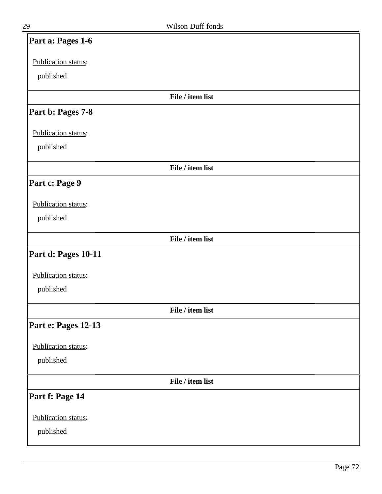| Part a: Pages 1-6   |                  |  |
|---------------------|------------------|--|
| Publication status: |                  |  |
| published           |                  |  |
|                     | File / item list |  |
| Part b: Pages 7-8   |                  |  |
| Publication status: |                  |  |
| published           |                  |  |
|                     | File / item list |  |
| Part c: Page 9      |                  |  |
| Publication status: |                  |  |
| published           |                  |  |
|                     | File / item list |  |
| Part d: Pages 10-11 |                  |  |
| Publication status: |                  |  |
| published           |                  |  |
|                     | File / item list |  |
| Part e: Pages 12-13 |                  |  |
| Publication status: |                  |  |
| published           |                  |  |
|                     | File / item list |  |
| Part f: Page 14     |                  |  |
| Publication status: |                  |  |
| published           |                  |  |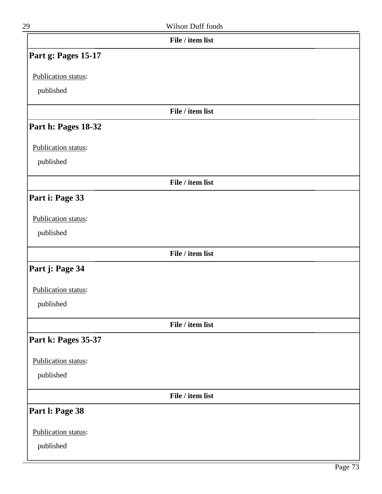| I |
|---|

| 29                  | Wilson Duff fonds |  |
|---------------------|-------------------|--|
|                     | File / item list  |  |
| Part g: Pages 15-17 |                   |  |
| Publication status: |                   |  |
| published           |                   |  |
|                     | File / item list  |  |
| Part h: Pages 18-32 |                   |  |
| Publication status: |                   |  |
| published           |                   |  |
|                     | File / item list  |  |
| Part i: Page 33     |                   |  |
| Publication status: |                   |  |
| published           |                   |  |
|                     | File / item list  |  |
| Part j: Page 34     |                   |  |
| Publication status: |                   |  |
| published           |                   |  |
|                     | File / item list  |  |
| Part k: Pages 35-37 |                   |  |
| Publication status: |                   |  |
| published           |                   |  |
|                     | File / item list  |  |
| Part I: Page 38     |                   |  |
| Publication status: |                   |  |
| published           |                   |  |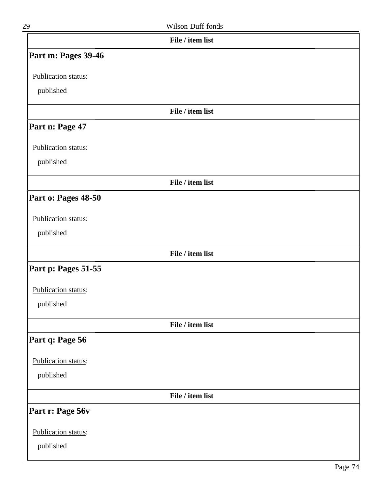| 29                  | Wilson Duff fonds |  |
|---------------------|-------------------|--|
|                     | File / item list  |  |
| Part m: Pages 39-46 |                   |  |
| Publication status: |                   |  |
| published           |                   |  |
|                     | File / item list  |  |
| Part n: Page 47     |                   |  |
| Publication status: |                   |  |
| published           |                   |  |
|                     | File / item list  |  |
| Part o: Pages 48-50 |                   |  |
| Publication status: |                   |  |
| published           |                   |  |
|                     | File / item list  |  |
| Part p: Pages 51-55 |                   |  |
| Publication status: |                   |  |
| published           |                   |  |
|                     | File / item list  |  |
| Part q: Page 56     |                   |  |
| Publication status: |                   |  |
| published           |                   |  |
|                     | File / item list  |  |
| Part r: Page 56v    |                   |  |
| Publication status: |                   |  |
| published           |                   |  |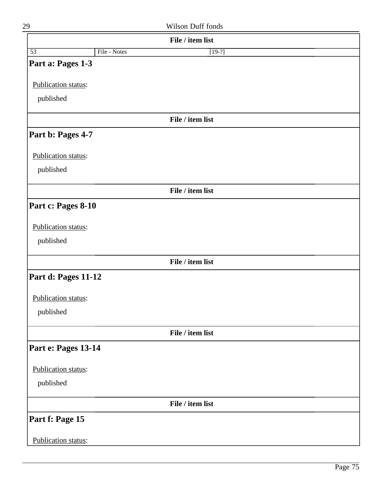|                     |              | File / item list |  |
|---------------------|--------------|------------------|--|
| $\overline{53}$     | File - Notes | $[19-?]$         |  |
| Part a: Pages 1-3   |              |                  |  |
| Publication status: |              |                  |  |
| published           |              |                  |  |
|                     |              |                  |  |
|                     |              | File / item list |  |
| Part b: Pages 4-7   |              |                  |  |
| Publication status: |              |                  |  |
| published           |              |                  |  |
|                     |              | File / item list |  |
| Part c: Pages 8-10  |              |                  |  |
| Publication status: |              |                  |  |
| published           |              |                  |  |
|                     |              |                  |  |
|                     |              | File / item list |  |
| Part d: Pages 11-12 |              |                  |  |
| Publication status: |              |                  |  |
| published           |              |                  |  |
|                     |              | File / item list |  |
| Part e: Pages 13-14 |              |                  |  |
| Publication status: |              |                  |  |
| published           |              |                  |  |
|                     |              | File / item list |  |
|                     |              |                  |  |
| Part f: Page 15     |              |                  |  |
| Publication status: |              |                  |  |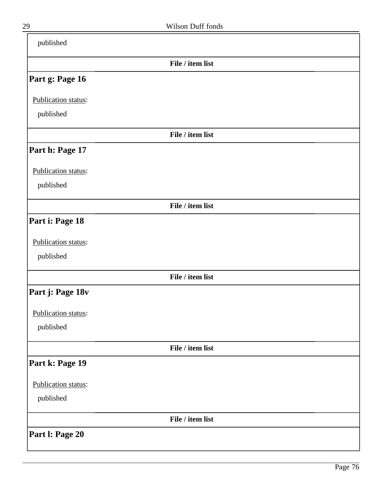| published           |                  |  |
|---------------------|------------------|--|
|                     | File / item list |  |
| Part g: Page 16     |                  |  |
| Publication status: |                  |  |
| published           |                  |  |
|                     | File / item list |  |
| Part h: Page 17     |                  |  |
| Publication status: |                  |  |
| published           |                  |  |
|                     | File / item list |  |
| Part i: Page 18     |                  |  |
| Publication status: |                  |  |
| published           |                  |  |
|                     | File / item list |  |
| Part j: Page 18v    |                  |  |
| Publication status: |                  |  |
| published           |                  |  |
|                     | File / item list |  |
| Part k: Page 19     |                  |  |
| Publication status: |                  |  |
| published           |                  |  |
|                     | File / item list |  |
| Part I: Page 20     |                  |  |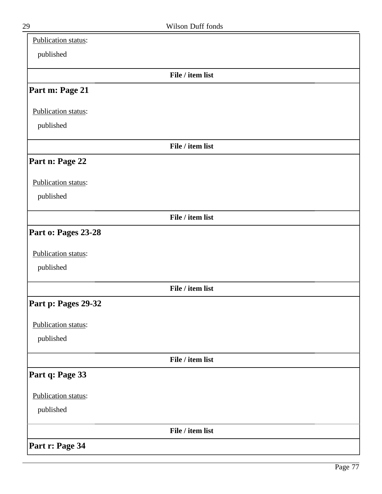| Publication status: |                  |  |
|---------------------|------------------|--|
| published           |                  |  |
|                     | File / item list |  |
| Part m: Page 21     |                  |  |
| Publication status: |                  |  |
| published           |                  |  |
|                     | File / item list |  |
| Part n: Page 22     |                  |  |
| Publication status: |                  |  |
| published           |                  |  |
|                     | File / item list |  |
| Part o: Pages 23-28 |                  |  |
| Publication status: |                  |  |
| published           |                  |  |
|                     | File / item list |  |
| Part p: Pages 29-32 |                  |  |
| Publication status: |                  |  |
| published           |                  |  |
|                     | File / item list |  |
| Part q: Page 33     |                  |  |
| Publication status: |                  |  |
| published           |                  |  |
|                     | File / item list |  |
| Part r: Page 34     |                  |  |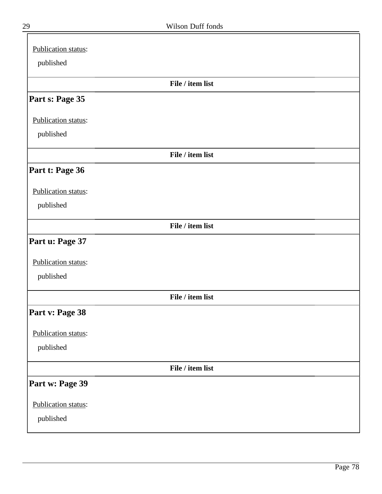| Publication status: |                  |  |
|---------------------|------------------|--|
| published           |                  |  |
|                     | File / item list |  |
| Part s: Page 35     |                  |  |
| Publication status: |                  |  |
| published           |                  |  |
|                     | File / item list |  |
| Part t: Page 36     |                  |  |
| Publication status: |                  |  |
| published           |                  |  |
|                     | File / item list |  |
| Part u: Page 37     |                  |  |
| Publication status: |                  |  |
| published           |                  |  |
|                     | File / item list |  |
| Part v: Page 38     |                  |  |
| Publication status: |                  |  |
| published           |                  |  |
|                     | File / item list |  |
| Part w: Page 39     |                  |  |
| Publication status: |                  |  |
| published           |                  |  |
|                     |                  |  |

╕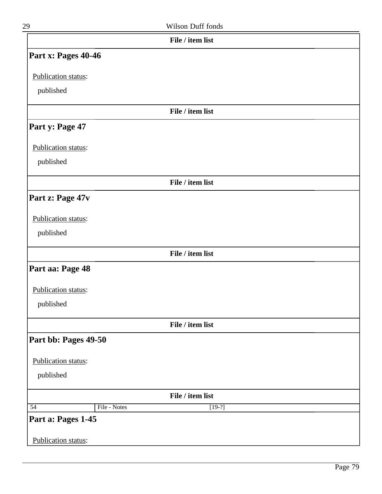| 29                              | Wilson Duff fonds |
|---------------------------------|-------------------|
|                                 | File / item list  |
| Part x: Pages 40-46             |                   |
| Publication status:             |                   |
| published                       |                   |
|                                 | File / item list  |
| Part y: Page 47                 |                   |
| Publication status:             |                   |
| published                       |                   |
|                                 | File / item list  |
| Part z: Page 47v                |                   |
| Publication status:             |                   |
| published                       |                   |
|                                 | File / item list  |
| Part aa: Page 48                |                   |
|                                 |                   |
| Publication status:             |                   |
| published                       |                   |
|                                 | File / item list  |
| Part bb: Pages 49-50            |                   |
| Publication status:             |                   |
| published                       |                   |
|                                 | File / item list  |
| $\overline{54}$<br>File - Notes | $[19-?]$          |
| Part a: Pages 1-45              |                   |
| <b>Publication status:</b>      |                   |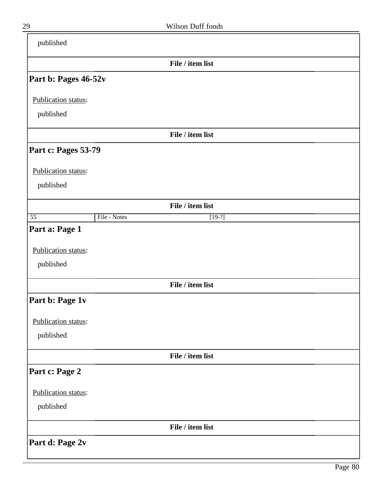| published            |              |                  |  |
|----------------------|--------------|------------------|--|
|                      |              | File / item list |  |
| Part b: Pages 46-52v |              |                  |  |
| Publication status:  |              |                  |  |
| published            |              |                  |  |
|                      |              | File / item list |  |
| Part c: Pages 53-79  |              |                  |  |
| Publication status:  |              |                  |  |
| published            |              |                  |  |
|                      |              | File / item list |  |
| $\overline{55}$      | File - Notes | $[19-?]$         |  |
| Part a: Page 1       |              |                  |  |
| Publication status:  |              |                  |  |
| published            |              |                  |  |
|                      |              | File / item list |  |
| Part b: Page 1v      |              |                  |  |
| Publication status:  |              |                  |  |
| published            |              |                  |  |
|                      |              | File / item list |  |
| Part c: Page 2       |              |                  |  |
| Publication status:  |              |                  |  |
| published            |              |                  |  |
|                      |              | File / item list |  |
| Part d: Page 2v      |              |                  |  |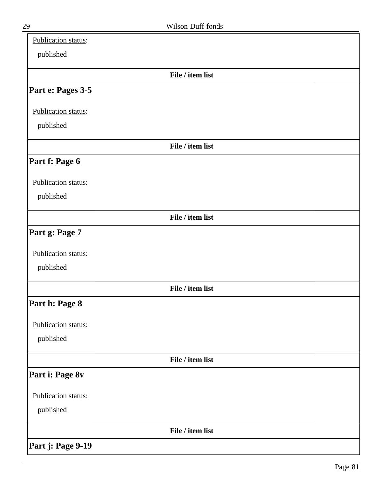| Publication status: |                  |  |
|---------------------|------------------|--|
| published           |                  |  |
|                     | File / item list |  |
| Part e: Pages 3-5   |                  |  |
| Publication status: |                  |  |
| published           |                  |  |
|                     | File / item list |  |
| Part f: Page 6      |                  |  |
| Publication status: |                  |  |
| published           |                  |  |
|                     | File / item list |  |
| Part g: Page 7      |                  |  |
| Publication status: |                  |  |
| published           |                  |  |
|                     | File / item list |  |
| Part h: Page 8      |                  |  |
| Publication status: |                  |  |
| published           |                  |  |
|                     | File / item list |  |
| Part i: Page 8v     |                  |  |
| Publication status: |                  |  |
| published           |                  |  |
|                     | File / item list |  |
| Part j: Page 9-19   |                  |  |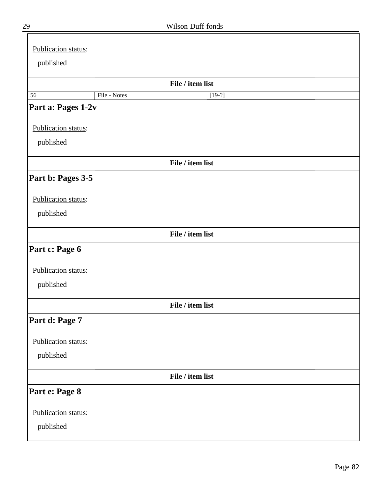| 29 | Wilson Duff fonds |  |
|----|-------------------|--|
|    |                   |  |

| Publication status: |              |                  |  |
|---------------------|--------------|------------------|--|
| published           |              |                  |  |
|                     |              |                  |  |
|                     |              | File / item list |  |
| $\overline{56}$     | File - Notes | $[19-?]$         |  |
| Part a: Pages 1-2v  |              |                  |  |
| Publication status: |              |                  |  |
| published           |              |                  |  |
|                     |              | File / item list |  |
| Part b: Pages 3-5   |              |                  |  |
| Publication status: |              |                  |  |
| published           |              |                  |  |
|                     |              | File / item list |  |
| Part c: Page 6      |              |                  |  |
| Publication status: |              |                  |  |
| published           |              |                  |  |
|                     |              | File / item list |  |
| Part d: Page 7      |              |                  |  |
| Publication status: |              |                  |  |
| published           |              |                  |  |
|                     |              | File / item list |  |
| Part e: Page 8      |              |                  |  |
| Publication status: |              |                  |  |
| published           |              |                  |  |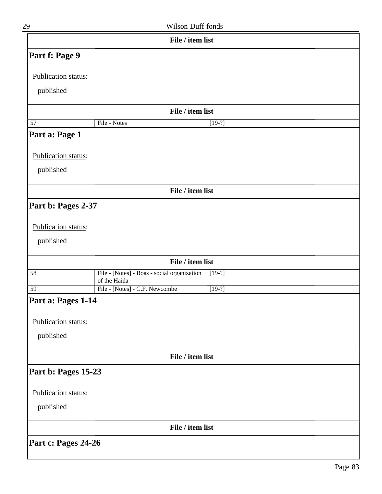| 29                  | Wilson Duff fonds                                                       |
|---------------------|-------------------------------------------------------------------------|
|                     | File / item list                                                        |
| Part f: Page 9      |                                                                         |
| Publication status: |                                                                         |
| published           |                                                                         |
|                     | File / item list                                                        |
| $\overline{57}$     | File - Notes<br>$[19-?]$                                                |
| Part a: Page 1      |                                                                         |
| Publication status: |                                                                         |
| published           |                                                                         |
|                     | File / item list                                                        |
| Part b: Pages 2-37  |                                                                         |
| Publication status: |                                                                         |
| published           |                                                                         |
|                     | File / item list                                                        |
| $\overline{58}$     | File - [Notes] - Boas - social organization<br>$[19-?]$<br>of the Haida |
| $\overline{59}$     | File - [Notes] - C.F. Newcombe<br>$[19-?]$                              |
| Part a: Pages 1-14  |                                                                         |
| Publication status: |                                                                         |
| published           |                                                                         |
|                     | File / item list                                                        |
| Part b: Pages 15-23 |                                                                         |
| Publication status: |                                                                         |
| published           |                                                                         |
|                     | File / item list                                                        |
| Part c: Pages 24-26 |                                                                         |
|                     |                                                                         |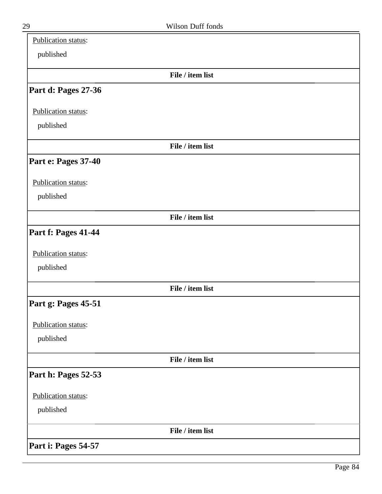| Publication status: |                  |  |
|---------------------|------------------|--|
| published           |                  |  |
|                     | File / item list |  |
| Part d: Pages 27-36 |                  |  |
| Publication status: |                  |  |
| published           |                  |  |
|                     | File / item list |  |
| Part e: Pages 37-40 |                  |  |
| Publication status: |                  |  |
| published           |                  |  |
|                     | File / item list |  |
| Part f: Pages 41-44 |                  |  |
| Publication status: |                  |  |
| published           |                  |  |
|                     | File / item list |  |
| Part g: Pages 45-51 |                  |  |
| Publication status: |                  |  |
| published           |                  |  |
|                     | File / item list |  |
| Part h: Pages 52-53 |                  |  |
| Publication status: |                  |  |
| published           |                  |  |
|                     | File / item list |  |
| Part i: Pages 54-57 |                  |  |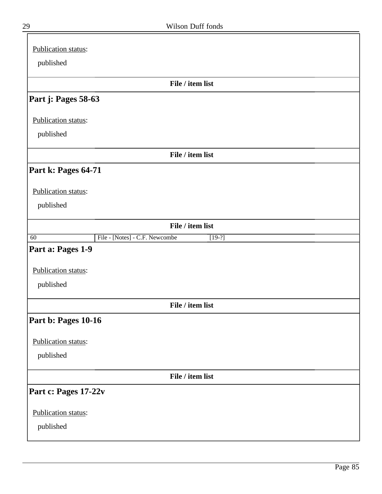| Publication status:                                           |
|---------------------------------------------------------------|
| published                                                     |
|                                                               |
| File / item list                                              |
| Part j: Pages 58-63                                           |
| Publication status:                                           |
| published                                                     |
| File / item list                                              |
| Part k: Pages 64-71                                           |
| Publication status:                                           |
| published                                                     |
| File / item list                                              |
| File - [Notes] - C.F. Newcombe<br>$\overline{60}$<br>$[19-?]$ |
| Part a: Pages 1-9                                             |
| Publication status:                                           |
| published                                                     |
| File / item list                                              |
| Part b: Pages 10-16                                           |
| Publication status:                                           |
| published                                                     |
| File / item list                                              |
| Part c: Pages 17-22v                                          |
| Publication status:                                           |
| published                                                     |

 $\equiv$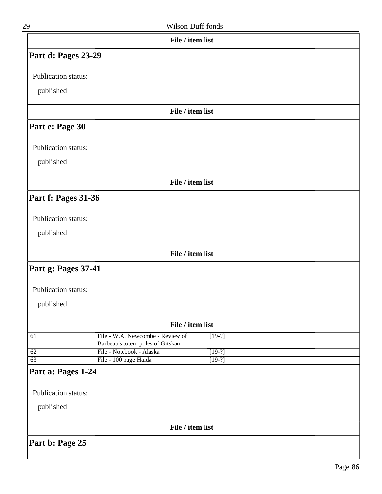| File / item list<br>File / item list<br>File / item list |
|----------------------------------------------------------|
|                                                          |
|                                                          |
|                                                          |
|                                                          |
|                                                          |
|                                                          |
|                                                          |
|                                                          |
|                                                          |
|                                                          |
|                                                          |
|                                                          |
| File / item list                                         |
|                                                          |
|                                                          |
|                                                          |
| File / item list                                         |
| $[19-?]$                                                 |
| $[19-?]$                                                 |
| $[19-?]$                                                 |
|                                                          |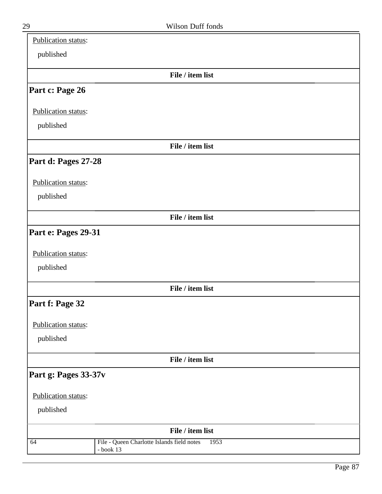| Publication status:  |                                                                   |
|----------------------|-------------------------------------------------------------------|
| published            |                                                                   |
|                      | File / item list                                                  |
| Part c: Page 26      |                                                                   |
| Publication status:  |                                                                   |
| published            |                                                                   |
|                      | File / item list                                                  |
| Part d: Pages 27-28  |                                                                   |
| Publication status:  |                                                                   |
| published            |                                                                   |
|                      | File / item list                                                  |
| Part e: Pages 29-31  |                                                                   |
| Publication status:  |                                                                   |
| published            |                                                                   |
|                      | File / item list                                                  |
| Part f: Page 32      |                                                                   |
| Publication status:  |                                                                   |
| published            |                                                                   |
|                      | File / item list                                                  |
| Part g: Pages 33-37v |                                                                   |
| Publication status:  |                                                                   |
| published            |                                                                   |
|                      | File / item list                                                  |
| 64                   | File - Queen Charlotte Islands field notes<br>1953<br>$-$ book 13 |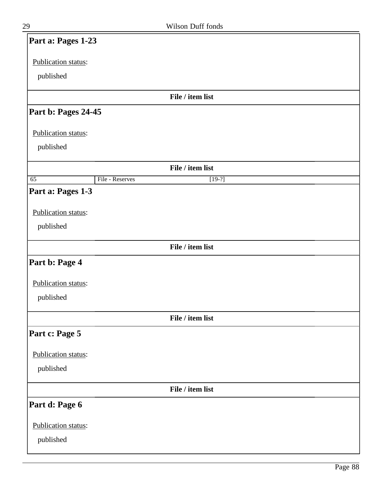| Part a: Pages 1-23  |                 |                  |  |
|---------------------|-----------------|------------------|--|
| Publication status: |                 |                  |  |
| published           |                 |                  |  |
|                     |                 | File / item list |  |
| Part b: Pages 24-45 |                 |                  |  |
|                     |                 |                  |  |
| Publication status: |                 |                  |  |
| published           |                 |                  |  |
|                     |                 | File / item list |  |
| $\overline{65}$     | File - Reserves | $[19-?]$         |  |
| Part a: Pages 1-3   |                 |                  |  |
| Publication status: |                 |                  |  |
| published           |                 |                  |  |
|                     |                 |                  |  |
|                     |                 | File / item list |  |
| Part b: Page 4      |                 |                  |  |
| Publication status: |                 |                  |  |
| published           |                 |                  |  |
|                     |                 |                  |  |
|                     |                 | File / item list |  |
| Part c: Page 5      |                 |                  |  |
| Publication status: |                 |                  |  |
| published           |                 |                  |  |
|                     |                 | File / item list |  |
| Part d: Page 6      |                 |                  |  |
|                     |                 |                  |  |
| Publication status: |                 |                  |  |
| published           |                 |                  |  |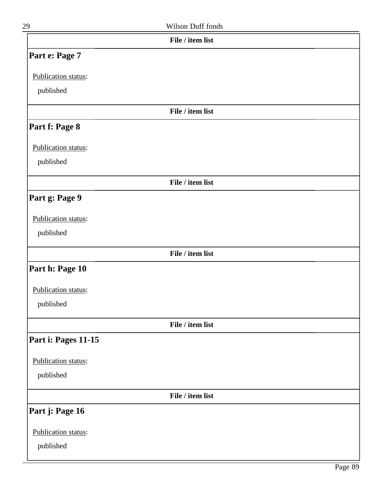| 29                               | <b>Wilson Duff fonds</b> |  |
|----------------------------------|--------------------------|--|
|                                  | File / item list         |  |
| Part e: Page 7                   |                          |  |
| Publication status:<br>published |                          |  |
|                                  | File / item list         |  |
| Part f: Page 8                   |                          |  |
| Publication status:<br>published |                          |  |
|                                  | File / item list         |  |

## **Part g: Page 9**

### Publication status:

published

#### **File / item list**

# **Part h: Page 10**

#### Publication status:

published

### **File / item list**

## **Part i: Pages 11-15**

#### Publication status:

published

**File / item list**

### **Part j: Page 16**

Publication status:

published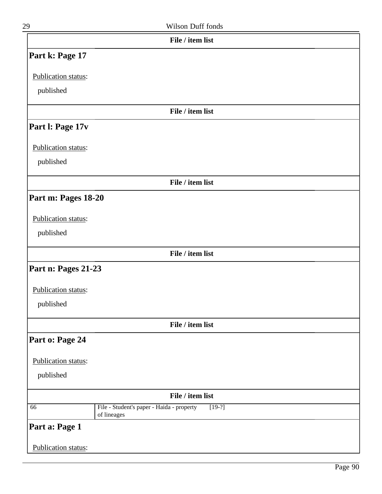| 29                         | Wilson Duff fonds                                                    |  |
|----------------------------|----------------------------------------------------------------------|--|
|                            | File / item list                                                     |  |
| Part k: Page 17            |                                                                      |  |
| Publication status:        |                                                                      |  |
| published                  |                                                                      |  |
|                            | File / item list                                                     |  |
| Part I: Page 17v           |                                                                      |  |
| Publication status:        |                                                                      |  |
| published                  |                                                                      |  |
|                            | File / item list                                                     |  |
| Part m: Pages 18-20        |                                                                      |  |
| Publication status:        |                                                                      |  |
| published                  |                                                                      |  |
|                            | File / item list                                                     |  |
| Part n: Pages 21-23        |                                                                      |  |
| Publication status:        |                                                                      |  |
| published                  |                                                                      |  |
|                            | File / item list                                                     |  |
| Part o: Page 24            |                                                                      |  |
| Publication status:        |                                                                      |  |
| published                  |                                                                      |  |
|                            | File / item list                                                     |  |
| 66                         | File - Student's paper - Haida - property<br>$[19-?]$<br>of lineages |  |
| Part a: Page 1             |                                                                      |  |
| <b>Publication status:</b> |                                                                      |  |
|                            |                                                                      |  |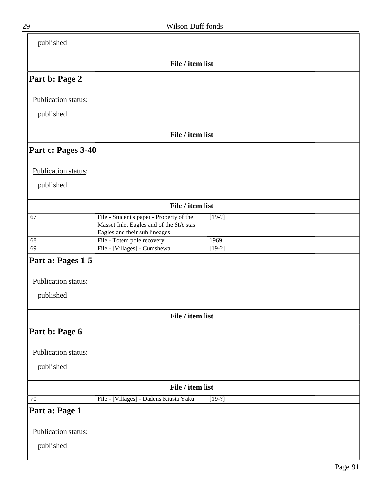| published           |                                                                                                                                  |
|---------------------|----------------------------------------------------------------------------------------------------------------------------------|
|                     | File / item list                                                                                                                 |
| Part b: Page 2      |                                                                                                                                  |
| Publication status: |                                                                                                                                  |
| published           |                                                                                                                                  |
|                     | File / item list                                                                                                                 |
| Part c: Pages 3-40  |                                                                                                                                  |
| Publication status: |                                                                                                                                  |
| published           |                                                                                                                                  |
|                     | File / item list                                                                                                                 |
| 67                  | File - Student's paper - Property of the<br>$[19-?]$<br>Masset Inlet Eagles and of the StA stas<br>Eagles and their sub lineages |
| 68                  | File - Totem pole recovery<br>1969                                                                                               |
| $\overline{69}$     | File - [Villages] - Cumshewa<br>$[19-?]$                                                                                         |
| Part a: Pages 1-5   |                                                                                                                                  |
| Publication status: |                                                                                                                                  |
| published           |                                                                                                                                  |
|                     | File / item list                                                                                                                 |
| Part b: Page 6      |                                                                                                                                  |
| Publication status: |                                                                                                                                  |
| published           |                                                                                                                                  |
|                     | File / item list                                                                                                                 |
| 70                  | File - [Villages] - Dadens Kiusta Yaku<br>$[19-?]$                                                                               |
| Part a: Page 1      |                                                                                                                                  |
| Publication status: |                                                                                                                                  |
| published           |                                                                                                                                  |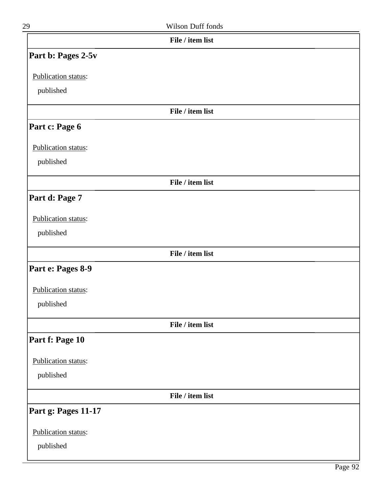| I |
|---|

| 29                  | Wilson Duff fonds |  |
|---------------------|-------------------|--|
|                     | File / item list  |  |
| Part b: Pages 2-5v  |                   |  |
| Publication status: |                   |  |
| published           |                   |  |
|                     | File / item list  |  |
| Part c: Page 6      |                   |  |
| Publication status: |                   |  |
| published           |                   |  |
|                     | File / item list  |  |
| Part d: Page 7      |                   |  |
| Publication status: |                   |  |
| published           |                   |  |
|                     | File / item list  |  |
| Part e: Pages 8-9   |                   |  |
| Publication status: |                   |  |
| published           |                   |  |
|                     | File / item list  |  |
| Part f: Page 10     |                   |  |
| Publication status: |                   |  |
| published           |                   |  |
|                     | File / item list  |  |
| Part g: Pages 11-17 |                   |  |
| Publication status: |                   |  |
| published           |                   |  |
|                     |                   |  |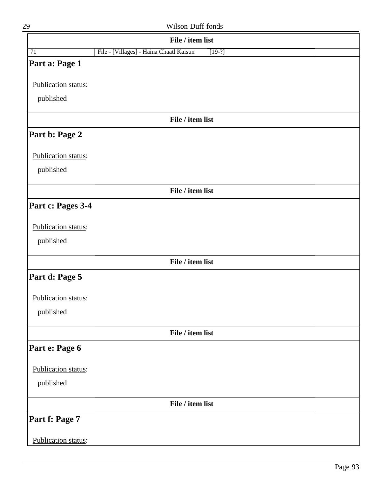| 29                         | Wilson Duff fonds                                   |
|----------------------------|-----------------------------------------------------|
|                            | File / item list                                    |
| 71                         | File - [Villages] - Haina Chaatl Kaisun<br>$[19-?]$ |
| Part a: Page 1             |                                                     |
| Publication status:        |                                                     |
| published                  |                                                     |
|                            | File / item list                                    |
| Part b: Page 2             |                                                     |
| Publication status:        |                                                     |
| published                  |                                                     |
|                            | File / item list                                    |
| Part c: Pages 3-4          |                                                     |
| Publication status:        |                                                     |
| published                  |                                                     |
|                            | File / item list                                    |
| Part d: Page 5             |                                                     |
| Publication status:        |                                                     |
| published                  |                                                     |
|                            | File / item list                                    |
| Part e: Page 6             |                                                     |
| Publication status:        |                                                     |
| published                  |                                                     |
|                            | File / item list                                    |
| Part f: Page 7             |                                                     |
| <b>Publication status:</b> |                                                     |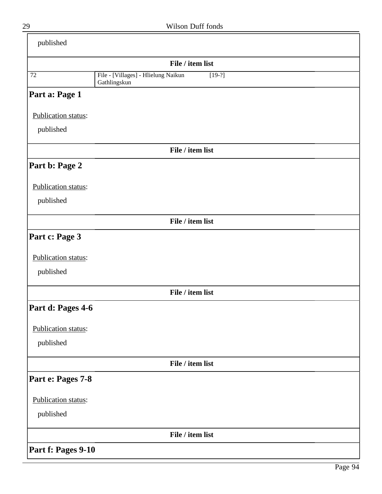| published           |                                                                 |
|---------------------|-----------------------------------------------------------------|
|                     | File / item list                                                |
| $\overline{72}$     | File - [Villages] - Hlielung Naikun<br>$[19-?]$<br>Gathlingskun |
| Part a: Page 1      |                                                                 |
| Publication status: |                                                                 |
| published           |                                                                 |
|                     | File / item list                                                |
| Part b: Page 2      |                                                                 |
| Publication status: |                                                                 |
| published           |                                                                 |
|                     | File / item list                                                |
| Part c: Page 3      |                                                                 |
| Publication status: |                                                                 |
| published           |                                                                 |
|                     | File / item list                                                |
| Part d: Pages 4-6   |                                                                 |
| Publication status: |                                                                 |
| published           |                                                                 |
|                     | File / item list                                                |
| Part e: Pages 7-8   |                                                                 |
| Publication status: |                                                                 |
| published           |                                                                 |
|                     | File / item list                                                |
| Part f: Pages 9-10  |                                                                 |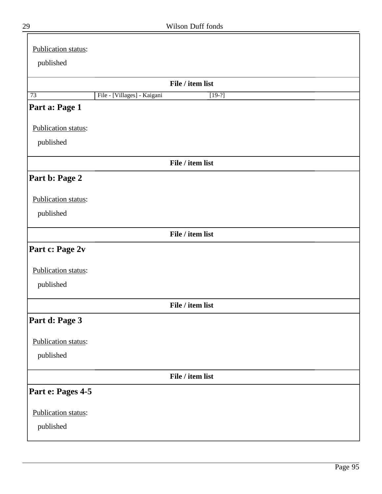| Publication status: |                             |                  |  |
|---------------------|-----------------------------|------------------|--|
| published           |                             |                  |  |
|                     |                             | File / item list |  |
| 73                  | File - [Villages] - Kaigani | $[19-?]$         |  |
| Part a: Page 1      |                             |                  |  |
| Publication status: |                             |                  |  |
| published           |                             |                  |  |
|                     |                             | File / item list |  |
| Part b: Page 2      |                             |                  |  |
| Publication status: |                             |                  |  |
| published           |                             |                  |  |
|                     |                             | File / item list |  |
| Part c: Page 2v     |                             |                  |  |
| Publication status: |                             |                  |  |
| published           |                             |                  |  |
|                     |                             | File / item list |  |
| Part d: Page 3      |                             |                  |  |
| Publication status: |                             |                  |  |
| published           |                             |                  |  |
|                     |                             | File / item list |  |
| Part e: Pages 4-5   |                             |                  |  |
| Publication status: |                             |                  |  |
| published           |                             |                  |  |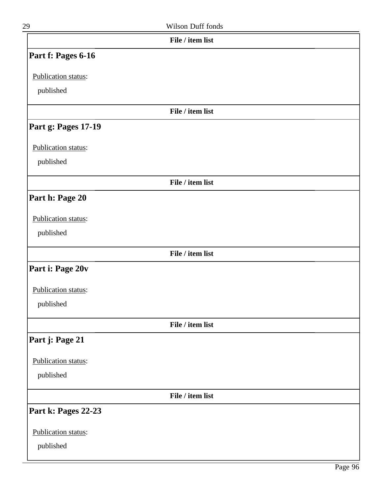| 29                  | Wilson Duff fonds |  |
|---------------------|-------------------|--|
|                     | File / item list  |  |
| Part f: Pages 6-16  |                   |  |
| Publication status: |                   |  |
| published           |                   |  |
|                     | File / item list  |  |
| Part g: Pages 17-19 |                   |  |
| Publication status: |                   |  |
| published           |                   |  |
|                     | File / item list  |  |
| Part h: Page 20     |                   |  |
| Publication status: |                   |  |
| published           |                   |  |
|                     | File / item list  |  |
| Part i: Page 20v    |                   |  |
| Publication status: |                   |  |
| published           |                   |  |
|                     | File / item list  |  |
| Part j: Page 21     |                   |  |
| Publication status: |                   |  |
| published           |                   |  |
|                     | File / item list  |  |
| Part k: Pages 22-23 |                   |  |
| Publication status: |                   |  |
| published           |                   |  |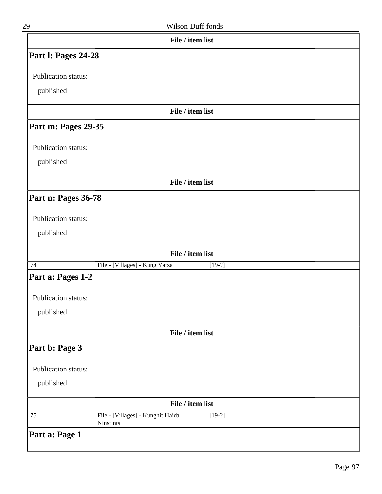| Part I: Pages 24-28<br>Publication status:<br>published<br>Part m: Pages 29-35<br>Publication status:<br>published<br>Part n: Pages 36-78<br>Publication status:<br>published<br>$\overline{74}$<br>Part a: Pages 1-2<br>Publication status:<br>published | File / item list<br>File / item list<br>File / item list |          |  |
|-----------------------------------------------------------------------------------------------------------------------------------------------------------------------------------------------------------------------------------------------------------|----------------------------------------------------------|----------|--|
|                                                                                                                                                                                                                                                           |                                                          |          |  |
|                                                                                                                                                                                                                                                           |                                                          |          |  |
|                                                                                                                                                                                                                                                           |                                                          |          |  |
|                                                                                                                                                                                                                                                           |                                                          |          |  |
|                                                                                                                                                                                                                                                           |                                                          |          |  |
|                                                                                                                                                                                                                                                           |                                                          |          |  |
|                                                                                                                                                                                                                                                           |                                                          |          |  |
|                                                                                                                                                                                                                                                           |                                                          |          |  |
|                                                                                                                                                                                                                                                           |                                                          |          |  |
|                                                                                                                                                                                                                                                           |                                                          |          |  |
|                                                                                                                                                                                                                                                           |                                                          |          |  |
|                                                                                                                                                                                                                                                           |                                                          |          |  |
|                                                                                                                                                                                                                                                           |                                                          |          |  |
|                                                                                                                                                                                                                                                           |                                                          |          |  |
|                                                                                                                                                                                                                                                           | File / item list                                         |          |  |
|                                                                                                                                                                                                                                                           | File - [Villages] - Kung Yatza                           | $[19-?]$ |  |
|                                                                                                                                                                                                                                                           |                                                          |          |  |
|                                                                                                                                                                                                                                                           |                                                          |          |  |
|                                                                                                                                                                                                                                                           |                                                          |          |  |
|                                                                                                                                                                                                                                                           | File / item list                                         |          |  |
| Part b: Page 3                                                                                                                                                                                                                                            |                                                          |          |  |
| Publication status:                                                                                                                                                                                                                                       |                                                          |          |  |
| published                                                                                                                                                                                                                                                 |                                                          |          |  |
|                                                                                                                                                                                                                                                           |                                                          |          |  |
|                                                                                                                                                                                                                                                           | File / item list                                         |          |  |
| $\overline{75}$<br>Ninstints                                                                                                                                                                                                                              | File - [Villages] - Kunghit Haida                        | $[19-?]$ |  |
| Part a: Page 1                                                                                                                                                                                                                                            |                                                          |          |  |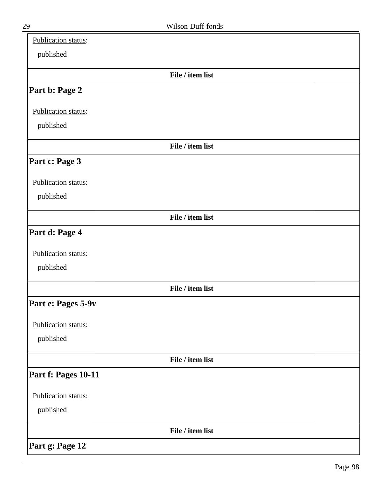| Publication status: |                  |  |
|---------------------|------------------|--|
| published           |                  |  |
|                     | File / item list |  |
| Part b: Page 2      |                  |  |
| Publication status: |                  |  |
| published           |                  |  |
|                     | File / item list |  |
| Part c: Page 3      |                  |  |
| Publication status: |                  |  |
| published           |                  |  |
|                     | File / item list |  |
| Part d: Page 4      |                  |  |
| Publication status: |                  |  |
| published           |                  |  |
|                     | File / item list |  |
| Part e: Pages 5-9v  |                  |  |
| Publication status: |                  |  |
| published           |                  |  |
|                     | File / item list |  |
| Part f: Pages 10-11 |                  |  |
| Publication status: |                  |  |
| published           |                  |  |
|                     | File / item list |  |
| Part g: Page 12     |                  |  |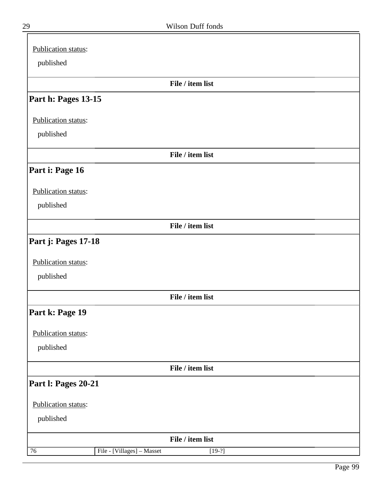| Publication status: |                                        |  |
|---------------------|----------------------------------------|--|
| published           |                                        |  |
|                     | File / item list                       |  |
| Part h: Pages 13-15 |                                        |  |
| Publication status: |                                        |  |
| published           |                                        |  |
|                     | File / item list                       |  |
| Part i: Page 16     |                                        |  |
| Publication status: |                                        |  |
| published           |                                        |  |
|                     | File / item list                       |  |
| Part j: Pages 17-18 |                                        |  |
| Publication status: |                                        |  |
| published           |                                        |  |
|                     | File / item list                       |  |
| Part k: Page 19     |                                        |  |
| Publication status: |                                        |  |
| published           |                                        |  |
|                     | File / item list                       |  |
| Part I: Pages 20-21 |                                        |  |
| Publication status: |                                        |  |
| published           |                                        |  |
|                     | File / item list                       |  |
| 76                  | File - [Villages] - Masset<br>$[19-?]$ |  |

╕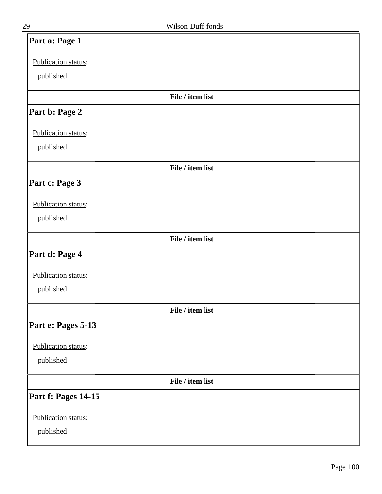| Part a: Page 1      |                  |
|---------------------|------------------|
| Publication status: |                  |
| published           |                  |
|                     | File / item list |
| Part b: Page 2      |                  |
| Publication status: |                  |
| published           |                  |
|                     | File / item list |
| Part c: Page 3      |                  |
| Publication status: |                  |
| published           |                  |
|                     | File / item list |
| Part d: Page 4      |                  |
| Publication status: |                  |
| published           |                  |
|                     | File / item list |
| Part e: Pages 5-13  |                  |
| Publication status: |                  |
| published           |                  |
|                     | File / item list |
| Part f: Pages 14-15 |                  |
| Publication status: |                  |
| published           |                  |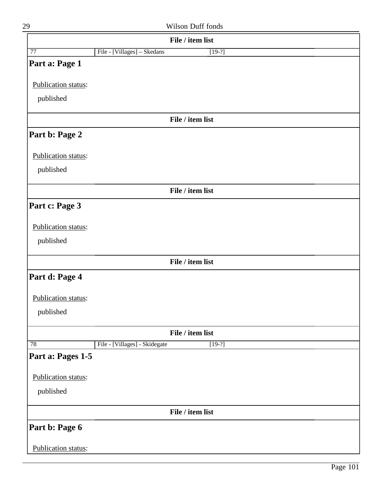| 29                  | Wilson Duff fonds                         |
|---------------------|-------------------------------------------|
|                     | File / item list                          |
| 77                  | File - [Villages] - Skedans<br>$[19-?]$   |
| Part a: Page 1      |                                           |
| Publication status: |                                           |
| published           |                                           |
|                     | File / item list                          |
| Part b: Page 2      |                                           |
| Publication status: |                                           |
| published           |                                           |
|                     | File / item list                          |
| Part c: Page 3      |                                           |
| Publication status: |                                           |
| published           |                                           |
|                     | File / item list                          |
| Part d: Page 4      |                                           |
| Publication status: |                                           |
| published           |                                           |
|                     | File / item list                          |
| $\overline{78}$     | File - [Villages] - Skidegate<br>$[19-?]$ |
| Part a: Pages 1-5   |                                           |
| Publication status: |                                           |
| published           |                                           |
|                     | File / item list                          |
| Part b: Page 6      |                                           |
| Publication status: |                                           |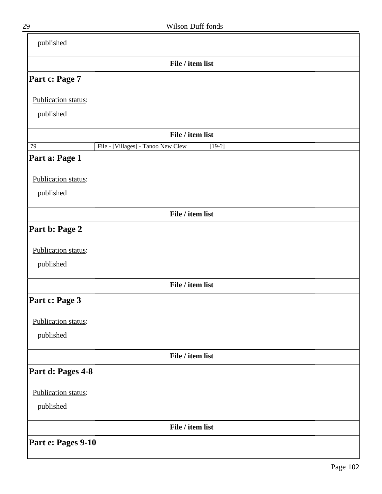| published           |                                                |
|---------------------|------------------------------------------------|
|                     | File / item list                               |
| Part c: Page 7      |                                                |
| Publication status: |                                                |
| published           |                                                |
|                     | File / item list                               |
| 79                  | File - [Villages] - Tanoo New Clew<br>$[19-2]$ |
| Part a: Page 1      |                                                |
| Publication status: |                                                |
| published           |                                                |
|                     | File / item list                               |
| Part b: Page 2      |                                                |
| Publication status: |                                                |
| published           |                                                |
|                     | File / item list                               |
| Part c: Page 3      |                                                |
| Publication status: |                                                |
| published           |                                                |
|                     | File / item list                               |
| Part d: Pages 4-8   |                                                |
| Publication status: |                                                |
|                     |                                                |
| published           |                                                |
|                     | File / item list                               |
| Part e: Pages 9-10  |                                                |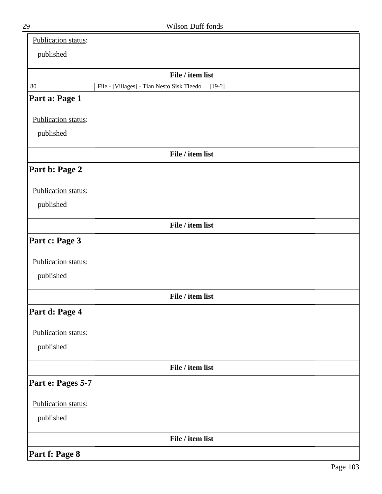| Publication status:   |                                                        |
|-----------------------|--------------------------------------------------------|
| published             |                                                        |
|                       | File / item list                                       |
| 80                    | File - [Villages] - Tian Nesto Sisk Tleedo<br>$[19-?]$ |
| Part a: Page 1        |                                                        |
| Publication status:   |                                                        |
| published             |                                                        |
|                       | File / item list                                       |
| Part b: Page 2        |                                                        |
| Publication status:   |                                                        |
| published             |                                                        |
|                       | File / item list                                       |
| Part c: Page 3        |                                                        |
| Publication status:   |                                                        |
| published             |                                                        |
|                       | File / item list                                       |
| <b>Part d: Page 4</b> |                                                        |
| Publication status:   |                                                        |
| published             |                                                        |
|                       | File / item list                                       |
| Part e: Pages 5-7     |                                                        |
| Publication status:   |                                                        |
| published             |                                                        |
|                       | File / item list                                       |
| Part f: Page 8        |                                                        |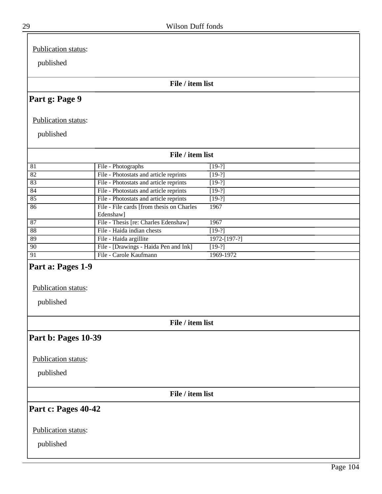Publication status:

published

#### **File / item list**

## **Part g: Page 9**

Publication status:

published

|    | File / item list                                        |              |  |  |
|----|---------------------------------------------------------|--------------|--|--|
| 81 | File - Photographs                                      | $[19-?]$     |  |  |
| 82 | File - Photostats and article reprints                  | $[19-?]$     |  |  |
| 83 | File - Photostats and article reprints                  | $[19-?]$     |  |  |
| 84 | File - Photostats and article reprints                  | $[19-?]$     |  |  |
| 85 | File - Photostats and article reprints                  | $[19-?]$     |  |  |
| 86 | File - File cards [from thesis on Charles]<br>Edenshaw] | 1967         |  |  |
| 87 | File - Thesis [re: Charles Edenshaw]                    | 1967         |  |  |
| 88 | File - Haida indian chests                              | $[19-?]$     |  |  |
| 89 | File - Haida argillite                                  | 1972-[197-?] |  |  |
| 90 | File - [Drawings - Haida Pen and Ink]                   | $[19-?]$     |  |  |
| 91 | File - Carole Kaufmann                                  | 1969-1972    |  |  |

# **Part a: Pages 1-9**

Publication status:

published

**File / item list**

### **Part b: Pages 10-39**

Publication status:

published

**File / item list**

### **Part c: Pages 40-42**

Publication status:

published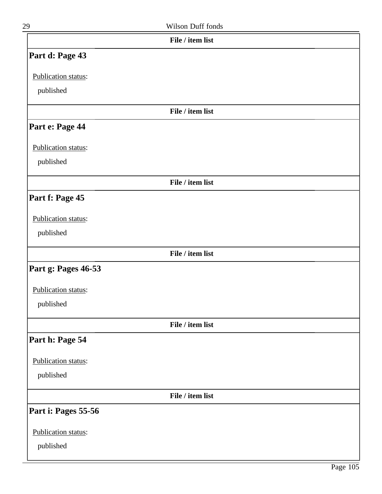| 29                  | Wilson Duff fonds |  |
|---------------------|-------------------|--|
|                     | File / item list  |  |
| Part d: Page 43     |                   |  |
| Publication status: |                   |  |
| published           |                   |  |
|                     | File / item list  |  |
| Part e: Page 44     |                   |  |
| Publication status: |                   |  |
| published           |                   |  |
|                     | File / item list  |  |
| Part f: Page 45     |                   |  |
| Publication status: |                   |  |
| published           |                   |  |
|                     | File / item list  |  |
| Part g: Pages 46-53 |                   |  |
| Publication status: |                   |  |
| published           |                   |  |
|                     | File / item list  |  |
| Part h: Page 54     |                   |  |
| Publication status: |                   |  |
| published           |                   |  |
|                     | File / item list  |  |
| Part i: Pages 55-56 |                   |  |
| Publication status: |                   |  |
| published           |                   |  |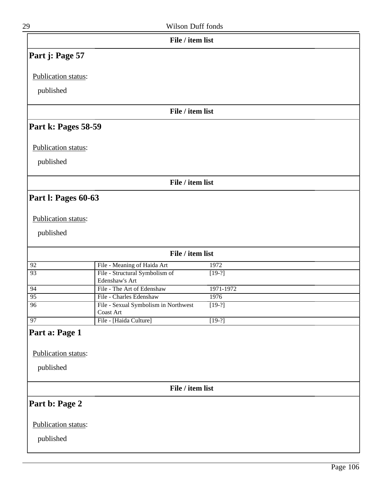| 29                  | Wilson Duff fonds                                |           |  |  |  |
|---------------------|--------------------------------------------------|-----------|--|--|--|
| File / item list    |                                                  |           |  |  |  |
| Part j: Page 57     |                                                  |           |  |  |  |
| Publication status: |                                                  |           |  |  |  |
| published           |                                                  |           |  |  |  |
|                     |                                                  |           |  |  |  |
|                     | File / item list                                 |           |  |  |  |
| Part k: Pages 58-59 |                                                  |           |  |  |  |
| Publication status: |                                                  |           |  |  |  |
| published           |                                                  |           |  |  |  |
|                     |                                                  |           |  |  |  |
|                     | File / item list                                 |           |  |  |  |
| Part I: Pages 60-63 |                                                  |           |  |  |  |
|                     |                                                  |           |  |  |  |
| Publication status: |                                                  |           |  |  |  |
| published           |                                                  |           |  |  |  |
|                     |                                                  |           |  |  |  |
|                     | File / item list                                 |           |  |  |  |
| 92                  | File - Meaning of Haida Art                      | 1972      |  |  |  |
| $\overline{93}$     | File - Structural Symbolism of<br>Edenshaw's Art | $[19-?]$  |  |  |  |
| 94                  | File - The Art of Edenshaw                       | 1971-1972 |  |  |  |
| $\overline{95}$     | File - Charles Edenshaw                          | 1976      |  |  |  |
| 96                  | File - Sexual Symbolism in Northwest             | $[19-?]$  |  |  |  |
|                     | Coast Art                                        |           |  |  |  |
| 97                  | File - [Haida Culture]                           | $[19-?]$  |  |  |  |
| Part a: Page 1      |                                                  |           |  |  |  |
| Publication status: |                                                  |           |  |  |  |
| published           |                                                  |           |  |  |  |
|                     |                                                  |           |  |  |  |
|                     | File / item list                                 |           |  |  |  |
|                     |                                                  |           |  |  |  |
| Part b: Page 2      |                                                  |           |  |  |  |
| Publication status: |                                                  |           |  |  |  |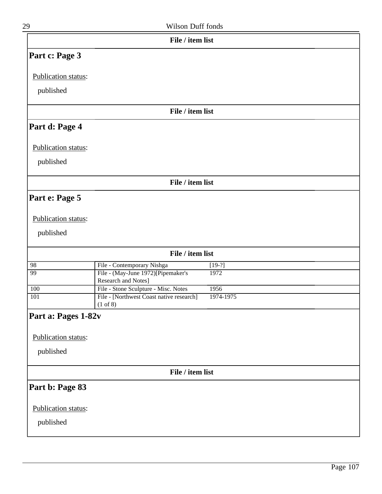| File / item list    |                                                                 |           |  |  |  |  |
|---------------------|-----------------------------------------------------------------|-----------|--|--|--|--|
| Part c: Page 3      |                                                                 |           |  |  |  |  |
| Publication status: |                                                                 |           |  |  |  |  |
|                     |                                                                 |           |  |  |  |  |
| published           |                                                                 |           |  |  |  |  |
|                     | File / item list                                                |           |  |  |  |  |
| Part d: Page 4      |                                                                 |           |  |  |  |  |
| Publication status: |                                                                 |           |  |  |  |  |
|                     |                                                                 |           |  |  |  |  |
| published           |                                                                 |           |  |  |  |  |
|                     | File / item list                                                |           |  |  |  |  |
| Part e: Page 5      |                                                                 |           |  |  |  |  |
|                     |                                                                 |           |  |  |  |  |
| Publication status: |                                                                 |           |  |  |  |  |
| published           |                                                                 |           |  |  |  |  |
| File / item list    |                                                                 |           |  |  |  |  |
| 98                  | File - Contemporary Nishga                                      | $[19-?]$  |  |  |  |  |
| 99                  | File - (May-June 1972)[Pipemaker's<br>Research and Notes]       | 1972      |  |  |  |  |
| 100                 | File - Stone Sculpture - Misc. Notes                            | 1956      |  |  |  |  |
| 101                 | File - [Northwest Coast native research]<br>$(1 \text{ of } 8)$ | 1974-1975 |  |  |  |  |
| Part a: Pages 1-82v |                                                                 |           |  |  |  |  |
|                     |                                                                 |           |  |  |  |  |
| Publication status: |                                                                 |           |  |  |  |  |
| published           |                                                                 |           |  |  |  |  |
| File / item list    |                                                                 |           |  |  |  |  |
| Part b: Page 83     |                                                                 |           |  |  |  |  |
| Publication status: |                                                                 |           |  |  |  |  |
|                     |                                                                 |           |  |  |  |  |
| published           |                                                                 |           |  |  |  |  |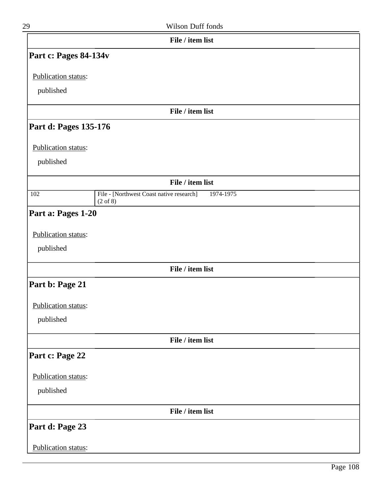| 29                         | Wilson Duff fonds                                     |  |
|----------------------------|-------------------------------------------------------|--|
|                            | File / item list                                      |  |
| Part c: Pages 84-134v      |                                                       |  |
| Publication status:        |                                                       |  |
|                            |                                                       |  |
| published                  |                                                       |  |
|                            | File / item list                                      |  |
| Part d: Pages 135-176      |                                                       |  |
| Publication status:        |                                                       |  |
| published                  |                                                       |  |
|                            | File / item list                                      |  |
| 102                        | File - [Northwest Coast native research]<br>1974-1975 |  |
|                            | $(2 \text{ of } 8)$                                   |  |
| Part a: Pages 1-20         |                                                       |  |
| Publication status:        |                                                       |  |
| published                  |                                                       |  |
|                            | File / item list                                      |  |
| Part b: Page 21            |                                                       |  |
|                            |                                                       |  |
| Publication status:        |                                                       |  |
| published                  |                                                       |  |
|                            | File / item list                                      |  |
| Part c: Page 22            |                                                       |  |
| Publication status:        |                                                       |  |
| published                  |                                                       |  |
|                            |                                                       |  |
|                            | File / item list                                      |  |
| Part d: Page 23            |                                                       |  |
| <b>Publication status:</b> |                                                       |  |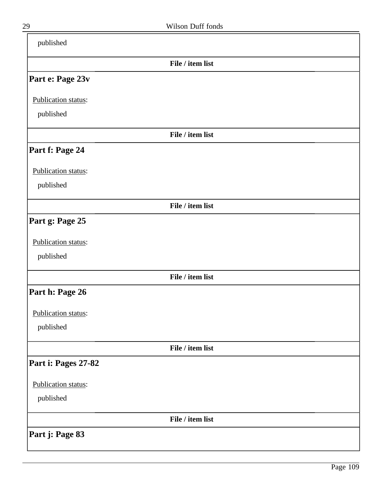|                     | File / item list |  |
|---------------------|------------------|--|
| Part e: Page 23v    |                  |  |
| Publication status: |                  |  |
| published           |                  |  |
|                     | File / item list |  |
| Part f: Page 24     |                  |  |
| Publication status: |                  |  |
| published           |                  |  |
|                     | File / item list |  |
| Part g: Page 25     |                  |  |
| Publication status: |                  |  |
| published           |                  |  |
|                     | File / item list |  |
| Part h: Page 26     |                  |  |
| Publication status: |                  |  |
| published           |                  |  |
|                     | File / item list |  |
| Part i: Pages 27-82 |                  |  |
| Publication status: |                  |  |
| published           |                  |  |
|                     | File / item list |  |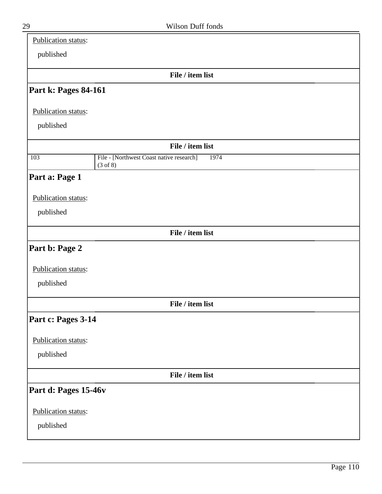| Publication status:  |                                                              |  |
|----------------------|--------------------------------------------------------------|--|
| published            |                                                              |  |
|                      | File / item list                                             |  |
| Part k: Pages 84-161 |                                                              |  |
| Publication status:  |                                                              |  |
| published            |                                                              |  |
|                      |                                                              |  |
|                      | File / item list                                             |  |
| 103                  | File - [Northwest Coast native research]<br>1974<br>(3 of 8) |  |
| Part a: Page 1       |                                                              |  |
| Publication status:  |                                                              |  |
| published            |                                                              |  |
|                      |                                                              |  |
|                      | File / item list                                             |  |
| Part b: Page 2       |                                                              |  |
| Publication status:  |                                                              |  |
| published            |                                                              |  |
|                      |                                                              |  |
|                      | File / item list                                             |  |
| Part c: Pages 3-14   |                                                              |  |
| Publication status:  |                                                              |  |
| published            |                                                              |  |
|                      |                                                              |  |
|                      | File / item list                                             |  |
| Part d: Pages 15-46v |                                                              |  |
| Publication status:  |                                                              |  |
| published            |                                                              |  |
|                      |                                                              |  |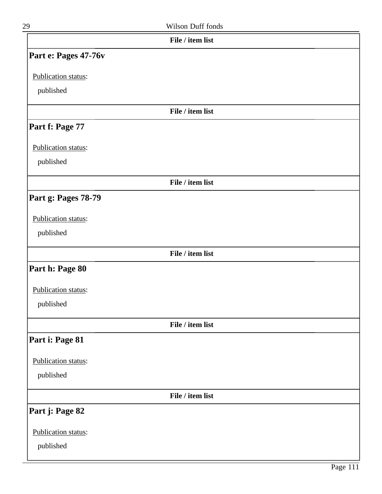| 29                   | Wilson Duff fonds |  |
|----------------------|-------------------|--|
|                      | File / item list  |  |
| Part e: Pages 47-76v |                   |  |
| Publication status:  |                   |  |
| published            |                   |  |
|                      | File / item list  |  |
| Part f: Page 77      |                   |  |
| Publication status:  |                   |  |
| published            |                   |  |
|                      | File / item list  |  |
| Part g: Pages 78-79  |                   |  |
| Publication status:  |                   |  |
| published            |                   |  |
|                      | File / item list  |  |
| Part h: Page 80      |                   |  |
| Publication status:  |                   |  |
| published            |                   |  |
|                      | File / item list  |  |
| Part i: Page 81      |                   |  |
| Publication status:  |                   |  |
| published            |                   |  |
|                      | File / item list  |  |
| Part j: Page 82      |                   |  |
| Publication status:  |                   |  |
| published            |                   |  |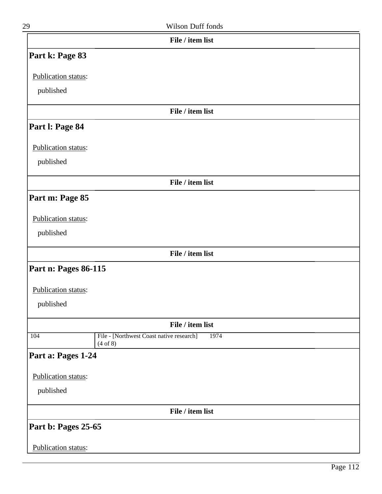| 29                   | Wilson Duff fonds                                            |  |
|----------------------|--------------------------------------------------------------|--|
|                      | File / item list                                             |  |
| Part k: Page 83      |                                                              |  |
| Publication status:  |                                                              |  |
| published            |                                                              |  |
|                      | File / item list                                             |  |
| Part I: Page 84      |                                                              |  |
| Publication status:  |                                                              |  |
| published            |                                                              |  |
|                      | File / item list                                             |  |
| Part m: Page 85      |                                                              |  |
| Publication status:  |                                                              |  |
| published            |                                                              |  |
|                      | File / item list                                             |  |
| Part n: Pages 86-115 |                                                              |  |
| Publication status:  |                                                              |  |
| published            |                                                              |  |
|                      | File / item list                                             |  |
| 104                  | File - [Northwest Coast native research]<br>1974<br>(4 of 8) |  |
| Part a: Pages 1-24   |                                                              |  |
| Publication status:  |                                                              |  |

published

**File / item list**

**Part b: Pages 25-65**

Publication status: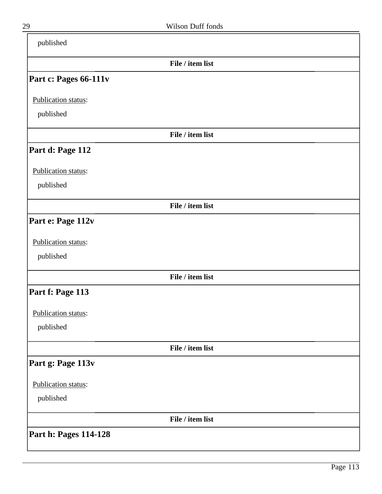| published             |                  |  |
|-----------------------|------------------|--|
|                       | File / item list |  |
| Part c: Pages 66-111v |                  |  |
| Publication status:   |                  |  |
| published             |                  |  |
|                       | File / item list |  |
| Part d: Page 112      |                  |  |
| Publication status:   |                  |  |
| published             |                  |  |
|                       | File / item list |  |
| Part e: Page 112v     |                  |  |
| Publication status:   |                  |  |
| published             |                  |  |
|                       | File / item list |  |
| Part f: Page 113      |                  |  |
| Publication status:   |                  |  |
| published             |                  |  |
|                       | File / item list |  |
| Part g: Page 113v     |                  |  |
| Publication status:   |                  |  |
| published             |                  |  |
|                       | File / item list |  |
| Part h: Pages 114-128 |                  |  |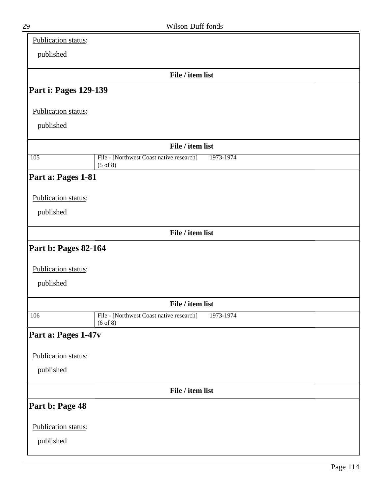| Publication status:         |                                                                              |
|-----------------------------|------------------------------------------------------------------------------|
| published                   |                                                                              |
|                             | File / item list                                                             |
| Part i: Pages 129-139       |                                                                              |
| Publication status:         |                                                                              |
| published                   |                                                                              |
|                             | File / item list                                                             |
| 105                         | 1973-1974<br>File - [Northwest Coast native research]<br>$(5 \text{ of } 8)$ |
| Part a: Pages 1-81          |                                                                              |
| Publication status:         |                                                                              |
| published                   |                                                                              |
|                             | File / item list                                                             |
| <b>Part b: Pages 82-164</b> |                                                                              |
|                             |                                                                              |
| Publication status:         |                                                                              |
| published                   |                                                                              |
|                             | File / item list                                                             |
| 106                         | File - [Northwest Coast native research]<br>1973-1974<br>$(6 \text{ of } 8)$ |
| Part a: Pages 1-47v         |                                                                              |
| Publication status:         |                                                                              |
| published                   |                                                                              |
|                             | File / item list                                                             |
| Part b: Page 48             |                                                                              |
| Publication status:         |                                                                              |
| published                   |                                                                              |
|                             |                                                                              |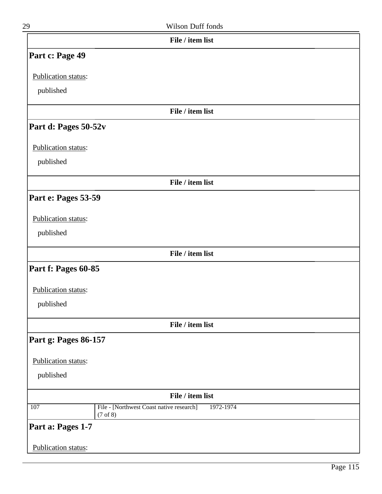| 29                         | Wilson Duff fonds                                     |
|----------------------------|-------------------------------------------------------|
|                            | File / item list                                      |
| Part c: Page 49            |                                                       |
| Publication status:        |                                                       |
| published                  |                                                       |
|                            | File / item list                                      |
| Part d: Pages 50-52v       |                                                       |
| Publication status:        |                                                       |
| published                  |                                                       |
|                            | File / item list                                      |
| Part e: Pages 53-59        |                                                       |
| Publication status:        |                                                       |
| published                  |                                                       |
|                            | File / item list                                      |
| Part f: Pages 60-85        |                                                       |
| Publication status:        |                                                       |
| published                  |                                                       |
|                            | File / item list                                      |
| Part g: Pages 86-157       |                                                       |
| <b>Publication status:</b> |                                                       |
| published                  |                                                       |
|                            | File / item list                                      |
| 107                        | File - [Northwest Coast native research]<br>1972-1974 |
|                            | (7 <sub>of</sub> 8)                                   |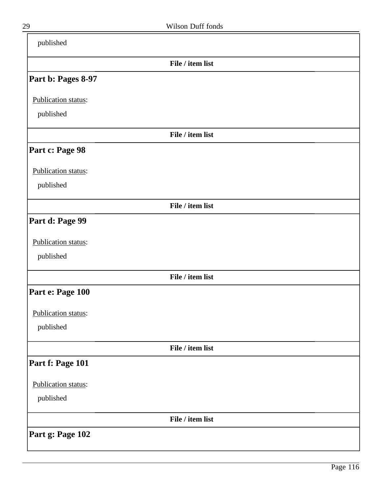| published           |                  |  |
|---------------------|------------------|--|
|                     | File / item list |  |
| Part b: Pages 8-97  |                  |  |
| Publication status: |                  |  |
| published           |                  |  |
|                     | File / item list |  |
| Part c: Page 98     |                  |  |
| Publication status: |                  |  |
| published           |                  |  |
|                     | File / item list |  |
| Part d: Page 99     |                  |  |
| Publication status: |                  |  |
| published           |                  |  |
|                     | File / item list |  |
| Part e: Page 100    |                  |  |
| Publication status: |                  |  |
| published           |                  |  |
|                     | File / item list |  |
| Part f: Page 101    |                  |  |
| Publication status: |                  |  |
| published           |                  |  |
|                     | File / item list |  |
| Part g: Page 102    |                  |  |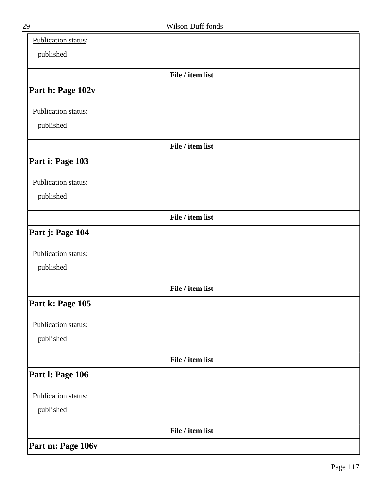| Publication status: |                  |  |
|---------------------|------------------|--|
| published           |                  |  |
|                     | File / item list |  |
| Part h: Page 102v   |                  |  |
| Publication status: |                  |  |
| published           |                  |  |
|                     | File / item list |  |
| Part i: Page 103    |                  |  |
| Publication status: |                  |  |
| published           |                  |  |
|                     | File / item list |  |
| Part j: Page 104    |                  |  |
| Publication status: |                  |  |
| published           |                  |  |
|                     | File / item list |  |
| Part k: Page 105    |                  |  |
| Publication status: |                  |  |
| published           |                  |  |
|                     | File / item list |  |
| Part I: Page 106    |                  |  |
| Publication status: |                  |  |
| published           |                  |  |
|                     | File / item list |  |
| Part m: Page 106v   |                  |  |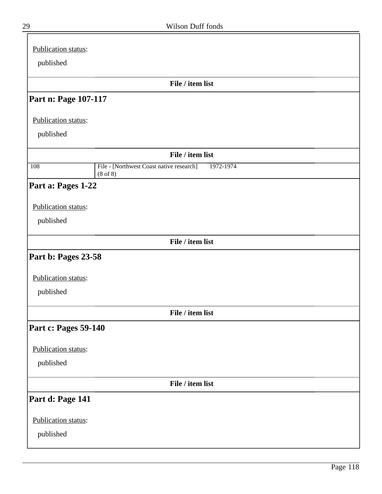| Publication status:  |                                                                       |  |
|----------------------|-----------------------------------------------------------------------|--|
| published            |                                                                       |  |
|                      |                                                                       |  |
|                      | File / item list                                                      |  |
| Part n: Page 107-117 |                                                                       |  |
| Publication status:  |                                                                       |  |
| published            |                                                                       |  |
|                      | File / item list                                                      |  |
| 108                  | File - [Northwest Coast native research]<br>1972-1974<br>$(8$ of $8)$ |  |
| Part a: Pages 1-22   |                                                                       |  |
|                      |                                                                       |  |
| Publication status:  |                                                                       |  |
| published            |                                                                       |  |
|                      | File / item list                                                      |  |
| Part b: Pages 23-58  |                                                                       |  |
| Publication status:  |                                                                       |  |
|                      |                                                                       |  |
| published            |                                                                       |  |
|                      | File / item list                                                      |  |
| Part c: Pages 59-140 |                                                                       |  |
| Publication status:  |                                                                       |  |
| published            |                                                                       |  |
|                      |                                                                       |  |
|                      | File / item list                                                      |  |
| Part d: Page 141     |                                                                       |  |
| Publication status:  |                                                                       |  |
| published            |                                                                       |  |
|                      |                                                                       |  |

≒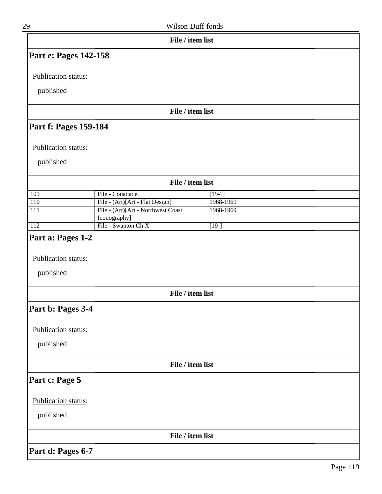| 29                               | Wilson Duff fonds                                  |                    |  |
|----------------------------------|----------------------------------------------------|--------------------|--|
|                                  | File / item list                                   |                    |  |
| Part e: Pages 142-158            |                                                    |                    |  |
| Publication status:              |                                                    |                    |  |
|                                  |                                                    |                    |  |
| published                        |                                                    |                    |  |
|                                  | File / item list                                   |                    |  |
| Part f: Pages 159-184            |                                                    |                    |  |
| Publication status:              |                                                    |                    |  |
| published                        |                                                    |                    |  |
|                                  | File / item list                                   |                    |  |
| 109                              | File - Conaqadet                                   | $[19-?]$           |  |
| 110                              | File - (Art)[Art - Flat Design]                    | 1968-1969          |  |
| 111                              | File - (Art)[Art - Northwest Coast<br>Iconography] | 1968-1969          |  |
| $\overline{112}$                 | File - Swanton Ch X                                | $\overline{[19-]}$ |  |
| Publication status:<br>published |                                                    |                    |  |
|                                  | File / item list                                   |                    |  |
| Part b: Pages 3-4                |                                                    |                    |  |
| <b>Publication status:</b>       |                                                    |                    |  |
| published                        |                                                    |                    |  |
|                                  | File / item list                                   |                    |  |
| Part c: Page 5                   |                                                    |                    |  |
| Publication status:              |                                                    |                    |  |
| published                        |                                                    |                    |  |
|                                  | File / item list                                   |                    |  |
| Part d: Pages 6-7                |                                                    |                    |  |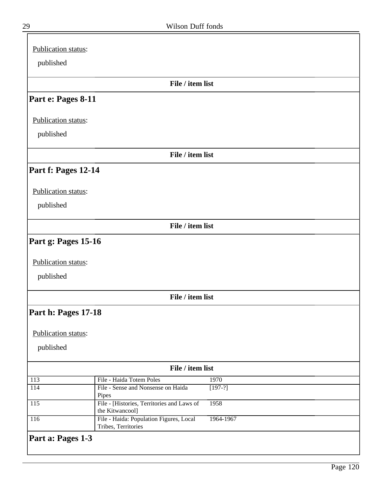| Publication status: |                                                             |
|---------------------|-------------------------------------------------------------|
| published           |                                                             |
|                     |                                                             |
|                     | File / item list                                            |
|                     |                                                             |
| Part e: Pages 8-11  |                                                             |
|                     |                                                             |
| Publication status: |                                                             |
|                     |                                                             |
| published           |                                                             |
|                     |                                                             |
|                     | File / item list                                            |
| Part f: Pages 12-14 |                                                             |
|                     |                                                             |
| Publication status: |                                                             |
|                     |                                                             |
| published           |                                                             |
|                     |                                                             |
|                     | File / item list                                            |
|                     |                                                             |
| Part g: Pages 15-16 |                                                             |
|                     |                                                             |
| Publication status: |                                                             |
| published           |                                                             |
|                     |                                                             |
|                     | File / item list                                            |
|                     |                                                             |
| Part h: Pages 17-18 |                                                             |
|                     |                                                             |
| Publication status: |                                                             |
|                     |                                                             |
| published           |                                                             |
|                     |                                                             |
|                     | File / item list                                            |
| 113                 | File - Haida Totem Poles<br>1970                            |
| 114                 | File - Sense and Nonsense on Haida<br>$[197-?]$             |
| 115                 | Pipes<br>File - [Histories, Territories and Laws of<br>1958 |
|                     | the Kitwancool]                                             |
| 116                 | File - Haida: Population Figures, Local<br>1964-1967        |
|                     | Tribes, Territories                                         |
| Part a: Pages 1-3   |                                                             |
|                     |                                                             |
|                     |                                                             |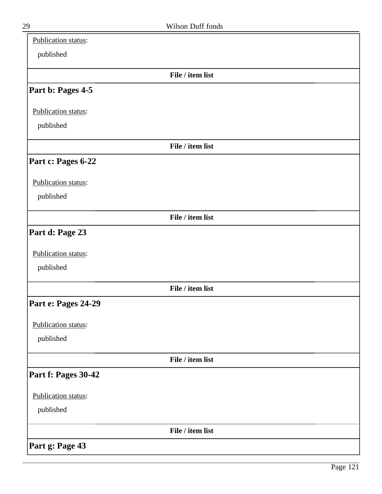| Publication status: |                  |  |
|---------------------|------------------|--|
| published           |                  |  |
|                     | File / item list |  |
| Part b: Pages 4-5   |                  |  |
| Publication status: |                  |  |
| published           |                  |  |
|                     | File / item list |  |
| Part c: Pages 6-22  |                  |  |
| Publication status: |                  |  |
| published           |                  |  |
|                     | File / item list |  |
| Part d: Page 23     |                  |  |
| Publication status: |                  |  |
| published           |                  |  |
|                     | File / item list |  |
| Part e: Pages 24-29 |                  |  |
| Publication status: |                  |  |
| published           |                  |  |
|                     | File / item list |  |
| Part f: Pages 30-42 |                  |  |
| Publication status: |                  |  |
| published           |                  |  |
|                     | File / item list |  |
| Part g: Page 43     |                  |  |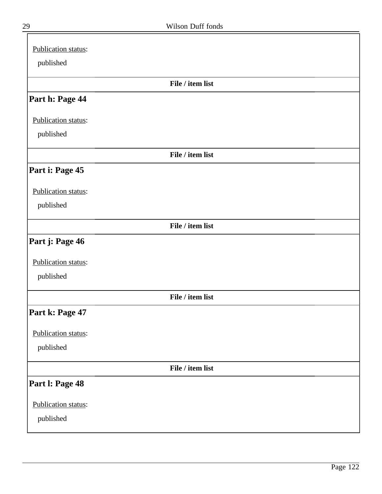| Publication status: |                  |
|---------------------|------------------|
| published           |                  |
|                     | File / item list |
| Part h: Page 44     |                  |
| Publication status: |                  |
| published           |                  |
|                     | File / item list |
| Part i: Page 45     |                  |
| Publication status: |                  |
| published           |                  |
|                     | File / item list |
| Part j: Page 46     |                  |
| Publication status: |                  |
| published           |                  |
|                     | File / item list |
| Part k: Page 47     |                  |
| Publication status: |                  |
| published           |                  |
|                     | File / item list |
| Part I: Page 48     |                  |
| Publication status: |                  |
| published           |                  |

╕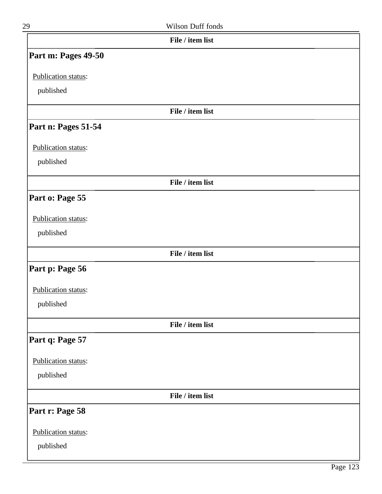| 29                  | Wilson Duff fonds |  |
|---------------------|-------------------|--|
|                     | File / item list  |  |
| Part m: Pages 49-50 |                   |  |
| Publication status: |                   |  |
| published           |                   |  |
|                     | File / item list  |  |
| Part n: Pages 51-54 |                   |  |
| Publication status: |                   |  |
| published           |                   |  |
|                     | File / item list  |  |
| Part o: Page 55     |                   |  |
| Publication status: |                   |  |
| published           |                   |  |
|                     | File / item list  |  |
| Part p: Page 56     |                   |  |
| Publication status: |                   |  |
| published           |                   |  |
|                     | File / item list  |  |
| Part q: Page 57     |                   |  |
| Publication status: |                   |  |
| published           |                   |  |
|                     | File / item list  |  |
| Part r: Page 58     |                   |  |
| Publication status: |                   |  |
| published           |                   |  |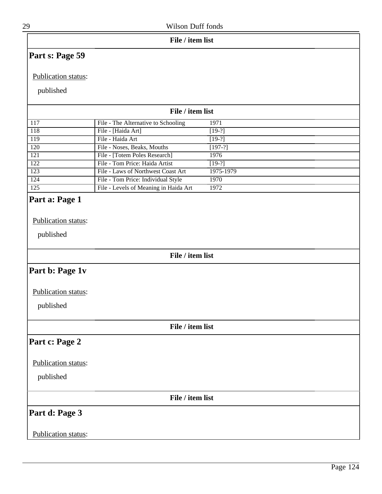|  | File / item list |  |
|--|------------------|--|
|--|------------------|--|

# **Part s: Page 59**

#### Publication status:

### published

|                      | File / item list                      |           |
|----------------------|---------------------------------------|-----------|
| 117                  | File - The Alternative to Schooling   | 1971      |
| 118                  | File - [Haida Art]                    | $[19-?]$  |
| 119                  | File - Haida Art                      | $[19-?]$  |
| 120                  | File - Noses, Beaks, Mouths           | $[197-?]$ |
| 121                  | File - [Totem Poles Research]         | 1976      |
| 122                  | File - Tom Price: Haida Artist        | $[19-?]$  |
| $\overline{123}$     | File - Laws of Northwest Coast Art    | 1975-1979 |
| 124                  | File - Tom Price: Individual Style    | 1970      |
| $\overline{125}$     | File - Levels of Meaning in Haida Art | 1972      |
| $\blacksquare$<br>T. |                                       |           |

### **Part a: Page 1**

Publication status:

published

#### **File / item list**

### **Part b: Page 1v**

Publication status:

published

**File / item list**

### **Part c: Page 2**

Publication status:

published

**File / item list**

# **Part d: Page 3**

### Publication status: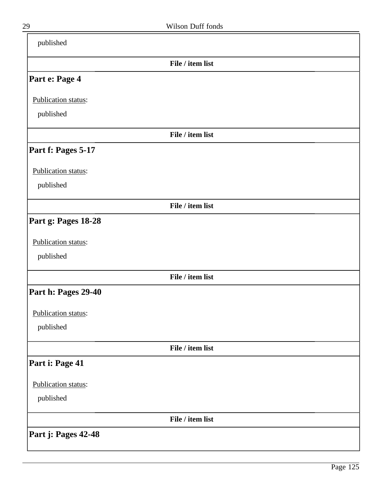| published           |                  |  |
|---------------------|------------------|--|
|                     | File / item list |  |
| Part e: Page 4      |                  |  |
| Publication status: |                  |  |
| published           |                  |  |
|                     | File / item list |  |
| Part f: Pages 5-17  |                  |  |
| Publication status: |                  |  |
| published           |                  |  |
|                     | File / item list |  |
| Part g: Pages 18-28 |                  |  |
| Publication status: |                  |  |
| published           |                  |  |
|                     | File / item list |  |
| Part h: Pages 29-40 |                  |  |
| Publication status: |                  |  |
| published           |                  |  |
|                     | File / item list |  |
| Part i: Page 41     |                  |  |
| Publication status: |                  |  |
| published           |                  |  |
|                     | File / item list |  |
| Part j: Pages 42-48 |                  |  |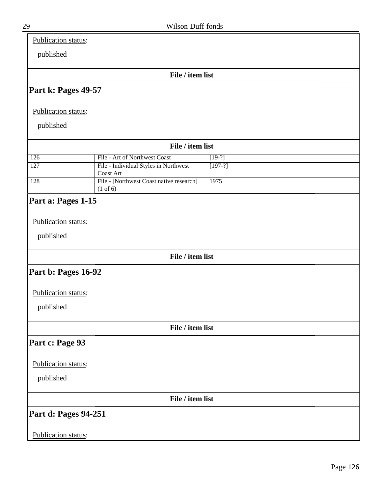Publication status:

published

**File / item list**

### **Part k: Pages 49-57**

Publication status:

published

| File / item list |                                                                 |           |  |
|------------------|-----------------------------------------------------------------|-----------|--|
| 126              | File - Art of Northwest Coast                                   | $[19-?]$  |  |
| $\overline{127}$ | File - Individual Styles in Northwest<br>Coast Art              | $[197-?]$ |  |
| 128              | File - [Northwest Coast native research]<br>$(1 \text{ of } 6)$ | 1975      |  |

# **Part a: Pages 1-15**

Publication status:

published

**File / item list**

### **Part b: Pages 16-92**

Publication status:

published

**File / item list**

# **Part c: Page 93**

Publication status:

published

**File / item list**

### **Part d: Pages 94-251**

### Publication status: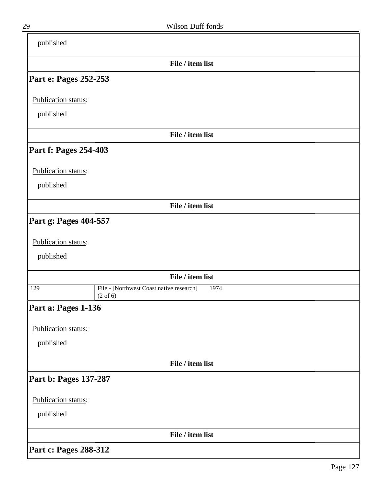| published             |                                                                         |  |
|-----------------------|-------------------------------------------------------------------------|--|
|                       | File / item list                                                        |  |
| Part e: Pages 252-253 |                                                                         |  |
| Publication status:   |                                                                         |  |
| published             |                                                                         |  |
|                       | File / item list                                                        |  |
| Part f: Pages 254-403 |                                                                         |  |
| Publication status:   |                                                                         |  |
| published             |                                                                         |  |
|                       | File / item list                                                        |  |
| Part g: Pages 404-557 |                                                                         |  |
| Publication status:   |                                                                         |  |
| published             |                                                                         |  |
|                       | File / item list                                                        |  |
| 129                   | File - [Northwest Coast native research]<br>1974<br>$(2 \text{ of } 6)$ |  |
| Part a: Pages 1-136   |                                                                         |  |
| Publication status:   |                                                                         |  |
| published             |                                                                         |  |
|                       | File / item list                                                        |  |
| Part b: Pages 137-287 |                                                                         |  |
| Publication status:   |                                                                         |  |
| published             |                                                                         |  |
|                       | File / item list                                                        |  |
| Part c: Pages 288-312 |                                                                         |  |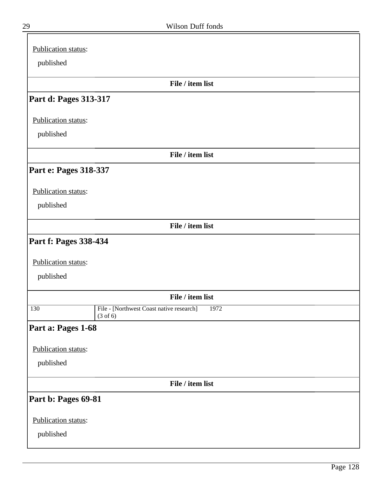| Publication status:        |                                                  |
|----------------------------|--------------------------------------------------|
| published                  |                                                  |
|                            |                                                  |
|                            | File / item list                                 |
| Part d: Pages 313-317      |                                                  |
| Publication status:        |                                                  |
| published                  |                                                  |
|                            | File / item list                                 |
| Part e: Pages 318-337      |                                                  |
|                            |                                                  |
| Publication status:        |                                                  |
| published                  |                                                  |
|                            | File / item list                                 |
| Part f: Pages 338-434      |                                                  |
| Publication status:        |                                                  |
|                            |                                                  |
| published                  |                                                  |
|                            | File / item list                                 |
| 130<br>$(3 \text{ of } 6)$ | File - [Northwest Coast native research]<br>1972 |
| Part a: Pages 1-68         |                                                  |
| Publication status:        |                                                  |
| published                  |                                                  |
|                            |                                                  |
|                            | File / item list                                 |
| Part b: Pages 69-81        |                                                  |
| Publication status:        |                                                  |
| published                  |                                                  |
|                            |                                                  |

╕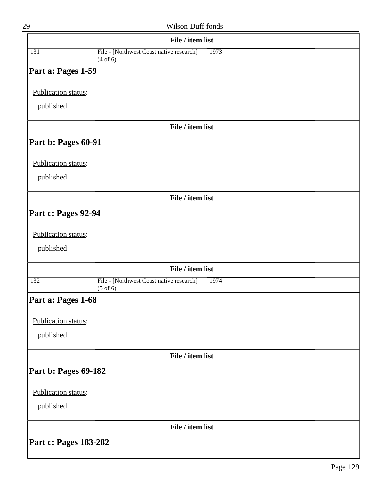L

| 29                    | Wilson Duff fonds                                                       |
|-----------------------|-------------------------------------------------------------------------|
|                       | File / item list                                                        |
| 131                   | File - [Northwest Coast native research]<br>1973<br>(4 of 6)            |
| Part a: Pages 1-59    |                                                                         |
| Publication status:   |                                                                         |
| published             |                                                                         |
|                       | File / item list                                                        |
| Part b: Pages 60-91   |                                                                         |
| Publication status:   |                                                                         |
| published             |                                                                         |
|                       | File / item list                                                        |
| Part c: Pages 92-94   |                                                                         |
| Publication status:   |                                                                         |
| published             |                                                                         |
|                       | File / item list                                                        |
| 132                   | File - [Northwest Coast native research]<br>1974<br>$(5 \text{ of } 6)$ |
| Part a: Pages 1-68    |                                                                         |
| Publication status:   |                                                                         |
| published             |                                                                         |
|                       | File / item list                                                        |
| Part b: Pages 69-182  |                                                                         |
| Publication status:   |                                                                         |
| published             |                                                                         |
|                       | File / item list                                                        |
| Part c: Pages 183-282 |                                                                         |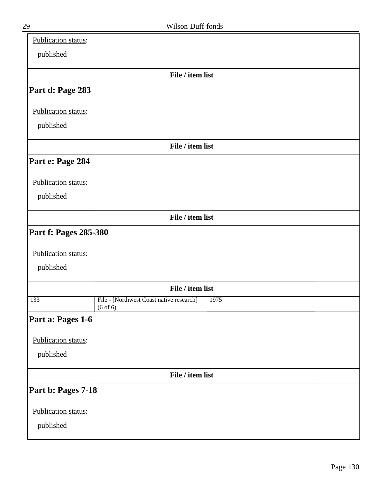| Publication status:   |                                                                         |
|-----------------------|-------------------------------------------------------------------------|
| published             |                                                                         |
|                       | File / item list                                                        |
| Part d: Page 283      |                                                                         |
| Publication status:   |                                                                         |
| published             |                                                                         |
|                       | File / item list                                                        |
| Part e: Page 284      |                                                                         |
| Publication status:   |                                                                         |
| published             |                                                                         |
|                       | File / item list                                                        |
| Part f: Pages 285-380 |                                                                         |
| Publication status:   |                                                                         |
| published             |                                                                         |
|                       | File / item list                                                        |
| 133                   | File - [Northwest Coast native research]<br>1975<br>$(6 \text{ of } 6)$ |
| Part a: Pages 1-6     |                                                                         |
| Publication status:   |                                                                         |
| published             |                                                                         |
|                       | File / item list                                                        |
| Part b: Pages 7-18    |                                                                         |
| Publication status:   |                                                                         |
| published             |                                                                         |
|                       |                                                                         |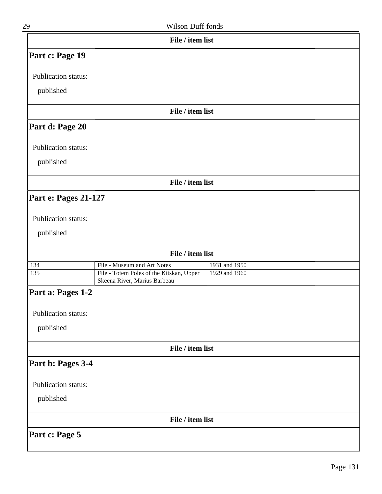| 29                          | Wilson Duff fonds                                                                         |  |
|-----------------------------|-------------------------------------------------------------------------------------------|--|
|                             | File / item list                                                                          |  |
| Part c: Page 19             |                                                                                           |  |
| Publication status:         |                                                                                           |  |
| published                   |                                                                                           |  |
|                             | File / item list                                                                          |  |
| Part d: Page 20             |                                                                                           |  |
| Publication status:         |                                                                                           |  |
| published                   |                                                                                           |  |
|                             | File / item list                                                                          |  |
| <b>Part e: Pages 21-127</b> |                                                                                           |  |
| Publication status:         |                                                                                           |  |
| published                   |                                                                                           |  |
|                             | File / item list                                                                          |  |
| 134                         | File - Museum and Art Notes<br>1931 and 1950                                              |  |
| 135                         | File - Totem Poles of the Kitskan, Upper<br>1929 and 1960<br>Skeena River, Marius Barbeau |  |
| Part a: Pages 1-2           |                                                                                           |  |
| Publication status:         |                                                                                           |  |
| published                   |                                                                                           |  |
|                             | File / item list                                                                          |  |
| Part b: Pages 3-4           |                                                                                           |  |
| Publication status:         |                                                                                           |  |
| published                   |                                                                                           |  |
|                             | File / item list                                                                          |  |

**Part c: Page 5**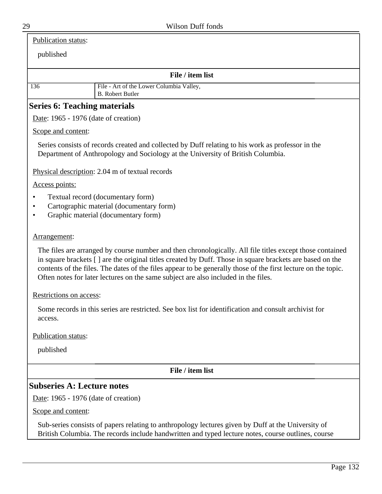Publication status:

published

| File / item list |
|------------------|
|------------------|

| 136 | File - Art of the Lower Columbia Valley,<br>B. Robert Butler |
|-----|--------------------------------------------------------------|
|     |                                                              |

# **Series 6: Teaching materials**

Date: 1965 - 1976 (date of creation)

Scope and content:

Series consists of records created and collected by Duff relating to his work as professor in the Department of Anthropology and Sociology at the University of British Columbia.

Physical description: 2.04 m of textual records

Access points:

- Textual record (documentary form)
- Cartographic material (documentary form)
- Graphic material (documentary form)

### Arrangement:

The files are arranged by course number and then chronologically. All file titles except those contained in square brackets [ ] are the original titles created by Duff. Those in square brackets are based on the contents of the files. The dates of the files appear to be generally those of the first lecture on the topic. Often notes for later lectures on the same subject are also included in the files.

Restrictions on access:

Some records in this series are restricted. See box list for identification and consult archivist for access.

Publication status:

published

**File / item list**

# **Subseries A: Lecture notes**

Date: 1965 - 1976 (date of creation)

Scope and content:

Sub-series consists of papers relating to anthropology lectures given by Duff at the University of British Columbia. The records include handwritten and typed lecture notes, course outlines, course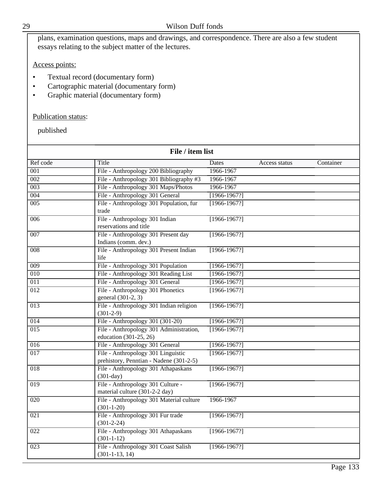|                     | plans, examination questions, maps and drawings, and correspondence. There are also a few student<br>essays relating to the subject matter of the lectures. |                  |               |           |
|---------------------|-------------------------------------------------------------------------------------------------------------------------------------------------------------|------------------|---------------|-----------|
| Access points:      |                                                                                                                                                             |                  |               |           |
| $\bullet$           | Textual record (documentary form)<br>Cartographic material (documentary form)<br>Graphic material (documentary form)                                        |                  |               |           |
| Publication status: |                                                                                                                                                             |                  |               |           |
| published           |                                                                                                                                                             |                  |               |           |
|                     | File / item list                                                                                                                                            |                  |               |           |
| Ref code            | Title                                                                                                                                                       | Dates            | Access status | Container |
| 001                 | File - Anthropology 200 Bibliography                                                                                                                        | 1966-1967        |               |           |
| 002                 | File - Anthropology 301 Bibliography #3                                                                                                                     | 1966-1967        |               |           |
| 003                 | File - Anthropology 301 Maps/Photos                                                                                                                         | 1966-1967        |               |           |
| 004                 | File - Anthropology 301 General                                                                                                                             | $[1966 - 1967?]$ |               |           |
| 005                 | File - Anthropology 301 Population, fur<br>trade                                                                                                            | $[1966-1967?]$   |               |           |
| 006                 | File - Anthropology 301 Indian<br>reservations and title                                                                                                    | $[1966-1967?]$   |               |           |
| 007                 | File - Anthropology 301 Present day<br>Indians (comm. dev.)                                                                                                 | $[1966-1967?]$   |               |           |
| $\overline{008}$    | File - Anthropology 301 Present Indian<br>life                                                                                                              | $[1966-1967?]$   |               |           |
| $\overline{009}$    | File - Anthropology 301 Population                                                                                                                          | $[1966 - 1967?]$ |               |           |
| 010                 | File - Anthropology 301 Reading List                                                                                                                        | $[1966 - 1967?]$ |               |           |
| $\overline{011}$    | File - Anthropology 301 General                                                                                                                             | $[1966 - 1967?]$ |               |           |
| $\overline{012}$    | File - Anthropology 301 Phonetics<br>general (301-2, 3)                                                                                                     | $[1966 - 1967]$  |               |           |
| 013                 | File - Anthropology 301 Indian religion<br>$(301-2-9)$                                                                                                      | $[1966-1967?]$   |               |           |
| $\overline{014}$    | File - Anthropology 301 (301-20)                                                                                                                            | $[1966 - 1967]$  |               |           |
| $\overline{015}$    | File - Anthropology 301 Administration,<br>education (301-25, 26)                                                                                           | $[1966-1967?]$   |               |           |
| 016                 | File - Anthropology 301 General                                                                                                                             | $[1966 - 1967?]$ |               |           |
| 017                 | File - Anthropology 301 Linguistic<br>prehistory, Penntian - Nadene (301-2-5)                                                                               | $[1966-1967?]$   |               |           |
| $\overline{018}$    | File - Anthropology 301 Athapaskans<br>$(301-day)$                                                                                                          | $[1966 - 1967]$  |               |           |
| 019                 | File - Anthropology 301 Culture -<br>material culture (301-2-2 day)                                                                                         | $[1966 - 1967?]$ |               |           |
| 020                 | File - Anthropology 301 Material culture<br>$(301 - 1 - 20)$                                                                                                | 1966-1967        |               |           |
| 021                 | File - Anthropology 301 Fur trade<br>$(301 - 2 - 24)$                                                                                                       | $[1966 - 1967?]$ |               |           |
| 022                 | File - Anthropology 301 Athapaskans<br>$(301 - 1 - 12)$                                                                                                     | $[1966 - 1967?]$ |               |           |
| $\overline{023}$    | File - Anthropology 301 Coast Salish<br>$(301-1-13, 14)$                                                                                                    | $[1966 - 1967?]$ |               |           |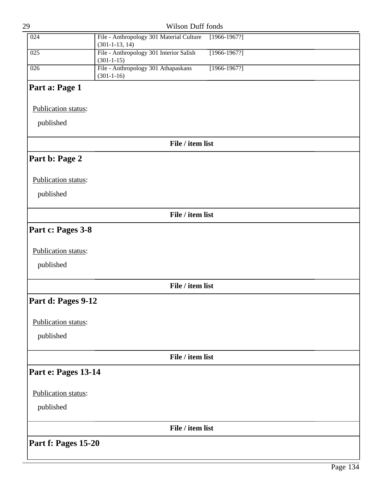| 29                  | Wilson Duff fonds                                            |                  |  |
|---------------------|--------------------------------------------------------------|------------------|--|
| 024                 | File - Anthropology 301 Material Culture<br>$(301-1-13, 14)$ | $[1966 - 1967]$  |  |
| 025                 | File - Anthropology 301 Interior Salish<br>$(301 - 1 - 15)$  | $[1966 - 1967]$  |  |
| $\overline{026}$    | File - Anthropology 301 Athapaskans<br>$(301 - 1 - 16)$      | $[1966 - 1967?]$ |  |
| Part a: Page 1      |                                                              |                  |  |
| Publication status: |                                                              |                  |  |
| published           |                                                              |                  |  |
|                     | File / item list                                             |                  |  |
| Part b: Page 2      |                                                              |                  |  |
| Publication status: |                                                              |                  |  |
| published           |                                                              |                  |  |
|                     | File / item list                                             |                  |  |
| Part c: Pages 3-8   |                                                              |                  |  |
| Publication status: |                                                              |                  |  |
| published           |                                                              |                  |  |
|                     | File / item list                                             |                  |  |
| Part d: Pages 9-12  |                                                              |                  |  |
| Publication status: |                                                              |                  |  |
| published           |                                                              |                  |  |
|                     | File / item list                                             |                  |  |
| Part e: Pages 13-14 |                                                              |                  |  |
| Publication status: |                                                              |                  |  |
| published           |                                                              |                  |  |
|                     | File / item list                                             |                  |  |
| Part f: Pages 15-20 |                                                              |                  |  |
|                     |                                                              |                  |  |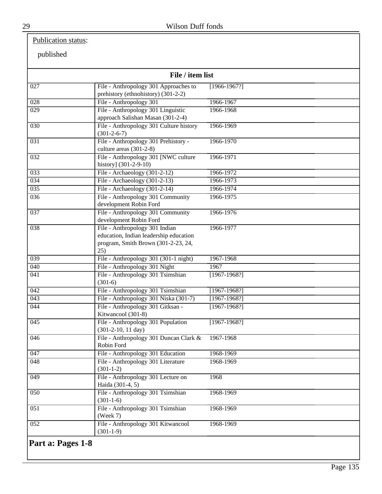# Publication status:

published

|                  | File / item list                                                                                                       |                  |  |
|------------------|------------------------------------------------------------------------------------------------------------------------|------------------|--|
| 027              | File - Anthropology 301 Approaches to<br>prehistory (ethnohistory) (301-2-2)                                           | $[1966-1967?]$   |  |
| $\overline{028}$ | File - Anthropology 301                                                                                                | 1966-1967        |  |
| $\overline{029}$ | File - Anthropology 301 Linguistic<br>approach Salishan Masan (301-2-4)                                                | 1966-1968        |  |
| 030              | File - Anthropology 301 Culture history<br>$(301-2-6-7)$                                                               | 1966-1969        |  |
| $\overline{031}$ | File - Anthropology 301 Prehistory -<br>culture areas (301-2-8)                                                        | 1966-1970        |  |
| 032              | File - Anthropology 301 [NWC culture<br>history] (301-2-9-10)                                                          | 1966-1971        |  |
| 033              | File - Archaeology (301-2-12)                                                                                          | 1966-1972        |  |
| 034              | File - Archaeology (301-2-13)                                                                                          | 1966-1973        |  |
| 035              | File - Archaeology $(301-2-14)$                                                                                        | 1966-1974        |  |
| 036              | File - Anthropology 301 Community<br>development Robin Ford                                                            | 1966-1975        |  |
| $\overline{037}$ | File - Anthropology 301 Community<br>development Robin Ford                                                            | 1966-1976        |  |
| $\overline{038}$ | File - Anthropology 301 Indian<br>education, Indian leadership education<br>program, Smith Brown (301-2-23, 24,<br>25) | 1966-1977        |  |
| 039              | File - Anthropology 301 (301-1 night)                                                                                  | 1967-1968        |  |
| 040              | File - Anthropology 301 Night                                                                                          | 1967             |  |
| $\overline{041}$ | File - Anthropology 301 Tsimshian<br>$(301-6)$                                                                         | $[1967-1968?]$   |  |
| 042              | File - Anthropology 301 Tsimshian                                                                                      | $[1967 - 1968?]$ |  |
| 043              | File - Anthropology 301 Niska (301-7)                                                                                  | $[1967 - 1968]$  |  |
| $\overline{044}$ | File - Anthropology 301 Gitksan -<br>Kitwancool (301-8)                                                                | $[1967-1968?]$   |  |
| 045              | File - Anthropology 301 Population<br>$(301-2-10, 11 \text{ day})$                                                     | $[1967-1968?]$   |  |
| 046              | File - Anthropology 301 Duncan Clark &<br>Robin Ford                                                                   | 1967-1968        |  |
| 047              | File - Anthropology 301 Education                                                                                      | 1968-1969        |  |
| $\overline{048}$ | File - Anthropology 301 Literature<br>$(301-1-2)$                                                                      | 1968-1969        |  |
| $\overline{049}$ | File - Anthropology 301 Lecture on<br>Haida (301-4, 5)                                                                 | 1968             |  |
| $\overline{050}$ | File - Anthropology 301 Tsimshian<br>$(301-1-6)$                                                                       | 1968-1969        |  |
| $\overline{051}$ | File - Anthropology 301 Tsimshian<br>(Week 7)                                                                          | 1968-1969        |  |
| $\overline{052}$ | File - Anthropology 301 Kitwancool<br>$(301-1-9)$                                                                      | 1968-1969        |  |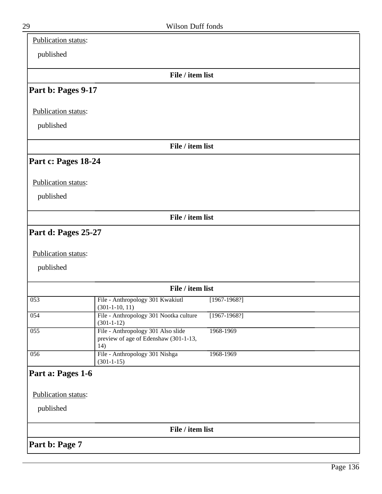| Publication status: |                                                                                    |                  |  |
|---------------------|------------------------------------------------------------------------------------|------------------|--|
| published           |                                                                                    |                  |  |
|                     | File / item list                                                                   |                  |  |
| Part b: Pages 9-17  |                                                                                    |                  |  |
| Publication status: |                                                                                    |                  |  |
| published           |                                                                                    |                  |  |
|                     | File / item list                                                                   |                  |  |
| Part c: Pages 18-24 |                                                                                    |                  |  |
| Publication status: |                                                                                    |                  |  |
| published           |                                                                                    |                  |  |
|                     | File / item list                                                                   |                  |  |
| Part d: Pages 25-27 |                                                                                    |                  |  |
| Publication status: |                                                                                    |                  |  |
| published           |                                                                                    |                  |  |
|                     |                                                                                    |                  |  |
|                     | File / item list                                                                   |                  |  |
| 053                 | File - Anthropology 301 Kwakiutl<br>$(301-1-10, 11)$                               | $[1967-1968?]$   |  |
| 054                 | File - Anthropology 301 Nootka culture<br>$(301 - 1 - 12)$                         | $[1967 - 1968?]$ |  |
| 055                 | File - Anthropology 301 Also slide<br>preview of age of Edenshaw (301-1-13,<br>14) | 1968-1969        |  |
| 056                 | File - Anthropology 301 Nishga<br>$(301 - 1 - 15)$                                 | 1968-1969        |  |
| Part a: Pages 1-6   |                                                                                    |                  |  |
| Publication status: |                                                                                    |                  |  |
| published           |                                                                                    |                  |  |
|                     |                                                                                    |                  |  |
|                     | File / item list                                                                   |                  |  |
| Part b: Page 7      |                                                                                    |                  |  |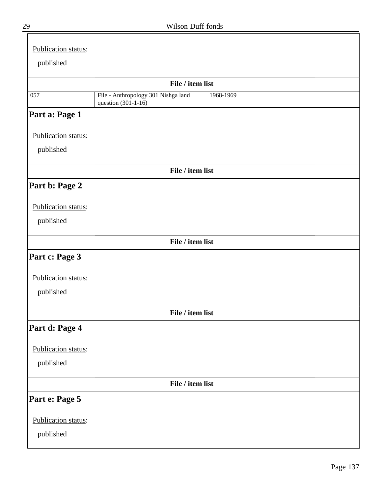| 29 | Wilson Duff fonds |  |
|----|-------------------|--|
|    |                   |  |

| Publication status: |                                                                         |  |
|---------------------|-------------------------------------------------------------------------|--|
| published           |                                                                         |  |
|                     | File / item list                                                        |  |
| $\overline{057}$    | File - Anthropology 301 Nishga land<br>1968-1969<br>question (301-1-16) |  |
| Part a: Page 1      |                                                                         |  |
| Publication status: |                                                                         |  |
| published           |                                                                         |  |
|                     | File / item list                                                        |  |
| Part b: Page 2      |                                                                         |  |
| Publication status: |                                                                         |  |
| published           |                                                                         |  |
|                     | File / item list                                                        |  |
| Part c: Page 3      |                                                                         |  |
| Publication status: |                                                                         |  |
| published           |                                                                         |  |
|                     | File / item list                                                        |  |
| Part d: Page 4      |                                                                         |  |
| Publication status: |                                                                         |  |
| published           |                                                                         |  |
|                     | File / item list                                                        |  |
| Part e: Page 5      |                                                                         |  |
| Publication status: |                                                                         |  |
| published           |                                                                         |  |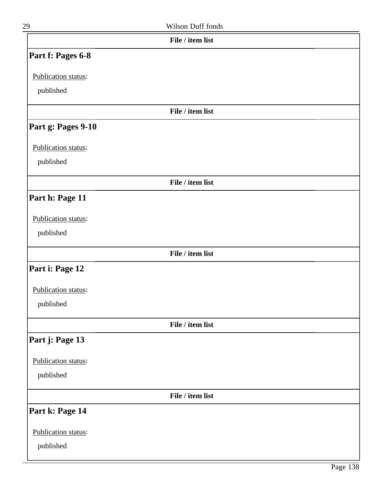| 29                  | Wilson Duff fonds |  |
|---------------------|-------------------|--|
|                     | File / item list  |  |
| Part f: Pages 6-8   |                   |  |
| Publication status: |                   |  |
| published           |                   |  |
|                     | File / item list  |  |
| Part g: Pages 9-10  |                   |  |
| Publication status: |                   |  |
| published           |                   |  |
|                     | File / item list  |  |
| Part h: Page 11     |                   |  |
| Publication status: |                   |  |
| published           |                   |  |
|                     | File / item list  |  |
| Part i: Page 12     |                   |  |
| Publication status: |                   |  |
| published           |                   |  |
|                     | File / item list  |  |
| Part j: Page 13     |                   |  |
| Publication status: |                   |  |
| published           |                   |  |
|                     | File / item list  |  |
| Part k: Page 14     |                   |  |
| Publication status: |                   |  |
| published           |                   |  |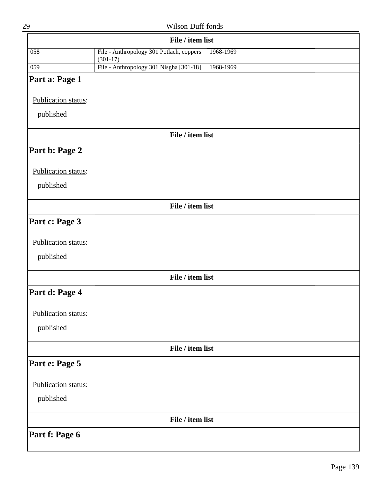|                     | File / item list                                                    |
|---------------------|---------------------------------------------------------------------|
| $\overline{058}$    | File - Anthropology 301 Potlach, coppers<br>1968-1969<br>$(301-17)$ |
| 059                 | File - Anthropology 301 Nisgha [301-18]<br>1968-1969                |
| Part a: Page 1      |                                                                     |
| Publication status: |                                                                     |
| published           |                                                                     |
|                     | File / item list                                                    |
| Part b: Page 2      |                                                                     |
| Publication status: |                                                                     |
| published           |                                                                     |
|                     | File / item list                                                    |
| Part c: Page 3      |                                                                     |
| Publication status: |                                                                     |
| published           |                                                                     |
|                     | File / item list                                                    |
| Part d: Page 4      |                                                                     |
| Publication status: |                                                                     |
| published           |                                                                     |
|                     | File / item list                                                    |
| Part e: Page 5      |                                                                     |
| Publication status: |                                                                     |
| published           |                                                                     |
|                     | File / item list                                                    |
| Part f: Page 6      |                                                                     |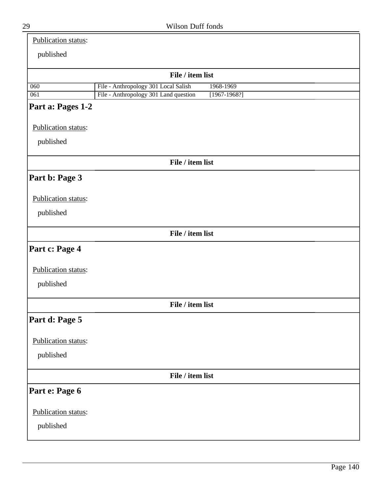| <br>۰.<br>ĉ<br>۰.<br>٠ |
|------------------------|

| <b>Publication status:</b> |
|----------------------------|
|----------------------------|

# published

| publication         |                                       |                  |  |  |
|---------------------|---------------------------------------|------------------|--|--|
| File / item list    |                                       |                  |  |  |
| 060                 | File - Anthropology 301 Local Salish  | 1968-1969        |  |  |
| 061                 | File - Anthropology 301 Land question | $[1967 - 1968?]$ |  |  |
| Part a: Pages 1-2   |                                       |                  |  |  |
| Publication status: |                                       |                  |  |  |
| published           |                                       |                  |  |  |
|                     | File / item list                      |                  |  |  |
| Part b: Page 3      |                                       |                  |  |  |
| Publication status: |                                       |                  |  |  |
| published           |                                       |                  |  |  |
|                     | File / item list                      |                  |  |  |
| Part c: Page 4      |                                       |                  |  |  |
| Publication status: |                                       |                  |  |  |
| published           |                                       |                  |  |  |
|                     | File / item list                      |                  |  |  |
| Part d: Page 5      |                                       |                  |  |  |
| Publication status: |                                       |                  |  |  |
| published           |                                       |                  |  |  |
|                     | File / item list                      |                  |  |  |
| Part e: Page 6      |                                       |                  |  |  |
| Publication status: |                                       |                  |  |  |
| published           |                                       |                  |  |  |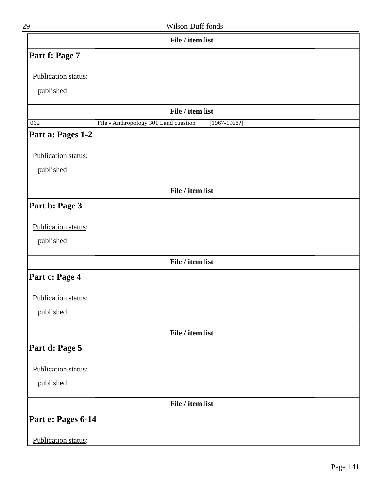| 29 | Wilson Duff fonds |
|----|-------------------|
|    |                   |

| File / item list    |                                                           |
|---------------------|-----------------------------------------------------------|
| Part f: Page 7      |                                                           |
| Publication status: |                                                           |
| published           |                                                           |
|                     |                                                           |
|                     | File / item list                                          |
| 062                 | File - Anthropology 301 Land question<br>$[1967 - 1968?]$ |
| Part a: Pages 1-2   |                                                           |
| Publication status: |                                                           |
| published           |                                                           |
|                     |                                                           |
|                     | File / item list                                          |
| Part b: Page 3      |                                                           |
| Publication status: |                                                           |
|                     |                                                           |
| published           |                                                           |
|                     | File / item list                                          |
| Part c: Page 4      |                                                           |
|                     |                                                           |
| Publication status: |                                                           |
| published           |                                                           |
|                     | File / item list                                          |
| Part d: Page 5      |                                                           |
|                     |                                                           |
| Publication status: |                                                           |
| published           |                                                           |
|                     | File / item list                                          |
| Part e: Pages 6-14  |                                                           |
|                     |                                                           |
| Publication status: |                                                           |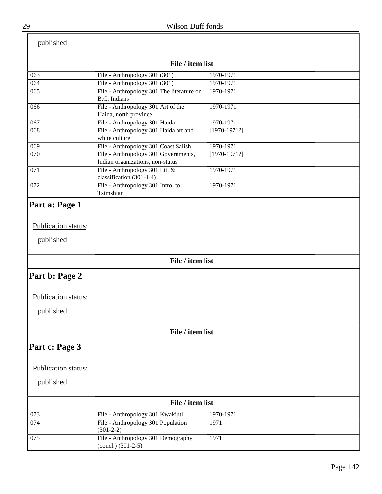| published           |                                                                          |                |  |
|---------------------|--------------------------------------------------------------------------|----------------|--|
| File / item list    |                                                                          |                |  |
| 063                 | File - Anthropology 301 (301)                                            | 1970-1971      |  |
| 064                 | File - Anthropology 301 (301)                                            | 1970-1971      |  |
| 065                 | File - Anthropology 301 The literature on<br><b>B.C.</b> Indians         | 1970-1971      |  |
| 066                 | File - Anthropology 301 Art of the<br>Haida, north province              | 1970-1971      |  |
| 067                 | File - Anthropology 301 Haida                                            | 1970-1971      |  |
| 068                 | File - Anthropology 301 Haida art and<br>white culture                   | $[1970-1971?]$ |  |
| 069                 | File - Anthropology 301 Coast Salish                                     | 1970-1971      |  |
| 070                 | File - Anthropology 301 Governments,<br>Indian organizations, non-status | $[1970-1971?]$ |  |
| 071                 | File - Anthropology 301 Lit. &<br>classification (301-1-4)               | 1970-1971      |  |
| 072                 | File - Anthropology 301 Intro. to<br>Tsimshian                           | 1970-1971      |  |
| published           | File / item list                                                         |                |  |
| Part b: Page 2      |                                                                          |                |  |
| Publication status: |                                                                          |                |  |
|                     |                                                                          |                |  |
| published           |                                                                          |                |  |
|                     | File / item list                                                         |                |  |
| Part c: Page 3      |                                                                          |                |  |
| Publication status: |                                                                          |                |  |
| published           |                                                                          |                |  |
| File / item list    |                                                                          |                |  |
| 073                 | File - Anthropology 301 Kwakiutl                                         | 1970-1971      |  |
| 074                 | File - Anthropology 301 Population<br>$(301-2-2)$                        | 1971           |  |
| 075                 | File - Anthropology 301 Demography<br>$(concl.)$ (301-2-5)               | 1971           |  |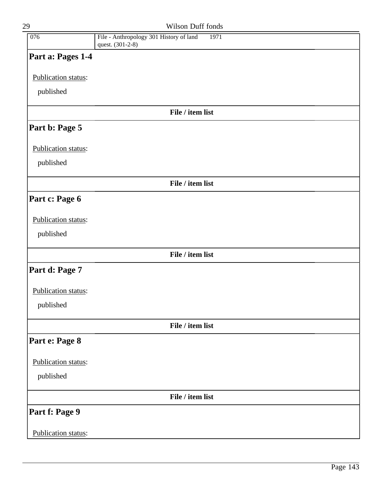| 29                  | Wilson Duff fonds                                                   |  |
|---------------------|---------------------------------------------------------------------|--|
| 076                 | File - Anthropology 301 History of land<br>1971<br>quest. (301-2-8) |  |
| Part a: Pages 1-4   |                                                                     |  |
| Publication status: |                                                                     |  |
| published           |                                                                     |  |
|                     | File / item list                                                    |  |
| Part b: Page 5      |                                                                     |  |
| Publication status: |                                                                     |  |
| published           |                                                                     |  |
|                     | File / item list                                                    |  |
| Part c: Page 6      |                                                                     |  |
| Publication status: |                                                                     |  |
| published           |                                                                     |  |
|                     | File / item list                                                    |  |
| Part d: Page 7      |                                                                     |  |
| Publication status: |                                                                     |  |
| published           |                                                                     |  |
|                     | File / item list                                                    |  |
| Part e: Page 8      |                                                                     |  |
| Publication status: |                                                                     |  |
| published           |                                                                     |  |
|                     | File / item list                                                    |  |
| Part f: Page 9      |                                                                     |  |
| Publication status: |                                                                     |  |
|                     |                                                                     |  |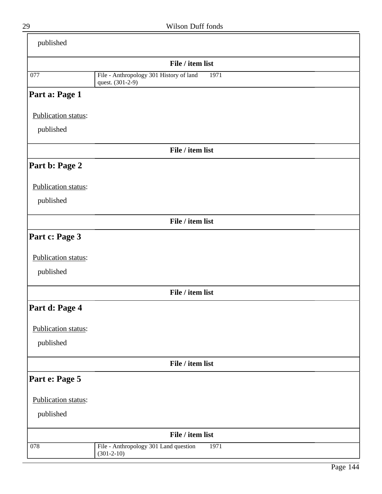| published           |                                                                     |  |
|---------------------|---------------------------------------------------------------------|--|
|                     | File / item list                                                    |  |
| 077                 | File - Anthropology 301 History of land<br>1971<br>quest. (301-2-9) |  |
| Part a: Page 1      |                                                                     |  |
| Publication status: |                                                                     |  |
| published           |                                                                     |  |
|                     | File / item list                                                    |  |
| Part b: Page 2      |                                                                     |  |
| Publication status: |                                                                     |  |
| published           |                                                                     |  |
|                     | File / item list                                                    |  |
| Part c: Page 3      |                                                                     |  |
| Publication status: |                                                                     |  |
| published           |                                                                     |  |
|                     | File / item list                                                    |  |
| Part d: Page 4      |                                                                     |  |
| Publication status: |                                                                     |  |
| published           |                                                                     |  |
|                     | File / item list                                                    |  |
| Part e: Page 5      |                                                                     |  |
| Publication status: |                                                                     |  |
| published           |                                                                     |  |
| File / item list    |                                                                     |  |
| 078                 | File - Anthropology 301 Land question<br>1971<br>$(301 - 2 - 10)$   |  |

 $\equiv$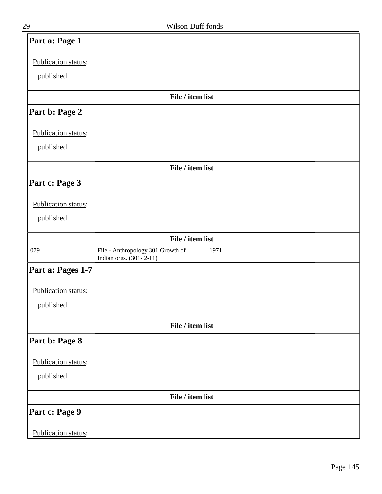| Part a: Page 1      |                                                                      |
|---------------------|----------------------------------------------------------------------|
| Publication status: |                                                                      |
| published           |                                                                      |
|                     | File / item list                                                     |
| Part b: Page 2      |                                                                      |
| Publication status: |                                                                      |
| published           |                                                                      |
|                     | File / item list                                                     |
| Part c: Page 3      |                                                                      |
| Publication status: |                                                                      |
| published           |                                                                      |
|                     | File / item list                                                     |
| 079                 | File - Anthropology 301 Growth of<br>1971<br>Indian orgs. (301-2-11) |
| Part a: Pages 1-7   |                                                                      |
| Publication status: |                                                                      |
| published           |                                                                      |
|                     | File / item list                                                     |
| Part b: Page 8      |                                                                      |
| Publication status: |                                                                      |
| published           |                                                                      |
|                     | File / item list                                                     |
| Part c: Page 9      |                                                                      |
| Publication status: |                                                                      |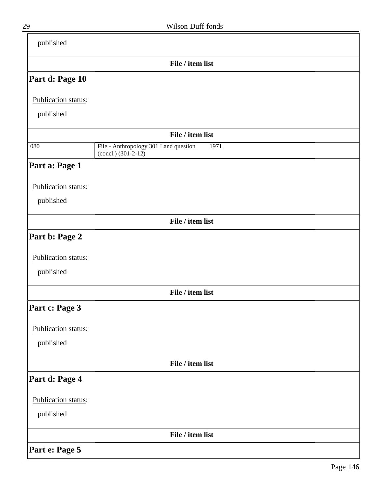| published           |                                                                          |  |
|---------------------|--------------------------------------------------------------------------|--|
|                     | File / item list                                                         |  |
| Part d: Page 10     |                                                                          |  |
| Publication status: |                                                                          |  |
| published           |                                                                          |  |
|                     | File / item list                                                         |  |
| 080                 | File - Anthropology 301 Land question<br>1971<br>$(concl.)$ $(301-2-12)$ |  |
| Part a: Page 1      |                                                                          |  |
| Publication status: |                                                                          |  |
| published           |                                                                          |  |
|                     | File / item list                                                         |  |
| Part b: Page 2      |                                                                          |  |
| Publication status: |                                                                          |  |
| published           |                                                                          |  |
|                     | File / item list                                                         |  |
| Part c: Page 3      |                                                                          |  |
| Publication status: |                                                                          |  |
| published           |                                                                          |  |
|                     | File / item list                                                         |  |
| Part d: Page 4      |                                                                          |  |
| Publication status: |                                                                          |  |
| published           |                                                                          |  |
|                     | File / item list                                                         |  |
| Part e: Page 5      |                                                                          |  |

ı

-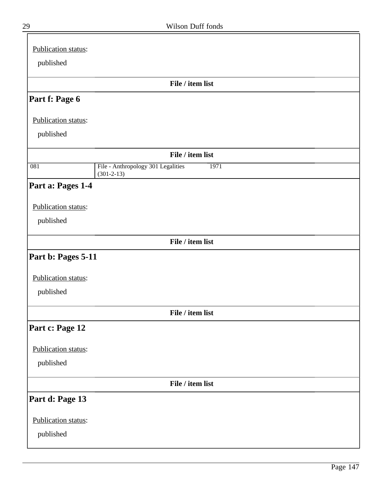| Publication status: |                                                                |
|---------------------|----------------------------------------------------------------|
| published           |                                                                |
|                     |                                                                |
|                     | File / item list                                               |
| Part f: Page 6      |                                                                |
| Publication status: |                                                                |
| published           |                                                                |
|                     | File / item list                                               |
| $\overline{081}$    | File - Anthropology 301 Legalities<br>1971<br>$(301 - 2 - 13)$ |
| Part a: Pages 1-4   |                                                                |
| Publication status: |                                                                |
| published           |                                                                |
|                     | File / item list                                               |
| Part b: Pages 5-11  |                                                                |
|                     |                                                                |
| Publication status: |                                                                |
| published           |                                                                |
|                     | File / item list                                               |
| Part c: Page 12     |                                                                |
| Publication status: |                                                                |
| published           |                                                                |
|                     | File / item list                                               |
| Part d: Page 13     |                                                                |
| Publication status: |                                                                |
| published           |                                                                |
|                     |                                                                |

 $\equiv$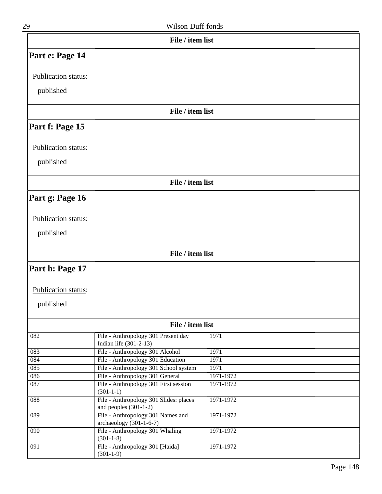|  | Wilson Duff fonds |  |
|--|-------------------|--|
|  |                   |  |

|                     | File / item list                                                  |           |
|---------------------|-------------------------------------------------------------------|-----------|
| Part e: Page 14     |                                                                   |           |
| Publication status: |                                                                   |           |
|                     |                                                                   |           |
| published           |                                                                   |           |
|                     | File / item list                                                  |           |
| Part f: Page 15     |                                                                   |           |
| Publication status: |                                                                   |           |
| published           |                                                                   |           |
|                     | File / item list                                                  |           |
| Part g: Page 16     |                                                                   |           |
|                     |                                                                   |           |
| Publication status: |                                                                   |           |
| published           |                                                                   |           |
|                     |                                                                   |           |
|                     | File / item list                                                  |           |
| Part h: Page 17     |                                                                   |           |
| Publication status: |                                                                   |           |
| published           |                                                                   |           |
|                     | File / item list                                                  |           |
| 082                 | File - Anthropology 301 Present day<br>Indian life (301-2-13)     | 1971      |
| 083                 | File - Anthropology 301 Alcohol                                   | 1971      |
| 084                 | File - Anthropology 301 Education                                 | 1971      |
| 085                 | File - Anthropology 301 School system                             | 1971      |
| 086                 | File - Anthropology 301 General                                   | 1971-1972 |
| 087                 | File - Anthropology 301 First session<br>$(301 - 1 - 1)$          | 1971-1972 |
| $\overline{088}$    | File - Anthropology 301 Slides: places<br>and peoples $(301-1-2)$ | 1971-1972 |
| 089                 | File - Anthropology 301 Names and<br>archaeology (301-1-6-7)      | 1971-1972 |
| 090                 | File - Anthropology 301 Whaling<br>$(301-1-8)$                    | 1971-1972 |
| $\overline{091}$    | File - Anthropology 301 [Haida]<br>$(301-1-9)$                    | 1971-1972 |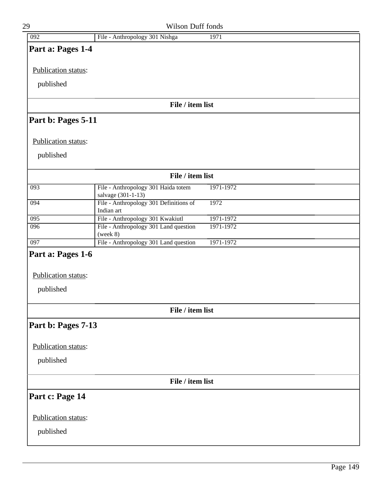| 29                  | Wilson Duff fonds                                         |           |  |
|---------------------|-----------------------------------------------------------|-----------|--|
| 092                 | File - Anthropology 301 Nishga                            | 1971      |  |
| Part a: Pages 1-4   |                                                           |           |  |
| Publication status: |                                                           |           |  |
| published           |                                                           |           |  |
|                     | File / item list                                          |           |  |
| Part b: Pages 5-11  |                                                           |           |  |
| Publication status: |                                                           |           |  |
| published           |                                                           |           |  |
|                     | File / item list                                          |           |  |
| 093                 | File - Anthropology 301 Haida totem<br>salvage (301-1-13) | 1971-1972 |  |
| 094                 | File - Anthropology 301 Definitions of<br>Indian art      | 1972      |  |
| 095                 | File - Anthropology 301 Kwakiutl                          | 1971-1972 |  |
| 096                 | File - Anthropology 301 Land question<br>(week 8)         | 1971-1972 |  |
| 097                 | File - Anthropology 301 Land question                     | 1971-1972 |  |
| Part a: Pages 1-6   |                                                           |           |  |
| Publication status: |                                                           |           |  |
| published           |                                                           |           |  |
|                     | File / item list                                          |           |  |
| Part b: Pages 7-13  |                                                           |           |  |
|                     |                                                           |           |  |
| Publication status: |                                                           |           |  |
| published           |                                                           |           |  |
|                     | File / item list                                          |           |  |
| Part c: Page 14     |                                                           |           |  |
| Publication status: |                                                           |           |  |
| published           |                                                           |           |  |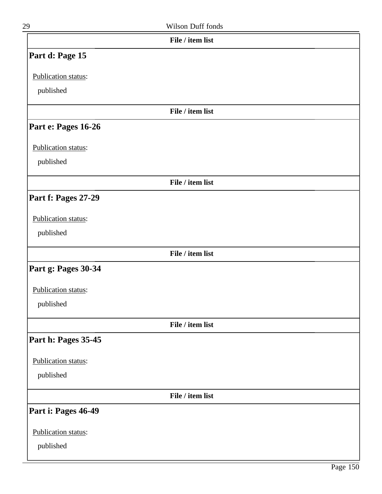| 29                  | Wilson Duff fonds |  |
|---------------------|-------------------|--|
|                     | File / item list  |  |
| Part d: Page 15     |                   |  |
| Publication status: |                   |  |
| published           |                   |  |
|                     | File / item list  |  |
| Part e: Pages 16-26 |                   |  |
| Publication status: |                   |  |
| published           |                   |  |
|                     | File / item list  |  |
| Part f: Pages 27-29 |                   |  |
| Publication status: |                   |  |
| published           |                   |  |
|                     | File / item list  |  |
| Part g: Pages 30-34 |                   |  |
| Publication status: |                   |  |
| published           |                   |  |
|                     | File / item list  |  |
| Part h: Pages 35-45 |                   |  |
| Publication status: |                   |  |
| published           |                   |  |
|                     | File / item list  |  |
| Part i: Pages 46-49 |                   |  |
| Publication status: |                   |  |
| published           |                   |  |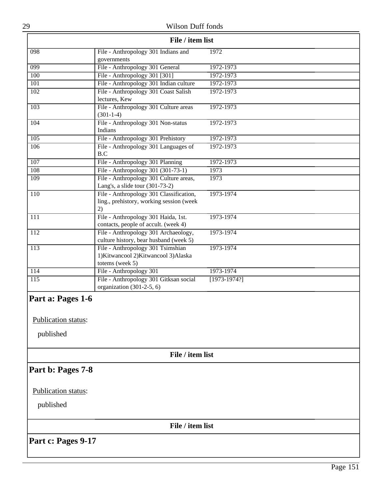| 29                                                    | Wilson Duff fonds                                                                             |                |  |
|-------------------------------------------------------|-----------------------------------------------------------------------------------------------|----------------|--|
| File / item list                                      |                                                                                               |                |  |
| 098                                                   | File - Anthropology 301 Indians and<br>governments                                            | 1972           |  |
| 099                                                   | File - Anthropology 301 General                                                               | 1972-1973      |  |
| 100                                                   | File - Anthropology 301 [301]                                                                 | 1972-1973      |  |
| 101                                                   | File - Anthropology 301 Indian culture                                                        | 1972-1973      |  |
| 102                                                   | File - Anthropology 301 Coast Salish<br>lectures, Kew                                         | 1972-1973      |  |
| 103                                                   | File - Anthropology 301 Culture areas<br>$(301-1-4)$                                          | 1972-1973      |  |
| 104                                                   | File - Anthropology 301 Non-status<br>Indians                                                 | 1972-1973      |  |
| 105                                                   | File - Anthropology 301 Prehistory                                                            | 1972-1973      |  |
| 106                                                   | File - Anthropology 301 Languages of<br>B.C                                                   | 1972-1973      |  |
| 107                                                   | File - Anthropology 301 Planning                                                              | 1972-1973      |  |
| 108                                                   | File - Anthropology 301 (301-73-1)                                                            | 1973           |  |
| 109                                                   | File - Anthropology 301 Culture areas,<br>Lang's, a slide tour (301-73-2)                     | 1973           |  |
| 110                                                   | File - Anthropology 301 Classification,<br>ling., prehistory, working session (week<br>2)     | 1973-1974      |  |
| 111                                                   | File - Anthropology 301 Haida, 1st.<br>contacts, people of accult. (week 4)                   | 1973-1974      |  |
| 112                                                   | File - Anthropology 301 Archaeology,<br>culture history, bear husband (week 5)                | 1973-1974      |  |
| 113                                                   | File - Anthropology 301 Tsimshian<br>1) Kitwancool 2) Kitwancool 3) Alaska<br>totems (week 5) | 1973-1974      |  |
| 114                                                   | File - Anthropology 301                                                                       | 1973-1974      |  |
| $\overline{115}$                                      | File - Anthropology 301 Gitksan social<br>organization (301-2-5, 6)                           | $[1973-1974?]$ |  |
| Part a: Pages 1-6<br>Publication status:<br>published |                                                                                               |                |  |
|                                                       | File / item list                                                                              |                |  |
| Part b: Pages 7-8                                     |                                                                                               |                |  |
| Publication status:                                   |                                                                                               |                |  |
| published                                             |                                                                                               |                |  |
|                                                       | File / item list                                                                              |                |  |
| Part c: Pages 9-17                                    |                                                                                               |                |  |
|                                                       |                                                                                               |                |  |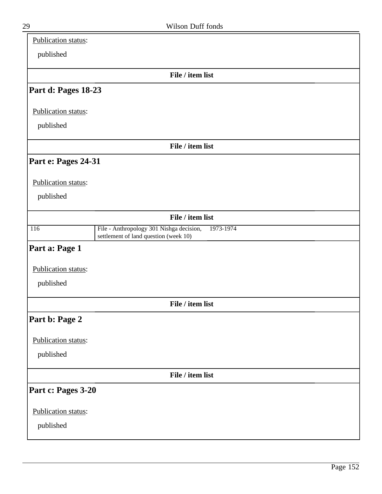| Publication status: |                                                                                                |
|---------------------|------------------------------------------------------------------------------------------------|
| published           |                                                                                                |
|                     | File / item list                                                                               |
| Part d: Pages 18-23 |                                                                                                |
| Publication status: |                                                                                                |
| published           |                                                                                                |
|                     | File / item list                                                                               |
| Part e: Pages 24-31 |                                                                                                |
| Publication status: |                                                                                                |
| published           |                                                                                                |
|                     | File / item list                                                                               |
| $\overline{116}$    | File - Anthropology 301 Nishga decision,<br>1973-1974<br>settlement of land question (week 10) |
| Part a: Page 1      |                                                                                                |
| Publication status: |                                                                                                |
| published           |                                                                                                |
|                     | File / item list                                                                               |
| Part b: Page 2      |                                                                                                |
| Publication status: |                                                                                                |
| published           |                                                                                                |
|                     | File / item list                                                                               |
| Part c: Pages 3-20  |                                                                                                |
| Publication status: |                                                                                                |
| published           |                                                                                                |
|                     |                                                                                                |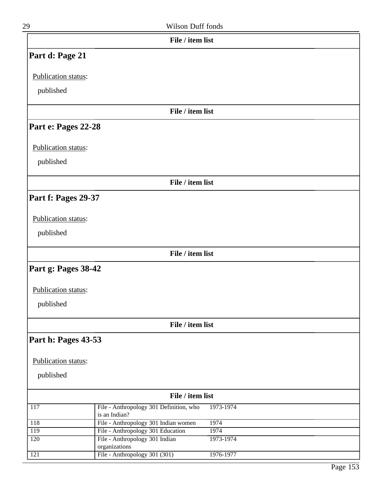| 29                  | Wilson Duff fonds                                        |           |  |
|---------------------|----------------------------------------------------------|-----------|--|
|                     | File / item list                                         |           |  |
| Part d: Page 21     |                                                          |           |  |
| Publication status: |                                                          |           |  |
| published           |                                                          |           |  |
|                     | File / item list                                         |           |  |
| Part e: Pages 22-28 |                                                          |           |  |
| Publication status: |                                                          |           |  |
| published           |                                                          |           |  |
|                     | File / item list                                         |           |  |
| Part f: Pages 29-37 |                                                          |           |  |
| Publication status: |                                                          |           |  |
| published           |                                                          |           |  |
|                     | File / item list                                         |           |  |
| Part g: Pages 38-42 |                                                          |           |  |
| Publication status: |                                                          |           |  |
| published           |                                                          |           |  |
|                     | File / item list                                         |           |  |
| Part h: Pages 43-53 |                                                          |           |  |
| Publication status: |                                                          |           |  |
| published           |                                                          |           |  |
|                     | File / item list                                         |           |  |
| 117                 | File - Anthropology 301 Definition, who<br>is an Indian? | 1973-1974 |  |
| 118                 | File - Anthropology 301 Indian women                     | 1974      |  |
| 119                 | File - Anthropology 301 Education                        | 1974      |  |
| 120                 | File - Anthropology 301 Indian<br>organizations          | 1973-1974 |  |
| 121                 | File - Anthropology 301 (301)                            | 1976-1977 |  |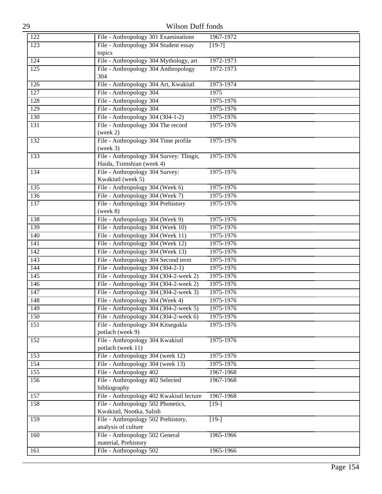| 29               | Wilson Duff fonds                                       |               |  |
|------------------|---------------------------------------------------------|---------------|--|
| 122              | File - Anthropology 301 Examinations                    | 1967-1972     |  |
| $\overline{123}$ | File - Anthropology 304 Student essay                   | $[19-?]$      |  |
|                  | topics                                                  |               |  |
| 124              | File - Anthropology 304 Mythology, art                  | 1972-1973     |  |
| 125              | File - Anthropology 304 Anthropology<br>304             | 1972-1973     |  |
| 126              | File - Anthropology 304 Art, Kwakiutl                   | 1973-1974     |  |
| 127              | File - Anthropology 304                                 | 1975          |  |
| 128              | File - Anthropology 304                                 | 1975-1976     |  |
| 129              | File - Anthropology 304                                 | 1975-1976     |  |
| $\overline{130}$ | File - Anthropology 304 (304-1-2)                       | 1975-1976     |  |
| 131              | File - Anthropology 304 The record                      | 1975-1976     |  |
|                  | (week 2)                                                |               |  |
| 132              | File - Anthropology 304 Time profile<br>(week 3)        | 1975-1976     |  |
| 133              | File - Anthropology 304 Survey: Tlingit,                | 1975-1976     |  |
|                  | Haida, Tsimshian (week 4)                               |               |  |
| 134              | File - Anthropology 304 Survey:<br>Kwakiutl (week 5)    | 1975-1976     |  |
| 135              | File - Anthropology 304 (Week 6)                        | 1975-1976     |  |
| 136              | File - Anthropology 304 (Week 7)                        | 1975-1976     |  |
| 137              | File - Anthropology 304 Prehistory                      | 1975-1976     |  |
|                  | (week 8)                                                |               |  |
| 138              | File - Anthropology 304 (Week 9)                        | 1975-1976     |  |
| 139              | File - Anthropology 304 (Week 10)                       | 1975-1976     |  |
| 140              | File - Anthropology 304 (Week 11)                       | 1975-1976     |  |
| 141              | File - Anthropology 304 (Week 12)                       | 1975-1976     |  |
| 142              | File - Anthropology 304 (Week 13)                       | 1975-1976     |  |
| 143              | File - Anthropology 304 Second term                     | 1975-1976     |  |
| 144              | File - Anthropology 304 $(304-2-1)$                     | $1975 - 1976$ |  |
| 145              | File - Anthropology 304 (304-2-week 2)                  | 1975-1976     |  |
| 146              | File - Anthropology 304 (304-2-week 2)                  | 1975-1976     |  |
| 147              | File - Anthropology 304 (304-2-week 3)                  | 1975-1976     |  |
| 148              | File - Anthropology 304 (Week 4)                        | 1975-1976     |  |
| 149              | File - Anthropology 304 (304-2-week 5)                  | 1975-1976     |  |
| 150              | File - Anthropology 304 (304-2-week 6)                  | 1975-1976     |  |
| 151              | File - Anthropology 304 Kitsegukla<br>potlach (week 9)  | 1975-1976     |  |
| 152              | File - Anthropology 304 Kwakiutl                        | 1975-1976     |  |
|                  | potlach (week 11)                                       |               |  |
| 153              | File - Anthropology 304 (week 12)                       | 1975-1976     |  |
| 154              | File - Anthropology 304 (week 13)                       | 1975-1976     |  |
| 155              | File - Anthropology 402                                 | 1967-1968     |  |
| 156              | File - Anthropology 402 Selected<br>bibliography        | 1967-1968     |  |
| 157              | File - Anthropology 402 Kwakiutl lecture                | 1967-1968     |  |
| 158              | File - Anthropology 502 Phonetics,                      | $[19-]$       |  |
|                  | Kwakiutl, Nootka, Salish                                |               |  |
| 159              | File - Anthropology 502 Prehistory,                     | $[19-]$       |  |
|                  | analysis of culture                                     |               |  |
| 160              | File - Anthropology 502 General<br>material, Prehistory | 1965-1966     |  |
| 161              | File - Anthropology 502                                 | 1965-1966     |  |
|                  |                                                         |               |  |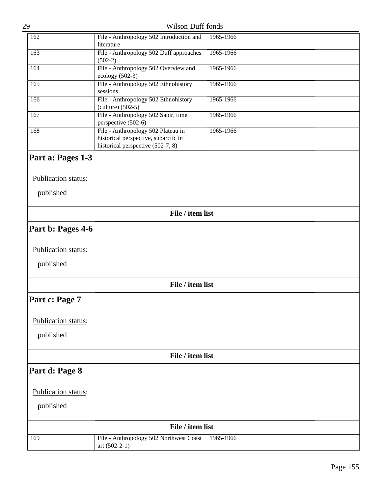| 29                  | Wilson Duff fonds                                                                                               |           |  |
|---------------------|-----------------------------------------------------------------------------------------------------------------|-----------|--|
| 162                 | File - Anthropology 502 Introduction and<br>literature                                                          | 1965-1966 |  |
| 163                 | File - Anthropology 502 Duff approaches<br>$(502-2)$                                                            | 1965-1966 |  |
| 164                 | File - Anthropology 502 Overview and<br>ecology (502-3)                                                         | 1965-1966 |  |
| 165                 | File - Anthropology 502 Ethnohistory<br>sessions                                                                | 1965-1966 |  |
| 166                 | File - Anthropology 502 Ethnohistory<br>$(culture)$ (502-5)                                                     | 1965-1966 |  |
| 167                 | File - Anthropology 502 Sapir, time<br>perspective (502-6)                                                      | 1965-1966 |  |
| 168                 | File - Anthropology 502 Plateau in<br>historical perspective, subarctic in<br>historical perspective (502-7, 8) | 1965-1966 |  |
| Part a: Pages 1-3   |                                                                                                                 |           |  |
| Publication status: |                                                                                                                 |           |  |
| published           |                                                                                                                 |           |  |
|                     | File / item list                                                                                                |           |  |
| Part b: Pages 4-6   |                                                                                                                 |           |  |
| Publication status: |                                                                                                                 |           |  |
| published           |                                                                                                                 |           |  |
|                     | File / item list                                                                                                |           |  |
| Part c: Page 7      |                                                                                                                 |           |  |
| Publication status: |                                                                                                                 |           |  |
| published           |                                                                                                                 |           |  |
|                     | File / item list                                                                                                |           |  |
| Part d: Page 8      |                                                                                                                 |           |  |
| Publication status: |                                                                                                                 |           |  |
| published           |                                                                                                                 |           |  |
|                     | File / item list                                                                                                |           |  |
| 169                 | File - Anthropology 502 Northwest Coast<br>art $(502-2-1)$                                                      | 1965-1966 |  |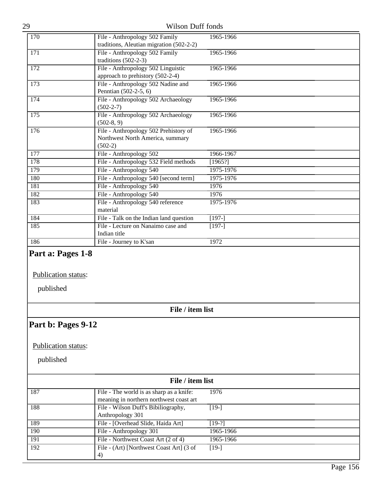| 29 |     | <b>Wilson Duff fonds</b>                                                               |           |  |
|----|-----|----------------------------------------------------------------------------------------|-----------|--|
|    | 170 | File - Anthropology 502 Family<br>traditions, Aleutian migration (502-2-2)             | 1965-1966 |  |
|    | 171 | File - Anthropology 502 Family<br>traditions $(502-2-3)$                               | 1965-1966 |  |
|    | 172 | File - Anthropology 502 Linguistic<br>approach to prehistory (502-2-4)                 | 1965-1966 |  |
|    | 173 | File - Anthropology 502 Nadine and<br>Penntian (502-2-5, 6)                            | 1965-1966 |  |
|    | 174 | File - Anthropology 502 Archaeology<br>$(502 - 2 - 7)$                                 | 1965-1966 |  |
|    | 175 | File - Anthropology 502 Archaeology<br>$(502-8, 9)$                                    | 1965-1966 |  |
|    | 176 | File - Anthropology 502 Prehistory of<br>Northwest North America, summary<br>$(502-2)$ | 1965-1966 |  |
|    | 177 | File - Anthropology 502                                                                | 1966-1967 |  |
|    | 178 | File - Anthropology 532 Field methods                                                  | [1965!]   |  |
|    | 179 | File - Anthropology 540                                                                | 1975-1976 |  |
|    | 180 | File - Anthropology 540 [second term]                                                  | 1975-1976 |  |
|    | 181 | File - Anthropology 540                                                                | 1976      |  |
|    | 182 | File - Anthropology 540                                                                | 1976      |  |
|    | 183 | File - Anthropology 540 reference<br>material                                          | 1975-1976 |  |
|    | 184 | File - Talk on the Indian land question                                                | $[197-]$  |  |
|    | 185 | File - Lecture on Nanaimo case and<br>Indian title                                     | $[197-]$  |  |
|    | 186 | File - Journey to K'san                                                                | 1972      |  |

# **Part a: Pages 1-8**

## Publication status:

published

**File / item list**

# **Part b: Pages 9-12**

## Publication status:

| File / item list |                                                                                     |           |  |
|------------------|-------------------------------------------------------------------------------------|-----------|--|
| 187              | File - The world is as sharp as a knife:<br>meaning in northern northwest coast art | 1976      |  |
| 188              | File - Wilson Duff's Bibiliography,<br>Anthropology 301                             | $[19-]$   |  |
| 189              | File - [Overhead Slide, Haida Art]                                                  | $[19-?]$  |  |
| 190              | File - Anthropology 301                                                             | 1965-1966 |  |
| 191              | File - Northwest Coast Art (2 of 4)                                                 | 1965-1966 |  |
| 192              | File - (Art) [Northwest Coast Art] (3 of<br>4)                                      | $[19-]$   |  |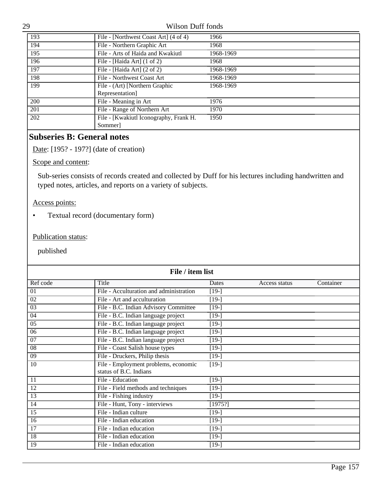| 193        | File - [Northwest Coast Art] (4 of 4)  | 1966      |
|------------|----------------------------------------|-----------|
| 194        | File - Northern Graphic Art            | 1968      |
| 195        | File - Arts of Haida and Kwakiutl      | 1968-1969 |
| 196        | File - [Haida Art] $(1 \text{ of } 2)$ | 1968      |
| 197        | File - [Haida Art] $(2 \text{ of } 2)$ | 1968-1969 |
| 198        | File - Northwest Coast Art             | 1968-1969 |
| 199        | File - (Art) [Northern Graphic         | 1968-1969 |
|            | Representation]                        |           |
| <b>200</b> | File - Meaning in Art                  | 1976      |
| 201        | File - Range of Northern Art           | 1970      |
| 202        | File - [Kwakiutl Iconography, Frank H. | 1950      |
|            | Sommer]                                |           |

# **Subseries B: General notes**

Date: [195? - 197?] (date of creation)

## Scope and content:

Sub-series consists of records created and collected by Duff for his lectures including handwritten and typed notes, articles, and reports on a variety of subjects.

### Access points:

• Textual record (documentary form)

### Publication status:

| File / item list |                                                                |         |               |           |  |
|------------------|----------------------------------------------------------------|---------|---------------|-----------|--|
| Ref code         | Title                                                          | Dates   | Access status | Container |  |
| 01               | File - Acculturation and administration                        | $[19-]$ |               |           |  |
| 02               | File - Art and acculturation                                   | $[19-]$ |               |           |  |
| $\overline{03}$  | File - B.C. Indian Advisory Committee                          | $[19-]$ |               |           |  |
| 04               | File - B.C. Indian language project                            | $[19-]$ |               |           |  |
| 0 <sub>5</sub>   | File - B.C. Indian language project                            | $[19-]$ |               |           |  |
| 06               | File - B.C. Indian language project                            | $[19-]$ |               |           |  |
| 07               | File - B.C. Indian language project                            | $[19-]$ |               |           |  |
| 08               | File - Coast Salish house types                                | $[19-]$ |               |           |  |
| $\overline{09}$  | File - Druckers, Philip thesis                                 | $[19-]$ |               |           |  |
| 10               | File - Employment problems, economic<br>status of B.C. Indians | $[19-]$ |               |           |  |
| 11               | File - Education                                               | $[19-]$ |               |           |  |
| 12               | File - Field methods and techniques                            | $[19-]$ |               |           |  |
| 13               | File - Fishing industry                                        | $[19-]$ |               |           |  |
| 14               | File - Hunt, Tony - interviews                                 | [1975!] |               |           |  |
| $\overline{15}$  | File - Indian culture                                          | $[19-]$ |               |           |  |
| 16               | File - Indian education                                        | $[19-]$ |               |           |  |
| 17               | File - Indian education                                        | $[19-]$ |               |           |  |
| 18               | File - Indian education                                        | $[19-]$ |               |           |  |
| 19               | File - Indian education                                        | $[19-]$ |               |           |  |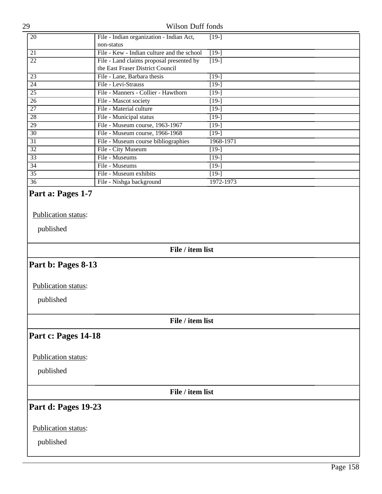| 29                  | Wilson Duff fonds                                                            |                    |
|---------------------|------------------------------------------------------------------------------|--------------------|
| 20                  | File - Indian organization - Indian Act,<br>non-status                       | $[19-]$            |
| 21                  | File - Kew - Indian culture and the school                                   | $\overline{[19-]}$ |
| $\overline{22}$     | File - Land claims proposal presented by<br>the East Fraser District Council | $\overline{[19-]}$ |
| 23                  | File - Lane, Barbara thesis                                                  | $[19-]$            |
| $\overline{24}$     | File - Levi-Strauss                                                          | $[19-]$            |
| $\overline{25}$     | File - Manners - Collier - Hawthorn                                          | $[19-]$            |
| 26                  | File - Mascot society                                                        | $[19-]$            |
| $\overline{27}$     | File - Material culture                                                      | $[19-]$            |
| $\overline{28}$     | File - Municipal status                                                      | $[19-]$            |
| 29                  | File - Museum course, 1963-1967                                              | $[19-]$            |
| 30                  | File - Museum course, 1966-1968                                              | $[19-]$            |
| $\overline{31}$     | File - Museum course bibliographies                                          | 1968-1971          |
| 32                  | File - City Museum                                                           | $[19-]$            |
| $\overline{33}$     | File - Museums                                                               | $[19-]$            |
| $\overline{34}$     | File - Museums                                                               | $[19-]$            |
| $\overline{35}$     | File - Museum exhibits                                                       | $[19-]$            |
| $\overline{36}$     | File - Nishga background                                                     | 1972-1973          |
| published           |                                                                              |                    |
|                     | File / item list                                                             |                    |
| Part b: Pages 8-13  |                                                                              |                    |
| Publication status: |                                                                              |                    |
| published           |                                                                              |                    |
|                     | File / item list                                                             |                    |
| Part c: Pages 14-18 |                                                                              |                    |
| Publication status: |                                                                              |                    |
| published           |                                                                              |                    |
|                     | File / item list                                                             |                    |
| Part d: Pages 19-23 |                                                                              |                    |
| Publication status: |                                                                              |                    |
|                     |                                                                              |                    |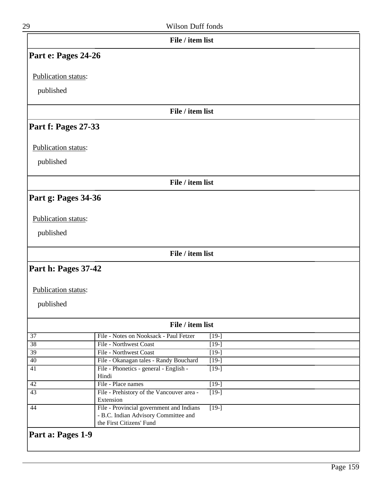| 29                    | Wilson Duff fonds                                                                                            |                               |
|-----------------------|--------------------------------------------------------------------------------------------------------------|-------------------------------|
|                       | File / item list                                                                                             |                               |
| Part e: Pages 24-26   |                                                                                                              |                               |
| Publication status:   |                                                                                                              |                               |
|                       |                                                                                                              |                               |
| published             |                                                                                                              |                               |
|                       | File / item list                                                                                             |                               |
| Part f: Pages 27-33   |                                                                                                              |                               |
| Publication status:   |                                                                                                              |                               |
|                       |                                                                                                              |                               |
| published             |                                                                                                              |                               |
|                       | File / item list                                                                                             |                               |
|                       |                                                                                                              |                               |
| Part g: Pages 34-36   |                                                                                                              |                               |
|                       |                                                                                                              |                               |
| Publication status:   |                                                                                                              |                               |
| published             |                                                                                                              |                               |
|                       | File / item list                                                                                             |                               |
| Part h: Pages 37-42   |                                                                                                              |                               |
| Publication status:   |                                                                                                              |                               |
|                       |                                                                                                              |                               |
| published             |                                                                                                              |                               |
|                       | File / item list                                                                                             |                               |
|                       |                                                                                                              |                               |
| $\overline{37}$<br>38 | File - Notes on Nooksack - Paul Fetzer<br>File - Northwest Coast                                             | $[19-]$<br>$\overline{[19-]}$ |
| $\overline{39}$       | File - Northwest Coast                                                                                       | $[19-]$                       |
| 40                    | File - Okanagan tales - Randy Bouchard                                                                       | $[19-]$                       |
| 41                    | File - Phonetics - general - English -                                                                       | $[19-]$                       |
|                       | Hindi                                                                                                        |                               |
| 42                    | File - Place names                                                                                           | $[19-]$                       |
| $\overline{43}$       | File - Prehistory of the Vancouver area -<br>Extension                                                       | $[19-]$                       |
| 44                    | File - Provincial government and Indians<br>- B.C. Indian Advisory Committee and<br>the First Citizens' Fund | $\overline{[19-]}$            |
| Part a: Pages 1-9     |                                                                                                              |                               |
|                       |                                                                                                              |                               |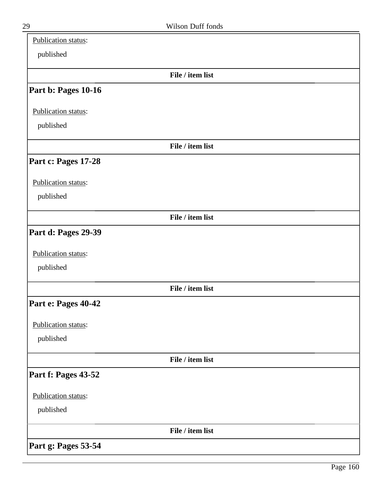| Publication status: |                  |  |
|---------------------|------------------|--|
| published           |                  |  |
|                     | File / item list |  |
| Part b: Pages 10-16 |                  |  |
| Publication status: |                  |  |
| published           |                  |  |
|                     | File / item list |  |
| Part c: Pages 17-28 |                  |  |
| Publication status: |                  |  |
| published           |                  |  |
|                     | File / item list |  |
| Part d: Pages 29-39 |                  |  |
| Publication status: |                  |  |
| published           |                  |  |
|                     | File / item list |  |
| Part e: Pages 40-42 |                  |  |
| Publication status: |                  |  |
| published           |                  |  |
|                     | File / item list |  |
| Part f: Pages 43-52 |                  |  |
| Publication status: |                  |  |
| published           |                  |  |
|                     | File / item list |  |
| Part g: Pages 53-54 |                  |  |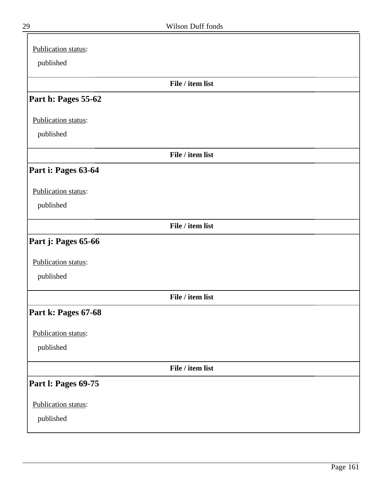| Publication status:        |
|----------------------------|
| published                  |
| File / item list           |
| Part h: Pages 55-62        |
| Publication status:        |
| published                  |
| File / item list           |
| Part i: Pages 63-64        |
| Publication status:        |
| published                  |
| File / item list           |
| Part j: Pages 65-66        |
| Publication status:        |
| published                  |
| File / item list           |
| Part k: Pages 67-68        |
| Publication status:        |
| published                  |
| File / item list           |
| <b>Part I: Pages 69-75</b> |
| Publication status:        |
| published                  |

╕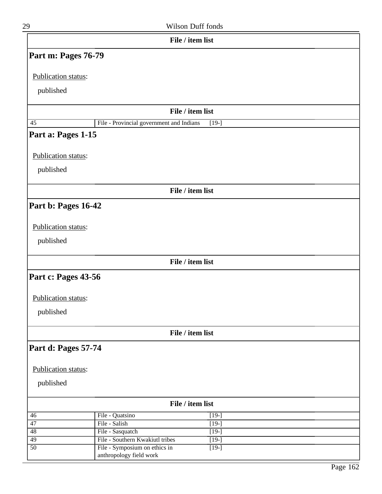| 29                  |                                                     | Wilson Duff fonds                        |
|---------------------|-----------------------------------------------------|------------------------------------------|
|                     | File / item list                                    |                                          |
| Part m: Pages 76-79 |                                                     |                                          |
| Publication status: |                                                     |                                          |
| published           |                                                     |                                          |
|                     |                                                     |                                          |
|                     | File / item list                                    |                                          |
| $\overline{45}$     | File - Provincial government and Indians            | $[19-]$                                  |
| Part a: Pages 1-15  |                                                     |                                          |
| Publication status: |                                                     |                                          |
| published           |                                                     |                                          |
|                     |                                                     |                                          |
|                     | File / item list                                    |                                          |
| Part b: Pages 16-42 |                                                     |                                          |
|                     |                                                     |                                          |
| Publication status: |                                                     |                                          |
| published           |                                                     |                                          |
|                     |                                                     |                                          |
|                     | File / item list                                    |                                          |
| Part c: Pages 43-56 |                                                     |                                          |
|                     |                                                     |                                          |
| Publication status: |                                                     |                                          |
| published           |                                                     |                                          |
|                     |                                                     |                                          |
|                     | File / item list                                    |                                          |
| Part d: Pages 57-74 |                                                     |                                          |
|                     |                                                     |                                          |
| Publication status: |                                                     |                                          |
| published           |                                                     |                                          |
|                     |                                                     |                                          |
|                     | File / item list                                    |                                          |
| 46                  | File - Quatsino                                     | $[19-]$                                  |
| 47                  | File - Salish                                       | $[19-]$                                  |
| 48<br>49            | File - Sasquatch<br>File - Southern Kwakiutl tribes | $\overline{[19-]}$<br>$\overline{[19-]}$ |
| $\overline{50}$     | File - Symposium on ethics in                       | $[19-]$                                  |
|                     | anthropology field work                             |                                          |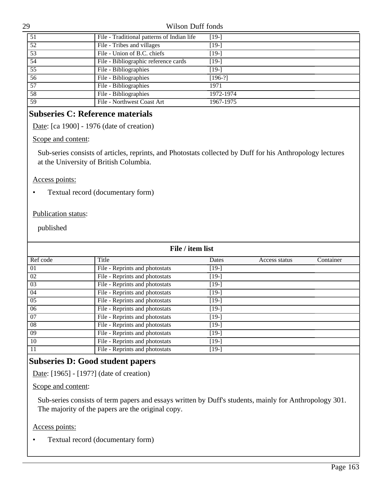| 51              | File - Traditional patterns of Indian life | $[19-]$   |
|-----------------|--------------------------------------------|-----------|
| 52              | File - Tribes and villages                 | $[19-]$   |
| 53              | File - Union of B.C. chiefs                | $[19-]$   |
| 54              | File - Bibliographic reference cards       | $[19-]$   |
| $5\overline{5}$ | File - Bibliographies                      | [19-]     |
| 56              | File - Bibliographies                      | $[196-?]$ |
| 57              | File - Bibliographies                      | 1971      |
| 58              | File - Bibliographies                      | 1972-1974 |
| 59              | File - Northwest Coast Art                 | 1967-1975 |

# **Subseries C: Reference materials**

Date: [ca 1900] - 1976 (date of creation)

#### Scope and content:

Sub-series consists of articles, reprints, and Photostats collected by Duff for his Anthropology lectures at the University of British Columbia.

#### Access points:

• Textual record (documentary form)

### Publication status:

published

| File / item list |                                |         |               |           |  |
|------------------|--------------------------------|---------|---------------|-----------|--|
| Ref code         | Title                          | Dates   | Access status | Container |  |
| 01               | File - Reprints and photostats | $[19-]$ |               |           |  |
| 02               | File - Reprints and photostats | [19-]   |               |           |  |
| 03               | File - Reprints and photostats | $[19-]$ |               |           |  |
| 04               | File - Reprints and photostats | [19-]   |               |           |  |
| 05               | File - Reprints and photostats | $[19-]$ |               |           |  |
| 06               | File - Reprints and photostats | $[19-]$ |               |           |  |
| 07               | File - Reprints and photostats | [19-]   |               |           |  |
| 08               | File - Reprints and photostats | $[19-]$ |               |           |  |
| 09               | File - Reprints and photostats | $[19-]$ |               |           |  |
| 10               | File - Reprints and photostats | $[19-]$ |               |           |  |
| 11               | File - Reprints and photostats | [19-]   |               |           |  |

# **Subseries D: Good student papers**

Date: [1965] - [197?] (date of creation)

## Scope and content:

Sub-series consists of term papers and essays written by Duff's students, mainly for Anthropology 301. The majority of the papers are the original copy.

#### Access points:

• Textual record (documentary form)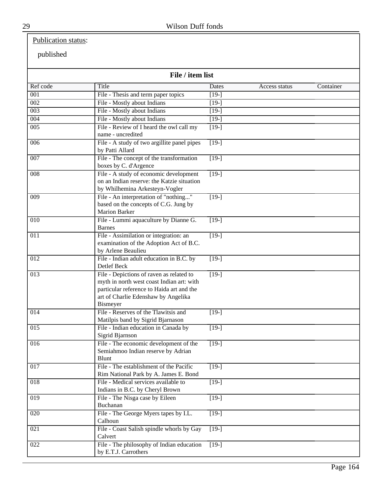# Publication status:

| File / item list |                                                                                                                                                                                       |                    |               |           |  |
|------------------|---------------------------------------------------------------------------------------------------------------------------------------------------------------------------------------|--------------------|---------------|-----------|--|
| Ref code         | Title                                                                                                                                                                                 | Dates              | Access status | Container |  |
| $\overline{001}$ | File - Thesis and term paper topics                                                                                                                                                   | $[19-]$            |               |           |  |
| $\overline{002}$ | File - Mostly about Indians                                                                                                                                                           | $[19-]$            |               |           |  |
| 003              | File - Mostly about Indians                                                                                                                                                           | $[19-]$            |               |           |  |
| 004              | File - Mostly about Indians                                                                                                                                                           | $[19-]$            |               |           |  |
| $\overline{005}$ | File - Review of I heard the owl call my<br>name - uncredited                                                                                                                         | $\boxed{19}$       |               |           |  |
| 006              | File - A study of two argillite panel pipes<br>by Patti Allard                                                                                                                        | $[19-]$            |               |           |  |
| 007              | File - The concept of the transformation<br>boxes by C. d'Argence                                                                                                                     | $[19-]$            |               |           |  |
| $\overline{008}$ | File - A study of economic development<br>on an Indian reserve: the Katzie situation<br>by Whilhemina Arkesteyn-Vogler                                                                | $[19-]$            |               |           |  |
| 009              | File - An interpretation of "nothing"<br>based on the concepts of C.G. Jung by<br><b>Marion Barker</b>                                                                                | $[19-]$            |               |           |  |
| 010              | File - Lummi aquaculture by Dianne G.<br><b>Barnes</b>                                                                                                                                | $[19-]$            |               |           |  |
| 011              | File - Assimilation or integration: an<br>examination of the Adoption Act of B.C.<br>by Arlene Beaulieu                                                                               | $[19-]$            |               |           |  |
| 012              | File - Indian adult education in B.C. by<br>Detlef Beck                                                                                                                               | $[19-]$            |               |           |  |
| 013              | File - Depictions of raven as related to<br>myth in north west coast Indian art: with<br>particular reference to Haida art and the<br>art of Charlie Edenshaw by Angelika<br>Bismeyer | $[19-]$            |               |           |  |
| $\overline{014}$ | File - Reserves of the Tlawitsis and<br>Matilpis band by Sigrid Bjarnason                                                                                                             | $\overline{[19-]}$ |               |           |  |
| 015              | File - Indian education in Canada by<br>Sigrid Bjarnson                                                                                                                               | $[19-]$            |               |           |  |
| 016              | File - The economic development of the<br>Semiahmoo Indian reserve by Adrian<br>Blunt                                                                                                 | $[19-]$            |               |           |  |
| $\overline{017}$ | File - The establishment of the Pacific<br>Rim National Park by A. James E. Bond                                                                                                      | $\overline{[19-]}$ |               |           |  |
| $\overline{018}$ | File - Medical services available to<br>Indians in B.C. by Cheryl Brown                                                                                                               | $[19-]$            |               |           |  |
| $\overline{019}$ | File - The Nisga case by Eileen<br>Buchanan                                                                                                                                           | $\overline{[19-]}$ |               |           |  |
| $\overline{020}$ | File - The George Myers tapes by I.L.<br>Calhoun                                                                                                                                      | $\boxed{19}$       |               |           |  |
| 021              | File - Coast Salish spindle whorls by Gay<br>Calvert                                                                                                                                  | $[19-]$            |               |           |  |
| 022              | File - The philosophy of Indian education<br>by E.T.J. Carrothers                                                                                                                     | $[19-]$            |               |           |  |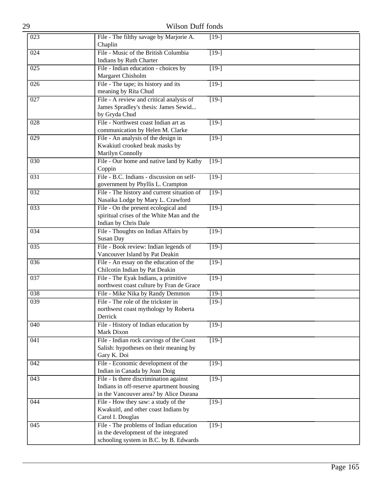| 29               | Wilson Duff fonds                                                                                                            |                    |
|------------------|------------------------------------------------------------------------------------------------------------------------------|--------------------|
| 023              | File - The filthy savage by Marjorie A.<br>Chaplin                                                                           | $[19-]$            |
| 024              | File - Music of the British Columbia<br>Indians by Ruth Charter                                                              | $[19-]$            |
| 025              | File - Indian education - choices by<br>Margaret Chisholm                                                                    | $\overline{[19-]}$ |
| 026              | File - The tape; its history and its<br>meaning by Rita Chud                                                                 | $\overline{[19-]}$ |
| 027              | File - A review and critical analysis of<br>James Spradley's thesis: James Sewid<br>by Gryda Chud                            | $[19-]$            |
| 028              | File - Northwest coast Indian art as<br>communication by Helen M. Clarke                                                     | $[19-]$            |
| 029              | File - An analysis of the design in<br>Kwakiutl crooked beak masks by<br>Marilyn Connolly                                    | $[19-]$            |
| 030              | File - Our home and native land by Kathy<br>Coppin                                                                           | $[19-]$            |
| $\overline{031}$ | File - B.C. Indians - discussion on self-<br>government by Phyllis L. Crampton                                               | $\overline{[19-]}$ |
| 032              | File - The history and current situation of<br>Nasaika Lodge by Mary L. Crawford                                             | $[19-]$            |
| 033              | File - On the present ecological and<br>spiritual crises of the White Man and the<br>Indian by Chris Dale                    | $[19-]$            |
| 034              | File - Thoughts on Indian Affairs by<br>Susan Day                                                                            | $[19-]$            |
| 035              | File - Book review: Indian legends of<br>Vancouver Island by Pat Deakin                                                      | $[19-]$            |
| 036              | File - An essay on the education of the<br>Chilcotin Indian by Pat Deakin                                                    | $[19-]$            |
| 037              | File - The Eyak Indians, a primitive<br>northwest coast culture by Fran de Grace                                             | $\boxed{19}$       |
| 038              | File - Mike Nika by Randy Demmon                                                                                             | $[19-]$            |
| 039              | File - The role of the trickster in<br>northwest coast mythology by Roberta<br>Derrick                                       | $[19-]$            |
| 040              | File - History of Indian education by<br>Mark Dixon                                                                          | $[19-]$            |
| 041              | File - Indian rock carvings of the Coast<br>Salish: hypotheses on their meaning by<br>Gary K. Doi                            | $[19-]$            |
| 042              | File - Economic development of the<br>Indian in Canada by Joan Doig                                                          | $[19-]$            |
| 043              | File - Is there discrimination against<br>Indians in off-reserve apartment housing<br>in the Vancouver area? by Alice Durana | $\boxed{19}$       |
| 044              | File - How they saw: a study of the<br>Kwakuitl, and other coast Indians by<br>Carol I. Douglas                              | $[19-]$            |
| 045              | File - The problems of Indian education<br>in the development of the integrated<br>schooling system in B.C. by B. Edwards    | $[19-]$            |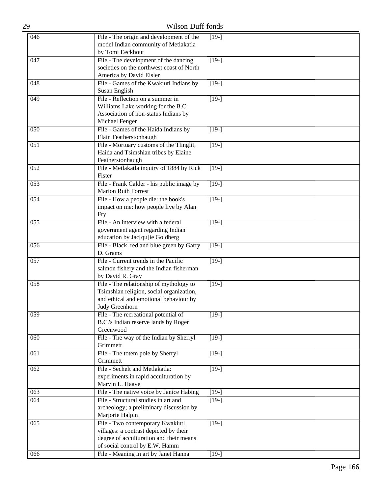| 29  | <b>Wilson Duff fonds</b>                                                                                                                                |                    |
|-----|---------------------------------------------------------------------------------------------------------------------------------------------------------|--------------------|
| 046 | File - The origin and development of the<br>model Indian community of Metlakatla<br>by Tomi Eeckhout                                                    | $[19-]$            |
| 047 | File - The development of the dancing<br>societies on the northwest coast of North<br>America by David Eisler                                           | $\boxed{19}$       |
| 048 | File - Games of the Kwakiutl Indians by<br>Susan English                                                                                                | $[19-]$            |
| 049 | File - Reflection on a summer in<br>Williams Lake working for the B.C.<br>Association of non-status Indians by<br>Michael Fenger                        | $[19-]$            |
| 050 | File - Games of the Haida Indians by<br>Elain Featherstonhaugh                                                                                          | $[19-]$            |
| 051 | File - Mortuary customs of the Tlinglit,<br>Haida and Tsimshian tribes by Elaine<br>Featherstonhaugh                                                    | $[19-]$            |
| 052 | File - Metlakatla inquiry of 1884 by Rick<br>Fister                                                                                                     | $[19-]$            |
| 053 | File - Frank Calder - his public image by<br><b>Marion Ruth Forrest</b>                                                                                 | $[19-]$            |
| 054 | File - How a people die: the book's<br>impact on me: how people live by Alan<br>Fry                                                                     | $\overline{[19-]}$ |
| 055 | File - An interview with a federal<br>government agent regarding Indian<br>education by Jac[qu]ie Goldberg                                              | $[19-]$            |
| 056 | File - Black, red and blue green by Garry<br>D. Grams                                                                                                   | $[19-]$            |
| 057 | File - Current trends in the Pacific<br>salmon fishery and the Indian fisherman<br>by David R. Gray                                                     | $[19-]$            |
| 058 | File - The relationship of mythology to<br>Tsimshian religion, social organization,<br>and ethical and emotional behaviour by<br>Judy Greenhorn         | $[19-]$            |
| 059 | File - The recreational potential of<br>B.C.'s Indian reserve lands by Roger<br>Greenwood                                                               | $[19-]$            |
| 060 | File - The way of the Indian by Sherryl<br>Grimmett                                                                                                     | $\overline{[19-]}$ |
| 061 | File - The totem pole by Sherryl<br>Grimmett                                                                                                            | $[19-]$            |
| 062 | File - Sechelt and Metlakatla:<br>experiments in rapid acculturation by<br>Marvin L. Haave                                                              | $[19-]$            |
| 063 | File - The native voice by Janice Habing                                                                                                                | $[19-]$            |
| 064 | File - Structural studies in art and<br>archeology; a preliminary discussion by<br>Marjorie Halpin                                                      | $[19-]$            |
| 065 | File - Two contemporary Kwakiutl<br>villages: a contrast depicted by their<br>degree of acculturation and their means<br>of social control by E.W. Hamm | $[19-]$            |
| 066 | File - Meaning in art by Janet Hanna                                                                                                                    | $[19-]$            |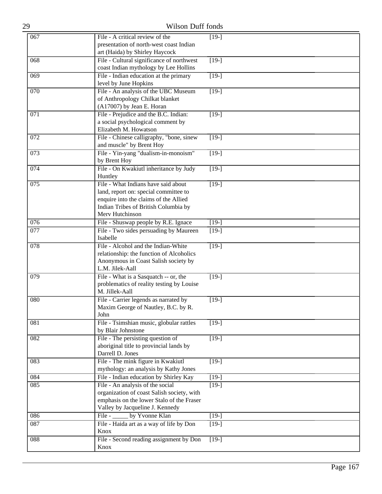| 29  | Wilson Duff fonds                                                                                                                                                                |                    |
|-----|----------------------------------------------------------------------------------------------------------------------------------------------------------------------------------|--------------------|
| 067 | File - A critical review of the<br>presentation of north-west coast Indian<br>art (Haida) by Shirley Haycock                                                                     | $[19-]$            |
| 068 | File - Cultural significance of northwest<br>coast Indian mythology by Lee Hollins                                                                                               | $\boxed{19}$       |
| 069 | File - Indian education at the primary<br>level by June Hopkins                                                                                                                  | $[19-]$            |
| 070 | File - An analysis of the UBC Museum<br>of Anthropology Chilkat blanket<br>(A17007) by Jean E. Horan                                                                             | $[19-]$            |
| 071 | File - Prejudice and the B.C. Indian:<br>a social psychological comment by<br>Elizabeth M. Howatson                                                                              | $[19-]$            |
| 072 | File - Chinese calligraphy, "bone, sinew<br>and muscle" by Brent Hoy                                                                                                             | $[19-]$            |
| 073 | File - Yin-yang "dualism-in-monoism"<br>by Brent Hoy                                                                                                                             | $[19-]$            |
| 074 | File - On Kwakiutl inheritance by Judy<br>Huntley                                                                                                                                | $\boxed{19}$       |
| 075 | File - What Indians have said about<br>land, report on: special committee to<br>enquire into the claims of the Allied<br>Indian Tribes of British Columbia by<br>Merv Hutchinson | $\overline{[19-]}$ |
| 076 | File - Shuswap people by R.E. Ignace                                                                                                                                             | $[19-]$            |
| 077 | File - Two sides persuading by Maureen<br>Isabelle                                                                                                                               | $[19-]$            |
| 078 | File - Alcohol and the Indian-White<br>relationship: the function of Alcoholics<br>Anonymous in Coast Salish society by<br>L.M. Jilek-Aall                                       | $[19-]$            |
| 079 | File - What is a Sasquatch -- or, the<br>problematics of reality testing by Louise<br>M. Jillek-Aall                                                                             | $[19-]$            |
| 080 | File - Carrier legends as narrated by<br>Maxim George of Nautley, B.C. by R.<br>John                                                                                             | $[19-]$            |
| 081 | File - Tsimshian music, globular rattles<br>by Blair Johnstone                                                                                                                   | $\overline{[19-]}$ |
| 082 | File - The persisting question of<br>aboriginal title to provincial lands by<br>Darrell D. Jones                                                                                 | $[19-]$            |
| 083 | File - The mink figure in Kwakiutl<br>mythology: an analysis by Kathy Jones                                                                                                      | $[19-]$            |
| 084 | File - Indian education by Shirley Kay                                                                                                                                           | $[19-]$            |
| 085 | File - An analysis of the social<br>organization of coast Salish society, with<br>emphasis on the lower Stalo of the Fraser<br>Valley by Jacqueline J. Kennedy                   | $[19-]$            |
| 086 | by Yvonne Klan<br>File - $\qquad$                                                                                                                                                | $[19-]$            |
| 087 | File - Haida art as a way of life by Don<br>Knox                                                                                                                                 | $\overline{[19-]}$ |
| 088 | File - Second reading assignment by Don<br>Knox                                                                                                                                  | $[19-]$            |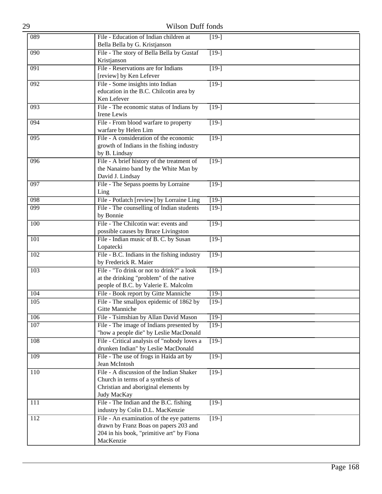| 29  | Wilson Duff fonds                                                                                                                            |                    |
|-----|----------------------------------------------------------------------------------------------------------------------------------------------|--------------------|
| 089 | File - Education of Indian children at<br>Bella Bella by G. Kristjanson                                                                      | $[19-]$            |
| 090 | File - The story of Bella Bella by Gustaf<br>Kristjanson                                                                                     | $\boxed{19}$       |
| 091 | File - Reservations are for Indians<br>[review] by Ken Lefever                                                                               | $[19-]$            |
| 092 | File - Some insights into Indian<br>education in the B.C. Chilcotin area by<br>Ken Lefever                                                   | $[19-]$            |
| 093 | File - The economic status of Indians by<br>Irene Lewis                                                                                      | $[19-]$            |
| 094 | File - From blood warfare to property<br>warfare by Helen Lim                                                                                | $\overline{[19-]}$ |
| 095 | File - A consideration of the economic<br>growth of Indians in the fishing industry<br>by B. Lindsay                                         | $[19-]$            |
| 096 | File - A brief history of the treatment of<br>the Nanaimo band by the White Man by<br>David J. Lindsay                                       | $[19-]$            |
| 097 | File - The Sepass poems by Lorraine<br>Ling                                                                                                  | $[19-]$            |
| 098 | File - Potlatch [review] by Lorraine Ling                                                                                                    | $[19-]$            |
| 099 | File - The counselling of Indian students<br>by Bonnie                                                                                       | $[19-]$            |
| 100 | File - The Chilcotin war: events and<br>possible causes by Bruce Livingston                                                                  | $[19-]$            |
| 101 | File - Indian music of B. C. by Susan<br>Lopatecki                                                                                           | $[19-]$            |
| 102 | File - B.C. Indians in the fishing industry<br>by Frederick R. Maier                                                                         | $[19-]$            |
| 103 | File - "To drink or not to drink?" a look<br>at the drinking "problem" of the native<br>people of B.C. by Valerie E. Malcolm                 | $\overline{[19-]}$ |
| 104 | File - Book report by Gitte Manniche                                                                                                         | $[19-]$            |
| 105 | File - The smallpox epidemic of 1862 by<br>Gitte Manniche                                                                                    | $[19-]$            |
| 106 | File - Tsimshian by Allan David Mason                                                                                                        | $[19-]$            |
| 107 | File - The image of Indians presented by<br>"how a people die" by Leslie MacDonald                                                           | $[19-]$            |
| 108 | File - Critical analysis of "nobody loves a<br>drunken Indian" by Leslie MacDonald                                                           | $\boxed{19}$       |
| 109 | File - The use of frogs in Haida art by<br>Jean McIntosh                                                                                     | $[19-]$            |
| 110 | File - A discussion of the Indian Shaker<br>Church in terms of a synthesis of<br>Christian and aboriginal elements by<br>Judy MacKay         | $[19-]$            |
| 111 | File - The Indian and the B.C. fishing<br>industry by Colin D.L. MacKenzie                                                                   | $[19-]$            |
| 112 | File - An examination of the eye patterns<br>drawn by Franz Boas on papers 203 and<br>204 in his book, "primitive art" by Fiona<br>MacKenzie | $[19-]$            |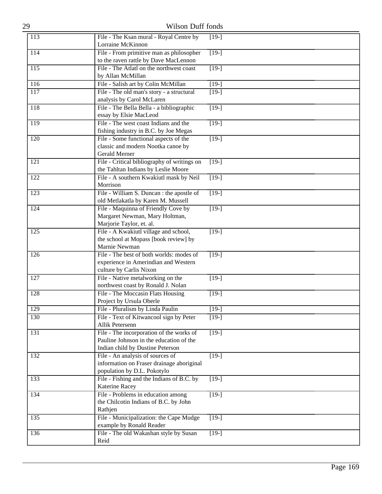| 29               | Wilson Duff fonds                                                                                                       |                    |
|------------------|-------------------------------------------------------------------------------------------------------------------------|--------------------|
| 113              | File - The Ksan mural - Royal Centre by<br>Lorraine McKinnon                                                            | $[19-]$            |
| 114              | File - From primitive man as philosopher<br>to the raven rattle by Dave MacLennon                                       | $[19-]$            |
| $\overline{115}$ | File - The Atlatl on the northwest coast<br>by Allan McMillan                                                           | $\overline{[19-]}$ |
| 116              | File - Salish art by Colin McMillan                                                                                     | $[19-]$            |
| 117              | File - The old man's story - a structural<br>analysis by Carol McLaren                                                  | $[19-]$            |
| 118              | File - The Bella Bella - a bibliographic<br>essay by Elsie MacLeod                                                      | $[19-]$            |
| 119              | File - The west coast Indians and the<br>fishing industry in B.C. by Joe Megas                                          | $[19-]$            |
| 120              | File - Some functional aspects of the<br>classic and modern Nootka canoe by<br>Gerald Merner                            | $[19-]$            |
| $\overline{121}$ | File - Critical bibliography of writings on<br>the Tahltan Indians by Leslie Moore                                      | $[19-]$            |
| 122              | File - A southern Kwakiutl mask by Neil<br>Morrison                                                                     | $[19-]$            |
| 123              | File - William S. Duncan : the apostle of<br>old Metlakatla by Karen M. Mussell                                         | $\overline{[19-]}$ |
| 124              | File - Maquinna of Friendly Cove by<br>Margaret Newman, Mary Holtman,<br>Marjorie Taylor, et. al.                       | $[19-]$            |
| 125              | File - A Kwakiutl village and school,<br>the school at Mopass [book review] by<br>Marnie Newman                         | $[19-]$            |
| $\overline{126}$ | File - The best of both worlds: modes of<br>experience in Amerindian and Western<br>culture by Carlis Nixon             | $[19-]$            |
| 127              | File - Native metalworking on the<br>northwest coast by Ronald J. Nolan                                                 | $[19-]$            |
| 128              | File - The Moccasin Flats Housing<br>Project by Ursula Oberle                                                           | $[19-]$            |
| 129              | File - Pluralism by Linda Paulin                                                                                        | $[19-]$            |
| 130              | File - Text of Kitwancool sign by Peter<br><b>Allik Petersenn</b>                                                       | $[19-]$            |
| 131              | File - The incorporation of the works of<br>Pauline Johnson in the education of the<br>Indian child by Dustine Peterson | $[19-]$            |
| 132              | File - An analysis of sources of<br>information on Fraser drainage aboriginal<br>population by D.L. Pokotylo            | $[19-]$            |
| 133              | File - Fishing and the Indians of B.C. by<br>Katerine Racey                                                             | $[19-]$            |
| 134              | File - Problems in education among<br>the Chilcotin Indians of B.C. by John<br>Rathjen                                  | $[19-]$            |
| 135              | File - Municipalization: the Cape Mudge<br>example by Ronald Reader                                                     | $[19-]$            |
| 136              | File - The old Wakashan style by Susan<br>Reid                                                                          | $[19-]$            |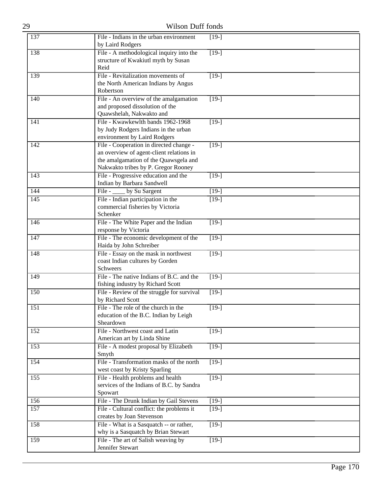| 29               | <b>Wilson Duff fonds</b>                                                                                                                                            |                    |
|------------------|---------------------------------------------------------------------------------------------------------------------------------------------------------------------|--------------------|
| 137              | File - Indians in the urban environment<br>by Laird Rodgers                                                                                                         | $[19-]$            |
| 138              | File - A methodological inquiry into the<br>structure of Kwakiutl myth by Susan<br>Reid                                                                             | $[19-]$            |
| 139              | File - Revitalization movements of<br>the North American Indians by Angus<br>Robertson                                                                              | $[19-]$            |
| 140              | File - An overview of the amalgamation<br>and proposed dissolution of the<br>Quawshelah, Nakwakto and                                                               | $[19-]$            |
| $\overline{1}41$ | File - Kwawkewlth bands 1962-1968<br>by Judy Rodgers Indians in the urban<br>environment by Laird Rodgers                                                           | $[19-]$            |
| 142              | File - Cooperation in directed change -<br>an overview of agent-client relations in<br>the amalgamation of the Quawsgela and<br>Nakwakto tribes by P. Gregor Rooney | $[19-]$            |
| 143              | File - Progressive education and the<br>Indian by Barbara Sandwell                                                                                                  | $[19-]$            |
| 144              | File - _____ by Su Sargent                                                                                                                                          | $[19-]$            |
| $\overline{145}$ | File - Indian participation in the<br>commercial fisheries by Victoria<br>Schenker                                                                                  | $[19-]$            |
| 146              | File - The White Paper and the Indian<br>response by Victoria                                                                                                       | $[19-]$            |
| 147              | File - The economic development of the<br>Haida by John Schreiber                                                                                                   | $[19-]$            |
| 148              | File - Essay on the mask in northwest<br>coast Indian cultures by Gorden<br>Schweers                                                                                | $[19-]$            |
| 149              | File - The native Indians of B.C. and the<br>fishing industry by Richard Scott                                                                                      | $[19-]$            |
| <b>150</b>       | File - Review of the struggle for survival<br>by Richard Scott                                                                                                      | $[19-]$            |
| 151              | File - The role of the church in the<br>education of the B.C. Indian by Leigh<br>Sheardown                                                                          | $[19-]$            |
| 152              | File - Northwest coast and Latin<br>American art by Linda Shine                                                                                                     | $[19-]$            |
| 153              | File - A modest proposal by Elizabeth<br>Smyth                                                                                                                      | $\overline{[19-]}$ |
| 154              | File - Transformation masks of the north<br>west coast by Kristy Sparling                                                                                           | $[19-]$            |
| 155              | File - Health problems and health<br>services of the Indians of B.C. by Sandra<br>Spowart                                                                           | $[19-]$            |
| 156              | File - The Drunk Indian by Gail Stevens                                                                                                                             | $[19-]$            |
| 157              | File - Cultural conflict: the problems it<br>creates by Joan Stevenson                                                                                              | $[19-]$            |
| 158              | File - What is a Sasquatch -- or rather,<br>why is a Sasquatch by Brian Stewart                                                                                     | $[19-]$            |
| 159              | File - The art of Salish weaving by<br>Jennifer Stewart                                                                                                             | $[19-]$            |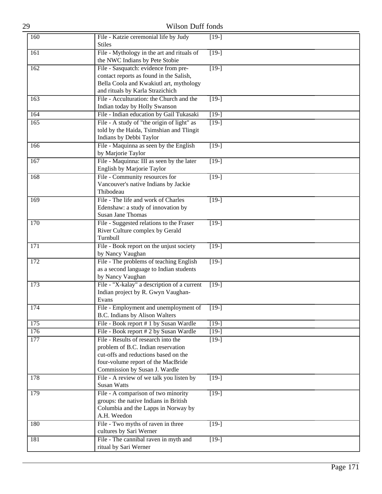| 29  | Wilson Duff fonds                                                                                                                                                                        |                    |
|-----|------------------------------------------------------------------------------------------------------------------------------------------------------------------------------------------|--------------------|
| 160 | File - Katzie ceremonial life by Judy<br><b>Stiles</b>                                                                                                                                   | $[19-]$            |
| 161 | File - Mythology in the art and rituals of<br>the NWC Indians by Pete Stobie                                                                                                             | $[19-]$            |
| 162 | File - Sasquatch: evidence from pre-<br>contact reports as found in the Salish,<br>Bella Coola and Kwakiutl art, mythology<br>and rituals by Karla Strazichich                           | $\overline{[19-]}$ |
| 163 | File - Acculturation: the Church and the<br>Indian today by Holly Swanson                                                                                                                | $[19-]$            |
| 164 | File - Indian education by Gail Tukasaki                                                                                                                                                 | $[19-]$            |
| 165 | File - A study of "the origin of light" as<br>told by the Haida, Tsimshian and Tlingit<br>Indians by Debbi Taylor                                                                        | $\overline{[19-]}$ |
| 166 | File - Maquinna as seen by the English<br>by Marjorie Taylor                                                                                                                             | $[19-]$            |
| 167 | File - Maquinna: III as seen by the later<br>English by Marjorie Taylor                                                                                                                  | $\overline{[19-]}$ |
| 168 | File - Community resources for<br>Vancouver's native Indians by Jackie<br>Thibodeau                                                                                                      | $\overline{[19-]}$ |
| 169 | File - The life and work of Charles<br>Edenshaw: a study of innovation by<br><b>Susan Jane Thomas</b>                                                                                    | $[19-]$            |
| 170 | File - Suggested relations to the Fraser<br>River Culture complex by Gerald<br>Turnbull                                                                                                  | $[19-]$            |
| 171 | File - Book report on the unjust society<br>by Nancy Vaughan                                                                                                                             | $[19-]$            |
| 172 | File - The problems of teaching English<br>as a second language to Indian students<br>by Nancy Vaughan                                                                                   | $[19-]$            |
| 173 | File - "X-kalay" a description of a current<br>Indian project by R. Gwyn Vaughan-<br>Evans                                                                                               | $[19-]$            |
| 174 | File - Employment and unemployment of<br>B.C. Indians by Alison Walters                                                                                                                  | $[19-]$            |
| 175 | File - Book report # 1 by Susan Wardle                                                                                                                                                   | $[19-]$            |
| 176 | File - Book report # 2 by Susan Wardle                                                                                                                                                   | $[19-]$            |
| 177 | File - Results of research into the<br>problem of B.C. Indian reservation<br>cut-offs and reductions based on the<br>four-volume report of the MacBride<br>Commission by Susan J. Wardle | $[19-]$            |
| 178 | File - A review of we talk you listen by<br><b>Susan Watts</b>                                                                                                                           | $[19-]$            |
| 179 | File - A comparison of two minority<br>groups: the native Indians in British<br>Columbia and the Lapps in Norway by<br>A.H. Weedon                                                       | $[19-]$            |
| 180 | File - Two myths of raven in three<br>cultures by Sari Werner                                                                                                                            | $[19-]$            |
| 181 | File - The cannibal raven in myth and<br>ritual by Sari Werner                                                                                                                           | $[19-]$            |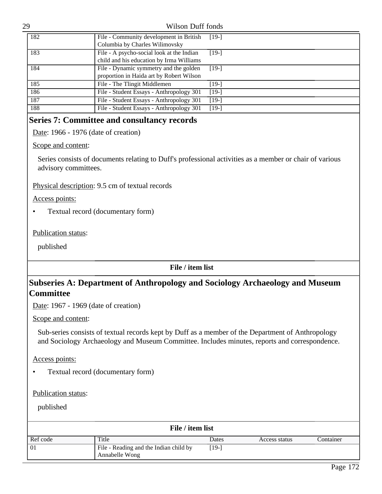| 182 | File - Community development in British<br>Columbia by Charles Wilimovsky             | $[19-]$ |
|-----|---------------------------------------------------------------------------------------|---------|
| 183 | File - A psycho-social look at the Indian<br>child and his education by Irma Williams | $[19-]$ |
| 184 | File - Dynamic symmetry and the golden<br>proportion in Haida art by Robert Wilson    | $[19-]$ |
| 185 | File - The Tlingit Middlemen                                                          | [19-]   |
| 186 | File - Student Essays - Anthropology 301                                              | $[19-]$ |
| 187 | File - Student Essays - Anthropology 301                                              | $[19-]$ |
| 188 | File - Student Essays - Anthropology 301                                              | $[19-]$ |

# **Series 7: Committee and consultancy records**

Date: 1966 - 1976 (date of creation)

Scope and content:

Series consists of documents relating to Duff's professional activities as a member or chair of various advisory committees.

Physical description: 9.5 cm of textual records

Access points:

• Textual record (documentary form)

Publication status:

published

**File / item list**

# **Subseries A: Department of Anthropology and Sociology Archaeology and Museum Committee**

Date: 1967 - 1969 (date of creation)

Scope and content:

Sub-series consists of textual records kept by Duff as a member of the Department of Anthropology and Sociology Archaeology and Museum Committee. Includes minutes, reports and correspondence.

Access points:

• Textual record (documentary form)

Publication status:

| File / item list |                                                          |       |               |           |
|------------------|----------------------------------------------------------|-------|---------------|-----------|
| Ref code         | Title                                                    | Dates | Access status | Container |
| $\boxed{01}$     | File - Reading and the Indian child by<br>Annabelle Wong | [19-] |               |           |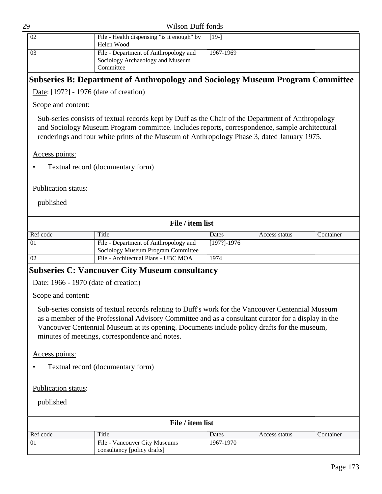| 29 |    | Wilson Duff fonds                                |           |
|----|----|--------------------------------------------------|-----------|
|    | 02 | File - Health dispensing "is it enough" by [19-] |           |
|    |    | Helen Wood                                       |           |
|    | 03 | File - Department of Anthropology and            | 1967-1969 |
|    |    | Sociology Archaeology and Museum                 |           |
|    |    | Committee                                        |           |

# **Subseries B: Department of Anthropology and Sociology Museum Program Committee**

Date: [197?] - 1976 (date of creation)

Scope and content:

Sub-series consists of textual records kept by Duff as the Chair of the Department of Anthropology and Sociology Museum Program committee. Includes reports, correspondence, sample architectural renderings and four white prints of the Museum of Anthropology Phase 3, dated January 1975.

Access points:

• Textual record (documentary form)

Publication status:

published

| File / item list |                                                                             |                 |               |           |
|------------------|-----------------------------------------------------------------------------|-----------------|---------------|-----------|
| Ref code         | Title                                                                       | Dates           | Access status | Container |
| $\boxed{01}$     | File - Department of Anthropology and<br>Sociology Museum Program Committee | $[197?] - 1976$ |               |           |
| 02               | File - Architectual Plans - UBC MOA                                         | 1974            |               |           |

# **Subseries C: Vancouver City Museum consultancy**

Date: 1966 - 1970 (date of creation)

Scope and content:

Sub-series consists of textual records relating to Duff's work for the Vancouver Centennial Museum as a member of the Professional Advisory Committee and as a consultant curator for a display in the Vancouver Centennial Museum at its opening. Documents include policy drafts for the museum, minutes of meetings, correspondence and notes.

Access points:

• Textual record (documentary form)

Publication status:

| File / item list |                                                              |           |               |           |
|------------------|--------------------------------------------------------------|-----------|---------------|-----------|
| Ref code         | Title                                                        | Dates     | Access status | Container |
| $\boxed{01}$     | File - Vancouver City Museums<br>consultancy [policy drafts] | 1967-1970 |               |           |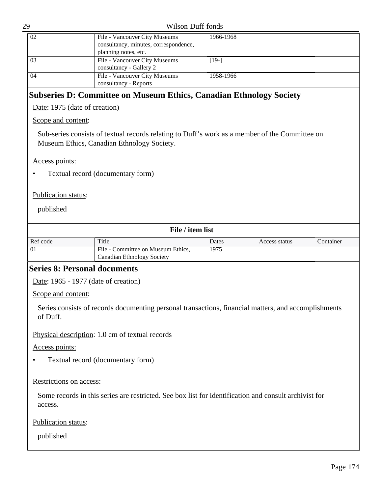| 29                                   | Wilson Duff fonds                                                                                                                            |           |               |           |
|--------------------------------------|----------------------------------------------------------------------------------------------------------------------------------------------|-----------|---------------|-----------|
| 02                                   | File - Vancouver City Museums<br>consultancy, minutes, correspondence,<br>planning notes, etc.                                               | 1966-1968 |               |           |
| 03                                   | File - Vancouver City Museums<br>consultancy - Gallery 2                                                                                     | $[19-]$   |               |           |
| 04                                   | File - Vancouver City Museums<br>consultancy - Reports                                                                                       | 1958-1966 |               |           |
|                                      | <b>Subseries D: Committee on Museum Ethics, Canadian Ethnology Society</b>                                                                   |           |               |           |
| Date: 1975 (date of creation)        |                                                                                                                                              |           |               |           |
| Scope and content:                   |                                                                                                                                              |           |               |           |
|                                      | Sub-series consists of textual records relating to Duff's work as a member of the Committee on<br>Museum Ethics, Canadian Ethnology Society. |           |               |           |
| Access points:                       |                                                                                                                                              |           |               |           |
|                                      | Textual record (documentary form)                                                                                                            |           |               |           |
|                                      |                                                                                                                                              |           |               |           |
| <b>Publication status:</b>           |                                                                                                                                              |           |               |           |
| published                            |                                                                                                                                              |           |               |           |
|                                      | File / item list                                                                                                                             |           |               |           |
| Ref code                             | Title                                                                                                                                        | Dates     | Access status | Container |
| 01                                   | File - Committee on Museum Ethics,<br><b>Canadian Ethnology Society</b>                                                                      | 1975      |               |           |
| <b>Series 8: Personal documents</b>  |                                                                                                                                              |           |               |           |
| Date: 1965 - 1977 (date of creation) |                                                                                                                                              |           |               |           |
| Scope and content:                   |                                                                                                                                              |           |               |           |
| of Duff.                             | Series consists of records documenting personal transactions, financial matters, and accomplishments                                         |           |               |           |
|                                      | Physical description: 1.0 cm of textual records                                                                                              |           |               |           |
| Access points:                       |                                                                                                                                              |           |               |           |
|                                      | Textual record (documentary form)                                                                                                            |           |               |           |
| Restrictions on access:              |                                                                                                                                              |           |               |           |
| access.                              | Some records in this series are restricted. See box list for identification and consult archivist for                                        |           |               |           |
| Publication status:                  |                                                                                                                                              |           |               |           |
|                                      |                                                                                                                                              |           |               |           |
| published                            |                                                                                                                                              |           |               |           |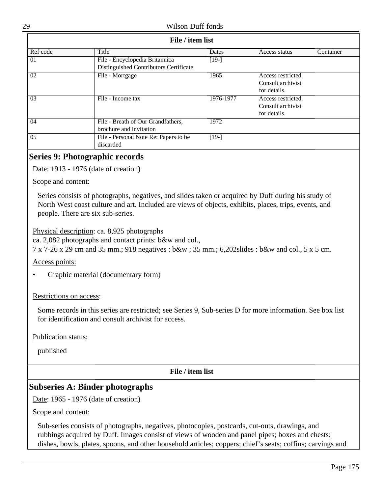| File / item list |                                        |           |                    |           |
|------------------|----------------------------------------|-----------|--------------------|-----------|
| Ref code         | Title                                  | Dates     | Access status      | Container |
| 01               | File - Encyclopedia Britannica         | $[19-]$   |                    |           |
|                  | Distinguished Contributors Certificate |           |                    |           |
| 02               | File - Mortgage                        | 1965      | Access restricted. |           |
|                  |                                        |           | Consult archivist  |           |
|                  |                                        |           | for details.       |           |
| 03               | File - Income tax                      | 1976-1977 | Access restricted. |           |
|                  |                                        |           | Consult archivist  |           |
|                  |                                        |           | for details.       |           |
| 04               | File - Breath of Our Grandfathers,     | 1972      |                    |           |
|                  | brochure and invitation                |           |                    |           |
| 05               | File - Personal Note Re: Papers to be  | $[19-]$   |                    |           |
|                  | discarded                              |           |                    |           |
|                  |                                        |           |                    |           |

# **Series 9: Photographic records**

Date: 1913 - 1976 (date of creation)

#### Scope and content:

Series consists of photographs, negatives, and slides taken or acquired by Duff during his study of North West coast culture and art. Included are views of objects, exhibits, places, trips, events, and people. There are six sub-series.

Physical description: ca. 8,925 photographs

ca. 2,082 photographs and contact prints: b&w and col.,

7 x 7-26 x 29 cm and 35 mm.; 918 negatives : b&w ; 35 mm.; 6,202slides : b&w and col., 5 x 5 cm.

Access points:

• Graphic material (documentary form)

#### Restrictions on access:

Some records in this series are restricted; see Series 9, Sub-series D for more information. See box list for identification and consult archivist for access.

Publication status:

published

**File / item list**

# **Subseries A: Binder photographs**

Date: 1965 - 1976 (date of creation)

#### Scope and content:

Sub-series consists of photographs, negatives, photocopies, postcards, cut-outs, drawings, and rubbings acquired by Duff. Images consist of views of wooden and panel pipes; boxes and chests; dishes, bowls, plates, spoons, and other household articles; coppers; chief's seats; coffins; carvings and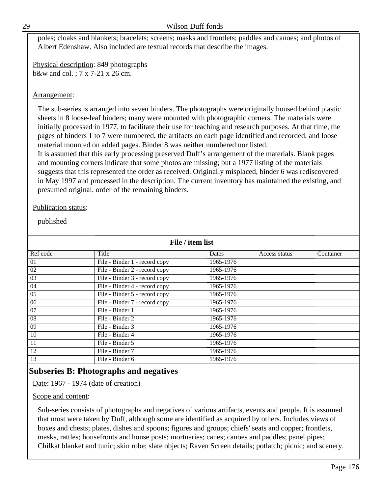poles; cloaks and blankets; bracelets; screens; masks and frontlets; paddles and canoes; and photos of Albert Edenshaw. Also included are textual records that describe the images.

Physical description: 849 photographs b&w and col. ; 7 x 7-21 x 26 cm.

### Arrangement:

The sub-series is arranged into seven binders. The photographs were originally housed behind plastic sheets in 8 loose-leaf binders; many were mounted with photographic corners. The materials were initially processed in 1977, to facilitate their use for teaching and research purposes. At that time, the pages of binders 1 to 7 were numbered, the artifacts on each page identified and recorded, and loose material mounted on added pages. Binder 8 was neither numbered nor listed. It is assumed that this early processing preserved Duff's arrangement of the materials. Blank pages

and mounting corners indicate that some photos are missing; but a 1977 listing of the materials suggests that this represented the order as received. Originally misplaced, binder 6 was rediscovered in May 1997 and processed in the description. The current inventory has maintained the existing, and presumed original, order of the remaining binders.

#### Publication status:

published

| File / item list |                               |           |               |           |
|------------------|-------------------------------|-----------|---------------|-----------|
| Ref code         | Title                         | Dates     | Access status | Container |
| 01               | File - Binder 1 - record copy | 1965-1976 |               |           |
| 02               | File - Binder 2 - record copy | 1965-1976 |               |           |
| 03               | File - Binder 3 - record copy | 1965-1976 |               |           |
| 04               | File - Binder 4 - record copy | 1965-1976 |               |           |
| 05               | File - Binder 5 - record copy | 1965-1976 |               |           |
| 06               | File - Binder 7 - record copy | 1965-1976 |               |           |
| 07               | File - Binder 1               | 1965-1976 |               |           |
| 08               | File - Binder 2               | 1965-1976 |               |           |
| 09               | File - Binder 3               | 1965-1976 |               |           |
| 10               | File - Binder 4               | 1965-1976 |               |           |
| 11               | File - Binder 5               | 1965-1976 |               |           |
| 12               | File - Binder 7               | 1965-1976 |               |           |
| 13               | File - Binder 6               | 1965-1976 |               |           |

# **Subseries B: Photographs and negatives**

Date: 1967 - 1974 (date of creation)

## Scope and content:

Sub-series consists of photographs and negatives of various artifacts, events and people. It is assumed that most were taken by Duff, although some are identified as acquired by others. Includes views of boxes and chests; plates, dishes and spoons; figures and groups; chiefs' seats and copper; frontlets, masks, rattles; housefronts and house posts; mortuaries; canes; canoes and paddles; panel pipes; Chilkat blanket and tunic; skin robe; slate objects; Raven Screen details; potlatch; picnic; and scenery.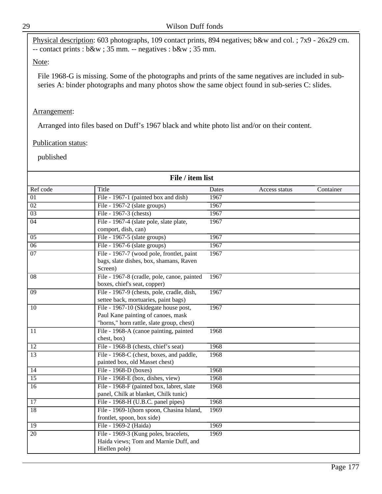Physical description: 603 photographs, 109 contact prints, 894 negatives; b&w and col. ; 7x9 - 26x29 cm. -- contact prints : b&w ; 35 mm. -- negatives : b&w ; 35 mm.

## Note:

File 1968-G is missing. Some of the photographs and prints of the same negatives are included in subseries A: binder photographs and many photos show the same object found in sub-series C: slides.

## Arrangement:

Arranged into files based on Duff's 1967 black and white photo list and/or on their content.

## Publication status:

| File / item list |                                                                                                                          |       |               |           |
|------------------|--------------------------------------------------------------------------------------------------------------------------|-------|---------------|-----------|
| Ref code         | Title                                                                                                                    | Dates | Access status | Container |
| $\overline{01}$  | File - 1967-1 (painted box and dish)                                                                                     | 1967  |               |           |
| $\overline{02}$  | File - 1967-2 (slate groups)                                                                                             | 1967  |               |           |
| $\overline{03}$  | File - 1967-3 (chests)                                                                                                   | 1967  |               |           |
| 04               | File - 1967-4 (slate pole, slate plate,<br>comport, dish, can)                                                           | 1967  |               |           |
| $\overline{05}$  | File - 1967-5 (slate groups)                                                                                             | 1967  |               |           |
| 06               | File - 1967-6 (slate groups)                                                                                             | 1967  |               |           |
| $\overline{07}$  | File - 1967-7 (wood pole, frontlet, paint<br>bags, slate dishes, box, shamans, Raven<br>Screen)                          | 1967  |               |           |
| $\overline{08}$  | File - 1967-8 (cradle, pole, canoe, painted<br>boxes, chief's seat, copper)                                              | 1967  |               |           |
| $\overline{09}$  | File - 1967-9 (chests, pole, cradle, dish,<br>settee back, mortuaries, paint bags)                                       | 1967  |               |           |
| 10               | File - 1967-10 (Skidegate house post,<br>Paul Kane painting of canoes, mask<br>"horns," horn rattle, slate group, chest) | 1967  |               |           |
| 11               | File - 1968-A (canoe painting, painted<br>chest, box)                                                                    | 1968  |               |           |
| $\overline{12}$  | File - 1968-B (chests, chief's seat)                                                                                     | 1968  |               |           |
| $\overline{13}$  | File - 1968-C (chest, boxes, and paddle,<br>painted box, old Masset chest)                                               | 1968  |               |           |
| 14               | File - 1968-D (boxes)                                                                                                    | 1968  |               |           |
| $\overline{15}$  | File - 1968-E (box, dishes, view)                                                                                        | 1968  |               |           |
| 16               | File - 1968-F (painted box, labret, slate<br>panel, Chilk at blanket, Chilk tunic)                                       | 1968  |               |           |
| 17               | File - 1968-H (U.B.C. panel pipes)                                                                                       | 1968  |               |           |
| $\overline{18}$  | File - 1969-1(horn spoon, Chasina Island,<br>frontlet, spoon, box side)                                                  | 1969  |               |           |
| $\overline{19}$  | File - 1969-2 (Haida)                                                                                                    | 1969  |               |           |
| $\overline{20}$  | File - 1969-3 (Kung poles, bracelets,<br>Haida views; Tom and Marnie Duff, and<br>Hiellen pole)                          | 1969  |               |           |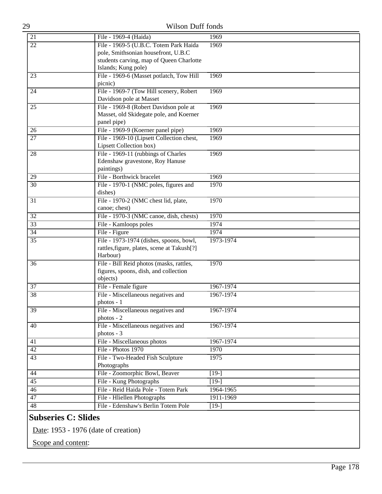| 29              | <b>Wilson Duff fonds</b>                      |           |  |
|-----------------|-----------------------------------------------|-----------|--|
| 21              | File - 1969-4 (Haida)                         | 1969      |  |
| $\overline{22}$ | File - 1969-5 (U.B.C. Totem Park Haida        | 1969      |  |
|                 | pole, Smithsonian housefront, U.B.C           |           |  |
|                 | students carving, map of Queen Charlotte      |           |  |
|                 | Islands; Kung pole)                           |           |  |
| 23              | File - 1969-6 (Masset potlatch, Tow Hill      | 1969      |  |
|                 | picnic)                                       |           |  |
| 24              | File - 1969-7 (Tow Hill scenery, Robert       | 1969      |  |
|                 | Davidson pole at Masset                       |           |  |
| 25              | File - 1969-8 (Robert Davidson pole at        | 1969      |  |
|                 | Masset, old Skidegate pole, and Koerner       |           |  |
|                 | panel pipe)                                   |           |  |
| 26              | File - 1969-9 (Koerner panel pipe)            | 1969      |  |
| 27              | File - 1969-10 (Lipsett Collection chest,     | 1969      |  |
|                 | Lipsett Collection box)                       |           |  |
| 28              | File - 1969-11 (rubbings of Charles           | 1969      |  |
|                 | Edenshaw gravestone, Roy Hanuse<br>paintings) |           |  |
| 29              | File - Borthwick bracelet                     | 1969      |  |
| 30              | File - 1970-1 (NMC poles, figures and         | 1970      |  |
|                 | dishes)                                       |           |  |
| 31              | File - 1970-2 (NMC chest lid, plate,          | 1970      |  |
|                 | canoe; chest)                                 |           |  |
| 32              | File - 1970-3 (NMC canoe, dish, chests)       | 1970      |  |
| 33              | File - Kamloops poles                         | 1974      |  |
| 34              | File - Figure                                 | 1974      |  |
| $\overline{35}$ | File - 1973-1974 (dishes, spoons, bowl,       | 1973-1974 |  |
|                 | rattles, figure, plates, scene at Takush[?]   |           |  |
|                 | Harbour)                                      |           |  |
| 36              | File - Bill Reid photos (masks, rattles,      | 1970      |  |
|                 | figures, spoons, dish, and collection         |           |  |
|                 | objects)                                      |           |  |
| $\overline{37}$ | File - Female figure                          | 1967-1974 |  |
| 38              | File - Miscellaneous negatives and            | 1967-1974 |  |
|                 | photos - I                                    |           |  |
| 39              | File - Miscellaneous negatives and            | 1967-1974 |  |
|                 | photos - 2                                    |           |  |
| 40              | File - Miscellaneous negatives and            | 1967-1974 |  |
|                 | photos - 3                                    |           |  |
| 41              | File - Miscellaneous photos                   | 1967-1974 |  |
| 42              | File - Photos 1970                            | 1970      |  |
| 43              | File - Two-Headed Fish Sculpture              | 1975      |  |
|                 | Photographs                                   |           |  |
| 44              | File - Zoomorphic Bowl, Beaver                | $[19-]$   |  |
| 45              | File - Kung Photographs                       | $[19-]$   |  |
| 46              | File - Reid Haida Pole - Totem Park           | 1964-1965 |  |
| 47              | File - Hliellen Photographs                   | 1911-1969 |  |
| 48              | File - Edenshaw's Berlin Totem Pole           | $[19-]$   |  |
|                 |                                               |           |  |

# **Subseries C: Slides**

Date: 1953 - 1976 (date of creation)

Scope and content: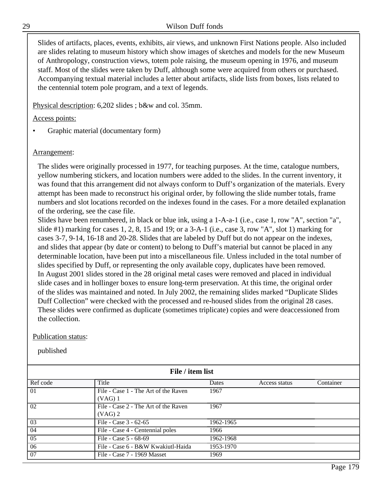Slides of artifacts, places, events, exhibits, air views, and unknown First Nations people. Also included are slides relating to museum history which show images of sketches and models for the new Museum of Anthropology, construction views, totem pole raising, the museum opening in 1976, and museum staff. Most of the slides were taken by Duff, although some were acquired from others or purchased. Accompanying textual material includes a letter about artifacts, slide lists from boxes, lists related to the centennial totem pole program, and a text of legends.

Physical description: 6,202 slides ; b&w and col. 35mm.

Access points:

• Graphic material (documentary form)

## Arrangement:

The slides were originally processed in 1977, for teaching purposes. At the time, catalogue numbers, yellow numbering stickers, and location numbers were added to the slides. In the current inventory, it was found that this arrangement did not always conform to Duff's organization of the materials. Every attempt has been made to reconstruct his original order, by following the slide number totals, frame numbers and slot locations recorded on the indexes found in the cases. For a more detailed explanation of the ordering, see the case file.

Slides have been renumbered, in black or blue ink, using a 1-A-a-1 (i.e., case 1, row "A", section "a", slide #1) marking for cases 1, 2, 8, 15 and 19; or a 3-A-1 (i.e., case 3, row "A", slot 1) marking for cases 3-7, 9-14, 16-18 and 20-28. Slides that are labeled by Duff but do not appear on the indexes, and slides that appear (by date or content) to belong to Duff's material but cannot be placed in any determinable location, have been put into a miscellaneous file. Unless included in the total number of slides specified by Duff, or representing the only available copy, duplicates have been removed. In August 2001 slides stored in the 28 original metal cases were removed and placed in individual slide cases and in hollinger boxes to ensure long-term preservation. At this time, the original order of the slides was maintained and noted. In July 2002, the remaining slides marked "Duplicate Slides Duff Collection" were checked with the processed and re-housed slides from the original 28 cases. These slides were confirmed as duplicate (sometimes triplicate) copies and were deaccessioned from the collection.

## Publication status:

| File / item list |                                                   |           |               |           |
|------------------|---------------------------------------------------|-----------|---------------|-----------|
| Ref code         | Title                                             | Dates     | Access status | Container |
| 01               | File - Case 1 - The Art of the Raven<br>$(VAG)$ 1 | 1967      |               |           |
| 02               | File - Case 2 - The Art of the Raven<br>$(VAG)$ 2 | 1967      |               |           |
| 03               | File - Case 3 - 62-65                             | 1962-1965 |               |           |
| 04               | File - Case 4 - Centennial poles                  | 1966      |               |           |
| 05               | File - Case 5 - 68-69                             | 1962-1968 |               |           |
| 06               | File - Case 6 - B&W Kwakiutl-Haida                | 1953-1970 |               |           |
| 07               | File - Case 7 - 1969 Masset                       | 1969      |               |           |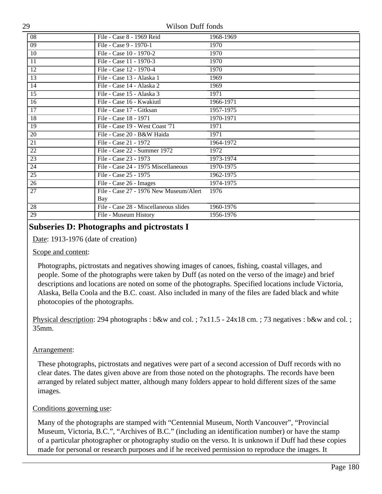| 08              | File - Case 8 - 1969 Reid              | 1968-1969 |
|-----------------|----------------------------------------|-----------|
| $\overline{09}$ | File - Case 9 - 1970-1                 | 1970      |
| 10              | File - Case 10 - 1970-2                | 1970      |
| 11              | File - Case 11 - 1970-3                | 1970      |
| $\overline{12}$ | File - Case 12 - 1970-4                | 1970      |
| $\overline{13}$ | File - Case 13 - Alaska 1              | 1969      |
| 14              | File - Case 14 - Alaska 2              | 1969      |
| $\overline{15}$ | File - Case 15 - Alaska 3              | 1971      |
| 16              | File - Case 16 - Kwakiutl              | 1966-1971 |
| 17              | File - Case 17 - Gitksan               | 1957-1975 |
| 18              | File - Case 18 - 1971                  | 1970-1971 |
| $\overline{19}$ | File - Case 19 - West Coast '71        | 1971      |
| 20              | File - Case 20 - B&W Haida             | 1971      |
| 21              | File - Case 21 - 1972                  | 1964-1972 |
| $\overline{22}$ | File - Case 22 - Summer 1972           | 1972      |
| $\overline{23}$ | File - Case 23 - 1973                  | 1973-1974 |
| $\overline{24}$ | File - Case 24 - 1975 Miscellaneous    | 1970-1975 |
| $\overline{25}$ | File - Case 25 - 1975                  | 1962-1975 |
| 26              | File - Case 26 - Images                | 1974-1975 |
| $\overline{27}$ | File - Case 27 - 1976 New Museum/Alert | 1976      |
|                 | Bay                                    |           |
| $\overline{28}$ | File - Case 28 - Miscellaneous slides  | 1960-1976 |
| 29              | File - Museum History                  | 1956-1976 |

# **Subseries D: Photographs and pictrostats I**

Date: 1913-1976 (date of creation)

#### Scope and content:

Photographs, pictrostats and negatives showing images of canoes, fishing, coastal villages, and people. Some of the photographs were taken by Duff (as noted on the verso of the image) and brief descriptions and locations are noted on some of the photographs. Specified locations include Victoria, Alaska, Bella Coola and the B.C. coast. Also included in many of the files are faded black and white photocopies of the photographs.

Physical description: 294 photographs : b&w and col. ; 7x11.5 - 24x18 cm. ; 73 negatives : b&w and col. ; 35mm.

## Arrangement:

These photographs, pictrostats and negatives were part of a second accession of Duff records with no clear dates. The dates given above are from those noted on the photographs. The records have been arranged by related subject matter, although many folders appear to hold different sizes of the same images.

## Conditions governing use:

Many of the photographs are stamped with "Centennial Museum, North Vancouver", "Provincial Museum, Victoria, B.C.", "Archives of B.C." (including an identification number) or have the stamp of a particular photographer or photography studio on the verso. It is unknown if Duff had these copies made for personal or research purposes and if he received permission to reproduce the images. It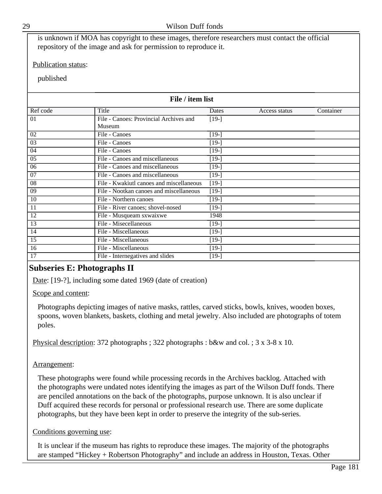It is unclear if the museum has rights to reproduce these images. The majority of the photographs are stamped "Hickey + Robertson Photography" and include an address in Houston, Texas. Other

is unknown if MOA has copyright to these images, therefore researchers must contact the official repository of the image and ask for permission to reproduce it.

## Publication status:

published

| File / item list |                                          |         |               |           |
|------------------|------------------------------------------|---------|---------------|-----------|
| Ref code         | Title                                    | Dates   | Access status | Container |
| 01               | File - Canoes: Provincial Archives and   | $[19-]$ |               |           |
|                  | Museum                                   |         |               |           |
| 02               | File - Canoes                            | $[19-]$ |               |           |
| $\overline{03}$  | File - Canoes                            | $[19-]$ |               |           |
| 04               | File - Canoes                            | $[19-]$ |               |           |
| 05               | File - Canoes and miscellaneous          | $[19-]$ |               |           |
| 06               | File - Canoes and miscellaneous          | $[19-]$ |               |           |
| 07               | File - Canoes and miscellaneous          | $[19-]$ |               |           |
| 08               | File - Kwakiutl canoes and miscellaneous | $[19-]$ |               |           |
| $\overline{09}$  | File - Nootkan canoes and miscellaneous  | $[19-]$ |               |           |
| 10               | File - Northern canoes                   | $[19-]$ |               |           |
| 11               | File - River canoes; shovel-nosed        | $[19-]$ |               |           |
| 12               | File - Musqueam sxwaixwe                 | 1948    |               |           |
| 13               | File - Misecellaneous                    | $[19-]$ |               |           |
| 14               | File - Miscellaneous                     | $[19-]$ |               |           |
| 15               | File - Miscellaneous                     | $[19-]$ |               |           |
| 16               | File - Miscellaneous                     | $[19-]$ |               |           |
| 17               | File - Internegatives and slides         | $[19-]$ |               |           |

# **Subseries E: Photographs II**

Date: [19-?], including some dated 1969 (date of creation)

Scope and content:

Photographs depicting images of native masks, rattles, carved sticks, bowls, knives, wooden boxes, spoons, woven blankets, baskets, clothing and metal jewelry. Also included are photographs of totem poles.

Physical description: 372 photographs ; 322 photographs : b&w and col. ; 3 x 3-8 x 10.

## Arrangement:

These photographs were found while processing records in the Archives backlog. Attached with the photographs were undated notes identifying the images as part of the Wilson Duff fonds. There are penciled annotations on the back of the photographs, purpose unknown. It is also unclear if Duff acquired these records for personal or professional research use. There are some duplicate photographs, but they have been kept in order to preserve the integrity of the sub-series.

## Conditions governing use: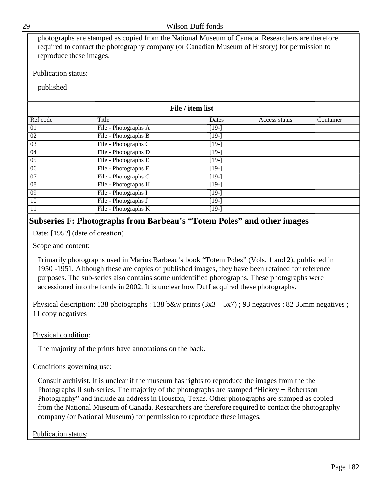| reproduce these images.    | photographs are stamped as copied from the National Museum of Canada. Researchers are therefore<br>required to contact the photography company (or Canadian Museum of History) for permission to |         |               |           |  |
|----------------------------|--------------------------------------------------------------------------------------------------------------------------------------------------------------------------------------------------|---------|---------------|-----------|--|
| <b>Publication status:</b> |                                                                                                                                                                                                  |         |               |           |  |
| published                  |                                                                                                                                                                                                  |         |               |           |  |
|                            | File / item list                                                                                                                                                                                 |         |               |           |  |
| Ref code                   | Title                                                                                                                                                                                            | Dates   | Access status | Container |  |
| 01                         | File - Photographs A                                                                                                                                                                             | $[19-]$ |               |           |  |
| 02                         | File - Photographs B                                                                                                                                                                             | $[19-]$ |               |           |  |
| 03                         | File - Photographs C                                                                                                                                                                             | $[19-]$ |               |           |  |
| 04                         | File - Photographs D                                                                                                                                                                             | $[19-]$ |               |           |  |
| 05                         | File - Photographs E                                                                                                                                                                             | $[19-]$ |               |           |  |
| 06                         | File - Photographs F                                                                                                                                                                             | $[19-]$ |               |           |  |
| 07                         | File - Photographs G                                                                                                                                                                             | $[19-]$ |               |           |  |
| 08                         | File - Photographs H                                                                                                                                                                             | $[19-]$ |               |           |  |
| 09                         | File - Photographs I                                                                                                                                                                             | $[19-]$ |               |           |  |
| 10                         | File - Photographs J                                                                                                                                                                             | $[19-]$ |               |           |  |
| 11                         | File - Photographs K                                                                                                                                                                             | $[19-]$ |               |           |  |

# **Subseries F: Photographs from Barbeau's "Totem Poles" and other images**

Date: [195?] (date of creation)

## Scope and content:

Primarily photographs used in Marius Barbeau's book "Totem Poles" (Vols. 1 and 2), published in 1950 -1951. Although these are copies of published images, they have been retained for reference purposes. The sub-series also contains some unidentified photographs. These photographs were accessioned into the fonds in 2002. It is unclear how Duff acquired these photographs.

Physical description: 138 photographs : 138 b&w prints  $(3x3 – 5x7)$ ; 93 negatives : 82 35mm negatives ; 11 copy negatives

Physical condition:

The majority of the prints have annotations on the back.

## Conditions governing use:

Consult archivist. It is unclear if the museum has rights to reproduce the images from the the Photographs II sub-series. The majority of the photographs are stamped "Hickey + Robertson Photography" and include an address in Houston, Texas. Other photographs are stamped as copied from the National Museum of Canada. Researchers are therefore required to contact the photography company (or National Museum) for permission to reproduce these images.

Publication status: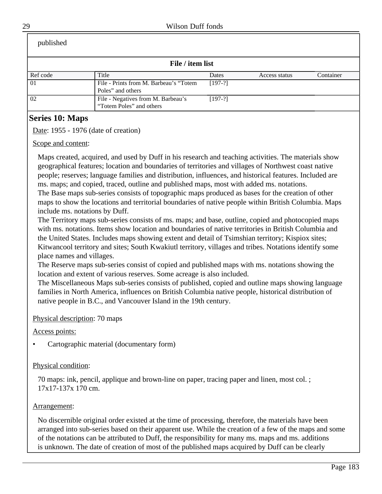| published |                                                                |           |               |           |
|-----------|----------------------------------------------------------------|-----------|---------------|-----------|
|           | File / item list                                               |           |               |           |
| Ref code  | Title                                                          | Dates     | Access status | Container |
| 01        | File - Prints from M. Barbeau's "Totem"<br>Poles" and others   | $[197-?]$ |               |           |
| 02        | File - Negatives from M. Barbeau's<br>"Totem Poles" and others | $[197-?]$ |               |           |

# **Series 10: Maps**

Date: 1955 - 1976 (date of creation)

Scope and content:

Maps created, acquired, and used by Duff in his research and teaching activities. The materials show geographical features; location and boundaries of territories and villages of Northwest coast native people; reserves; language families and distribution, influences, and historical features. Included are ms. maps; and copied, traced, outline and published maps, most with added ms. notations.

The Base maps sub-series consists of topographic maps produced as bases for the creation of other maps to show the locations and territorial boundaries of native people within British Columbia. Maps include ms. notations by Duff.

The Territory maps sub-series consists of ms. maps; and base, outline, copied and photocopied maps with ms. notations. Items show location and boundaries of native territories in British Columbia and the United States. Includes maps showing extent and detail of Tsimshian territory; Kispiox sites; Kitwancool territory and sites; South Kwakiutl territory, villages and tribes. Notations identify some place names and villages.

The Reserve maps sub-series consist of copied and published maps with ms. notations showing the location and extent of various reserves. Some acreage is also included.

The Miscellaneous Maps sub-series consists of published, copied and outline maps showing language families in North America, influences on British Columbia native people, historical distribution of native people in B.C., and Vancouver Island in the 19th century.

## Physical description: 70 maps

Access points:

• Cartographic material (documentary form)

## Physical condition:

70 maps: ink, pencil, applique and brown-line on paper, tracing paper and linen, most col. ; 17x17-137x 170 cm.

## Arrangement:

No discernible original order existed at the time of processing, therefore, the materials have been arranged into sub-series based on their apparent use. While the creation of a few of the maps and some of the notations can be attributed to Duff, the responsibility for many ms. maps and ms. additions is unknown. The date of creation of most of the published maps acquired by Duff can be clearly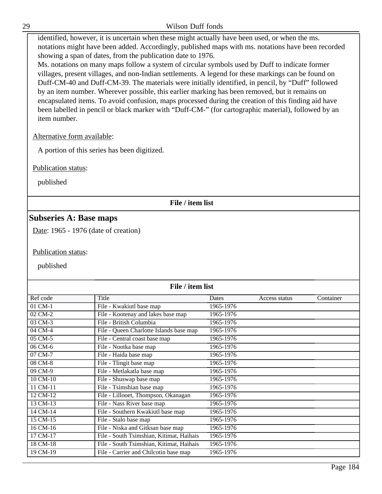| v<br>۰, |   |
|---------|---|
|         |   |
|         |   |
|         | ٦ |

#### Wilson Duff fonds

identified, however, it is uncertain when these might actually have been used, or when the ms. notations might have been added. Accordingly, published maps with ms. notations have been recorded showing a span of dates, from the publication date to 1976.

Ms. notations on many maps follow a system of circular symbols used by Duff to indicate former villages, present villages, and non-Indian settlements. A legend for these markings can be found on Duff-CM-40 and Duff-CM-39. The materials were initially identified, in pencil, by "Duff" followed by an item number. Wherever possible, this earlier marking has been removed, but it remains on encapsulated items. To avoid confusion, maps processed during the creation of this finding aid have been labelled in pencil or black marker with "Duff-CM-" (for cartographic material), followed by an item number.

## Alternative form available:

A portion of this series has been digitized.

Publication status:

published

## **File / item list**

## **Subseries A: Base maps**

Date: 1965 - 1976 (date of creation)

Publication status:

| File / item list |                                          |           |               |           |
|------------------|------------------------------------------|-----------|---------------|-----------|
| Ref code         | Title                                    | Dates     | Access status | Container |
| $01$ CM- $1$     | File - Kwakiutl base map                 | 1965-1976 |               |           |
| 02 CM-2          | File - Kootenay and lakes base map       | 1965-1976 |               |           |
| 03 CM-3          | File - British Columbia                  | 1965-1976 |               |           |
| 04 CM-4          | File - Queen Charlotte Islands base map  | 1965-1976 |               |           |
| 05 CM-5          | File - Central coast base map            | 1965-1976 |               |           |
| 06 CM-6          | File - Nootka base map                   | 1965-1976 |               |           |
| 07 CM-7          | File - Haida base map                    | 1965-1976 |               |           |
| 08 CM-8          | File - Tlingit base map                  | 1965-1976 |               |           |
| 09 CM-9          | File - Metlakatla base map               | 1965-1976 |               |           |
| 10 CM-10         | File - Shuswap base map                  | 1965-1976 |               |           |
| 11 CM-11         | File - Tsimshian base map                | 1965-1976 |               |           |
| 12 CM-12         | File - Lillooet, Thompson, Okanagan      | 1965-1976 |               |           |
| 13 CM-13         | File - Nass River base map               | 1965-1976 |               |           |
| 14 CM-14         | File - Southern Kwakiutl base map        | 1965-1976 |               |           |
| 15 CM-15         | File - Stalo base map                    | 1965-1976 |               |           |
| 16 CM-16         | File - Niska and Gitksan base map        | 1965-1976 |               |           |
| 17 CM-17         | File - South Tsimshian, Kitimat, Haihais | 1965-1976 |               |           |
| 18 CM-18         | File - South Tsimshian, Kitimat, Haihais | 1965-1976 |               |           |
| 19 CM-19         | File - Carrier and Chilcotin base map    | 1965-1976 |               |           |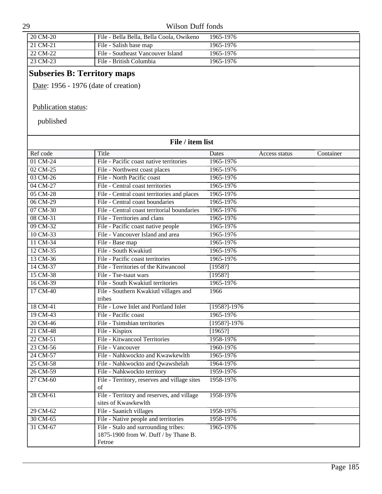| 29 |          | Wilson Duff fonds                        |           |  |
|----|----------|------------------------------------------|-----------|--|
|    | 20 CM-20 | File - Bella Bella, Bella Coola, Owikeno | 1965-1976 |  |
|    | 21 CM-21 | File - Salish base map                   | 1965-1976 |  |
|    | 22 CM-22 | File - Southeast Vancouver Island        | 1965-1976 |  |
|    | 23 CM-23 | File - British Columbia                  | 1965-1976 |  |

# **Subseries B: Territory maps**

Date: 1956 - 1976 (date of creation)

## Publication status:

| File / item list |                                                                                        |                  |               |           |
|------------------|----------------------------------------------------------------------------------------|------------------|---------------|-----------|
| Ref code         | Title                                                                                  | Dates            | Access status | Container |
| 01 CM-24         | File - Pacific coast native territories                                                | 1965-1976        |               |           |
| 02 CM-25         | File - Northwest coast places                                                          | 1965-1976        |               |           |
| 03 CM-26         | File - North Pacific coast                                                             | 1965-1976        |               |           |
| 04 CM-27         | File - Central coast territories                                                       | 1965-1976        |               |           |
| 05 CM-28         | File - Central coast territories and places                                            | 1965-1976        |               |           |
| 06 CM-29         | File - Central coast boundaries                                                        | 1965-1976        |               |           |
| 07 CM-30         | File - Central coast territorial boundaries                                            | 1965-1976        |               |           |
| 08 CM-31         | File - Territories and clans                                                           | 1965-1976        |               |           |
| 09 CM-32         | File - Pacific coast native people                                                     | 1965-1976        |               |           |
| 10 CM-33         | File - Vancouver Island and area                                                       | 1965-1976        |               |           |
| 11 CM-34         | File - Base map                                                                        | 1965-1976        |               |           |
| 12 CM-35         | File - South Kwakiutl                                                                  | 1965-1976        |               |           |
| 13 CM-36         | File - Pacific coast territories                                                       | 1965-1976        |               |           |
| 14 CM-37         | File - Territories of the Kitwancool                                                   | [1958!]          |               |           |
| 15 CM-38         | File - Tse-tsaut wars                                                                  | [1958!]          |               |           |
| 16 CM-39         | File - South Kwakiutl territories                                                      | 1965-1976        |               |           |
| 17 CM-40         | File - Southern Kwakiutl villages and                                                  | 1966             |               |           |
|                  | tribes                                                                                 |                  |               |           |
| 18 CM-41         | File - Lowe Inlet and Portland Inlet                                                   | $[1958?] - 1976$ |               |           |
| 19 CM-43         | File - Pacific coast                                                                   | 1965-1976        |               |           |
| 20 CM-46         | File - Tsimshian territories                                                           | $[1958?] - 1976$ |               |           |
| 21 CM-48         | File - Kispiox                                                                         | [1965!]          |               |           |
| 22 CM-51         | File - Kitwancool Territories                                                          | 1958-1976        |               |           |
| 23 CM-56         | File - Vancouver                                                                       | 1960-1976        |               |           |
| 24 CM-57         | File - Nahkwockto and Kwawkewlth                                                       | 1965-1976        |               |           |
| 25 CM-58         | File - Nahkwockto and Qwawshelah                                                       | 1964-1976        |               |           |
| 26 CM-59         | File - Nahkwockto territory                                                            | 1959-1976        |               |           |
| $27$ CM-60       | File - Territory, reserves and village sites<br>$\sigma$ f                             | 1958-1976        |               |           |
| 28 CM-61         | File - Territory and reserves, and village<br>sites of Kwawkewlth                      | 1958-1976        |               |           |
| 29 CM-62         | File - Saanich villages                                                                | 1958-1976        |               |           |
| 30 CM-65         | File - Native people and territories                                                   | 1958-1976        |               |           |
| 31 CM-67         | File - Stalo and surrounding tribes:<br>1875-1900 from W. Duff / by Thane B.<br>Fetroe | 1965-1976        |               |           |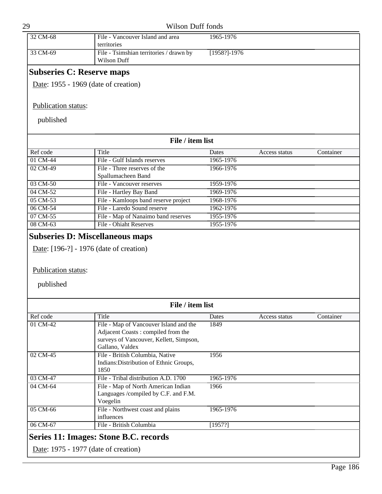| 32 CM-68                                | File - Vancouver Island and area                              | 1965-1976        |               |           |
|-----------------------------------------|---------------------------------------------------------------|------------------|---------------|-----------|
|                                         | territories                                                   |                  |               |           |
| 33 CM-69                                | File - Tsimshian territories / drawn by<br><b>Wilson Duff</b> | $[1958?] - 1976$ |               |           |
| <b>Subseries C: Reserve maps</b>        |                                                               |                  |               |           |
| Date: 1955 - 1969 (date of creation)    |                                                               |                  |               |           |
|                                         |                                                               |                  |               |           |
| Publication status:                     |                                                               |                  |               |           |
| published                               |                                                               |                  |               |           |
|                                         | File / item list                                              |                  |               |           |
| Ref code                                | Title                                                         | Dates            | Access status | Container |
| 01 CM-44                                | File - Gulf Islands reserves                                  | 1965-1976        |               |           |
| 02 CM-49                                | File - Three reserves of the                                  | 1966-1976        |               |           |
|                                         | Spallumacheen Band                                            |                  |               |           |
| 03 CM-50                                | File - Vancouver reserves                                     | 1959-1976        |               |           |
| 04 CM-52                                | File - Hartley Bay Band                                       | 1969-1976        |               |           |
| 05 CM-53                                | File - Kamloops band reserve project                          | 1968-1976        |               |           |
| 06 CM-54                                | File - Laredo Sound reserve                                   | 1962-1976        |               |           |
| 07 CM-55                                | File - Map of Nanaimo band reserves                           | 1955-1976        |               |           |
| 08 CM-63                                | File - Ohiaht Reserves                                        | 1955-1976        |               |           |
|                                         |                                                               |                  |               |           |
| <b>Subseries D: Miscellaneous maps</b>  |                                                               |                  |               |           |
|                                         |                                                               |                  |               |           |
| Date: [196-?] - 1976 (date of creation) |                                                               |                  |               |           |
|                                         |                                                               |                  |               |           |
| Publication status:                     |                                                               |                  |               |           |
|                                         |                                                               |                  |               |           |
| published                               |                                                               |                  |               |           |
|                                         |                                                               |                  |               |           |
|                                         |                                                               |                  |               |           |
|                                         | File / item list                                              |                  |               |           |
| Ref code                                | Title                                                         | Dates            | Access status | Container |
| 01 CM-42                                | File - Map of Vancouver Island and the                        | 1849             |               |           |
|                                         | Adjacent Coasts: compiled from the                            |                  |               |           |
|                                         | surveys of Vancouver, Kellett, Simpson,                       |                  |               |           |
|                                         | Gallano, Valdex                                               |                  |               |           |
| 02 CM-45                                | File - British Columbia, Native                               | 1956             |               |           |
|                                         | Indians: Distribution of Ethnic Groups,                       |                  |               |           |
|                                         | 1850                                                          |                  |               |           |
| 03 CM-47                                | File - Tribal distribution A.D. 1700                          | 1965-1976        |               |           |
| 04 CM-64                                | File - Map of North American Indian                           | 1966             |               |           |
|                                         | Languages /compiled by C.F. and F.M.                          |                  |               |           |
|                                         | Voegelin                                                      |                  |               |           |
| 05 CM-66                                | File - Northwest coast and plains                             | 1965-1976        |               |           |
|                                         | influences                                                    |                  |               |           |
| 06 CM-67                                | File - British Columbia                                       | [1957?]          |               |           |
|                                         |                                                               |                  |               |           |

# **Series 11: Images: Stone B.C. records**

Date: 1975 - 1977 (date of creation)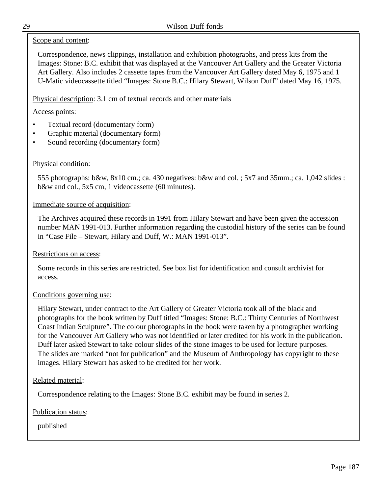## Scope and content:

Correspondence, news clippings, installation and exhibition photographs, and press kits from the Images: Stone: B.C. exhibit that was displayed at the Vancouver Art Gallery and the Greater Victoria Art Gallery. Also includes 2 cassette tapes from the Vancouver Art Gallery dated May 6, 1975 and 1 U-Matic videocassette titled "Images: Stone B.C.: Hilary Stewart, Wilson Duff" dated May 16, 1975.

Physical description: 3.1 cm of textual records and other materials

## Access points:

- Textual record (documentary form)
- Graphic material (documentary form)
- Sound recording (documentary form)

## Physical condition:

555 photographs: b&w, 8x10 cm.; ca. 430 negatives: b&w and col. ; 5x7 and 35mm.; ca. 1,042 slides : b&w and col., 5x5 cm, 1 videocassette (60 minutes).

## Immediate source of acquisition:

The Archives acquired these records in 1991 from Hilary Stewart and have been given the accession number MAN 1991-013. Further information regarding the custodial history of the series can be found in "Case File – Stewart, Hilary and Duff, W.: MAN 1991-013".

#### Restrictions on access:

Some records in this series are restricted. See box list for identification and consult archivist for access.

## Conditions governing use:

Hilary Stewart, under contract to the Art Gallery of Greater Victoria took all of the black and photographs for the book written by Duff titled "Images: Stone: B.C.: Thirty Centuries of Northwest Coast Indian Sculpture". The colour photographs in the book were taken by a photographer working for the Vancouver Art Gallery who was not identified or later credited for his work in the publication. Duff later asked Stewart to take colour slides of the stone images to be used for lecture purposes. The slides are marked "not for publication" and the Museum of Anthropology has copyright to these images. Hilary Stewart has asked to be credited for her work.

## Related material:

Correspondence relating to the Images: Stone B.C. exhibit may be found in series 2.

## Publication status: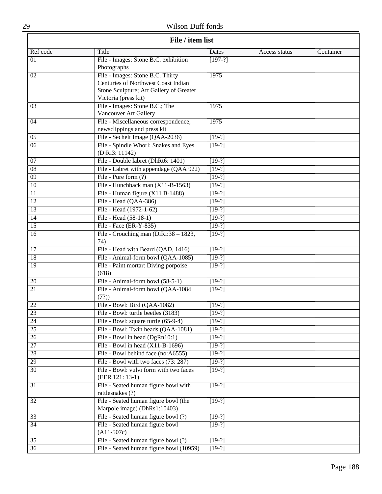# Wilson Duff fonds

| File / item list |                                                                                                                                            |           |               |           |
|------------------|--------------------------------------------------------------------------------------------------------------------------------------------|-----------|---------------|-----------|
| Ref code         | <b>Title</b>                                                                                                                               | Dates     | Access status | Container |
| 01               | File - Images: Stone B.C. exhibition<br>Photographs                                                                                        | $[197-?]$ |               |           |
| $\overline{02}$  | File - Images: Stone B.C. Thirty<br>Centuries of Northwest Coast Indian<br>Stone Sculpture; Art Gallery of Greater<br>Victoria (press kit) | 1975      |               |           |
| 03               | File - Images: Stone B.C.; The<br>Vancouver Art Gallery                                                                                    | 1975      |               |           |
| 04               | File - Miscellaneous correspondence,<br>newsclippings and press kit                                                                        | 1975      |               |           |
| $\overline{05}$  | File - Sechelt Image (QAA-2036)                                                                                                            | $[19-?]$  |               |           |
| $\overline{06}$  | File - Spindle Whorl: Snakes and Eyes<br>(DjRi3: 11142)                                                                                    | $[19-?]$  |               |           |
| 07               | File - Double labret (DhRt6: 1401)                                                                                                         | $[19-?]$  |               |           |
| $\overline{08}$  | File - Labret with appendage (QAA 922)                                                                                                     | $[19-?]$  |               |           |
| $\overline{09}$  | File - Pure form $(?)$                                                                                                                     | $[19-?]$  |               |           |
| 10               | File - Hunchback man (X11-B-1563)                                                                                                          | $[19-?]$  |               |           |
| $\overline{11}$  | File - Human figure $(X11 B-1488)$                                                                                                         | $[19-?]$  |               |           |
| $\overline{12}$  | File - Head (QAA-386)                                                                                                                      | $[19-?]$  |               |           |
| $\overline{13}$  | File - Head (1972-1-62)                                                                                                                    | $[19-?]$  |               |           |
| $\overline{14}$  | File - Head (58-18-1)                                                                                                                      | $[19-?]$  |               |           |
| $\overline{15}$  | File - Face (ER-Y-835)                                                                                                                     | $[19-?]$  |               |           |
| 16               | File - Crouching man (DiRi:38 - 1823,<br>74)                                                                                               | $[19-?]$  |               |           |
| 17               | File - Head with Beard (QAD, 1416)                                                                                                         | $[19-?]$  |               |           |
| $\overline{18}$  | File - Animal-form bowl (QAA-1085)                                                                                                         | $[19-?]$  |               |           |
| 19               | File - Paint mortar: Diving porpoise<br>(618)                                                                                              | $[19-?]$  |               |           |
| 20               | File - Animal-form bowl (58-5-1)                                                                                                           | $[19-?]$  |               |           |
| $\overline{21}$  | File - Animal-form bowl (QAA-1084<br>(7?)                                                                                                  | $[19-?]$  |               |           |
| 22               | File - Bowl: Bird (QAA-1082)                                                                                                               | $[19-?]$  |               |           |
| $\overline{23}$  | File - Bowl: turtle beetles (3183)                                                                                                         | $[19-?]$  |               |           |
| $\overline{24}$  | File - Bowl: square turtle (65-9-4)                                                                                                        | $[19-?]$  |               |           |
| $\overline{25}$  | File - Bowl: Twin heads (QAA-1081)                                                                                                         | $[19-?]$  |               |           |
| $\overline{26}$  | File - Bowl in head (DgRn10:1)                                                                                                             | $[19-?]$  |               |           |
| $\overline{27}$  | File - Bowl in head $(X11-B-1696)$                                                                                                         | $[19-?]$  |               |           |
| 28               | File - Bowl behind face (no:A6555)                                                                                                         | $[19-?]$  |               |           |
| $\overline{29}$  | File - Bowl with two faces (73: 287)                                                                                                       | $[19-?]$  |               |           |
| $\overline{30}$  | File - Bowl: vulvi form with two faces<br>(EER 121: 13-1)                                                                                  | $[19-?]$  |               |           |
| 31               | File - Seated human figure bowl with<br>rattlesnakes (?)                                                                                   | $[19-?]$  |               |           |
| $\overline{32}$  | File - Seated human figure bowl (the<br>Marpole image) (DhRs1:10403)                                                                       | $[19-?]$  |               |           |
| $\overline{33}$  | File - Seated human figure bowl (?)                                                                                                        | $[19-?]$  |               |           |
| $\overline{34}$  | File - Seated human figure bowl<br>$(A11-507c)$                                                                                            | $[19-?]$  |               |           |
| $\overline{35}$  | File - Seated human figure bowl (?)                                                                                                        | $[19-?]$  |               |           |
| $\overline{36}$  | File - Seated human figure bowl (10959)                                                                                                    | $[19-?]$  |               |           |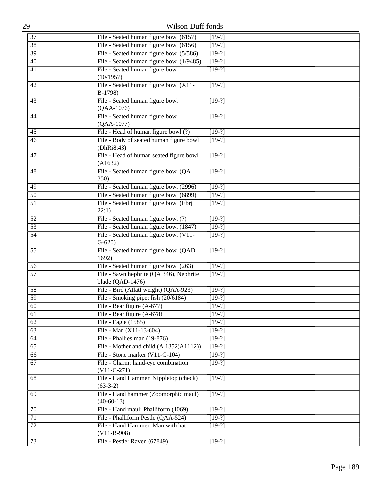| 37<br>File - Seated human figure bowl (6157)<br>$[19-?]$<br>File - Seated human figure bowl (6156)<br>38<br>$[19-?]$<br>File - Seated human figure bowl (5/586)<br>39<br>$[19-?]$<br>File - Seated human figure bowl (1/9485)<br>40<br>$[19-?]$<br>File - Seated human figure bowl<br>41<br>$[19-?]$<br>(10/1957)<br>File - Seated human figure bowl (X11-<br>42<br>$[19-?]$<br>B-1798)<br>File - Seated human figure bowl<br>43<br>$[19-?]$<br>$(QAA-1076)$<br>File - Seated human figure bowl<br>44<br>$[19-?]$<br>$(QAA-1077)$<br>File - Head of human figure bowl (?)<br>$[19-?]$<br>45<br>File - Body of seated human figure bowl<br>$[19-?]$<br>46<br>(DhRi8:43)<br>File - Head of human seated figure bowl<br>47<br>$[19-?]$<br>(A1632)<br>File - Seated human figure bowl (QA<br>48<br>$[19-?]$<br>350)<br>File - Seated human figure bowl (2996)<br>49<br>$[19-?]$<br>File - Seated human figure bowl (6899)<br>50<br>$[19-?]$<br>File - Seated human figure bowl (Ebrj<br>$\overline{51}$<br>$[19-?]$<br>22:1)<br>File - Seated human figure bowl (?)<br>52<br>$[19-?]$<br>File - Seated human figure bowl (1847)<br>53<br>$[19-?]$<br>File - Seated human figure bowl (V11-<br>54<br>$[19-?]$<br>$G-620$<br>55<br>File - Seated human figure bowl (QAD<br>$[19-?]$<br>1692)<br>File - Seated human figure bowl (263)<br>56<br>$[19-?]$<br>File - Sawn hephrite (QA 346), Nephrite<br>$\overline{57}$<br>$[19-?]$<br>blade (QAD-1476)<br>File - Bird (Atlatl weight) (QAA-923)<br>58<br>$[19-?]$<br>$\overline{59}$<br>File - Smoking pipe: fish (20/6184)<br>$[19-?]$<br>File - Bear figure (A-677)<br>60<br>$[19-?]$<br>File - Bear figure (A-678)<br>$[19-?]$<br>61<br>File - Eagle (1585)<br>62<br>$[19-?]$<br>File - Man (X11-13-604)<br>$\overline{63}$<br>$[19-?]$<br>File - Phallies man (19-876)<br>64<br>$[19-?]$<br>File - Mother and child (A 1352(A1112))<br>65<br>$[19-?]$<br>File - Stone marker (V11-C-104)<br>$[19-?]$<br>66<br>File - Charm: hand-eye combination<br>67<br>$[19-?]$<br>$(V11-C-271)$<br>File - Hand Hammer, Nippletop (check)<br>$[19-?]$<br>68<br>$(63-3-2)$<br>File - Hand hammer (Zoomorphic maul)<br>$[19-?]$<br>69<br>$(40-60-13)$<br>File - Hand maul: Phalliform (1069)<br>70<br>$[19-?]$<br>File - Phalliform Pestle (QAA-524)<br>71<br>$[19-?]$<br>File - Hand Hammer: Man with hat<br>$\overline{72}$<br>$[19-?]$<br>$(V11-B-908)$<br>File - Pestle: Raven (67849)<br>$[19-?]$<br>73 | 29 | <b>Wilson Duff fonds</b> |  |
|--------------------------------------------------------------------------------------------------------------------------------------------------------------------------------------------------------------------------------------------------------------------------------------------------------------------------------------------------------------------------------------------------------------------------------------------------------------------------------------------------------------------------------------------------------------------------------------------------------------------------------------------------------------------------------------------------------------------------------------------------------------------------------------------------------------------------------------------------------------------------------------------------------------------------------------------------------------------------------------------------------------------------------------------------------------------------------------------------------------------------------------------------------------------------------------------------------------------------------------------------------------------------------------------------------------------------------------------------------------------------------------------------------------------------------------------------------------------------------------------------------------------------------------------------------------------------------------------------------------------------------------------------------------------------------------------------------------------------------------------------------------------------------------------------------------------------------------------------------------------------------------------------------------------------------------------------------------------------------------------------------------------------------------------------------------------------------------------------------------------------------------------------------------------------------------------------------------------------------------------------------------------------------------------------------------------------------------------------------------------------------------------------------------------------------------------|----|--------------------------|--|
|                                                                                                                                                                                                                                                                                                                                                                                                                                                                                                                                                                                                                                                                                                                                                                                                                                                                                                                                                                                                                                                                                                                                                                                                                                                                                                                                                                                                                                                                                                                                                                                                                                                                                                                                                                                                                                                                                                                                                                                                                                                                                                                                                                                                                                                                                                                                                                                                                                            |    |                          |  |
|                                                                                                                                                                                                                                                                                                                                                                                                                                                                                                                                                                                                                                                                                                                                                                                                                                                                                                                                                                                                                                                                                                                                                                                                                                                                                                                                                                                                                                                                                                                                                                                                                                                                                                                                                                                                                                                                                                                                                                                                                                                                                                                                                                                                                                                                                                                                                                                                                                            |    |                          |  |
|                                                                                                                                                                                                                                                                                                                                                                                                                                                                                                                                                                                                                                                                                                                                                                                                                                                                                                                                                                                                                                                                                                                                                                                                                                                                                                                                                                                                                                                                                                                                                                                                                                                                                                                                                                                                                                                                                                                                                                                                                                                                                                                                                                                                                                                                                                                                                                                                                                            |    |                          |  |
|                                                                                                                                                                                                                                                                                                                                                                                                                                                                                                                                                                                                                                                                                                                                                                                                                                                                                                                                                                                                                                                                                                                                                                                                                                                                                                                                                                                                                                                                                                                                                                                                                                                                                                                                                                                                                                                                                                                                                                                                                                                                                                                                                                                                                                                                                                                                                                                                                                            |    |                          |  |
|                                                                                                                                                                                                                                                                                                                                                                                                                                                                                                                                                                                                                                                                                                                                                                                                                                                                                                                                                                                                                                                                                                                                                                                                                                                                                                                                                                                                                                                                                                                                                                                                                                                                                                                                                                                                                                                                                                                                                                                                                                                                                                                                                                                                                                                                                                                                                                                                                                            |    |                          |  |
|                                                                                                                                                                                                                                                                                                                                                                                                                                                                                                                                                                                                                                                                                                                                                                                                                                                                                                                                                                                                                                                                                                                                                                                                                                                                                                                                                                                                                                                                                                                                                                                                                                                                                                                                                                                                                                                                                                                                                                                                                                                                                                                                                                                                                                                                                                                                                                                                                                            |    |                          |  |
|                                                                                                                                                                                                                                                                                                                                                                                                                                                                                                                                                                                                                                                                                                                                                                                                                                                                                                                                                                                                                                                                                                                                                                                                                                                                                                                                                                                                                                                                                                                                                                                                                                                                                                                                                                                                                                                                                                                                                                                                                                                                                                                                                                                                                                                                                                                                                                                                                                            |    |                          |  |
|                                                                                                                                                                                                                                                                                                                                                                                                                                                                                                                                                                                                                                                                                                                                                                                                                                                                                                                                                                                                                                                                                                                                                                                                                                                                                                                                                                                                                                                                                                                                                                                                                                                                                                                                                                                                                                                                                                                                                                                                                                                                                                                                                                                                                                                                                                                                                                                                                                            |    |                          |  |
|                                                                                                                                                                                                                                                                                                                                                                                                                                                                                                                                                                                                                                                                                                                                                                                                                                                                                                                                                                                                                                                                                                                                                                                                                                                                                                                                                                                                                                                                                                                                                                                                                                                                                                                                                                                                                                                                                                                                                                                                                                                                                                                                                                                                                                                                                                                                                                                                                                            |    |                          |  |
|                                                                                                                                                                                                                                                                                                                                                                                                                                                                                                                                                                                                                                                                                                                                                                                                                                                                                                                                                                                                                                                                                                                                                                                                                                                                                                                                                                                                                                                                                                                                                                                                                                                                                                                                                                                                                                                                                                                                                                                                                                                                                                                                                                                                                                                                                                                                                                                                                                            |    |                          |  |
|                                                                                                                                                                                                                                                                                                                                                                                                                                                                                                                                                                                                                                                                                                                                                                                                                                                                                                                                                                                                                                                                                                                                                                                                                                                                                                                                                                                                                                                                                                                                                                                                                                                                                                                                                                                                                                                                                                                                                                                                                                                                                                                                                                                                                                                                                                                                                                                                                                            |    |                          |  |
|                                                                                                                                                                                                                                                                                                                                                                                                                                                                                                                                                                                                                                                                                                                                                                                                                                                                                                                                                                                                                                                                                                                                                                                                                                                                                                                                                                                                                                                                                                                                                                                                                                                                                                                                                                                                                                                                                                                                                                                                                                                                                                                                                                                                                                                                                                                                                                                                                                            |    |                          |  |
|                                                                                                                                                                                                                                                                                                                                                                                                                                                                                                                                                                                                                                                                                                                                                                                                                                                                                                                                                                                                                                                                                                                                                                                                                                                                                                                                                                                                                                                                                                                                                                                                                                                                                                                                                                                                                                                                                                                                                                                                                                                                                                                                                                                                                                                                                                                                                                                                                                            |    |                          |  |
|                                                                                                                                                                                                                                                                                                                                                                                                                                                                                                                                                                                                                                                                                                                                                                                                                                                                                                                                                                                                                                                                                                                                                                                                                                                                                                                                                                                                                                                                                                                                                                                                                                                                                                                                                                                                                                                                                                                                                                                                                                                                                                                                                                                                                                                                                                                                                                                                                                            |    |                          |  |
|                                                                                                                                                                                                                                                                                                                                                                                                                                                                                                                                                                                                                                                                                                                                                                                                                                                                                                                                                                                                                                                                                                                                                                                                                                                                                                                                                                                                                                                                                                                                                                                                                                                                                                                                                                                                                                                                                                                                                                                                                                                                                                                                                                                                                                                                                                                                                                                                                                            |    |                          |  |
|                                                                                                                                                                                                                                                                                                                                                                                                                                                                                                                                                                                                                                                                                                                                                                                                                                                                                                                                                                                                                                                                                                                                                                                                                                                                                                                                                                                                                                                                                                                                                                                                                                                                                                                                                                                                                                                                                                                                                                                                                                                                                                                                                                                                                                                                                                                                                                                                                                            |    |                          |  |
|                                                                                                                                                                                                                                                                                                                                                                                                                                                                                                                                                                                                                                                                                                                                                                                                                                                                                                                                                                                                                                                                                                                                                                                                                                                                                                                                                                                                                                                                                                                                                                                                                                                                                                                                                                                                                                                                                                                                                                                                                                                                                                                                                                                                                                                                                                                                                                                                                                            |    |                          |  |
|                                                                                                                                                                                                                                                                                                                                                                                                                                                                                                                                                                                                                                                                                                                                                                                                                                                                                                                                                                                                                                                                                                                                                                                                                                                                                                                                                                                                                                                                                                                                                                                                                                                                                                                                                                                                                                                                                                                                                                                                                                                                                                                                                                                                                                                                                                                                                                                                                                            |    |                          |  |
|                                                                                                                                                                                                                                                                                                                                                                                                                                                                                                                                                                                                                                                                                                                                                                                                                                                                                                                                                                                                                                                                                                                                                                                                                                                                                                                                                                                                                                                                                                                                                                                                                                                                                                                                                                                                                                                                                                                                                                                                                                                                                                                                                                                                                                                                                                                                                                                                                                            |    |                          |  |
|                                                                                                                                                                                                                                                                                                                                                                                                                                                                                                                                                                                                                                                                                                                                                                                                                                                                                                                                                                                                                                                                                                                                                                                                                                                                                                                                                                                                                                                                                                                                                                                                                                                                                                                                                                                                                                                                                                                                                                                                                                                                                                                                                                                                                                                                                                                                                                                                                                            |    |                          |  |
|                                                                                                                                                                                                                                                                                                                                                                                                                                                                                                                                                                                                                                                                                                                                                                                                                                                                                                                                                                                                                                                                                                                                                                                                                                                                                                                                                                                                                                                                                                                                                                                                                                                                                                                                                                                                                                                                                                                                                                                                                                                                                                                                                                                                                                                                                                                                                                                                                                            |    |                          |  |
|                                                                                                                                                                                                                                                                                                                                                                                                                                                                                                                                                                                                                                                                                                                                                                                                                                                                                                                                                                                                                                                                                                                                                                                                                                                                                                                                                                                                                                                                                                                                                                                                                                                                                                                                                                                                                                                                                                                                                                                                                                                                                                                                                                                                                                                                                                                                                                                                                                            |    |                          |  |
|                                                                                                                                                                                                                                                                                                                                                                                                                                                                                                                                                                                                                                                                                                                                                                                                                                                                                                                                                                                                                                                                                                                                                                                                                                                                                                                                                                                                                                                                                                                                                                                                                                                                                                                                                                                                                                                                                                                                                                                                                                                                                                                                                                                                                                                                                                                                                                                                                                            |    |                          |  |
|                                                                                                                                                                                                                                                                                                                                                                                                                                                                                                                                                                                                                                                                                                                                                                                                                                                                                                                                                                                                                                                                                                                                                                                                                                                                                                                                                                                                                                                                                                                                                                                                                                                                                                                                                                                                                                                                                                                                                                                                                                                                                                                                                                                                                                                                                                                                                                                                                                            |    |                          |  |
|                                                                                                                                                                                                                                                                                                                                                                                                                                                                                                                                                                                                                                                                                                                                                                                                                                                                                                                                                                                                                                                                                                                                                                                                                                                                                                                                                                                                                                                                                                                                                                                                                                                                                                                                                                                                                                                                                                                                                                                                                                                                                                                                                                                                                                                                                                                                                                                                                                            |    |                          |  |
|                                                                                                                                                                                                                                                                                                                                                                                                                                                                                                                                                                                                                                                                                                                                                                                                                                                                                                                                                                                                                                                                                                                                                                                                                                                                                                                                                                                                                                                                                                                                                                                                                                                                                                                                                                                                                                                                                                                                                                                                                                                                                                                                                                                                                                                                                                                                                                                                                                            |    |                          |  |
|                                                                                                                                                                                                                                                                                                                                                                                                                                                                                                                                                                                                                                                                                                                                                                                                                                                                                                                                                                                                                                                                                                                                                                                                                                                                                                                                                                                                                                                                                                                                                                                                                                                                                                                                                                                                                                                                                                                                                                                                                                                                                                                                                                                                                                                                                                                                                                                                                                            |    |                          |  |
|                                                                                                                                                                                                                                                                                                                                                                                                                                                                                                                                                                                                                                                                                                                                                                                                                                                                                                                                                                                                                                                                                                                                                                                                                                                                                                                                                                                                                                                                                                                                                                                                                                                                                                                                                                                                                                                                                                                                                                                                                                                                                                                                                                                                                                                                                                                                                                                                                                            |    |                          |  |
|                                                                                                                                                                                                                                                                                                                                                                                                                                                                                                                                                                                                                                                                                                                                                                                                                                                                                                                                                                                                                                                                                                                                                                                                                                                                                                                                                                                                                                                                                                                                                                                                                                                                                                                                                                                                                                                                                                                                                                                                                                                                                                                                                                                                                                                                                                                                                                                                                                            |    |                          |  |
|                                                                                                                                                                                                                                                                                                                                                                                                                                                                                                                                                                                                                                                                                                                                                                                                                                                                                                                                                                                                                                                                                                                                                                                                                                                                                                                                                                                                                                                                                                                                                                                                                                                                                                                                                                                                                                                                                                                                                                                                                                                                                                                                                                                                                                                                                                                                                                                                                                            |    |                          |  |
|                                                                                                                                                                                                                                                                                                                                                                                                                                                                                                                                                                                                                                                                                                                                                                                                                                                                                                                                                                                                                                                                                                                                                                                                                                                                                                                                                                                                                                                                                                                                                                                                                                                                                                                                                                                                                                                                                                                                                                                                                                                                                                                                                                                                                                                                                                                                                                                                                                            |    |                          |  |
|                                                                                                                                                                                                                                                                                                                                                                                                                                                                                                                                                                                                                                                                                                                                                                                                                                                                                                                                                                                                                                                                                                                                                                                                                                                                                                                                                                                                                                                                                                                                                                                                                                                                                                                                                                                                                                                                                                                                                                                                                                                                                                                                                                                                                                                                                                                                                                                                                                            |    |                          |  |
|                                                                                                                                                                                                                                                                                                                                                                                                                                                                                                                                                                                                                                                                                                                                                                                                                                                                                                                                                                                                                                                                                                                                                                                                                                                                                                                                                                                                                                                                                                                                                                                                                                                                                                                                                                                                                                                                                                                                                                                                                                                                                                                                                                                                                                                                                                                                                                                                                                            |    |                          |  |
|                                                                                                                                                                                                                                                                                                                                                                                                                                                                                                                                                                                                                                                                                                                                                                                                                                                                                                                                                                                                                                                                                                                                                                                                                                                                                                                                                                                                                                                                                                                                                                                                                                                                                                                                                                                                                                                                                                                                                                                                                                                                                                                                                                                                                                                                                                                                                                                                                                            |    |                          |  |
|                                                                                                                                                                                                                                                                                                                                                                                                                                                                                                                                                                                                                                                                                                                                                                                                                                                                                                                                                                                                                                                                                                                                                                                                                                                                                                                                                                                                                                                                                                                                                                                                                                                                                                                                                                                                                                                                                                                                                                                                                                                                                                                                                                                                                                                                                                                                                                                                                                            |    |                          |  |
|                                                                                                                                                                                                                                                                                                                                                                                                                                                                                                                                                                                                                                                                                                                                                                                                                                                                                                                                                                                                                                                                                                                                                                                                                                                                                                                                                                                                                                                                                                                                                                                                                                                                                                                                                                                                                                                                                                                                                                                                                                                                                                                                                                                                                                                                                                                                                                                                                                            |    |                          |  |
|                                                                                                                                                                                                                                                                                                                                                                                                                                                                                                                                                                                                                                                                                                                                                                                                                                                                                                                                                                                                                                                                                                                                                                                                                                                                                                                                                                                                                                                                                                                                                                                                                                                                                                                                                                                                                                                                                                                                                                                                                                                                                                                                                                                                                                                                                                                                                                                                                                            |    |                          |  |
|                                                                                                                                                                                                                                                                                                                                                                                                                                                                                                                                                                                                                                                                                                                                                                                                                                                                                                                                                                                                                                                                                                                                                                                                                                                                                                                                                                                                                                                                                                                                                                                                                                                                                                                                                                                                                                                                                                                                                                                                                                                                                                                                                                                                                                                                                                                                                                                                                                            |    |                          |  |
|                                                                                                                                                                                                                                                                                                                                                                                                                                                                                                                                                                                                                                                                                                                                                                                                                                                                                                                                                                                                                                                                                                                                                                                                                                                                                                                                                                                                                                                                                                                                                                                                                                                                                                                                                                                                                                                                                                                                                                                                                                                                                                                                                                                                                                                                                                                                                                                                                                            |    |                          |  |
|                                                                                                                                                                                                                                                                                                                                                                                                                                                                                                                                                                                                                                                                                                                                                                                                                                                                                                                                                                                                                                                                                                                                                                                                                                                                                                                                                                                                                                                                                                                                                                                                                                                                                                                                                                                                                                                                                                                                                                                                                                                                                                                                                                                                                                                                                                                                                                                                                                            |    |                          |  |
|                                                                                                                                                                                                                                                                                                                                                                                                                                                                                                                                                                                                                                                                                                                                                                                                                                                                                                                                                                                                                                                                                                                                                                                                                                                                                                                                                                                                                                                                                                                                                                                                                                                                                                                                                                                                                                                                                                                                                                                                                                                                                                                                                                                                                                                                                                                                                                                                                                            |    |                          |  |
|                                                                                                                                                                                                                                                                                                                                                                                                                                                                                                                                                                                                                                                                                                                                                                                                                                                                                                                                                                                                                                                                                                                                                                                                                                                                                                                                                                                                                                                                                                                                                                                                                                                                                                                                                                                                                                                                                                                                                                                                                                                                                                                                                                                                                                                                                                                                                                                                                                            |    |                          |  |
|                                                                                                                                                                                                                                                                                                                                                                                                                                                                                                                                                                                                                                                                                                                                                                                                                                                                                                                                                                                                                                                                                                                                                                                                                                                                                                                                                                                                                                                                                                                                                                                                                                                                                                                                                                                                                                                                                                                                                                                                                                                                                                                                                                                                                                                                                                                                                                                                                                            |    |                          |  |
|                                                                                                                                                                                                                                                                                                                                                                                                                                                                                                                                                                                                                                                                                                                                                                                                                                                                                                                                                                                                                                                                                                                                                                                                                                                                                                                                                                                                                                                                                                                                                                                                                                                                                                                                                                                                                                                                                                                                                                                                                                                                                                                                                                                                                                                                                                                                                                                                                                            |    |                          |  |
|                                                                                                                                                                                                                                                                                                                                                                                                                                                                                                                                                                                                                                                                                                                                                                                                                                                                                                                                                                                                                                                                                                                                                                                                                                                                                                                                                                                                                                                                                                                                                                                                                                                                                                                                                                                                                                                                                                                                                                                                                                                                                                                                                                                                                                                                                                                                                                                                                                            |    |                          |  |
|                                                                                                                                                                                                                                                                                                                                                                                                                                                                                                                                                                                                                                                                                                                                                                                                                                                                                                                                                                                                                                                                                                                                                                                                                                                                                                                                                                                                                                                                                                                                                                                                                                                                                                                                                                                                                                                                                                                                                                                                                                                                                                                                                                                                                                                                                                                                                                                                                                            |    |                          |  |
|                                                                                                                                                                                                                                                                                                                                                                                                                                                                                                                                                                                                                                                                                                                                                                                                                                                                                                                                                                                                                                                                                                                                                                                                                                                                                                                                                                                                                                                                                                                                                                                                                                                                                                                                                                                                                                                                                                                                                                                                                                                                                                                                                                                                                                                                                                                                                                                                                                            |    |                          |  |
|                                                                                                                                                                                                                                                                                                                                                                                                                                                                                                                                                                                                                                                                                                                                                                                                                                                                                                                                                                                                                                                                                                                                                                                                                                                                                                                                                                                                                                                                                                                                                                                                                                                                                                                                                                                                                                                                                                                                                                                                                                                                                                                                                                                                                                                                                                                                                                                                                                            |    |                          |  |
|                                                                                                                                                                                                                                                                                                                                                                                                                                                                                                                                                                                                                                                                                                                                                                                                                                                                                                                                                                                                                                                                                                                                                                                                                                                                                                                                                                                                                                                                                                                                                                                                                                                                                                                                                                                                                                                                                                                                                                                                                                                                                                                                                                                                                                                                                                                                                                                                                                            |    |                          |  |
|                                                                                                                                                                                                                                                                                                                                                                                                                                                                                                                                                                                                                                                                                                                                                                                                                                                                                                                                                                                                                                                                                                                                                                                                                                                                                                                                                                                                                                                                                                                                                                                                                                                                                                                                                                                                                                                                                                                                                                                                                                                                                                                                                                                                                                                                                                                                                                                                                                            |    |                          |  |
|                                                                                                                                                                                                                                                                                                                                                                                                                                                                                                                                                                                                                                                                                                                                                                                                                                                                                                                                                                                                                                                                                                                                                                                                                                                                                                                                                                                                                                                                                                                                                                                                                                                                                                                                                                                                                                                                                                                                                                                                                                                                                                                                                                                                                                                                                                                                                                                                                                            |    |                          |  |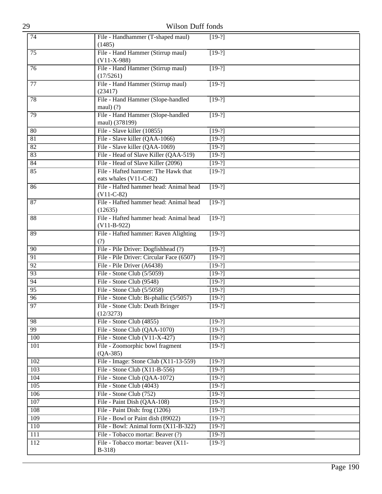| 29               | Wilson Duff fonds                                             |               |
|------------------|---------------------------------------------------------------|---------------|
| 74               | File - Handhammer (T-shaped maul)<br>(1485)                   | $[19-?]$      |
| 75               | File - Hand Hammer (Stirrup maul)<br>$(V11-X-988)$            | $[19-?]$      |
| $\overline{76}$  | File - Hand Hammer (Stirrup maul)<br>(17/5261)                | $[19-?]$      |
| 77               | File - Hand Hammer (Stirrup maul)<br>(23417)                  | $[19-?]$      |
| 78               | File - Hand Hammer (Slope-handled<br>$maul)$ (?)              | $[19-?]$      |
| 79               | File - Hand Hammer (Slope-handled<br>maul) (378199)           | $[19-?]$      |
| 80               | File - Slave killer (10855)                                   | $[19-?]$      |
| 81               | File - Slave killer (QAA-1066)                                | $[19-?]$      |
| 82               | File - Slave killer (QAA-1069)                                | $\sqrt{19-?}$ |
| 83               | File - Head of Slave Killer (QAA-519)                         | $[19-?]$      |
| 84               | File - Head of Slave Killer (2096)                            | $[19-?]$      |
| 85               | File - Hafted hammer: The Hawk that<br>eats whales (V11-C-82) | $\sqrt{19-?}$ |
| 86               | File - Hafted hammer head: Animal head<br>$(V11-C-82)$        | $[19-?]$      |
| 87               | File - Hafted hammer head: Animal head<br>(12635)             | $[19-?]$      |
| 88               | File - Hafted hammer head: Animal head<br>$(V11-B-922)$       | $[19-?]$      |
| 89               | File - Hafted hammer: Raven Alighting<br>(?)                  | $[19-?]$      |
| 90               | File - Pile Driver: Dogfishhead (?)                           | $[19-?]$      |
| 91               | File - Pile Driver: Circular Face (6507)                      | $[19-?]$      |
| 92               | File - Pile Driver (A6438)                                    | $[19-?]$      |
| 93               | File - Stone Club (5/5059)                                    | $[19-?]$      |
| 94               | File - Stone Club (9548)                                      | $[19-?]$      |
| 95               | File - Stone Club (5/5058)                                    | $[19-?]$      |
| 96               | File - Stone Club: Bi-phallic (5/5057)                        | $[19-?]$      |
| $\overline{97}$  | File - Stone Club: Death Bringer<br>(12/3273)                 | $[19-?]$      |
| 98               | File - Stone Club (4855)                                      | $[19-?]$      |
| 99               | File - Stone Club (QAA-1070)                                  | $[19-?]$      |
| 100              | File - Stone Club $(V11-X-427)$                               | $[19-?]$      |
| 101              | File - Zoomorphic bowl fragment<br>$(QA-385)$                 | $[19-?]$      |
| 102              | File - Image: Stone Club (X11-13-559)                         | $[19-?]$      |
| 103              | File - Stone Club $(X11-B-556)$                               | $[19-?]$      |
| 104              | File - Stone Club (QAA-1072)                                  | $[19-?]$      |
| 105              | File - Stone Club (4043)                                      | $[19-?]$      |
| 106              | File - Stone Club (752)                                       | $[19-?]$      |
| 107              | File - Paint Dish (QAA-108)                                   | $[19-?]$      |
| 108              | File - Paint Dish: frog (1206)                                | $[19-?]$      |
| 109              | File - Bowl or Paint dish (89022)                             | $[19-?]$      |
| 110              | File - Bowl: Animal form (X11-B-322)                          | $[19-?]$      |
| 111              | File - Tobacco mortar: Beaver (?)                             | $[19-?]$      |
| $\overline{112}$ | File - Tobacco mortar: beaver (X11-<br>$B-318$                | $[19-?]$      |
|                  |                                                               |               |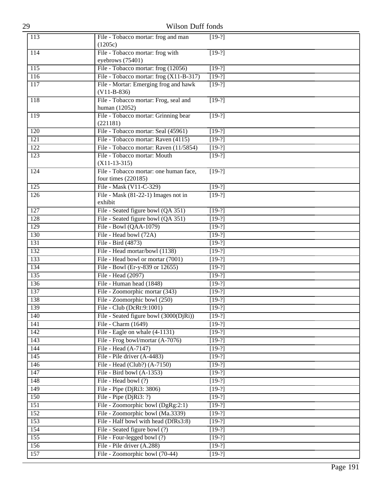| 29               | Wilson Duff fonds                                             |                      |  |
|------------------|---------------------------------------------------------------|----------------------|--|
| 113              | File - Tobacco mortar: frog and man<br>(1205c)                | $[19-?]$             |  |
| 114              | File - Tobacco mortar: frog with<br>eyebrows (75401)          | $[19-?]$             |  |
| $\overline{115}$ | File - Tobacco mortar: frog (12056)                           | $[19-?]$             |  |
| 116              | File - Tobacco mortar: frog (X11-B-317)                       | $[19-?]$             |  |
| 117              | File - Mortar: Emerging frog and hawk<br>$(V11-B-836)$        | $[19-?]$             |  |
| 118              | File - Tobacco mortar: Frog, seal and<br>human (12052)        | $[19-?]$             |  |
| 119              | File - Tobacco mortar: Grinning bear<br>(221181)              | $[19-?]$             |  |
| 120              | File - Tobacco mortar: Seal (45961)                           | $[19-?]$             |  |
| $\overline{121}$ | File - Tobacco mortar: Raven (4115)                           | $[19-?]$             |  |
| 122              | File - Tobacco mortar: Raven (11/5854)                        | $[19-?]$             |  |
| 123              | File - Tobacco mortar: Mouth<br>$(X11-13-315)$                | $[19-?]$             |  |
| 124              | File - Tobacco mortar: one human face,<br>four times (220185) | $[19-?]$             |  |
| 125              | File - Mask (V11-C-329)                                       | $[19-?]$             |  |
| $\overline{126}$ | File - Mask (81-22-1) Images not in<br>exhibit                | $[19-?]$             |  |
| 127              | File - Seated figure bowl (QA 351)                            | $[19-?]$             |  |
| 128              | File - Seated figure bowl (QA 351)                            | $[19-?]$             |  |
| 129              | File - Bowl (QAA-1079)                                        | $[19-?]$             |  |
| 130              | File - Head bowl (72A)                                        | $[19-?]$             |  |
| 131              | File - Bird (4873)                                            | $[19-?]$             |  |
| 132              | File - Head mortar/bowl (1138)                                | $[19-?]$             |  |
| 133              | File - Head bowl or mortar (7001)                             | $[19-?]$             |  |
| 134              | File - Bowl (Er-y-839 or 12655)                               | $[19-?]$             |  |
| 135              | File - Head (2097)                                            | $[19-?]$             |  |
| 136              | File - Human head (1848)                                      | $[19-?]$             |  |
| 137              | File - Zoomorphic mortar (343)                                | $[19-?]$             |  |
| 138              | File - Zoomorphic bowl (250)                                  | $[19-?]$             |  |
| 139              | File - Club (DcRt:9:1001)                                     | $[19-?]$             |  |
| 140              | File - Seated figure bowl (3000(DjRi))                        | $[19-?]$             |  |
| 141              | File - Charm (1649)                                           | $[19-?]$             |  |
| 142              | File - Eagle on whale (4-1131)                                | $\sqrt{19-?}$        |  |
| 143<br>144       | File - Frog bowl/mortar (A-7076)<br>File - Head (A-7147)      | $[19-?]$<br>$[19-?]$ |  |
| $\overline{145}$ | File - Pile driver (A-4483)                                   | $[19-?]$             |  |
| 146              | File - Head (Club?) (A-7150)                                  | $[19-?]$             |  |
| 147              | File - Bird bowl (A-1353)                                     | $[19-?]$             |  |
| 148              | File - Head bowl (?)                                          | $[19-?]$             |  |
| 149              | File - Pipe (DjRi3: 3806)                                     | $[19-?]$             |  |
| 150              | File - Pipe (DjRi3: ?)                                        | $[19-?]$             |  |
| 151              | File - Zoomorphic bowl (DgRg:2:1)                             | $[19-?]$             |  |
| 152              | File - Zoomorphic bowl (Ma.3339)                              | $[19-?]$             |  |
| 153              | File - Half bowl with head (DfRs3:8)                          | $[19-?]$             |  |
| 154              | File - Seated figure bowl (?)                                 | $[19-?]$             |  |
| 155              | File - Four-legged bowl (?)                                   | $[19-?]$             |  |
| 156              | File - Pile driver (A.288)                                    | $[19-?]$             |  |
| 157              | File - Zoomorphic bowl (70-44)                                | $[19-?]$             |  |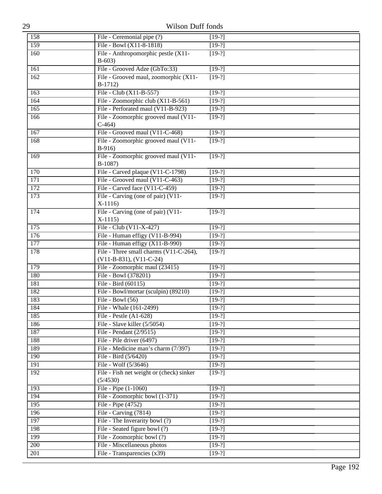| 29               | Wilson Duff fonds                                                         |                      |
|------------------|---------------------------------------------------------------------------|----------------------|
| 158              | File - Ceremonial pipe (?)                                                | $[19-?]$             |
| 159              | File - Bowl (X11-8-1818)                                                  | $[19-?]$             |
| 160              | File - Anthropomorphic pestle (X11-                                       | $[19-?]$             |
|                  | $B-603)$                                                                  |                      |
| 161              | File - Grooved Adze (GbTo:33)                                             | $[19-?]$             |
| 162              | File - Grooved maul, zoomorphic (X11-                                     | $[19-?]$             |
|                  | $B-1712)$                                                                 |                      |
| 163              | File - Club $(X11-B-557)$                                                 | $\sqrt{19-?}$        |
| 164              | File - Zoomorphic club (X11-B-561)                                        | $[19-?]$             |
| 165              | File - Perforated maul (V11-B-923)                                        | $[19-?]$             |
| 166              | File - Zoomorphic grooved maul (V11-<br>$C-464$                           | $[19-?]$             |
| 167              | File - Grooved maul (V11-C-468)                                           | $[19-?]$             |
| 168              | File - Zoomorphic grooved maul (V11-                                      | $[19-?]$             |
|                  | $B-916$                                                                   |                      |
| 169              | File - Zoomorphic grooved maul (V11-                                      | $[19-?]$             |
|                  | $B-1087$                                                                  |                      |
| 170              | File - Carved plaque (V11-C-1798)                                         | $[19-?]$             |
| $\overline{171}$ | File - Grooved maul (V11-C-463)                                           | $[19-?]$             |
| $\overline{172}$ | File - Carved face (V11-C-459)                                            | $[19-?]$             |
| 173              | File - Carving (one of pair) (V11-                                        | $[19-?]$             |
|                  | $X-1116$                                                                  |                      |
| 174              | File - Carving (one of pair) (V11-                                        | $[19-?]$             |
|                  | $X-1115$                                                                  |                      |
| 175              | File - Club (V11-X-427)                                                   | $[19-?]$             |
| 176              | File - Human effigy (V11-B-994)                                           | $[19-?]$             |
| 177<br>178       | File - Human effigy (X11-B-990)<br>File - Three small charms (V11-C-264), | $[19-?]$             |
|                  | (V11-B-831), (V11-C-24)                                                   | $[19-?]$             |
| 179              | File - Zoomorphic maul (23415)                                            | $[19-?]$             |
| 180              | File - Bowl (378201)                                                      | $[19-?]$             |
| 181              | File - Bird (60115)                                                       | $[19-?]$             |
| 182              | File - Bowl/mortar (sculpin) (89210)                                      | $[19-?]$             |
| 183              | File - Bowl $(56)$                                                        | $[19-?]$             |
| 184              | File - Whale (161-2499)                                                   | $[19-?]$             |
| 185              | File - Pestle $(A1-628)$                                                  | $[19-?]$             |
| 186              | File - Slave killer (5/5054)                                              | $[19-?]$             |
| 187              | File - Pendant (2/9515)                                                   | $[19-?]$             |
| 188              | File - Pile driver (6497)                                                 | $[19-?]$             |
| 189              | File - Medicine man's charm (7/397)                                       | $[19-?]$             |
| 190              | File - Bird (5/6420)                                                      | $[19-?]$             |
| 191              | File - Wolf (5/3646)                                                      | $[19-?]$             |
| 192              | File - Fish net weight or (check) sinker                                  | $[19-?]$             |
|                  | (5/4530)                                                                  |                      |
| 193              | File - Pipe (1-1060)                                                      | $[19-?]$             |
| 194              | File - Zoomorphic bowl (1-371)                                            | $[19-?]$             |
| 195<br>196       | File - Pipe (4752)<br>File - Carving (7814)                               | $[19-?]$<br>$[19-?]$ |
| 197              | File - The Inverarity bowl (?)                                            | $[19-?]$             |
| 198              | File - Seated figure bowl (?)                                             | $[19-?]$             |
| 199              | File - Zoomorphic bowl (?)                                                | $[19-?]$             |
| 200              | File - Miscellaneous photos                                               | $[19-?]$             |
| 201              | File - Transparencies (x39)                                               | $[19-?]$             |
|                  |                                                                           |                      |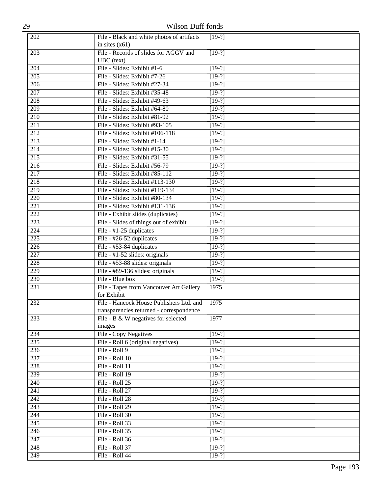| 29               | Wilson Duff fonds                                                               |          |
|------------------|---------------------------------------------------------------------------------|----------|
| 202              | File - Black and white photos of artifacts                                      | $[19-?]$ |
|                  | in sites $(x61)$                                                                |          |
| 203              | File - Records of slides for AGGV and                                           | $[19-?]$ |
|                  | UBC (text)                                                                      |          |
| 204              | File - Slides: Exhibit #1-6                                                     | $[19-?]$ |
| $\overline{205}$ | File - Slides: Exhibit #7-26                                                    | $[19-?]$ |
| 206              | File - Slides: Exhibit #27-34                                                   | $[19-?]$ |
| $\overline{207}$ | File - Slides: Exhibit #35-48                                                   | $[19-?]$ |
| 208              | File - Slides: Exhibit #49-63                                                   | $[19-?]$ |
| 209              | File - Slides: Exhibit #64-80                                                   | $[19-?]$ |
| $\overline{210}$ | File - Slides: Exhibit #81-92                                                   | $[19-?]$ |
| 211              | File - Slides: Exhibit #93-105                                                  | $[19-?]$ |
| 212              | File - Slides: Exhibit #106-118                                                 | $[19-?]$ |
| $\overline{213}$ | File - Slides: Exhibit #1-14                                                    | $[19-?]$ |
| 214              | File - Slides: Exhibit #15-30                                                   | $[19-?]$ |
| $\overline{215}$ | File - Slides: Exhibit #31-55                                                   | $[19-?]$ |
| $\overline{216}$ | File - Slides: Exhibit #56-79                                                   | $[19-2]$ |
| 217              | File - Slides: Exhibit #85-112                                                  | $[19-?]$ |
| 218              | File - Slides: Exhibit #113-130                                                 | $[19-?]$ |
| $\overline{219}$ | File - Slides: Exhibit #119-134                                                 | $[19-?]$ |
| 220              | File - Slides: Exhibit #80-134                                                  | $[19-?]$ |
| 221              | File - Slides: Exhibit #131-136                                                 | $[19-?]$ |
| $\overline{222}$ | File - Exhibit slides (duplicates)                                              | $[19-?]$ |
| $\overline{223}$ | File - Slides of things out of exhibit                                          | $[19-?]$ |
| 224              | File - #1-25 duplicates                                                         | $[19-?]$ |
| $\overline{225}$ | File - #26-52 duplicates                                                        | $[19-?]$ |
| 226              | File - #53-84 duplicates                                                        | $[19-?]$ |
| 227              | File - #1-52 slides: originals                                                  | $[19-?]$ |
| $\overline{228}$ | File - #53-88 slides: originals                                                 | $[19-?]$ |
| 229              | File - #89-136 slides: originals                                                | $[19-?]$ |
| 230              | File - Blue box                                                                 | $[19-?]$ |
| 231              | File - Tapes from Vancouver Art Gallery                                         | 1975     |
|                  | for Exhibit                                                                     |          |
| 232              | File - Hancock House Publishers Ltd. and                                        | 1975     |
| 233              | transparencies returned - correspondence<br>File - B & W negatives for selected | 1977     |
|                  | images                                                                          |          |
| 234              | File - Copy Negatives                                                           | $[19-?]$ |
| 235              | File - Roll 6 (original negatives)                                              | $[19-?]$ |
| 236              | File - Roll 9                                                                   | $[19-?]$ |
| 237              | File - Roll 10                                                                  | $[19-?]$ |
| 238              | File - Roll 11                                                                  | $[19-?]$ |
| 239              | File - Roll 19                                                                  | $[19-?]$ |
| $\overline{240}$ | File - Roll 25                                                                  | $[19-2]$ |
| 241              | File - Roll 27                                                                  | $[19-?]$ |
| 242              | File - Roll 28                                                                  | $[19-?]$ |
| 243              | File - Roll 29                                                                  | $[19-?]$ |
| 244              | File - Roll 30                                                                  | $[19-?]$ |
| $\overline{245}$ | File - Roll 33                                                                  | $[19-?]$ |
| $\overline{246}$ | File - Roll 35                                                                  | $[19-2]$ |
| 247              | File - Roll 36                                                                  | $[19-?]$ |
| 248              | File - Roll 37                                                                  | $[19-?]$ |
| 249              | File - Roll 44                                                                  | $[19-?]$ |
|                  |                                                                                 |          |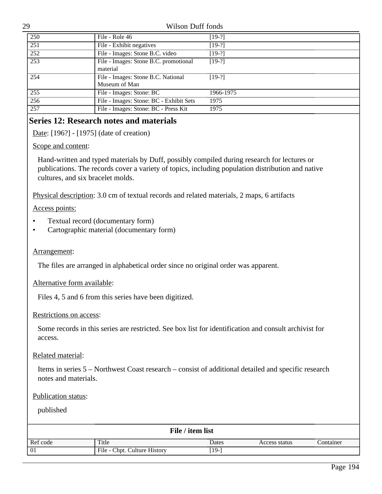29 Wilson Duff fonds 250 File - Role 46 [19-?] 251 File - Exhibit negatives [19-?] 252 File - Images: Stone B.C. video [19-?] 253 File - Images: Stone B.C. promotional material  $[19-?]$ 254 File - Images: Stone B.C. National Museum of Man  $[19-?]$ 255 File - Images: Stone: BC 1966-1975 256 File - Images: Stone: BC - Exhibit Sets 1975 257 File - Images: Stone: BC - Press Kit 1975

# **Series 12: Research notes and materials**

Date: [196?] - [1975] (date of creation)

Scope and content:

Hand-written and typed materials by Duff, possibly compiled during research for lectures or publications. The records cover a variety of topics, including population distribution and native cultures, and six bracelet molds.

Physical description: 3.0 cm of textual records and related materials, 2 maps, 6 artifacts

Access points:

- Textual record (documentary form)
- Cartographic material (documentary form)

## Arrangement:

The files are arranged in alphabetical order since no original order was apparent.

Alternative form available:

Files 4, 5 and 6 from this series have been digitized.

#### Restrictions on access:

Some records in this series are restricted. See box list for identification and consult archivist for access.

## Related material:

Items in series 5 – Northwest Coast research – consist of additional detailed and specific research notes and materials.

#### Publication status:

| File / item list                                    |       |       |               |           |  |
|-----------------------------------------------------|-------|-------|---------------|-----------|--|
| Ref code                                            | Title | Dates | Access status | Container |  |
| $\vert$ 01<br>[19-]<br>File - Chpt. Culture History |       |       |               |           |  |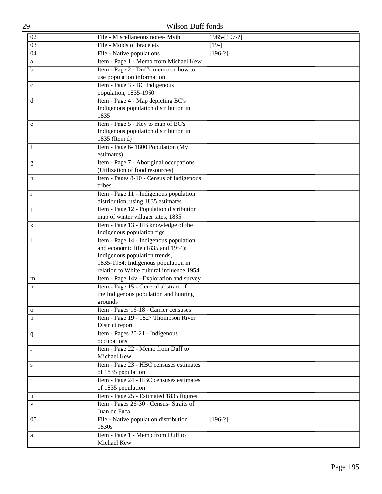| 02           | File - Miscellaneous notes- Myth                                              | 1965-[197-?] |  |
|--------------|-------------------------------------------------------------------------------|--------------|--|
| 03           | File - Molds of bracelets                                                     | $[19-]$      |  |
| 04           | File - Native populations                                                     | $[196-?]$    |  |
| a            | Item - Page 1 - Memo from Michael Kew                                         |              |  |
| $\mathbf b$  | Item - Page 2 - Duff's memo on how to                                         |              |  |
|              | use population information                                                    |              |  |
| $\mathbf c$  | Item - Page 3 - BC Indigenous                                                 |              |  |
|              | population, 1835-1950                                                         |              |  |
| d            | Item - Page 4 - Map depicting BC's                                            |              |  |
|              | Indigenous population distribution in                                         |              |  |
|              | 1835                                                                          |              |  |
| e            | Item - Page 5 - Key to map of BC's                                            |              |  |
|              | Indigenous population distribution in                                         |              |  |
|              | 1835 (Item d)                                                                 |              |  |
| f            | Item - Page 6-1800 Population (My                                             |              |  |
|              | estimates)                                                                    |              |  |
| g            | Item - Page 7 - Aboriginal occupations                                        |              |  |
|              | (Utilization of food resources)                                               |              |  |
| h            | Item - Pages 8-10 - Census of Indigenous                                      |              |  |
|              | tribes                                                                        |              |  |
| $\mathbf{i}$ | Item - Page 11 - Indigenous population                                        |              |  |
|              | distribution, using 1835 estimates                                            |              |  |
| $\mathbf{j}$ | Item - Page 12 - Population distribution                                      |              |  |
|              | map of winter villager sites, 1835                                            |              |  |
| $\bf k$      | Item - Page 13 - HB knowledge of the                                          |              |  |
|              | Indigenous population figs                                                    |              |  |
|              | Item - Page 14 - Indigenous population                                        |              |  |
|              | and economic life (1835 and 1954);                                            |              |  |
|              | Indigenous population trends,                                                 |              |  |
|              | 1835-1954; Indigenous population in                                           |              |  |
|              | relation to White cultural influence 1954                                     |              |  |
| m            | Item - Page 14v - Exploration and survey                                      |              |  |
| n            | Item - Page 15 - General abstract of<br>the Indigenous population and hunting |              |  |
|              | grounds                                                                       |              |  |
|              | Item - Pages 16-18 - Carrier censuses                                         |              |  |
| $\mathbf 0$  | Item - Page 19 - 1827 Thompson River                                          |              |  |
| p            | District report                                                               |              |  |
|              | Item - Pages 20-21 - Indigenous                                               |              |  |
| $\mathbf{q}$ | occupations                                                                   |              |  |
| $\mathbf r$  | Item - Page 22 - Memo from Duff to                                            |              |  |
|              | Michael Kew                                                                   |              |  |
| S            | Item - Page 23 - HBC censuses estimates                                       |              |  |
|              | of 1835 population                                                            |              |  |
| t            | Item - Page 24 - HBC censuses estimates                                       |              |  |
|              | of 1835 population                                                            |              |  |
| $\mathbf u$  | Item - Page 25 - Estimated 1835 figures                                       |              |  |
| V            | Item - Pages 26-30 - Census- Straits of                                       |              |  |
|              | Juan de Fuca                                                                  |              |  |
| 05           | File - Native population distribution                                         | $[196-?]$    |  |
|              | 1830s                                                                         |              |  |
| a            | Item - Page 1 - Memo from Duff to                                             |              |  |
|              | Michael Kew                                                                   |              |  |
|              |                                                                               |              |  |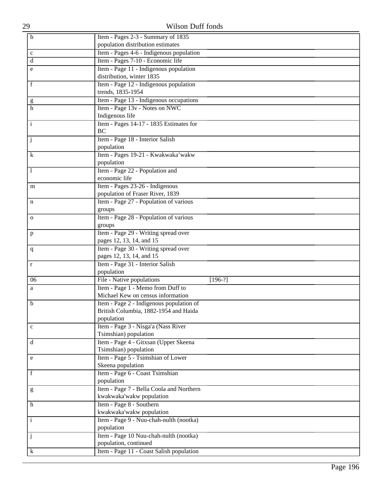| $\mathbf b$         | Item - Pages 2-3 - Summary of 1835            |
|---------------------|-----------------------------------------------|
|                     | population distribution estimates             |
| $\mathbf c$         | Item - Pages 4-6 - Indigenous population      |
| d                   | Item - Pages 7-10 - Economic life             |
| e                   | Item - Page 11 - Indigenous population        |
|                     | distribution, winter 1835                     |
| f                   | Item - Page 12 - Indigenous population        |
|                     | trends, 1835-1954                             |
|                     | Item - Page 13 - Indigenous occupations       |
| g<br>$\overline{h}$ | Item - Page 13v - Notes on NWC                |
|                     | Indigenous life                               |
|                     |                                               |
| $\mathbf{i}$        | Item - Pages 14-17 - 1835 Estimates for<br>BC |
|                     |                                               |
| j                   | Item - Page 18 - Interior Salish              |
|                     | population                                    |
| k                   | Item - Pages 19-21 - Kwakwaka'wakw            |
|                     | population                                    |
| 1                   | Item - Page 22 - Population and               |
|                     | economic life                                 |
| m                   | Item - Pages 23-26 - Indigenous               |
|                     | population of Fraser River, 1839              |
| n                   | Item - Page 27 - Population of various        |
|                     | groups                                        |
| $\mathbf{O}$        | Item - Page 28 - Population of various        |
|                     | groups                                        |
| $\mathbf{p}$        | Item - Page 29 - Writing spread over          |
|                     | pages 12, 13, 14, and 15                      |
| q                   | Item - Page 30 - Writing spread over          |
|                     | pages 12, 13, 14, and 15                      |
| $\mathbf r$         | Item - Page 31 - Interior Salish              |
|                     | population                                    |
| 06                  | File - Native populations<br>$[196-?]$        |
| a                   | Item - Page 1 - Memo from Duff to             |
|                     | Michael Kew on census information             |
| b                   | Item - Page 2 - Indigenous population of      |
|                     | British Columbia, 1882-1954 and Haida         |
|                     | population                                    |
| $\mathbf c$         | Item - Page 3 - Nisga'a (Nass River           |
|                     | Tsimshian) population                         |
| d                   | Item - Page 4 - Gitxsan (Upper Skeena         |
|                     | Tsimshian) population                         |
| e                   | Item - Page 5 - Tsimshian of Lower            |
|                     | Skeena population                             |
| f                   | Item - Page 6 - Coast Tsimshian               |
|                     | population                                    |
| g                   | Item - Page 7 - Bella Coola and Northern      |
|                     | kwakwaka'wakw population                      |
| h                   | Item - Page 8 - Southern                      |
|                     | kwakwaka'wakw population                      |
| $\mathbf{i}$        | Item - Page 9 - Nuu-chah-nulth (nootka)       |
|                     | population                                    |
| j                   | Item - Page 10 Nuu-chah-nulth (nootka)        |
|                     | population, continued                         |
| k                   | Item - Page 11 - Coast Salish population      |
|                     |                                               |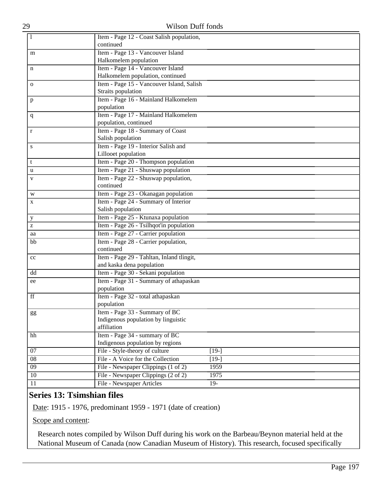| 1                               | Item - Page 12 - Coast Salish population,                                    |         |  |
|---------------------------------|------------------------------------------------------------------------------|---------|--|
| continued                       |                                                                              |         |  |
| m                               | Item - Page 13 - Vancouver Island                                            |         |  |
| Halkomelem population           |                                                                              |         |  |
| n                               | Item - Page 14 - Vancouver Island                                            |         |  |
|                                 | Halkomelem population, continued                                             |         |  |
| $\mathbf{O}$                    | Item - Page 15 - Vancouver Island, Salish                                    |         |  |
| Straits population              |                                                                              |         |  |
| p                               | Item - Page 16 - Mainland Halkomelem                                         |         |  |
| population                      |                                                                              |         |  |
| $\mathbf{q}$                    | Item - Page 17 - Mainland Halkomelem                                         |         |  |
| population, continued           |                                                                              |         |  |
| r                               | Item - Page 18 - Summary of Coast                                            |         |  |
| Salish population               |                                                                              |         |  |
| S                               | Item - Page 19 - Interior Salish and                                         |         |  |
| Lillooet population             |                                                                              |         |  |
| t                               | Item - Page 20 - Thompson population                                         |         |  |
| u                               | Item - Page 21 - Shuswap population                                          |         |  |
| V                               | Item - Page 22 - Shuswap population,                                         |         |  |
| continued                       |                                                                              |         |  |
| W                               | Item - Page 23 - Okanagan population                                         |         |  |
| X                               | Item - Page 24 - Summary of Interior                                         |         |  |
| Salish population               |                                                                              |         |  |
| y                               | Item - Page 25 - Ktunaxa population                                          |         |  |
| Z                               | Item - Page 26 - Tsilhqot'in population                                      |         |  |
| aa                              | Item - Page 27 - Carrier population                                          |         |  |
| bb                              | Item - Page 28 - Carrier population,                                         |         |  |
| continued                       |                                                                              |         |  |
| cc                              | Item - Page 29 - Tahltan, Inland tlingit,                                    |         |  |
|                                 | and kaska dena population                                                    |         |  |
| dd                              | Item - Page 30 - Sekani population<br>Item - Page 31 - Summary of athapaskan |         |  |
| ee<br>population                |                                                                              |         |  |
| ff                              | Item - Page 32 - total athapaskan                                            |         |  |
| population                      |                                                                              |         |  |
|                                 | Item - Page 33 - Summary of BC                                               |         |  |
| gg                              | Indigenous population by linguistic                                          |         |  |
| affiliation                     |                                                                              |         |  |
| hh                              | Item - Page 34 - summary of BC                                               |         |  |
|                                 | Indigenous population by regions                                             |         |  |
| 07                              | File - Style-theory of culture                                               | $[19-]$ |  |
| 08                              | File - A Voice for the Collection                                            | $[19-]$ |  |
| $\overline{09}$                 | File - Newspaper Clippings (1 of 2)                                          | 1959    |  |
| $\overline{10}$                 | File - Newspaper Clippings (2 of 2)                                          | 1975    |  |
| File - Newspaper Articles<br>11 |                                                                              |         |  |

# **Series 13: Tsimshian files**

Date: 1915 - 1976, predominant 1959 - 1971 (date of creation)

Scope and content:

Research notes compiled by Wilson Duff during his work on the Barbeau/Beynon material held at the National Museum of Canada (now Canadian Museum of History). This research, focused specifically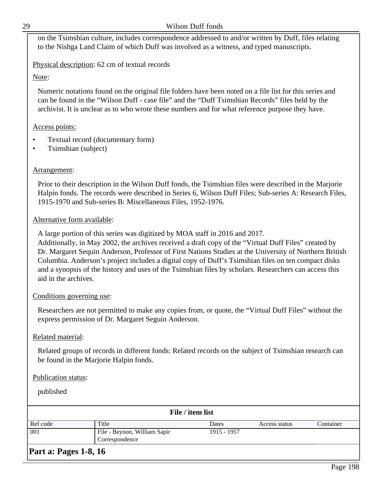| v. |  |
|----|--|
|    |  |
|    |  |
|    |  |

#### Wilson Duff fonds

on the Tsimshian culture, includes correspondence addressed to and/or written by Duff, files relating to the Nishga Land Claim of which Duff was involved as a witness, and typed manuscripts.

Physical description: 62 cm of textual records

Note:

Numeric notations found on the original file folders have been noted on a file list for this series and can be found in the "Wilson Duff - case file" and the "Duff Tsimshian Records" files held by the archivist. It is unclear as to who wrote these numbers and for what reference purpose they have.

#### Access points:

- Textual record (documentary form)
- Tsimshian (subject)

#### Arrangement:

Prior to their description in the Wilson Duff fonds, the Tsimshian files were described in the Marjorie Halpin fonds. The records were described in Series 6, Wilson Duff Files; Sub-series A: Research Files, 1915-1970 and Sub-series B: Miscellaneous Files, 1952-1976.

#### Alternative form available:

A large portion of this series was digitized by MOA staff in 2016 and 2017.

Additionally, in May 2002, the archives received a draft copy of the "Virtual Duff Files" created by Dr. Margaret Sequin Anderson, Professor of First Nations Studies at the University of Northern British Columbia. Anderson's project includes a digital copy of Duff's Tsimshian files on ten compact disks and a synopsis of the history and uses of the Tsimshian files by scholars. Researchers can access this aid in the archives.

#### Conditions governing use:

Researchers are not permitted to make any copies from, or quote, the "Virtual Duff Files" without the express permission of Dr. Margaret Seguin Anderson.

## Related material:

Related groups of records in different fonds: Related records on the subject of Tsimshian research can be found in the Marjorie Halpin fonds.

#### Publication status:

published

| File / item list           |                              |             |               |           |
|----------------------------|------------------------------|-------------|---------------|-----------|
| Ref code                   | Title                        | Dates       | Access status | Container |
| $\boxed{001}$              | File - Beynon, William Sapir | 1915 - 1957 |               |           |
| Correspondence             |                              |             |               |           |
| l Th<br>$\sim$ $\sim$<br>R |                              |             |               |           |

## **Part a: Pages 1-8, 16**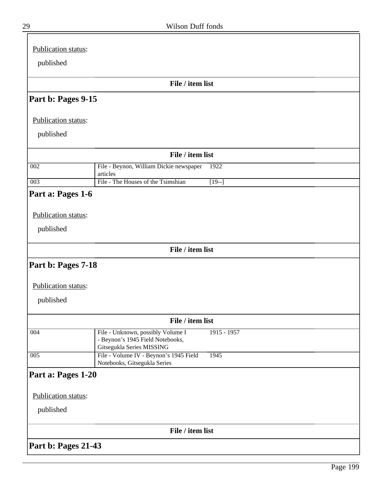| Publication status: |                                                               |
|---------------------|---------------------------------------------------------------|
| published           |                                                               |
|                     | File / item list                                              |
| Part b: Pages 9-15  |                                                               |
|                     |                                                               |
| Publication status: |                                                               |
| published           |                                                               |
|                     | File / item list                                              |
| 002                 | File - Beynon, William Dickie newspaper<br>1922<br>articles   |
| 003                 | File - The Houses of the Tsimshian<br>$[19-]$                 |
| Part a: Pages 1-6   |                                                               |
|                     |                                                               |
| Publication status: |                                                               |
| published           |                                                               |
|                     | File / item list                                              |
| Part b: Pages 7-18  |                                                               |
|                     |                                                               |
| Publication status: |                                                               |
| published           |                                                               |
|                     | File / item list                                              |
| 004                 | File - Unknown, possibly Volume I<br>$1915 - 1957$            |
|                     | - Beynon's 1945 Field Notebooks,<br>Gitsegukla Series MISSING |
| 005                 | File - Volume IV - Beynon's 1945 Field<br>1945                |
|                     | Notebooks, Gitsegukla Series                                  |
| Part a: Pages 1-20  |                                                               |
| Publication status: |                                                               |
| published           |                                                               |
|                     |                                                               |
|                     | File / item list                                              |
| Part b: Pages 21-43 |                                                               |

 $\equiv$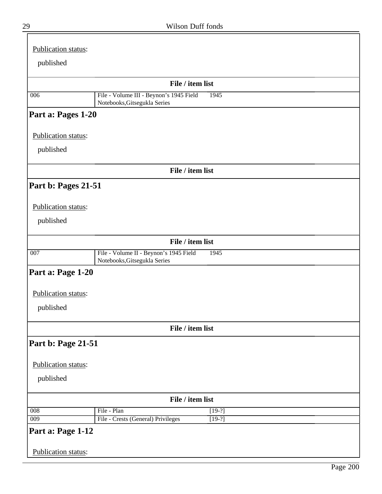| Publication status:                      |                                                                                |
|------------------------------------------|--------------------------------------------------------------------------------|
| published                                |                                                                                |
|                                          | File / item list                                                               |
| 006                                      | File - Volume III - Beynon's 1945 Field<br>1945                                |
|                                          | Notebooks, Gitsegukla Series                                                   |
| Part a: Pages 1-20                       |                                                                                |
| Publication status:                      |                                                                                |
| published                                |                                                                                |
|                                          | File / item list                                                               |
| Part b: Pages 21-51                      |                                                                                |
| Publication status:                      |                                                                                |
| published                                |                                                                                |
|                                          | File / item list                                                               |
| 007                                      | File - Volume II - Beynon's 1945 Field<br>1945<br>Notebooks, Gitsegukla Series |
| Part a: Page 1-20                        |                                                                                |
| Publication status:                      |                                                                                |
| published                                |                                                                                |
|                                          | File / item list                                                               |
| Part b: Page 21-51                       |                                                                                |
| Publication status:                      |                                                                                |
| published                                |                                                                                |
|                                          | File / item list                                                               |
| $\overline{008}$                         | File - Plan<br>$[19-?]$                                                        |
| $\overline{009}$                         | File - Crests (General) Privileges<br>$[19-?]$                                 |
| Part a: Page 1-12<br>Publication status: |                                                                                |
|                                          |                                                                                |

╦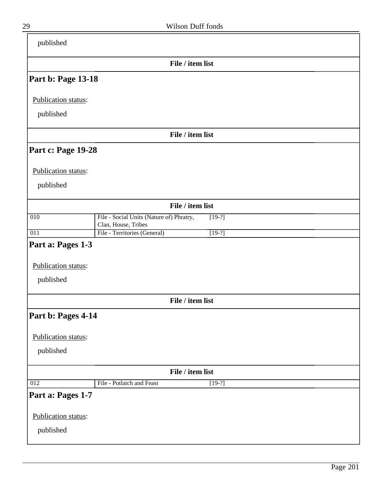| published                 |                                                                             |
|---------------------------|-----------------------------------------------------------------------------|
|                           | File / item list                                                            |
| <b>Part b: Page 13-18</b> |                                                                             |
| Publication status:       |                                                                             |
| published                 |                                                                             |
|                           | File / item list                                                            |
| <b>Part c: Page 19-28</b> |                                                                             |
| Publication status:       |                                                                             |
| published                 |                                                                             |
|                           | File / item list                                                            |
| 010                       | File - Social Units (Nature of) Phratry,<br>$[19-?]$<br>Clan, House, Tribes |
| 011                       | File - Territories (General)<br>$[19-?]$                                    |
| Part a: Pages 1-3         |                                                                             |
| Publication status:       |                                                                             |
| published                 |                                                                             |
|                           | File / item list                                                            |
| Part b: Pages 4-14        |                                                                             |
| Publication status:       |                                                                             |
| published                 |                                                                             |
|                           | File / item list                                                            |
| $\overline{012}$          | File - Potlatch and Feast<br>$[19-?]$                                       |
| Part a: Pages 1-7         |                                                                             |
| Publication status:       |                                                                             |
| published                 |                                                                             |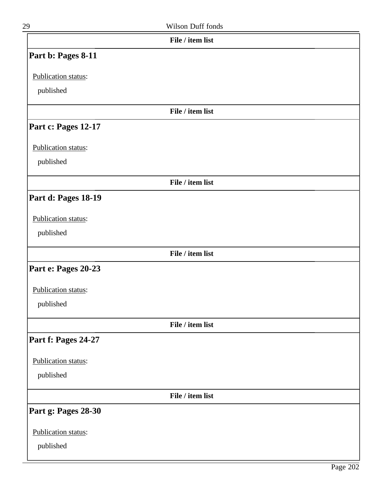| 29                  | Wilson Duff fonds |  |
|---------------------|-------------------|--|
|                     | File / item list  |  |
| Part b: Pages 8-11  |                   |  |
| Publication status: |                   |  |
| published           |                   |  |
|                     | File / item list  |  |
| Part c: Pages 12-17 |                   |  |
| Publication status: |                   |  |
| published           |                   |  |
|                     | File / item list  |  |
| Part d: Pages 18-19 |                   |  |
| Publication status: |                   |  |
| published           |                   |  |
|                     | File / item list  |  |
| Part e: Pages 20-23 |                   |  |
| Publication status: |                   |  |
| published           |                   |  |
|                     | File / item list  |  |
| Part f: Pages 24-27 |                   |  |
| Publication status: |                   |  |
| published           |                   |  |
|                     | File / item list  |  |
| Part g: Pages 28-30 |                   |  |
| Publication status: |                   |  |
| published           |                   |  |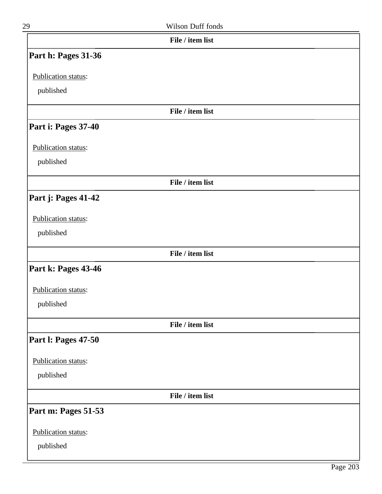| File / item list           |  |
|----------------------------|--|
| Part h: Pages 31-36        |  |
| Publication status:        |  |
| published                  |  |
|                            |  |
| File / item list           |  |
| Part i: Pages 37-40        |  |
| Publication status:        |  |
| published                  |  |
| File / item list           |  |
| Part j: Pages 41-42        |  |
| Publication status:        |  |
| published                  |  |
|                            |  |
| File / item list           |  |
| Part k: Pages 43-46        |  |
| Publication status:        |  |
| published                  |  |
| File / item list           |  |
| <b>Part I: Pages 47-50</b> |  |
| Publication status:        |  |
| published                  |  |
|                            |  |
| File / item list           |  |
| Part m: Pages 51-53        |  |
| Publication status:        |  |
| published                  |  |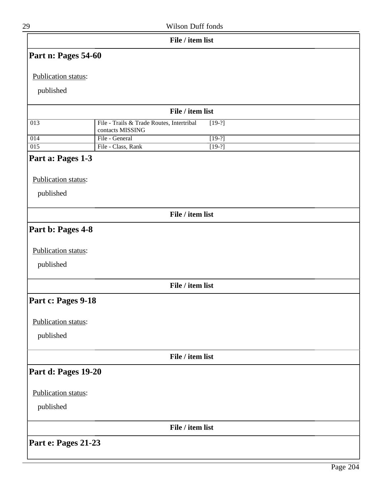| 29                      |                                           | Wilson Duff fonds    |  |
|-------------------------|-------------------------------------------|----------------------|--|
|                         |                                           | File / item list     |  |
| Part n: Pages 54-60     |                                           |                      |  |
| Publication status:     |                                           |                      |  |
| published               |                                           |                      |  |
|                         |                                           | File / item list     |  |
| $\overline{013}$        | File - Trails & Trade Routes, Intertribal | $[19-?]$             |  |
|                         | contacts MISSING                          |                      |  |
| 014<br>$\overline{015}$ | File - General<br>File - Class, Rank      | $[19-?]$<br>$[19-?]$ |  |
|                         |                                           |                      |  |
| Part a: Pages 1-3       |                                           |                      |  |
| Publication status:     |                                           |                      |  |
| published               |                                           |                      |  |
|                         |                                           | File / item list     |  |
| Part b: Pages 4-8       |                                           |                      |  |
| Publication status:     |                                           |                      |  |
|                         |                                           |                      |  |
| published               |                                           |                      |  |
|                         |                                           | File / item list     |  |
| Part c: Pages 9-18      |                                           |                      |  |
| Publication status:     |                                           |                      |  |
| published               |                                           |                      |  |
|                         |                                           |                      |  |
|                         |                                           | File / item list     |  |
| Part d: Pages 19-20     |                                           |                      |  |
| Publication status:     |                                           |                      |  |
| published               |                                           |                      |  |
|                         |                                           | File / item list     |  |
| Part e: Pages 21-23     |                                           |                      |  |
|                         |                                           |                      |  |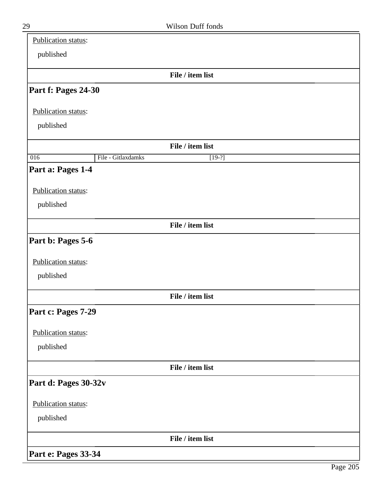| Publication status:  |                    |                  |  |  |
|----------------------|--------------------|------------------|--|--|
| published            |                    |                  |  |  |
|                      |                    | File / item list |  |  |
| Part f: Pages 24-30  |                    |                  |  |  |
| Publication status:  |                    |                  |  |  |
| published            |                    |                  |  |  |
|                      |                    | File / item list |  |  |
| $\overline{016}$     | File - Gitlaxdamks | $[19-?]$         |  |  |
| Part a: Pages 1-4    |                    |                  |  |  |
| Publication status:  |                    |                  |  |  |
| published            |                    |                  |  |  |
|                      |                    | File / item list |  |  |
| Part b: Pages 5-6    |                    |                  |  |  |
| Publication status:  |                    |                  |  |  |
| published            |                    |                  |  |  |
|                      |                    | File / item list |  |  |
| Part c: Pages 7-29   |                    |                  |  |  |
| Publication status:  |                    |                  |  |  |
| published            |                    |                  |  |  |
|                      |                    | File / item list |  |  |
| Part d: Pages 30-32v |                    |                  |  |  |
| Publication status:  |                    |                  |  |  |
| published            |                    |                  |  |  |
|                      |                    | File / item list |  |  |
| Part e: Pages 33-34  |                    |                  |  |  |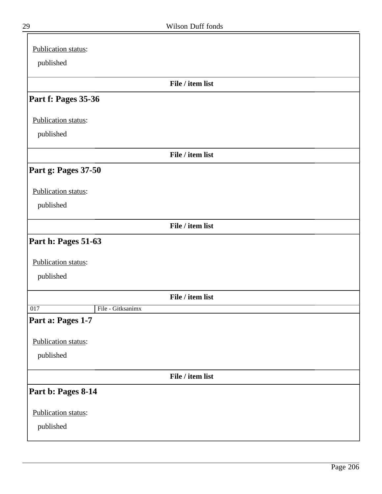| Publication status:      |
|--------------------------|
| published                |
|                          |
| File / item list         |
| Part f: Pages 35-36      |
| Publication status:      |
| published                |
| File / item list         |
| Part g: Pages 37-50      |
| Publication status:      |
| published                |
| File / item list         |
| Part h: Pages 51-63      |
| Publication status:      |
| published                |
| File / item list         |
| File - Gitksanimx<br>017 |
| Part a: Pages 1-7        |
| Publication status:      |
| published                |
| File / item list         |
| Part b: Pages 8-14       |
| Publication status:      |
| published                |

╕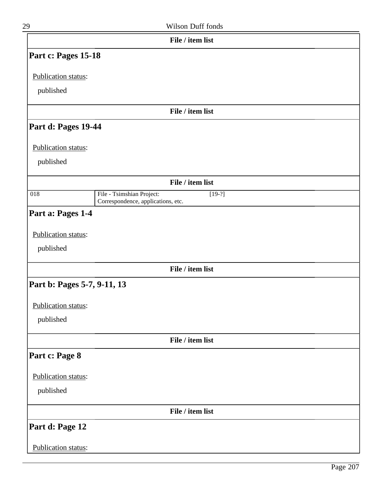| 29                          | Wilson Duff fonds                                                           |  |
|-----------------------------|-----------------------------------------------------------------------------|--|
|                             | File / item list                                                            |  |
| Part c: Pages 15-18         |                                                                             |  |
| Publication status:         |                                                                             |  |
| published                   |                                                                             |  |
|                             | File / item list                                                            |  |
| Part d: Pages 19-44         |                                                                             |  |
| Publication status:         |                                                                             |  |
| published                   |                                                                             |  |
|                             | File / item list                                                            |  |
| $\overline{018}$            | File - Tsimshian Project:<br>$[19-?]$<br>Correspondence, applications, etc. |  |
| Part a: Pages 1-4           |                                                                             |  |
| Publication status:         |                                                                             |  |
| published                   |                                                                             |  |
|                             | File / item list                                                            |  |
| Part b: Pages 5-7, 9-11, 13 |                                                                             |  |
| Publication status:         |                                                                             |  |
| published                   |                                                                             |  |
|                             | File / item list                                                            |  |
| Part c: Page 8              |                                                                             |  |
| Publication status:         |                                                                             |  |
| published                   |                                                                             |  |
|                             | File / item list                                                            |  |
| Part d: Page 12             |                                                                             |  |
| Publication status:         |                                                                             |  |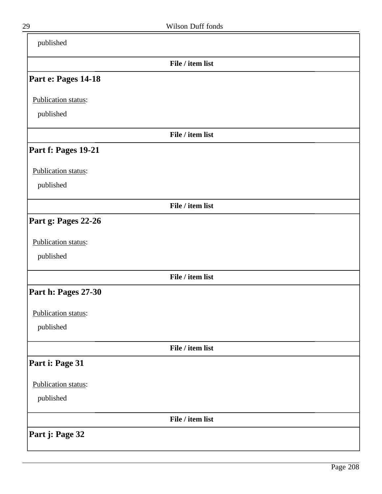| published           |                  |  |
|---------------------|------------------|--|
|                     | File / item list |  |
| Part e: Pages 14-18 |                  |  |
| Publication status: |                  |  |
| published           |                  |  |
|                     | File / item list |  |
| Part f: Pages 19-21 |                  |  |
| Publication status: |                  |  |
| published           |                  |  |
|                     | File / item list |  |
| Part g: Pages 22-26 |                  |  |
| Publication status: |                  |  |
| published           |                  |  |
|                     | File / item list |  |
| Part h: Pages 27-30 |                  |  |
| Publication status: |                  |  |
| published           |                  |  |
|                     | File / item list |  |
| Part i: Page 31     |                  |  |
| Publication status: |                  |  |
| published           |                  |  |
|                     | File / item list |  |
| Part j: Page 32     |                  |  |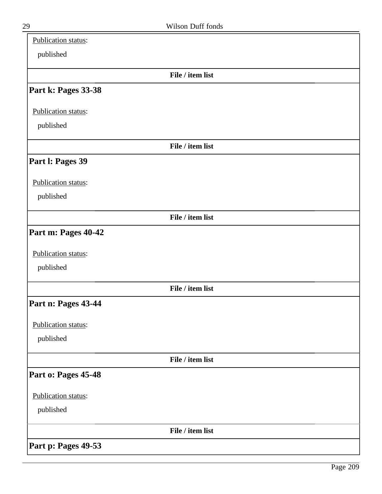| Publication status: |                  |  |
|---------------------|------------------|--|
| published           |                  |  |
|                     | File / item list |  |
| Part k: Pages 33-38 |                  |  |
| Publication status: |                  |  |
| published           |                  |  |
|                     | File / item list |  |
| Part I: Pages 39    |                  |  |
| Publication status: |                  |  |
| published           |                  |  |
|                     | File / item list |  |
| Part m: Pages 40-42 |                  |  |
| Publication status: |                  |  |
| published           |                  |  |
|                     | File / item list |  |
| Part n: Pages 43-44 |                  |  |
| Publication status: |                  |  |
| published           |                  |  |
|                     | File / item list |  |
| Part o: Pages 45-48 |                  |  |
| Publication status: |                  |  |
| published           |                  |  |
|                     | File / item list |  |
| Part p: Pages 49-53 |                  |  |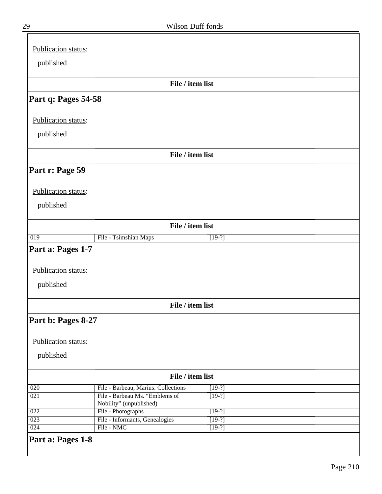| Publication status:                                   |                                                           |                      |  |
|-------------------------------------------------------|-----------------------------------------------------------|----------------------|--|
| published                                             |                                                           |                      |  |
|                                                       | File / item list                                          |                      |  |
| Part q: Pages 54-58                                   |                                                           |                      |  |
| Publication status:                                   |                                                           |                      |  |
| published                                             |                                                           |                      |  |
|                                                       | File / item list                                          |                      |  |
| Part r: Page 59                                       |                                                           |                      |  |
| Publication status:                                   |                                                           |                      |  |
| published                                             |                                                           |                      |  |
|                                                       | File / item list                                          |                      |  |
| $\overline{019}$                                      | File - Tsimshian Maps                                     | $[19-?]$             |  |
| Part a: Pages 1-7<br>Publication status:<br>published |                                                           |                      |  |
|                                                       | File / item list                                          |                      |  |
| Part b: Pages 8-27                                    |                                                           |                      |  |
| Publication status:                                   |                                                           |                      |  |
| published                                             |                                                           |                      |  |
|                                                       |                                                           |                      |  |
|                                                       | File / item list                                          |                      |  |
| 020                                                   | File - Barbeau, Marius: Collections                       | $[19-?]$             |  |
| 021                                                   | File - Barbeau Ms. "Emblems of<br>Nobility" (unpublished) | $[19-?]$             |  |
| $\overline{022}$                                      | File - Photographs                                        | $[19-?]$             |  |
| $\overline{023}$<br>024                               | File - Informants, Genealogies<br>File - NMC              | $[19-?]$<br>$[19-?]$ |  |
|                                                       |                                                           |                      |  |

 $\bar{\mathbf{r}}$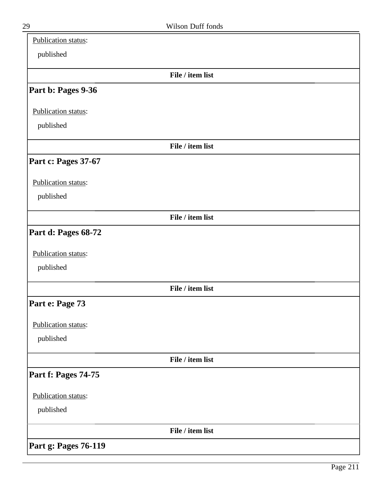| Publication status:  |                  |  |
|----------------------|------------------|--|
| published            |                  |  |
|                      | File / item list |  |
| Part b: Pages 9-36   |                  |  |
| Publication status:  |                  |  |
| published            |                  |  |
|                      | File / item list |  |
| Part c: Pages 37-67  |                  |  |
| Publication status:  |                  |  |
| published            |                  |  |
|                      | File / item list |  |
| Part d: Pages 68-72  |                  |  |
| Publication status:  |                  |  |
| published            |                  |  |
|                      | File / item list |  |
| Part e: Page 73      |                  |  |
| Publication status:  |                  |  |
| published            |                  |  |
|                      | File / item list |  |
| Part f: Pages 74-75  |                  |  |
| Publication status:  |                  |  |
| published            |                  |  |
|                      | File / item list |  |
| Part g: Pages 76-119 |                  |  |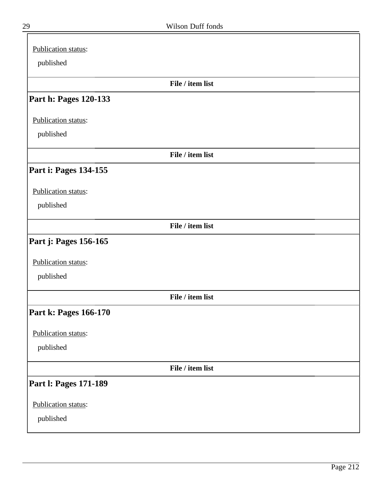| Publication status:   |                  |
|-----------------------|------------------|
| published             |                  |
|                       | File / item list |
| Part h: Pages 120-133 |                  |
| Publication status:   |                  |
| published             |                  |
|                       | File / item list |
| Part i: Pages 134-155 |                  |
| Publication status:   |                  |
| published             |                  |
|                       | File / item list |
| Part j: Pages 156-165 |                  |
| Publication status:   |                  |
| published             |                  |
|                       | File / item list |
| Part k: Pages 166-170 |                  |
| Publication status:   |                  |
| published             |                  |
|                       | File / item list |
| Part I: Pages 171-189 |                  |
| Publication status:   |                  |
| published             |                  |

╕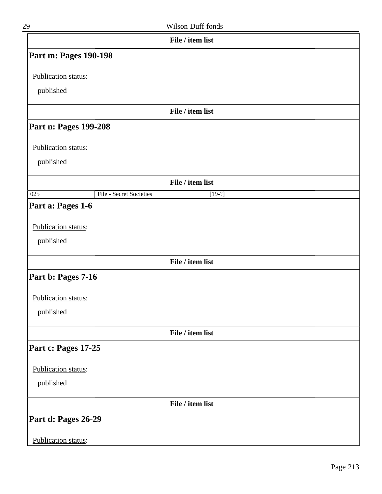| 29                         | Wilson Duff fonds                   |  |
|----------------------------|-------------------------------------|--|
|                            | File / item list                    |  |
| Part m: Pages 190-198      |                                     |  |
| Publication status:        |                                     |  |
| published                  |                                     |  |
|                            |                                     |  |
|                            | File / item list                    |  |
| Part n: Pages 199-208      |                                     |  |
| Publication status:        |                                     |  |
| published                  |                                     |  |
|                            |                                     |  |
|                            | File / item list                    |  |
| $\overline{025}$           | File - Secret Societies<br>$[19-?]$ |  |
| Part a: Pages 1-6          |                                     |  |
| Publication status:        |                                     |  |
| published                  |                                     |  |
|                            |                                     |  |
|                            | File / item list                    |  |
| Part b: Pages 7-16         |                                     |  |
| <b>Publication status:</b> |                                     |  |
| published                  |                                     |  |
|                            |                                     |  |
|                            | File / item list                    |  |
| Part c: Pages 17-25        |                                     |  |
| Publication status:        |                                     |  |
| published                  |                                     |  |
|                            |                                     |  |
|                            | File / item list                    |  |
| Part d: Pages 26-29        |                                     |  |
| Publication status:        |                                     |  |
|                            |                                     |  |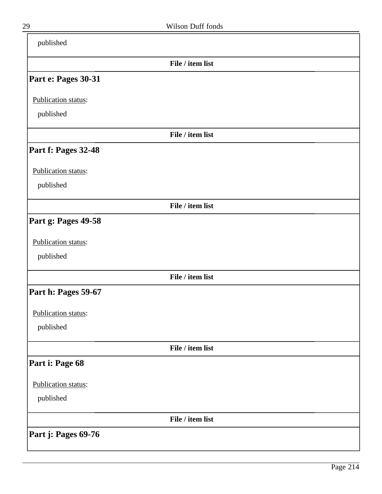| published           |                  |  |
|---------------------|------------------|--|
|                     | File / item list |  |
| Part e: Pages 30-31 |                  |  |
| Publication status: |                  |  |
| published           |                  |  |
|                     | File / item list |  |
| Part f: Pages 32-48 |                  |  |
| Publication status: |                  |  |
| published           |                  |  |
|                     | File / item list |  |
| Part g: Pages 49-58 |                  |  |
| Publication status: |                  |  |
| published           |                  |  |
|                     | File / item list |  |
| Part h: Pages 59-67 |                  |  |
| Publication status: |                  |  |
| published           |                  |  |
|                     | File / item list |  |
| Part i: Page 68     |                  |  |
| Publication status: |                  |  |
| published           |                  |  |
|                     | File / item list |  |
| Part j: Pages 69-76 |                  |  |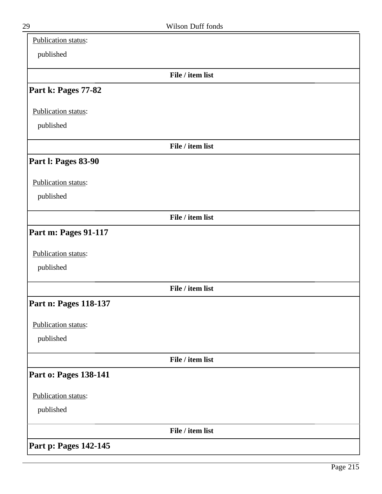| Publication status:         |                  |  |
|-----------------------------|------------------|--|
| published                   |                  |  |
|                             | File / item list |  |
| Part k: Pages 77-82         |                  |  |
| Publication status:         |                  |  |
| published                   |                  |  |
|                             | File / item list |  |
| Part I: Pages 83-90         |                  |  |
| Publication status:         |                  |  |
| published                   |                  |  |
|                             | File / item list |  |
| <b>Part m: Pages 91-117</b> |                  |  |
| Publication status:         |                  |  |
| published                   |                  |  |
|                             | File / item list |  |
| Part n: Pages 118-137       |                  |  |
| Publication status:         |                  |  |
| published                   |                  |  |
|                             | File / item list |  |
| Part o: Pages 138-141       |                  |  |
| Publication status:         |                  |  |
| published                   |                  |  |
|                             | File / item list |  |
| Part p: Pages 142-145       |                  |  |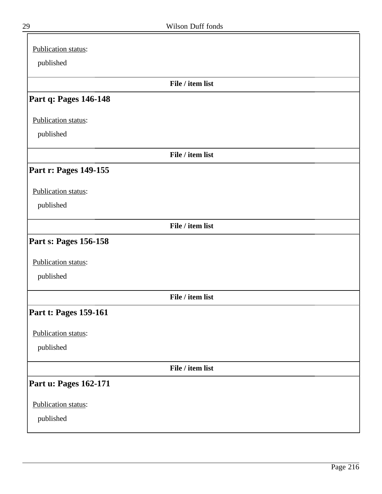| Publication status:   |  |
|-----------------------|--|
| published             |  |
| File / item list      |  |
| Part q: Pages 146-148 |  |
| Publication status:   |  |
| published             |  |
| File / item list      |  |
| Part r: Pages 149-155 |  |
| Publication status:   |  |
| published             |  |
| File / item list      |  |
| Part s: Pages 156-158 |  |
| Publication status:   |  |
| published             |  |
| File / item list      |  |
| Part t: Pages 159-161 |  |
| Publication status:   |  |
| published             |  |
| File / item list      |  |
| Part u: Pages 162-171 |  |
| Publication status:   |  |
| published             |  |

╕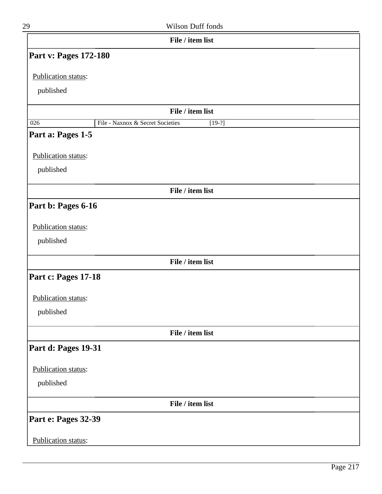| 29                                    | Wilson Duff fonds                            |
|---------------------------------------|----------------------------------------------|
|                                       | File / item list                             |
| Part v: Pages 172-180                 |                                              |
| Publication status:                   |                                              |
| published                             |                                              |
|                                       |                                              |
|                                       | File / item list                             |
| $\overline{026}$<br>Part a: Pages 1-5 | File - Naxnox & Secret Societies<br>$[19-?]$ |
|                                       |                                              |
| Publication status:                   |                                              |
| published                             |                                              |
|                                       | File / item list                             |
| Part b: Pages 6-16                    |                                              |
|                                       |                                              |
| Publication status:                   |                                              |
| published                             |                                              |
|                                       | File / item list                             |
| Part c: Pages 17-18                   |                                              |
| Publication status:                   |                                              |
| published                             |                                              |
|                                       | File / item list                             |
| Part d: Pages 19-31                   |                                              |
|                                       |                                              |
| Publication status:                   |                                              |
| published                             |                                              |
|                                       | File / item list                             |
| Part e: Pages 32-39                   |                                              |
| Publication status:                   |                                              |
|                                       |                                              |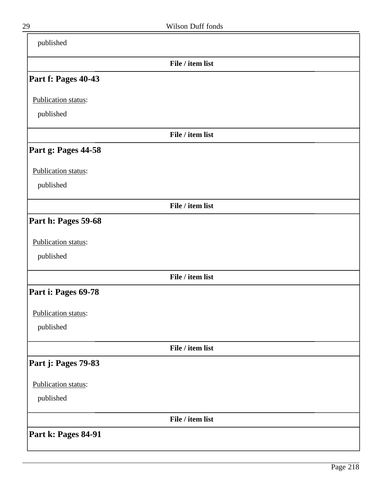| published           |                  |  |
|---------------------|------------------|--|
|                     | File / item list |  |
| Part f: Pages 40-43 |                  |  |
| Publication status: |                  |  |
| published           |                  |  |
|                     | File / item list |  |
| Part g: Pages 44-58 |                  |  |
| Publication status: |                  |  |
| published           |                  |  |
|                     | File / item list |  |
| Part h: Pages 59-68 |                  |  |
| Publication status: |                  |  |
| published           |                  |  |
|                     | File / item list |  |
| Part i: Pages 69-78 |                  |  |
| Publication status: |                  |  |
| published           |                  |  |
|                     | File / item list |  |
| Part j: Pages 79-83 |                  |  |
| Publication status: |                  |  |
| published           |                  |  |
|                     | File / item list |  |
| Part k: Pages 84-91 |                  |  |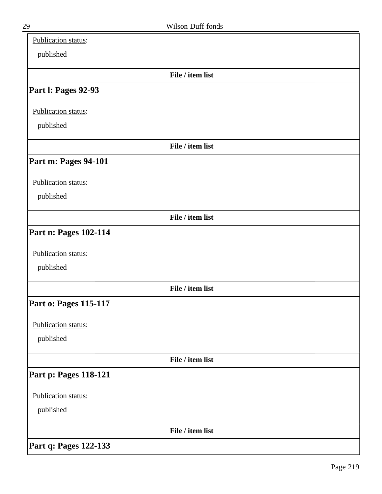| Publication status:          |                  |  |
|------------------------------|------------------|--|
| published                    |                  |  |
|                              | File / item list |  |
| Part I: Pages 92-93          |                  |  |
| Publication status:          |                  |  |
| published                    |                  |  |
|                              | File / item list |  |
| Part m: Pages 94-101         |                  |  |
| Publication status:          |                  |  |
| published                    |                  |  |
|                              | File / item list |  |
| Part n: Pages 102-114        |                  |  |
| Publication status:          |                  |  |
| published                    |                  |  |
|                              | File / item list |  |
| <b>Part o: Pages 115-117</b> |                  |  |
| Publication status:          |                  |  |
| published                    |                  |  |
|                              | File / item list |  |
| <b>Part p: Pages 118-121</b> |                  |  |
| Publication status:          |                  |  |
| published                    |                  |  |
|                              | File / item list |  |
| Part q: Pages 122-133        |                  |  |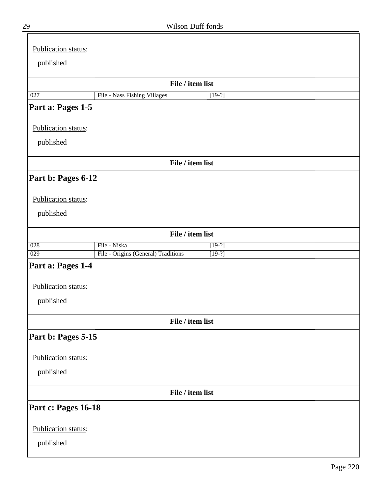| Publication status: |                                                 |  |
|---------------------|-------------------------------------------------|--|
| published           |                                                 |  |
|                     |                                                 |  |
|                     | File / item list                                |  |
| 027                 | File - Nass Fishing Villages<br>$[19-?]$        |  |
| Part a: Pages 1-5   |                                                 |  |
| Publication status: |                                                 |  |
| published           |                                                 |  |
|                     |                                                 |  |
|                     | File / item list                                |  |
| Part b: Pages 6-12  |                                                 |  |
|                     |                                                 |  |
| Publication status: |                                                 |  |
| published           |                                                 |  |
|                     | File / item list                                |  |
| $\overline{028}$    | File - Niska<br>$[19-?]$                        |  |
| 029                 | File - Origins (General) Traditions<br>$[19-?]$ |  |
| Part a: Pages 1-4   |                                                 |  |
| Publication status: |                                                 |  |
|                     |                                                 |  |
| published           |                                                 |  |
|                     | File / item list                                |  |
| Part b: Pages 5-15  |                                                 |  |
| Publication status: |                                                 |  |
|                     |                                                 |  |
| published           |                                                 |  |
|                     | File / item list                                |  |
| Part c: Pages 16-18 |                                                 |  |
| Publication status: |                                                 |  |
|                     |                                                 |  |
| published           |                                                 |  |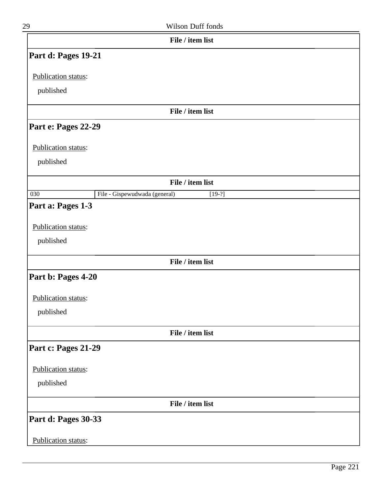| 29 | Wilson Duff fonds |
|----|-------------------|
|    |                   |

|                     | File / item list                          |  |
|---------------------|-------------------------------------------|--|
| Part d: Pages 19-21 |                                           |  |
| Publication status: |                                           |  |
| published           |                                           |  |
|                     |                                           |  |
|                     | File / item list                          |  |
| Part e: Pages 22-29 |                                           |  |
| Publication status: |                                           |  |
| published           |                                           |  |
|                     |                                           |  |
|                     | File / item list                          |  |
| $\overline{030}$    | File - Gispewudwada (general)<br>$[19-?]$ |  |
| Part a: Pages 1-3   |                                           |  |
| Publication status: |                                           |  |
| published           |                                           |  |
|                     |                                           |  |
|                     | File / item list                          |  |
| Part b: Pages 4-20  |                                           |  |
| Publication status: |                                           |  |
| published           |                                           |  |
|                     |                                           |  |
|                     | File / item list                          |  |
| Part c: Pages 21-29 |                                           |  |
| Publication status: |                                           |  |
| published           |                                           |  |
|                     |                                           |  |
|                     | File / item list                          |  |
| Part d: Pages 30-33 |                                           |  |
|                     |                                           |  |
| Publication status: |                                           |  |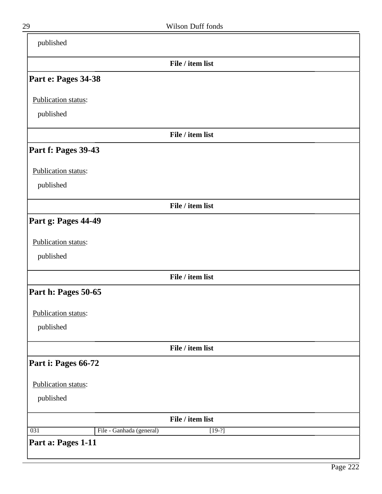| published                       |                  |
|---------------------------------|------------------|
|                                 | File / item list |
| Part e: Pages 34-38             |                  |
| Publication status:             |                  |
| published                       |                  |
|                                 | File / item list |
| Part f: Pages 39-43             |                  |
| Publication status:             |                  |
| published                       |                  |
|                                 | File / item list |
| Part g: Pages 44-49             |                  |
| Publication status:             |                  |
| published                       |                  |
|                                 | File / item list |
| Part h: Pages 50-65             |                  |
| Publication status:             |                  |
| published                       |                  |
|                                 | File / item list |
| Part i: Pages 66-72             |                  |
| Publication status:             |                  |
| published                       |                  |
|                                 | File / item list |
| File - Ganhada (general)<br>031 | $[19-?]$         |
| Part a: Pages 1-11              |                  |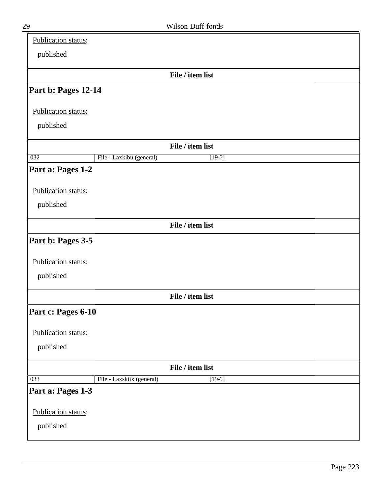| Publication status: |                           |                  |  |
|---------------------|---------------------------|------------------|--|
| published           |                           |                  |  |
|                     |                           | File / item list |  |
| Part b: Pages 12-14 |                           |                  |  |
|                     |                           |                  |  |
| Publication status: |                           |                  |  |
| published           |                           |                  |  |
|                     |                           | File / item list |  |
| $\overline{032}$    | File - Laxkibu (general)  | $[19-?]$         |  |
| Part a: Pages 1-2   |                           |                  |  |
| Publication status: |                           |                  |  |
| published           |                           |                  |  |
|                     |                           |                  |  |
|                     |                           | File / item list |  |
| Part b: Pages 3-5   |                           |                  |  |
| Publication status: |                           |                  |  |
|                     |                           |                  |  |
| published           |                           |                  |  |
|                     |                           | File / item list |  |
| Part c: Pages 6-10  |                           |                  |  |
| Publication status: |                           |                  |  |
| published           |                           |                  |  |
|                     |                           |                  |  |
|                     |                           | File / item list |  |
| 033                 | File - Laxskiik (general) | $[19-?]$         |  |
| Part a: Pages 1-3   |                           |                  |  |
| Publication status: |                           |                  |  |
| published           |                           |                  |  |
|                     |                           |                  |  |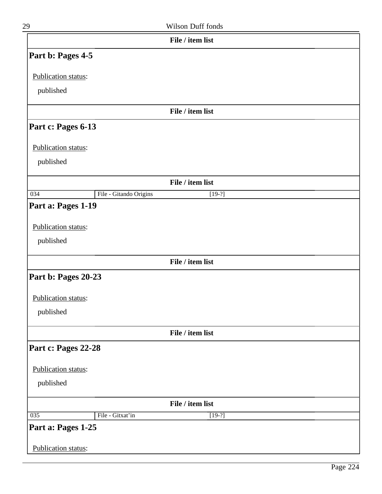| 29                               |                        | Wilson Duff fonds |  |
|----------------------------------|------------------------|-------------------|--|
|                                  |                        | File / item list  |  |
| Part b: Pages 4-5                |                        |                   |  |
| Publication status:              |                        |                   |  |
| published                        |                        |                   |  |
|                                  |                        | File / item list  |  |
| Part c: Pages 6-13               |                        |                   |  |
| Publication status:              |                        |                   |  |
| published                        |                        |                   |  |
|                                  |                        | File / item list  |  |
| 034                              | File - Gitando Origins | $[19-?]$          |  |
| Publication status:<br>published |                        |                   |  |
|                                  |                        | File / item list  |  |
| Part b: Pages 20-23              |                        |                   |  |
| Publication status:              |                        |                   |  |
| published                        |                        |                   |  |
|                                  |                        | File / item list  |  |
| Part c: Pages 22-28              |                        |                   |  |
| Publication status:              |                        |                   |  |
| published                        |                        |                   |  |
|                                  |                        | File / item list  |  |
| 035                              | File - Gitxat'in       | $[19-?]$          |  |
| Part a: Pages 1-25               |                        |                   |  |
| Publication status:              |                        |                   |  |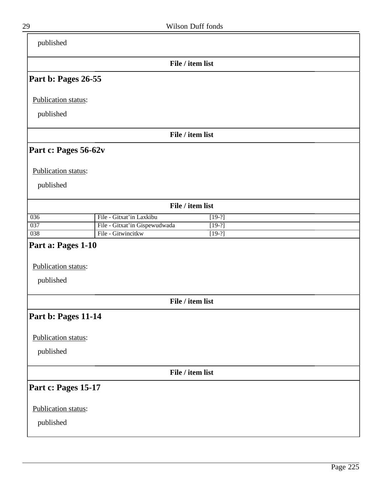| published               |                                                                 |
|-------------------------|-----------------------------------------------------------------|
|                         | File / item list                                                |
| Part b: Pages 26-55     |                                                                 |
| Publication status:     |                                                                 |
| published               |                                                                 |
|                         | File / item list                                                |
| Part c: Pages 56-62v    |                                                                 |
|                         |                                                                 |
| Publication status:     |                                                                 |
| published               |                                                                 |
|                         | File / item list                                                |
| 036                     | File - Gitxat'in Laxkibu<br>$[19-?]$                            |
| 037<br>$\overline{038}$ | File - Gitxat'in Gispewudwada<br>$[19-?]$<br>File - Gitwincitkw |
|                         | $[19-?]$                                                        |
| Part a: Pages 1-10      |                                                                 |
| Publication status:     |                                                                 |
| published               |                                                                 |
|                         | File / item list                                                |
|                         |                                                                 |
| Part b: Pages 11-14     |                                                                 |
| Publication status:     |                                                                 |
| published               |                                                                 |
|                         |                                                                 |
|                         | File / item list                                                |
| Part c: Pages 15-17     |                                                                 |
| Publication status:     |                                                                 |
| published               |                                                                 |
|                         |                                                                 |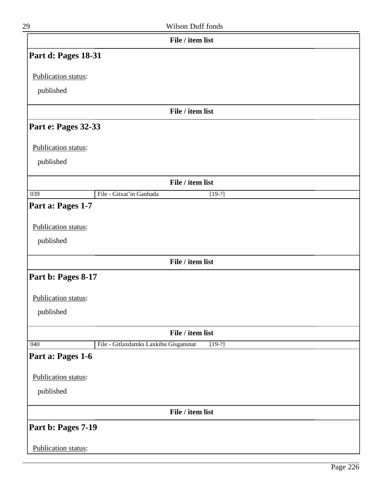| File / item list  |
|-------------------|
| Wilson Duff fonds |
|                   |

|                     | File / item list                                  |
|---------------------|---------------------------------------------------|
| Part d: Pages 18-31 |                                                   |
| Publication status: |                                                   |
| published           |                                                   |
|                     | File / item list                                  |
| Part e: Pages 32-33 |                                                   |
| Publication status: |                                                   |
| published           |                                                   |
|                     | File / item list                                  |
| $\overline{039}$    | File - Gitxat'in Ganhada<br>$[19-?]$              |
| Part a: Pages 1-7   |                                                   |
| Publication status: |                                                   |
| published           |                                                   |
|                     | File / item list                                  |
| Part b: Pages 8-17  |                                                   |
| Publication status: |                                                   |
| published           |                                                   |
|                     | File / item list                                  |
| 040                 | File - Gitlaxdamks Laxkibu Gisgansnat<br>$[19-?]$ |
| Part a: Pages 1-6   |                                                   |
| Publication status: |                                                   |
| published           |                                                   |
|                     | File / item list                                  |
| Part b: Pages 7-19  |                                                   |
| Publication status: |                                                   |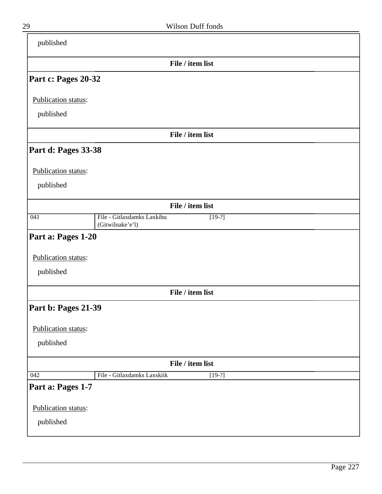| published           |                                                            |  |
|---------------------|------------------------------------------------------------|--|
|                     | File / item list                                           |  |
| Part c: Pages 20-32 |                                                            |  |
| Publication status: |                                                            |  |
| published           |                                                            |  |
|                     | File / item list                                           |  |
| Part d: Pages 33-38 |                                                            |  |
| Publication status: |                                                            |  |
| published           |                                                            |  |
|                     | File / item list                                           |  |
| $\overline{041}$    | File - Gitlaxdamks Laxkibu<br>$[19-?]$<br>(Gitwilnake'e'l) |  |
| Part a: Pages 1-20  |                                                            |  |
| Publication status: |                                                            |  |
| published           |                                                            |  |
|                     | File / item list                                           |  |
| Part b: Pages 21-39 |                                                            |  |
| Publication status: |                                                            |  |
| published           |                                                            |  |
|                     | File / item list                                           |  |
| 042                 | File - Gitlaxdamks Laxskiik<br>$[19-?]$                    |  |
| Part a: Pages 1-7   |                                                            |  |
| Publication status: |                                                            |  |
|                     |                                                            |  |
| published           |                                                            |  |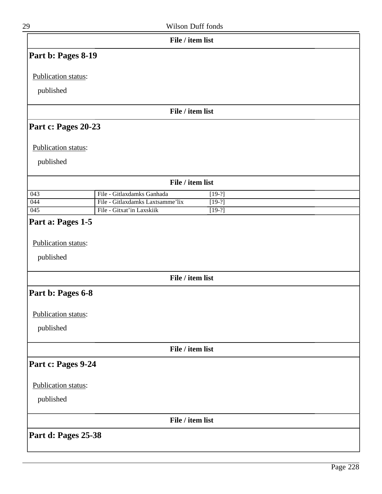| 29                               | Wilson Duff fonds                |          |  |
|----------------------------------|----------------------------------|----------|--|
|                                  | File / item list                 |          |  |
| Part b: Pages 8-19               |                                  |          |  |
| Publication status:              |                                  |          |  |
|                                  |                                  |          |  |
| published                        |                                  |          |  |
|                                  | File / item list                 |          |  |
| Part c: Pages 20-23              |                                  |          |  |
| Publication status:              |                                  |          |  |
| published                        |                                  |          |  |
|                                  |                                  |          |  |
|                                  | File / item list                 |          |  |
| 043                              | File - Gitlaxdamks Ganhada       | $[19-?]$ |  |
| 044                              | File - Gitlaxdamks Laxtsamme'lix | $[19-?]$ |  |
| 045                              | File - Gitxat'in Laxskiik        | $[19-?]$ |  |
| Publication status:<br>published |                                  |          |  |
|                                  | File / item list                 |          |  |
| Part b: Pages 6-8                |                                  |          |  |
| Publication status:              |                                  |          |  |
| published                        |                                  |          |  |
|                                  | File / item list                 |          |  |
| Part c: Pages 9-24               |                                  |          |  |
| Publication status:              |                                  |          |  |
| published                        |                                  |          |  |
|                                  | File / item list                 |          |  |
| Part d: Pages 25-38              |                                  |          |  |
|                                  |                                  |          |  |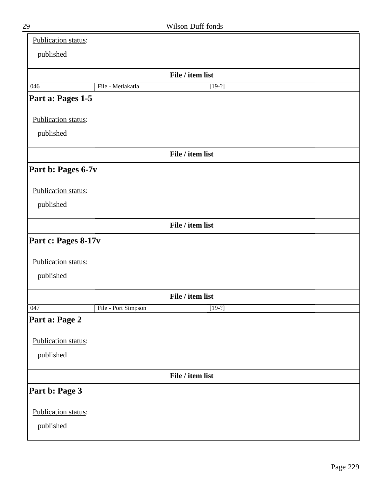| Publication status: |                     |                  |
|---------------------|---------------------|------------------|
| published           |                     |                  |
|                     |                     |                  |
|                     | File - Metlakatla   | File / item list |
| 046                 |                     | $[19-?]$         |
| Part a: Pages 1-5   |                     |                  |
| Publication status: |                     |                  |
| published           |                     |                  |
|                     |                     |                  |
|                     |                     | File / item list |
| Part b: Pages 6-7v  |                     |                  |
|                     |                     |                  |
| Publication status: |                     |                  |
| published           |                     |                  |
|                     |                     | File / item list |
| Part c: Pages 8-17v |                     |                  |
|                     |                     |                  |
| Publication status: |                     |                  |
| published           |                     |                  |
|                     |                     |                  |
|                     |                     | File / item list |
| 047                 | File - Port Simpson | $[19-?]$         |
| Part a: Page 2      |                     |                  |
| Publication status: |                     |                  |
|                     |                     |                  |
| published           |                     |                  |
|                     |                     | File / item list |
| Part b: Page 3      |                     |                  |
|                     |                     |                  |
| Publication status: |                     |                  |
| published           |                     |                  |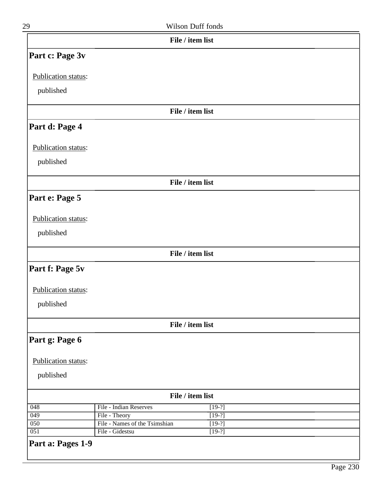| 29                  |                               | Wilson Duff fonds |  |
|---------------------|-------------------------------|-------------------|--|
|                     |                               | File / item list  |  |
| Part c: Page 3v     |                               |                   |  |
| Publication status: |                               |                   |  |
| published           |                               |                   |  |
|                     |                               | File / item list  |  |
| Part d: Page 4      |                               |                   |  |
| Publication status: |                               |                   |  |
| published           |                               |                   |  |
|                     |                               | File / item list  |  |
| Part e: Page 5      |                               |                   |  |
| Publication status: |                               |                   |  |
| published           |                               |                   |  |
|                     |                               | File / item list  |  |
| Part f: Page 5v     |                               |                   |  |
| Publication status: |                               |                   |  |
| published           |                               |                   |  |
|                     |                               | File / item list  |  |
| Part g: Page 6      |                               |                   |  |
| Publication status: |                               |                   |  |
| published           |                               |                   |  |
|                     |                               | File / item list  |  |
| 048                 | File - Indian Reserves        | $[19-?]$          |  |
| 049                 | File - Theory                 | $[19-?]$          |  |
| 050                 | File - Names of the Tsimshian | $[19-?]$          |  |
| $\overline{051}$    | File - Gidestsu               | $[19-?]$          |  |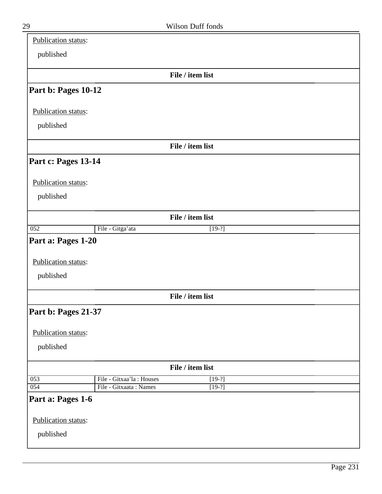| Publication status: |                          |                  |
|---------------------|--------------------------|------------------|
| published           |                          |                  |
|                     |                          |                  |
|                     |                          | File / item list |
| Part b: Pages 10-12 |                          |                  |
| Publication status: |                          |                  |
| published           |                          |                  |
|                     |                          |                  |
|                     |                          | File / item list |
| Part c: Pages 13-14 |                          |                  |
| Publication status: |                          |                  |
|                     |                          |                  |
| published           |                          |                  |
|                     |                          | File / item list |
| 052                 | File - Gitga'ata         | $[19-?]$         |
| Part a: Pages 1-20  |                          |                  |
|                     |                          |                  |
| Publication status: |                          |                  |
| published           |                          |                  |
|                     |                          |                  |
|                     |                          | File / item list |
| Part b: Pages 21-37 |                          |                  |
|                     |                          |                  |
| Publication status: |                          |                  |
| published           |                          |                  |
|                     |                          | File / item list |
| 053                 | File - Gitxaa'la: Houses | $[19-?]$         |
| $\overline{054}$    | File - Gitxaata: Names   | $[19-?]$         |
| Part a: Pages 1-6   |                          |                  |
| Publication status: |                          |                  |
|                     |                          |                  |
| published           |                          |                  |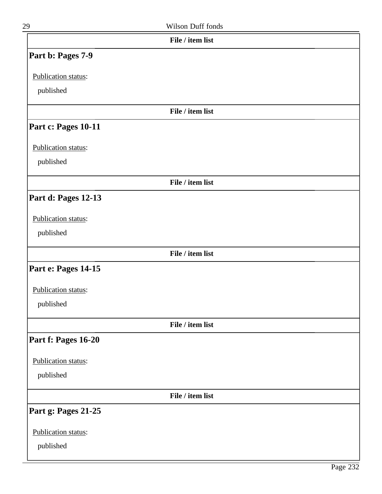| 29                  | Wilson Duff fonds |  |
|---------------------|-------------------|--|
|                     | File / item list  |  |
| Part b: Pages 7-9   |                   |  |
| Publication status: |                   |  |
| published           |                   |  |
|                     | File / item list  |  |
| Part c: Pages 10-11 |                   |  |
| Publication status: |                   |  |
| published           |                   |  |
|                     | File / item list  |  |
| Part d: Pages 12-13 |                   |  |
| Publication status: |                   |  |
| published           |                   |  |
|                     | File / item list  |  |
| Part e: Pages 14-15 |                   |  |
| Publication status: |                   |  |
| published           |                   |  |
|                     | File / item list  |  |
| Part f: Pages 16-20 |                   |  |
| Publication status: |                   |  |
| published           |                   |  |
|                     | File / item list  |  |
| Part g: Pages 21-25 |                   |  |
| Publication status: |                   |  |
| published           |                   |  |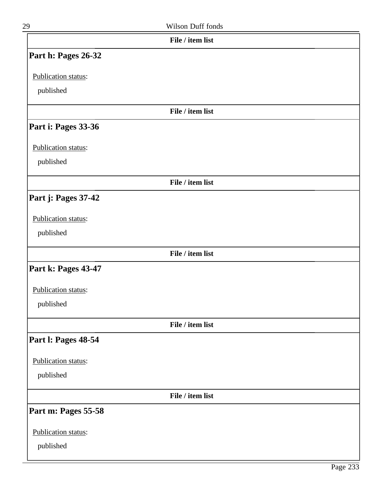| 29                  | Wilson Duff fonds |  |
|---------------------|-------------------|--|
|                     | File / item list  |  |
| Part h: Pages 26-32 |                   |  |
| Publication status: |                   |  |
| published           |                   |  |
|                     | File / item list  |  |
| Part i: Pages 33-36 |                   |  |
| Publication status: |                   |  |
| published           |                   |  |
|                     | File / item list  |  |
| Part j: Pages 37-42 |                   |  |
| Publication status: |                   |  |
| published           |                   |  |
|                     | File / item list  |  |
| Part k: Pages 43-47 |                   |  |
| Publication status: |                   |  |
| published           |                   |  |
|                     | File / item list  |  |
| Part I: Pages 48-54 |                   |  |
| Publication status: |                   |  |
| published           |                   |  |
|                     | File / item list  |  |
| Part m: Pages 55-58 |                   |  |
| Publication status: |                   |  |
| published           |                   |  |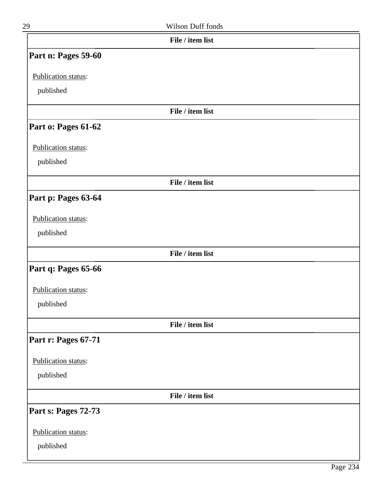| 29                  | Wilson Duff fonds |  |
|---------------------|-------------------|--|
|                     | File / item list  |  |
| Part n: Pages 59-60 |                   |  |
| Publication status: |                   |  |
| published           |                   |  |
|                     | File / item list  |  |
| Part o: Pages 61-62 |                   |  |
| Publication status: |                   |  |
| published           |                   |  |
|                     | File / item list  |  |
| Part p: Pages 63-64 |                   |  |
| Publication status: |                   |  |
| published           |                   |  |
|                     | File / item list  |  |
| Part q: Pages 65-66 |                   |  |
| Publication status: |                   |  |
| published           |                   |  |
|                     | File / item list  |  |
| Part r: Pages 67-71 |                   |  |
| Publication status: |                   |  |
| published           |                   |  |
|                     | File / item list  |  |
| Part s: Pages 72-73 |                   |  |
| Publication status: |                   |  |
| published           |                   |  |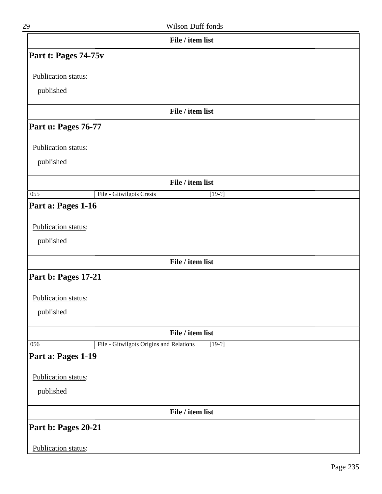| 29                               | Wilson Duff fonds                                   |
|----------------------------------|-----------------------------------------------------|
|                                  | File / item list                                    |
| Part t: Pages 74-75v             |                                                     |
| Publication status:              |                                                     |
| published                        |                                                     |
|                                  | File / item list                                    |
| Part u: Pages 76-77              |                                                     |
| Publication status:              |                                                     |
| published                        |                                                     |
|                                  | File / item list                                    |
| $\overline{055}$                 | File - Gitwilgots Crests<br>$[19-?]$                |
| Publication status:<br>published |                                                     |
|                                  | File / item list                                    |
| Part b: Pages 17-21              |                                                     |
| Publication status:              |                                                     |
| published                        |                                                     |
|                                  | File / item list                                    |
| 056                              | File - Gitwilgots Origins and Relations<br>$[19-?]$ |
| Part a: Pages 1-19               |                                                     |
| Publication status:              |                                                     |
| published                        |                                                     |
|                                  | File / item list                                    |

**Part b: Pages 20-21**

Publication status: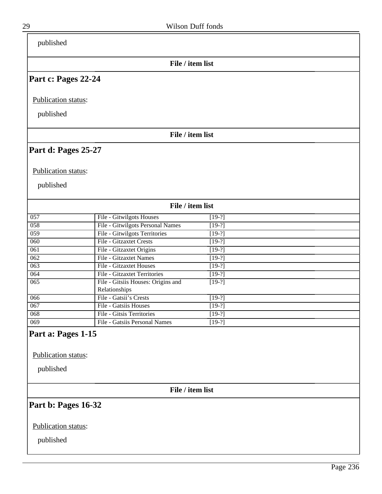| published                                              |                                                     |          |  |
|--------------------------------------------------------|-----------------------------------------------------|----------|--|
|                                                        | File / item list                                    |          |  |
| Part c: Pages 22-24                                    |                                                     |          |  |
| Publication status:                                    |                                                     |          |  |
| published                                              |                                                     |          |  |
|                                                        | File / item list                                    |          |  |
| Part d: Pages 25-27                                    |                                                     |          |  |
| Publication status:                                    |                                                     |          |  |
| published                                              |                                                     |          |  |
|                                                        | File / item list                                    |          |  |
| 057                                                    | File - Gitwilgots Houses                            | $[19-?]$ |  |
| 058                                                    | File - Gitwilgots Personal Names                    | $[19-?]$ |  |
| 059                                                    | File - Gitwilgots Territories                       | $[19-?]$ |  |
| $\overline{060}$                                       | File - Gitzaxtet Crests                             | $[19-?]$ |  |
| 061                                                    | File - Gitzaxtet Origins                            | $[19-?]$ |  |
| $\overline{062}$                                       | File - Gitzaxtet Names                              | $[19-?]$ |  |
| 063                                                    | <b>File - Gitzaxtet Houses</b>                      | $[19-?]$ |  |
| 064                                                    | File - Gitzaxtet Territories                        | $[19-?]$ |  |
| $\overline{065}$                                       | File - Gitsiis Houses: Origins and<br>Relationships | $[19-?]$ |  |
| 066                                                    | File - Gatsii's Crests                              | $[19-?]$ |  |
| 067                                                    | File - Gatsiis Houses                               | $[19-?]$ |  |
| $\overline{068}$                                       | File - Gitsis Territories                           | $[19-?]$ |  |
| 069                                                    | File - Gatsiis Personal Names                       | $[19-?]$ |  |
| Part a: Pages 1-15<br>Publication status:<br>published |                                                     |          |  |
|                                                        | File / item list                                    |          |  |
| Part b: Pages 16-32                                    |                                                     |          |  |
| Publication status:                                    |                                                     |          |  |
| published                                              |                                                     |          |  |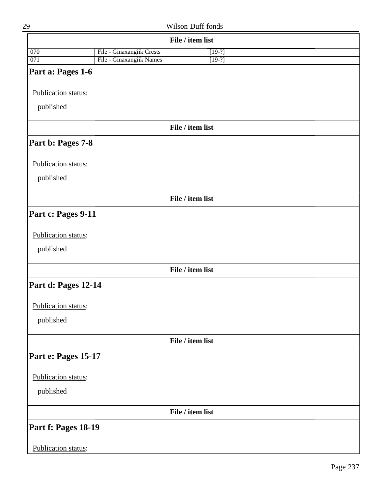|                     |                           | File / item list |  |
|---------------------|---------------------------|------------------|--|
| 070                 | File - Ginaxangiik Crests | $[19-?]$         |  |
| 071                 | File - Ginaxangiik Names  | $[19-?]$         |  |
| Part a: Pages 1-6   |                           |                  |  |
| Publication status: |                           |                  |  |
| published           |                           |                  |  |
|                     |                           | File / item list |  |
| Part b: Pages 7-8   |                           |                  |  |
| Publication status: |                           |                  |  |
| published           |                           |                  |  |
|                     |                           | File / item list |  |
| Part c: Pages 9-11  |                           |                  |  |
| Publication status: |                           |                  |  |
| published           |                           |                  |  |
|                     |                           | File / item list |  |
| Part d: Pages 12-14 |                           |                  |  |
| Publication status: |                           |                  |  |
| published           |                           |                  |  |
|                     |                           | File / item list |  |
| Part e: Pages 15-17 |                           |                  |  |
| Publication status: |                           |                  |  |
| published           |                           |                  |  |
|                     |                           | File / item list |  |
| Part f: Pages 18-19 |                           |                  |  |
| Publication status: |                           |                  |  |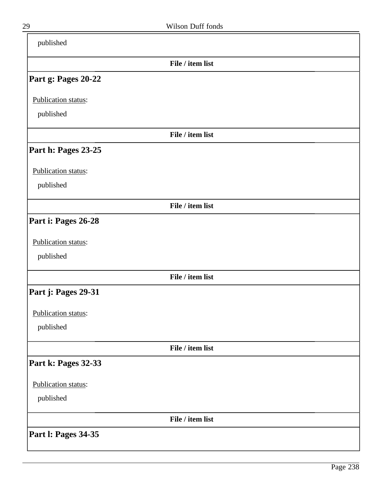| published                  |                  |  |
|----------------------------|------------------|--|
|                            | File / item list |  |
| Part g: Pages 20-22        |                  |  |
| Publication status:        |                  |  |
| published                  |                  |  |
|                            | File / item list |  |
| Part h: Pages 23-25        |                  |  |
| Publication status:        |                  |  |
| published                  |                  |  |
|                            | File / item list |  |
| Part i: Pages 26-28        |                  |  |
| Publication status:        |                  |  |
| published                  |                  |  |
|                            | File / item list |  |
| Part j: Pages 29-31        |                  |  |
| Publication status:        |                  |  |
| published                  |                  |  |
|                            | File / item list |  |
| Part k: Pages 32-33        |                  |  |
| Publication status:        |                  |  |
| published                  |                  |  |
|                            | File / item list |  |
| <b>Part I: Pages 34-35</b> |                  |  |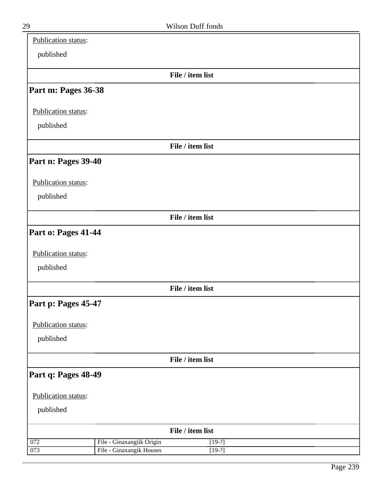| Publication status: |                                                       |                      |  |
|---------------------|-------------------------------------------------------|----------------------|--|
| published           |                                                       |                      |  |
|                     |                                                       | File / item list     |  |
| Part m: Pages 36-38 |                                                       |                      |  |
| Publication status: |                                                       |                      |  |
| published           |                                                       |                      |  |
|                     |                                                       | File / item list     |  |
| Part n: Pages 39-40 |                                                       |                      |  |
| Publication status: |                                                       |                      |  |
| published           |                                                       |                      |  |
|                     |                                                       | File / item list     |  |
| Part o: Pages 41-44 |                                                       |                      |  |
| Publication status: |                                                       |                      |  |
| published           |                                                       |                      |  |
|                     |                                                       | File / item list     |  |
| Part p: Pages 45-47 |                                                       |                      |  |
| Publication status: |                                                       |                      |  |
| published           |                                                       |                      |  |
|                     |                                                       | File / item list     |  |
| Part q: Pages 48-49 |                                                       |                      |  |
| Publication status: |                                                       |                      |  |
| published           |                                                       |                      |  |
|                     |                                                       | File / item list     |  |
| 072<br>073          | File - Ginaxangiik Origin<br>File - Ginaxangik Houses | $[19-?]$<br>$[19-?]$ |  |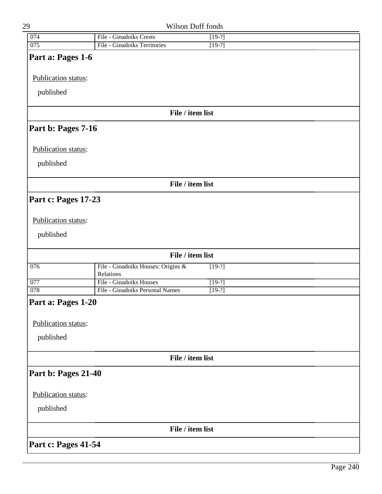| 29                  |                                      | Wilson Duff fonds |  |
|---------------------|--------------------------------------|-------------------|--|
| 074                 | File - Ginadoiks Crests              | $[19-?]$          |  |
| 075                 | File - Ginadoiks Territories         | $[19-?]$          |  |
| Part a: Pages 1-6   |                                      |                   |  |
|                     |                                      |                   |  |
| Publication status: |                                      |                   |  |
| published           |                                      |                   |  |
|                     |                                      |                   |  |
|                     |                                      | File / item list  |  |
| Part b: Pages 7-16  |                                      |                   |  |
| Publication status: |                                      |                   |  |
|                     |                                      |                   |  |
| published           |                                      |                   |  |
|                     |                                      | File / item list  |  |
| Part c: Pages 17-23 |                                      |                   |  |
|                     |                                      |                   |  |
| Publication status: |                                      |                   |  |
| published           |                                      |                   |  |
|                     |                                      |                   |  |
|                     |                                      | File / item list  |  |
| 076                 | File - Ginadoiks Houses: Origins &   | $[19-?]$          |  |
| 077                 | Relations<br>File - Ginadoiks Houses | $[19-?]$          |  |
| $\overline{078}$    | File - Ginadoiks Personal Names      | $[19-?]$          |  |
| Part a: Pages 1-20  |                                      |                   |  |
|                     |                                      |                   |  |
| Publication status: |                                      |                   |  |
| published           |                                      |                   |  |
|                     |                                      |                   |  |
|                     |                                      | File / item list  |  |
| Part b: Pages 21-40 |                                      |                   |  |
|                     |                                      |                   |  |
| Publication status: |                                      |                   |  |
| published           |                                      |                   |  |
|                     |                                      | File / item list  |  |
| Part c: Pages 41-54 |                                      |                   |  |
|                     |                                      |                   |  |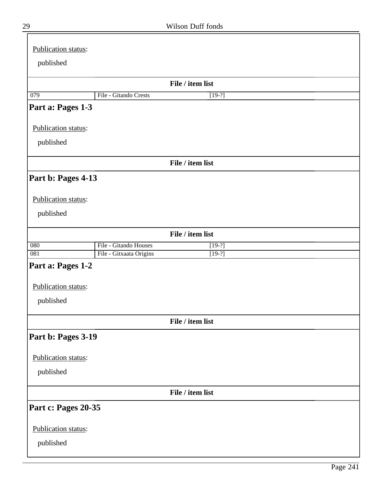| Publication status: |                         |                  |  |
|---------------------|-------------------------|------------------|--|
|                     |                         |                  |  |
| published           |                         |                  |  |
|                     |                         | File / item list |  |
| 079                 | File - Gitando Crests   | $[19-?]$         |  |
| Part a: Pages 1-3   |                         |                  |  |
|                     |                         |                  |  |
| Publication status: |                         |                  |  |
| published           |                         |                  |  |
|                     |                         |                  |  |
|                     |                         | File / item list |  |
| Part b: Pages 4-13  |                         |                  |  |
|                     |                         |                  |  |
| Publication status: |                         |                  |  |
| published           |                         |                  |  |
|                     |                         |                  |  |
|                     |                         | File / item list |  |
| 080                 | File - Gitando Houses   | $[19-?]$         |  |
| 081                 | File - Gitxaata Origins | $[19-?]$         |  |
| Part a: Pages 1-2   |                         |                  |  |
| Publication status: |                         |                  |  |
|                     |                         |                  |  |
| published           |                         |                  |  |
|                     |                         | File / item list |  |
| Part b: Pages 3-19  |                         |                  |  |
|                     |                         |                  |  |
| Publication status: |                         |                  |  |
| published           |                         |                  |  |
|                     |                         |                  |  |
|                     |                         | File / item list |  |
| Part c: Pages 20-35 |                         |                  |  |
| Publication status: |                         |                  |  |
|                     |                         |                  |  |
| published           |                         |                  |  |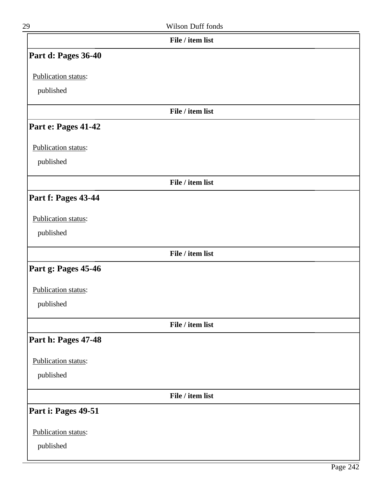|                     | File / item list |
|---------------------|------------------|
| Part d: Pages 36-40 |                  |
| Publication status: |                  |
| published           |                  |
|                     | File / item list |
| Part e: Pages 41-42 |                  |
|                     |                  |
| Publication status: |                  |
| published           |                  |
|                     | File / item list |
| Part f: Pages 43-44 |                  |
| Publication status: |                  |
| published           |                  |
|                     |                  |
|                     | File / item list |
| Part g: Pages 45-46 |                  |
| Publication status: |                  |
| published           |                  |
|                     | File / item list |
| Part h: Pages 47-48 |                  |
| Publication status: |                  |
| published           |                  |
|                     | File / item list |
|                     |                  |
| Part i: Pages 49-51 |                  |
| Publication status: |                  |
| published           |                  |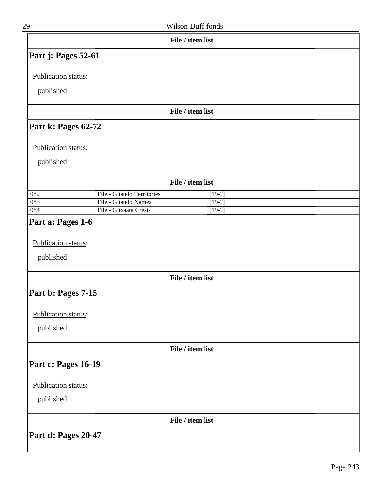| 29                               |                            | Wilson Duff fonds |
|----------------------------------|----------------------------|-------------------|
|                                  |                            | File / item list  |
| Part j: Pages 52-61              |                            |                   |
| Publication status:              |                            |                   |
| published                        |                            |                   |
|                                  |                            | File / item list  |
| Part k: Pages 62-72              |                            |                   |
| Publication status:              |                            |                   |
| published                        |                            |                   |
|                                  |                            | File / item list  |
| 082                              | File - Gitando Territories | $[19-?]$          |
| 083                              | File - Gitando Names       | $[19-?]$          |
| 084                              | File - Gitxaata Crests     | $[19-?]$          |
| Publication status:<br>published |                            |                   |
|                                  |                            | File / item list  |
| Part b: Pages 7-15               |                            |                   |
| Publication status:              |                            |                   |
| published                        |                            |                   |
|                                  |                            | File / item list  |
| Part c: Pages 16-19              |                            |                   |
| Publication status:              |                            |                   |
| published                        |                            |                   |
|                                  |                            | File / item list  |

**Part d: Pages 20-47**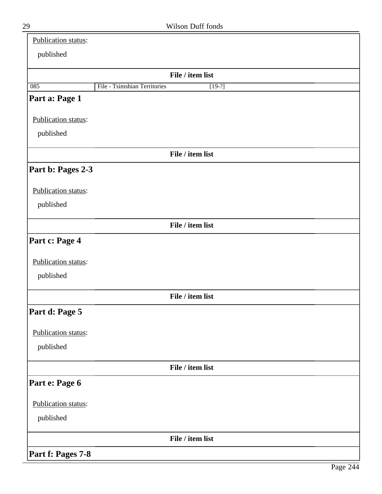| Publication status: |                                          |  |
|---------------------|------------------------------------------|--|
| published           |                                          |  |
|                     | File / item list                         |  |
| 085                 | File - Tsimshian Territories<br>$[19-?]$ |  |
| Part a: Page 1      |                                          |  |
| Publication status: |                                          |  |
| published           |                                          |  |
|                     | File / item list                         |  |
| Part b: Pages 2-3   |                                          |  |
| Publication status: |                                          |  |
| published           |                                          |  |
|                     | File / item list                         |  |
| Part c: Page 4      |                                          |  |
| Publication status: |                                          |  |
| published           |                                          |  |
|                     | File / item list                         |  |
| Part d: Page 5      |                                          |  |
| Publication status: |                                          |  |
| published           |                                          |  |
|                     | File / item list                         |  |
| Part e: Page 6      |                                          |  |
| Publication status: |                                          |  |
| published           |                                          |  |
|                     | File / item list                         |  |
| Part f: Pages 7-8   |                                          |  |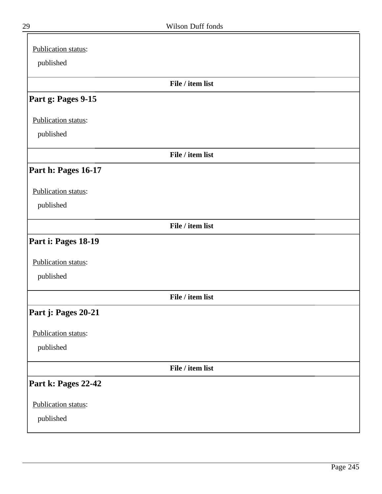| Publication status: |  |
|---------------------|--|
| published           |  |
| File / item list    |  |
| Part g: Pages 9-15  |  |
| Publication status: |  |
| published           |  |
| File / item list    |  |
| Part h: Pages 16-17 |  |
| Publication status: |  |
| published           |  |
| File / item list    |  |
| Part i: Pages 18-19 |  |
| Publication status: |  |
| published           |  |
| File / item list    |  |
| Part j: Pages 20-21 |  |
| Publication status: |  |
| published           |  |
| File / item list    |  |
| Part k: Pages 22-42 |  |
| Publication status: |  |
| published           |  |

╕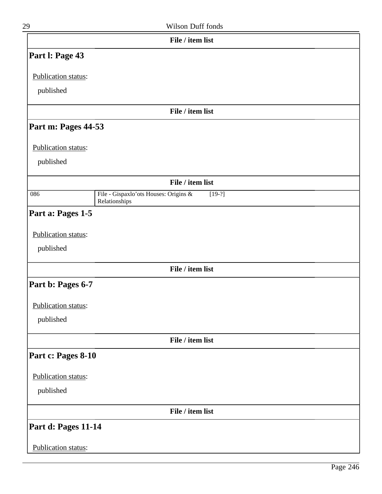| 29                  | Wilson Duff fonds                                                  |  |
|---------------------|--------------------------------------------------------------------|--|
|                     | File / item list                                                   |  |
| Part I: Page 43     |                                                                    |  |
| Publication status: |                                                                    |  |
| published           |                                                                    |  |
|                     | File / item list                                                   |  |
| Part m: Pages 44-53 |                                                                    |  |
| Publication status: |                                                                    |  |
| published           |                                                                    |  |
|                     | File / item list                                                   |  |
| 086                 | File - Gispaxlo'ots Houses: Origins &<br>$[19-?]$<br>Relationships |  |
| Part a: Pages 1-5   |                                                                    |  |
| Publication status: |                                                                    |  |
| published           |                                                                    |  |
|                     | File / item list                                                   |  |
| Part b: Pages 6-7   |                                                                    |  |
| Publication status: |                                                                    |  |
| published           |                                                                    |  |
|                     | File / item list                                                   |  |
| Part c: Pages 8-10  |                                                                    |  |
| Publication status: |                                                                    |  |
| published           |                                                                    |  |
|                     | File / item list                                                   |  |
| Part d: Pages 11-14 |                                                                    |  |
| Publication status: |                                                                    |  |
|                     |                                                                    |  |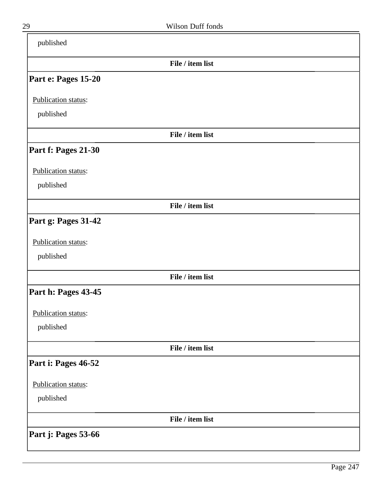| published           |                  |  |
|---------------------|------------------|--|
|                     | File / item list |  |
| Part e: Pages 15-20 |                  |  |
| Publication status: |                  |  |
| published           |                  |  |
|                     | File / item list |  |
| Part f: Pages 21-30 |                  |  |
| Publication status: |                  |  |
| published           |                  |  |
|                     | File / item list |  |
| Part g: Pages 31-42 |                  |  |
| Publication status: |                  |  |
| published           |                  |  |
|                     | File / item list |  |
| Part h: Pages 43-45 |                  |  |
| Publication status: |                  |  |
| published           |                  |  |
|                     | File / item list |  |
| Part i: Pages 46-52 |                  |  |
| Publication status: |                  |  |
| published           |                  |  |
|                     | File / item list |  |
| Part j: Pages 53-66 |                  |  |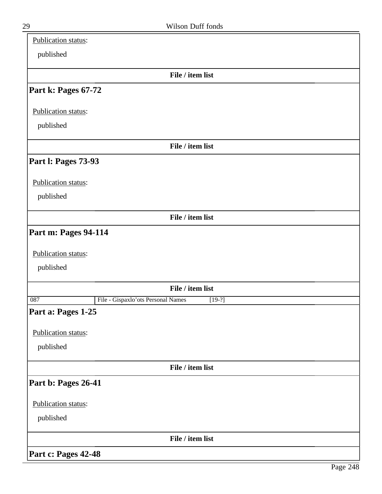| Publication status:                                   |
|-------------------------------------------------------|
| published                                             |
| File / item list                                      |
| Part k: Pages 67-72                                   |
| Publication status:                                   |
| published                                             |
| File / item list                                      |
| Part I: Pages 73-93                                   |
| Publication status:                                   |
| published                                             |
| File / item list                                      |
| Part m: Pages 94-114                                  |
| Publication status:                                   |
| published                                             |
| File / item list                                      |
| File - Gispaxlo'ots Personal Names<br>087<br>$[19-?]$ |
| Part a: Pages 1-25                                    |
| Publication status:                                   |
| published                                             |
| File / item list                                      |
| Part b: Pages 26-41                                   |
| Publication status:                                   |
| published                                             |
| File / item list                                      |
| Part c: Pages 42-48                                   |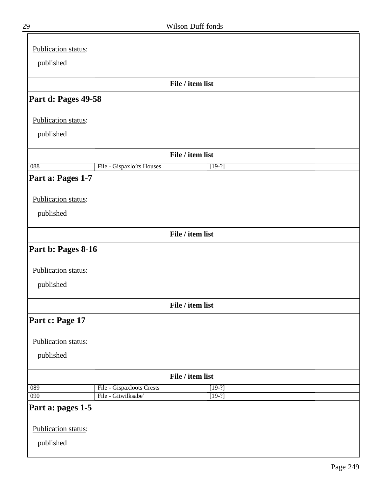| Publication status: |                           |                  |  |
|---------------------|---------------------------|------------------|--|
| published           |                           |                  |  |
|                     |                           | File / item list |  |
|                     |                           |                  |  |
| Part d: Pages 49-58 |                           |                  |  |
| Publication status: |                           |                  |  |
| published           |                           |                  |  |
|                     |                           | File / item list |  |
| 088                 | File - Gispaxlo'ts Houses | $[19-?]$         |  |
| Part a: Pages 1-7   |                           |                  |  |
|                     |                           |                  |  |
| Publication status: |                           |                  |  |
| published           |                           |                  |  |
|                     |                           | File / item list |  |
| Part b: Pages 8-16  |                           |                  |  |
| Publication status: |                           |                  |  |
|                     |                           |                  |  |
| published           |                           |                  |  |
|                     |                           | File / item list |  |
| Part c: Page 17     |                           |                  |  |
|                     |                           |                  |  |
| Publication status: |                           |                  |  |
| published           |                           |                  |  |
|                     |                           | File / item list |  |
| 089                 | File - Gispaxloots Crests | $[19-?]$         |  |
| 090                 | File - Gitwilksabe'       | $[19-?]$         |  |
| Part a: pages 1-5   |                           |                  |  |
| Publication status: |                           |                  |  |
| published           |                           |                  |  |
|                     |                           |                  |  |

 $\bar{=}$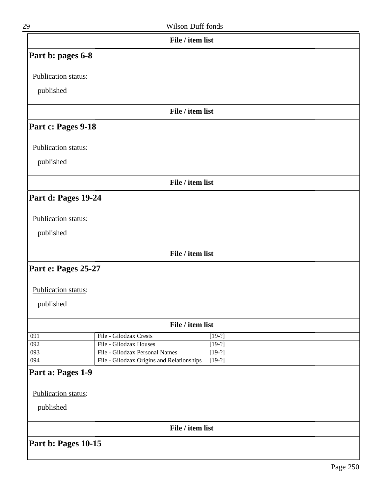|    | File / item list  |
|----|-------------------|
| 29 | Wilson Duff fonds |

# **Part b: pages 6-8**

Publication status:

published

#### **File / item list**

# **Part c: Pages 9-18**

Publication status:

published

**File / item list**

### **Part d: Pages 19-24**

#### Publication status:

published

**File / item list**

# **Part e: Pages 25-27**

#### Publication status:

published

| File / item list |                                           |          |  |  |
|------------------|-------------------------------------------|----------|--|--|
| 091              | File - Gilodzax Crests                    | $[19-?]$ |  |  |
| 092              | File - Gilodzax Houses                    | $[19-?]$ |  |  |
| 093              | File - Gilodzax Personal Names            | $[19-?]$ |  |  |
| 094              | File - Gilodzax Origins and Relationships | $[19-?]$ |  |  |

# **Part a: Pages 1-9**

Publication status:

published

**File / item list**

**Part b: Pages 10-15**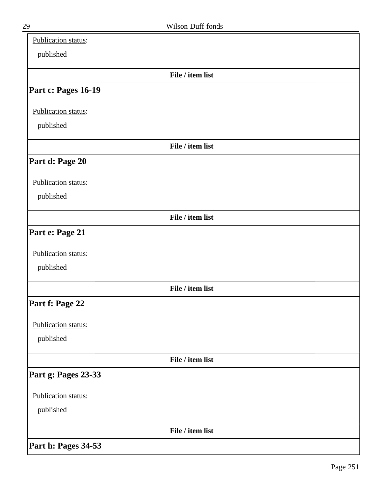| Publication status: |                  |  |
|---------------------|------------------|--|
| published           |                  |  |
|                     | File / item list |  |
| Part c: Pages 16-19 |                  |  |
| Publication status: |                  |  |
| published           |                  |  |
|                     | File / item list |  |
| Part d: Page 20     |                  |  |
| Publication status: |                  |  |
| published           |                  |  |
|                     | File / item list |  |
| Part e: Page 21     |                  |  |
| Publication status: |                  |  |
| published           |                  |  |
|                     | File / item list |  |
| Part f: Page 22     |                  |  |
| Publication status: |                  |  |
| published           |                  |  |
|                     | File / item list |  |
| Part g: Pages 23-33 |                  |  |
| Publication status: |                  |  |
| published           |                  |  |
|                     | File / item list |  |
| Part h: Pages 34-53 |                  |  |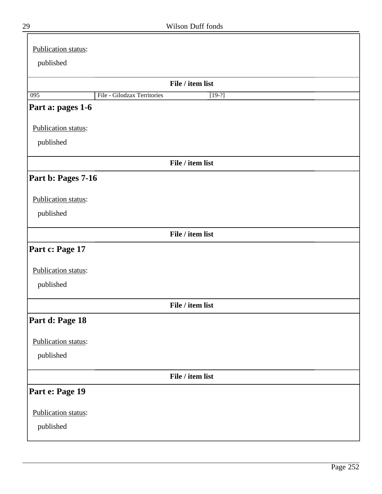| Publication status: |                             |                  |
|---------------------|-----------------------------|------------------|
| published           |                             |                  |
|                     |                             |                  |
|                     |                             | File / item list |
| $\overline{095}$    | File - Gilodzax Territories | $[19-?]$         |
| Part a: pages 1-6   |                             |                  |
| Publication status: |                             |                  |
| published           |                             |                  |
|                     |                             | File / item list |
| Part b: Pages 7-16  |                             |                  |
| Publication status: |                             |                  |
| published           |                             |                  |
|                     |                             | File / item list |
|                     |                             |                  |
| Part c: Page 17     |                             |                  |
| Publication status: |                             |                  |
| published           |                             |                  |
|                     |                             |                  |
|                     |                             | File / item list |
| Part d: Page 18     |                             |                  |
| Publication status: |                             |                  |
| published           |                             |                  |
|                     |                             | File / item list |
| Part e: Page 19     |                             |                  |
| Publication status: |                             |                  |
| published           |                             |                  |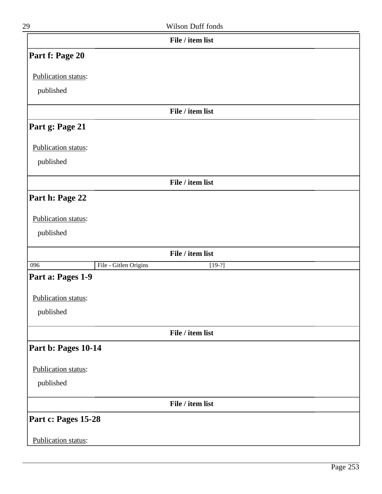| 29                  |                       | Wilson Duff fonds |  |
|---------------------|-----------------------|-------------------|--|
|                     |                       | File / item list  |  |
| Part f: Page 20     |                       |                   |  |
| Publication status: |                       |                   |  |
| published           |                       |                   |  |
|                     |                       | File / item list  |  |
| Part g: Page 21     |                       |                   |  |
| Publication status: |                       |                   |  |
| published           |                       |                   |  |
|                     |                       | File / item list  |  |
| Part h: Page 22     |                       |                   |  |
| Publication status: |                       |                   |  |
| published           |                       |                   |  |
|                     |                       | File / item list  |  |
| 096                 | File - Gitlen Origins | $[19-?]$          |  |
| Part a: Pages 1-9   |                       |                   |  |
| Publication status: |                       |                   |  |
| published           |                       |                   |  |
|                     |                       | File / item list  |  |
| Part b: Pages 10-14 |                       |                   |  |
| Publication status: |                       |                   |  |
| published           |                       |                   |  |
|                     |                       | File / item list  |  |
| Part c: Pages 15-28 |                       |                   |  |
| Publication status: |                       |                   |  |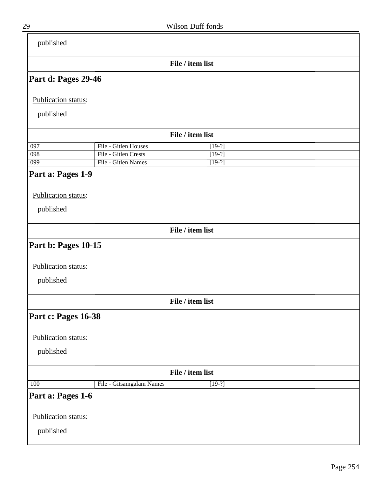| published           |                          |                  |
|---------------------|--------------------------|------------------|
|                     |                          | File / item list |
| Part d: Pages 29-46 |                          |                  |
| Publication status: |                          |                  |
| published           |                          |                  |
|                     |                          | File / item list |
| 097                 | File - Gitlen Houses     | $[19-?]$         |
| 098                 | File - Gitlen Crests     | $[19-?]$         |
| $\overline{099}$    | File - Gitlen Names      | $[19-?]$         |
| Part a: Pages 1-9   |                          |                  |
| Publication status: |                          |                  |
| published           |                          |                  |
|                     |                          | File / item list |
| Part b: Pages 10-15 |                          |                  |
| Publication status: |                          |                  |
| published           |                          |                  |
|                     |                          | File / item list |
| Part c: Pages 16-38 |                          |                  |
| Publication status: |                          |                  |
| published           |                          |                  |
|                     |                          | File / item list |
|                     |                          |                  |
| 100                 | File - Gitsamgalam Names | $[19-?]$         |
| Part a: Pages 1-6   |                          |                  |
| Publication status: |                          |                  |
| published           |                          |                  |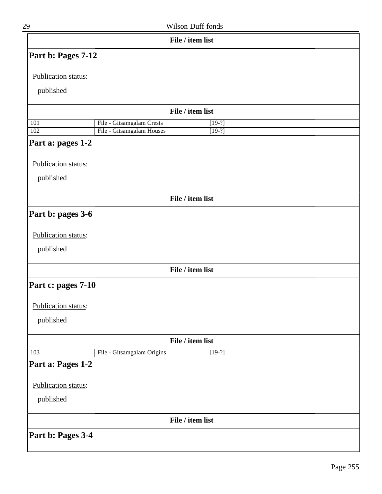| 29 | Wilson Duff fonds |
|----|-------------------|
|    |                   |

|                          | File / item list                       |  |
|--------------------------|----------------------------------------|--|
| Part b: Pages 7-12       |                                        |  |
| Publication status:      |                                        |  |
|                          |                                        |  |
| published                |                                        |  |
|                          | File / item list                       |  |
| 101                      | File - Gitsamgalam Crests<br>$[19-?]$  |  |
| 102<br>Part a: pages 1-2 | File - Gitsamgalam Houses<br>$[19-?]$  |  |
|                          |                                        |  |
| Publication status:      |                                        |  |
| published                |                                        |  |
|                          | File / item list                       |  |
|                          |                                        |  |
| Part b: pages 3-6        |                                        |  |
| Publication status:      |                                        |  |
| published                |                                        |  |
|                          | File / item list                       |  |
| Part c: pages 7-10       |                                        |  |
|                          |                                        |  |
| Publication status:      |                                        |  |
| published                |                                        |  |
|                          | File / item list                       |  |
| 103                      | File - Gitsamgalam Origins<br>$[19-?]$ |  |
| Part a: Pages 1-2        |                                        |  |
|                          |                                        |  |
| Publication status:      |                                        |  |
| published                |                                        |  |
|                          | File / item list                       |  |
| Part b: Pages 3-4        |                                        |  |
|                          |                                        |  |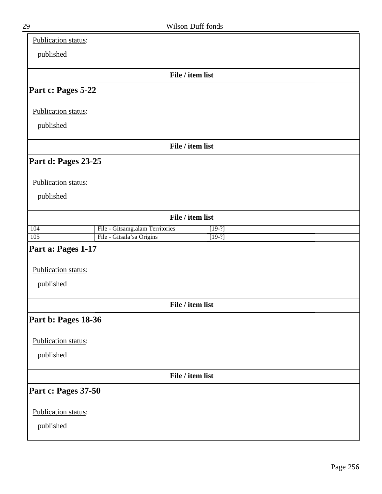| Publication status: |                                             |
|---------------------|---------------------------------------------|
| published           |                                             |
|                     | File / item list                            |
| Part c: Pages 5-22  |                                             |
| Publication status: |                                             |
| published           |                                             |
|                     | File / item list                            |
| Part d: Pages 23-25 |                                             |
| Publication status: |                                             |
| published           |                                             |
|                     | File / item list                            |
| 104                 | File - Gitsamg.alam Territories<br>$[19-?]$ |
| 105                 | File - Gitsala'sa Origins<br>$[19-?]$       |
| Part a: Pages 1-17  |                                             |
| Publication status: |                                             |
| published           |                                             |
|                     | File / item list                            |
| Part b: Pages 18-36 |                                             |
| Publication status: |                                             |
| published           |                                             |
|                     | File / item list                            |
| Part c: Pages 37-50 |                                             |
| Publication status: |                                             |
| published           |                                             |
|                     |                                             |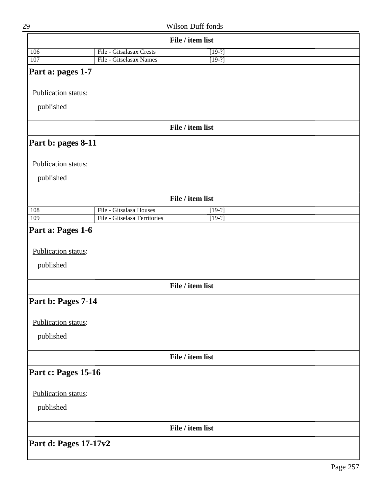| 29                               |                              | Wilson Duff fonds |  |
|----------------------------------|------------------------------|-------------------|--|
|                                  |                              | File / item list  |  |
| 106                              | File - Gitsalasax Crests     | $[19-?]$          |  |
| 107                              | File - Gitselasax Names      | $[19-?]$          |  |
| Part a: pages 1-7                |                              |                   |  |
| Publication status:              |                              |                   |  |
|                                  |                              |                   |  |
| published                        |                              |                   |  |
|                                  |                              | File / item list  |  |
| Part b: pages 8-11               |                              |                   |  |
|                                  |                              |                   |  |
| Publication status:              |                              |                   |  |
| published                        |                              |                   |  |
|                                  |                              | File / item list  |  |
| 108                              | File - Gitsalasa Houses      | $[19-?]$          |  |
| 109                              | File - Gitselasa Territories | $[19-?]$          |  |
| Publication status:<br>published |                              |                   |  |
|                                  |                              | File / item list  |  |
| Part b: Pages 7-14               |                              |                   |  |
| Publication status:              |                              |                   |  |
| published                        |                              |                   |  |
|                                  |                              | File / item list  |  |
| Part c: Pages 15-16              |                              |                   |  |
|                                  |                              |                   |  |
| Publication status:              |                              |                   |  |
| published                        |                              |                   |  |
|                                  |                              | File / item list  |  |
| Part d: Pages 17-17v2            |                              |                   |  |
|                                  |                              |                   |  |

 $\mathsf{l}$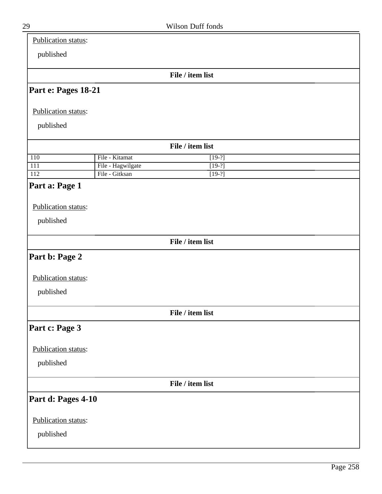| 29                         |                   | Wilson Duff fonds |  |
|----------------------------|-------------------|-------------------|--|
| <b>Publication status:</b> |                   |                   |  |
| published                  |                   |                   |  |
|                            |                   | File / item list  |  |
| Part e: Pages 18-21        |                   |                   |  |
| Publication status:        |                   |                   |  |
| published                  |                   |                   |  |
|                            |                   | File / item list  |  |
| 110                        | File - Kitamat    | $[19-?]$          |  |
| 111                        | File - Hagwilgate | $[19-?]$          |  |
| 112                        | File - Gitksan    | $[19-?]$          |  |
| Part a: Page 1             |                   |                   |  |
|                            |                   |                   |  |
| Publication status:        |                   |                   |  |
| published                  |                   |                   |  |
|                            |                   | File / item list  |  |
| Part b: Page 2             |                   |                   |  |
| Publication status:        |                   |                   |  |
| published                  |                   |                   |  |
|                            |                   | File / item list  |  |
| Part c: Page 3             |                   |                   |  |
| Publication status:        |                   |                   |  |
| published                  |                   |                   |  |
|                            |                   | File / item list  |  |
| Part d: Pages 4-10         |                   |                   |  |
| Publication status:        |                   |                   |  |
| published                  |                   |                   |  |
|                            |                   |                   |  |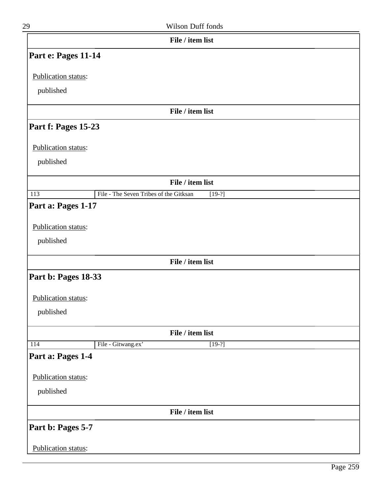| 29                  | Wilson Duff fonds                                  |
|---------------------|----------------------------------------------------|
|                     | File / item list                                   |
| Part e: Pages 11-14 |                                                    |
| Publication status: |                                                    |
| published           |                                                    |
|                     | File / item list                                   |
| Part f: Pages 15-23 |                                                    |
| Publication status: |                                                    |
| published           |                                                    |
|                     | File / item list                                   |
| $\overline{113}$    | File - The Seven Tribes of the Gitksan<br>$[19-?]$ |
| Part a: Pages 1-17  |                                                    |
| Publication status: |                                                    |
| published           |                                                    |
|                     | File / item list                                   |
| Part b: Pages 18-33 |                                                    |
| Publication status: |                                                    |
| published           |                                                    |

| File / item list    |                    |                  |  |
|---------------------|--------------------|------------------|--|
| 114                 | File - Gitwang.ex' | $[19-?]$         |  |
| Part a: Pages 1-4   |                    |                  |  |
| Publication status: |                    |                  |  |
| published           |                    |                  |  |
|                     |                    | File / item list |  |
| Part b: Pages 5-7   |                    |                  |  |
| Publication status: |                    |                  |  |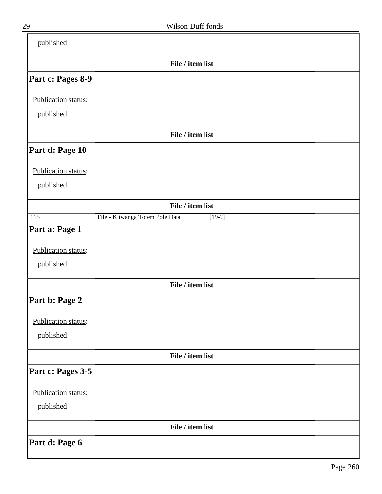| published           |                                             |
|---------------------|---------------------------------------------|
|                     | File / item list                            |
| Part c: Pages 8-9   |                                             |
| Publication status: |                                             |
| published           |                                             |
|                     | File / item list                            |
| Part d: Page 10     |                                             |
| Publication status: |                                             |
| published           |                                             |
|                     | File / item list                            |
| $\overline{115}$    | File - Kitwanga Totem Pole Data<br>$[19-?]$ |
| Part a: Page 1      |                                             |
| Publication status: |                                             |
| published           |                                             |
|                     | File / item list                            |
| Part b: Page 2      |                                             |
| Publication status: |                                             |
| published           |                                             |
|                     | File / item list                            |
| Part c: Pages 3-5   |                                             |
| Publication status: |                                             |
| published           |                                             |
|                     | File / item list                            |
| Part d: Page 6      |                                             |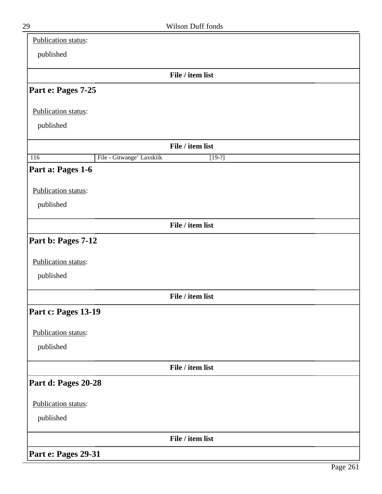| Publication status: |                           |                  |  |
|---------------------|---------------------------|------------------|--|
| published           |                           |                  |  |
|                     |                           | File / item list |  |
| Part e: Pages 7-25  |                           |                  |  |
| Publication status: |                           |                  |  |
| published           |                           |                  |  |
|                     |                           | File / item list |  |
| 116                 | File - Gitwange' Laxskiik | $[19-?]$         |  |
| Part a: Pages 1-6   |                           |                  |  |
| Publication status: |                           |                  |  |
| published           |                           |                  |  |
|                     |                           | File / item list |  |
| Part b: Pages 7-12  |                           |                  |  |
| Publication status: |                           |                  |  |
| published           |                           |                  |  |
|                     |                           | File / item list |  |
| Part c: Pages 13-19 |                           |                  |  |
| Publication status: |                           |                  |  |
| published           |                           |                  |  |
|                     |                           | File / item list |  |
| Part d: Pages 20-28 |                           |                  |  |
| Publication status: |                           |                  |  |
| published           |                           |                  |  |
|                     |                           | File / item list |  |
| Part e: Pages 29-31 |                           |                  |  |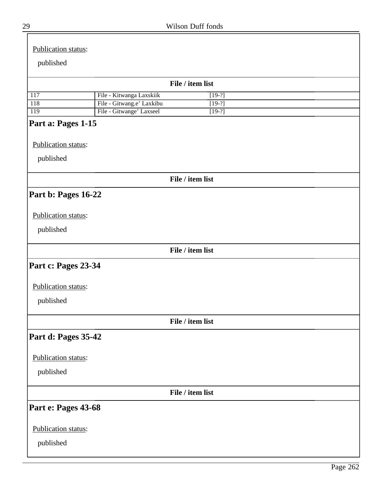| 29 | Wilson Duff fonds |  |
|----|-------------------|--|
|    |                   |  |

| Publication status: |                           |                  |          |  |
|---------------------|---------------------------|------------------|----------|--|
| published           |                           |                  |          |  |
|                     |                           |                  |          |  |
|                     |                           | File / item list |          |  |
| 117                 | File - Kitwanga Laxskiik  |                  | $[19-?]$ |  |
| 118                 | File - Gitwang.e' Laxkibu |                  | $[19-?]$ |  |
| 119                 | File - Gitwange' Laxseel  |                  | $[19-?]$ |  |
| Part a: Pages 1-15  |                           |                  |          |  |
| Publication status: |                           |                  |          |  |
|                     |                           |                  |          |  |
| published           |                           |                  |          |  |
|                     |                           | File / item list |          |  |
| Part b: Pages 16-22 |                           |                  |          |  |
| Publication status: |                           |                  |          |  |
| published           |                           |                  |          |  |
|                     |                           |                  |          |  |
|                     |                           | File / item list |          |  |
| Part c: Pages 23-34 |                           |                  |          |  |
| Publication status: |                           |                  |          |  |
| published           |                           |                  |          |  |
|                     |                           | File / item list |          |  |
| Part d: Pages 35-42 |                           |                  |          |  |
| Publication status: |                           |                  |          |  |
| published           |                           |                  |          |  |
|                     |                           |                  |          |  |
|                     |                           | File / item list |          |  |
| Part e: Pages 43-68 |                           |                  |          |  |
| Publication status: |                           |                  |          |  |
| published           |                           |                  |          |  |
|                     |                           |                  |          |  |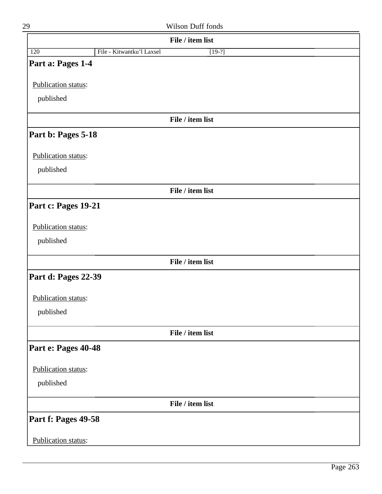| 29                         | Wilson Duff fonds                     |
|----------------------------|---------------------------------------|
|                            | File / item list                      |
| 120                        | File - Kitwantku'l Laxsel<br>$[19-?]$ |
| Part a: Pages 1-4          |                                       |
| Publication status:        |                                       |
| published                  |                                       |
|                            |                                       |
|                            | File / item list                      |
| Part b: Pages 5-18         |                                       |
| <b>Publication status:</b> |                                       |
| published                  |                                       |
|                            | File / item list                      |
| Part c: Pages 19-21        |                                       |
| Publication status:        |                                       |
|                            |                                       |
| published                  |                                       |
|                            | File / item list                      |
| Part d: Pages 22-39        |                                       |
| <b>Publication status:</b> |                                       |
| published                  |                                       |
|                            | File / item list                      |
| Part e: Pages 40-48        |                                       |
| <b>Publication status:</b> |                                       |
| published                  |                                       |
|                            | File / item list                      |
| Part f: Pages 49-58        |                                       |
|                            |                                       |
| Publication status:        |                                       |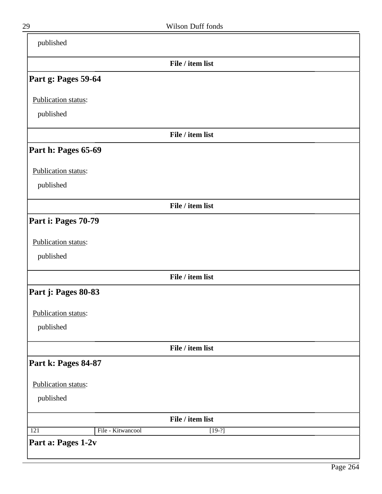| published                |                  |
|--------------------------|------------------|
|                          | File / item list |
| Part g: Pages 59-64      |                  |
| Publication status:      |                  |
| published                |                  |
|                          | File / item list |
| Part h: Pages 65-69      |                  |
| Publication status:      |                  |
| published                |                  |
|                          | File / item list |
| Part i: Pages 70-79      |                  |
| Publication status:      |                  |
| published                |                  |
|                          | File / item list |
| Part j: Pages 80-83      |                  |
| Publication status:      |                  |
| published                |                  |
|                          | File / item list |
| Part k: Pages 84-87      |                  |
| Publication status:      |                  |
| published                |                  |
|                          | File / item list |
| File - Kitwancool<br>121 | $[19-?]$         |
| Part a: Pages 1-2v       |                  |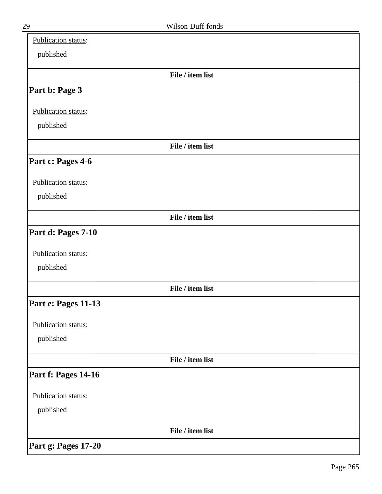| Publication status: |                  |  |
|---------------------|------------------|--|
| published           |                  |  |
|                     | File / item list |  |
| Part b: Page 3      |                  |  |
| Publication status: |                  |  |
| published           |                  |  |
|                     | File / item list |  |
| Part c: Pages 4-6   |                  |  |
| Publication status: |                  |  |
| published           |                  |  |
|                     | File / item list |  |
| Part d: Pages 7-10  |                  |  |
| Publication status: |                  |  |
| published           |                  |  |
|                     | File / item list |  |
| Part e: Pages 11-13 |                  |  |
| Publication status: |                  |  |
| published           |                  |  |
|                     | File / item list |  |
| Part f: Pages 14-16 |                  |  |
| Publication status: |                  |  |
| published           |                  |  |
|                     | File / item list |  |
| Part g: Pages 17-20 |                  |  |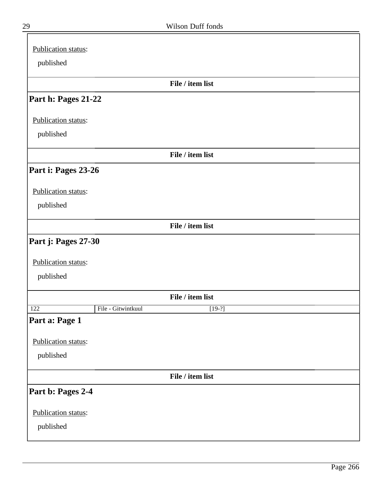| Publication status: |                    |                  |
|---------------------|--------------------|------------------|
| published           |                    |                  |
|                     |                    |                  |
|                     |                    | File / item list |
| Part h: Pages 21-22 |                    |                  |
| Publication status: |                    |                  |
| published           |                    |                  |
|                     |                    |                  |
|                     |                    | File / item list |
| Part i: Pages 23-26 |                    |                  |
| Publication status: |                    |                  |
| published           |                    |                  |
|                     |                    |                  |
|                     |                    | File / item list |
| Part j: Pages 27-30 |                    |                  |
|                     |                    |                  |
| Publication status: |                    |                  |
| published           |                    |                  |
|                     |                    | File / item list |
| 122                 | File - Gitwintkuul | $[19-?]$         |
| Part a: Page 1      |                    |                  |
| Publication status: |                    |                  |
| published           |                    |                  |
|                     |                    |                  |
|                     |                    | File / item list |
| Part b: Pages 2-4   |                    |                  |
| Publication status: |                    |                  |
|                     |                    |                  |
| published           |                    |                  |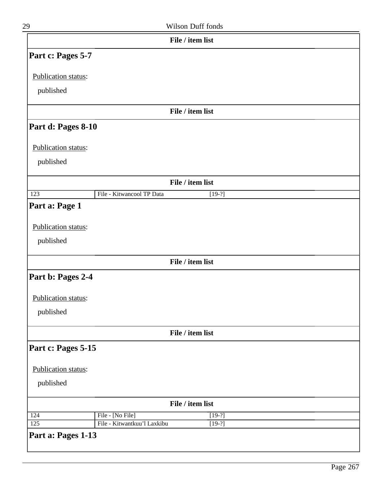| 29                  | Wilson Duff fonds            |
|---------------------|------------------------------|
|                     | File / item list             |
| Part c: Pages 5-7   |                              |
| Publication status: |                              |
|                     |                              |
| published           |                              |
|                     | File / item list             |
| Part d: Pages 8-10  |                              |
| Publication status: |                              |
| published           |                              |
|                     | File / item list             |
|                     | File - Kitwancool TP Data    |
| $\overline{123}$    | $[19-?]$                     |
| Part a: Page 1      |                              |
| Publication status: |                              |
| published           |                              |
|                     | File / item list             |
| Part b: Pages 2-4   |                              |
|                     |                              |
| Publication status: |                              |
| published           |                              |
|                     | File / item list             |
| Part c: Pages 5-15  |                              |
|                     |                              |
| Publication status: |                              |
| published           |                              |
|                     | File / item list             |
|                     | File - [No File]<br>$[19-?]$ |
| 124                 |                              |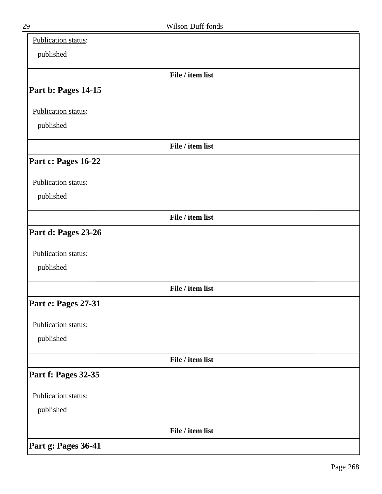| Publication status: |                  |  |
|---------------------|------------------|--|
| published           |                  |  |
|                     | File / item list |  |
| Part b: Pages 14-15 |                  |  |
| Publication status: |                  |  |
| published           |                  |  |
|                     | File / item list |  |
| Part c: Pages 16-22 |                  |  |
| Publication status: |                  |  |
| published           |                  |  |
|                     | File / item list |  |
| Part d: Pages 23-26 |                  |  |
| Publication status: |                  |  |
| published           |                  |  |
|                     | File / item list |  |
| Part e: Pages 27-31 |                  |  |
| Publication status: |                  |  |
| published           |                  |  |
|                     | File / item list |  |
| Part f: Pages 32-35 |                  |  |
| Publication status: |                  |  |
| published           |                  |  |
|                     | File / item list |  |
| Part g: Pages 36-41 |                  |  |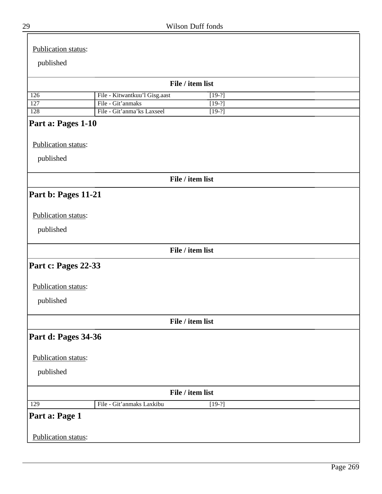| Publication status: |                                                 |                      |
|---------------------|-------------------------------------------------|----------------------|
| published           |                                                 |                      |
|                     |                                                 |                      |
|                     |                                                 | File / item list     |
| 126                 | File - Kitwantkuu'l Gisg.aast                   | $[19-?]$             |
| 127<br>128          | File - Git'anmaks<br>File - Git'anma'ks Laxseel | $[19-?]$<br>$[19-?]$ |
| Part a: Pages 1-10  |                                                 |                      |
| Publication status: |                                                 |                      |
| published           |                                                 |                      |
|                     |                                                 | File / item list     |
| Part b: Pages 11-21 |                                                 |                      |
|                     |                                                 |                      |
| Publication status: |                                                 |                      |
| published           |                                                 |                      |
|                     |                                                 | File / item list     |
| Part c: Pages 22-33 |                                                 |                      |
| Publication status: |                                                 |                      |
| published           |                                                 |                      |
|                     |                                                 | File / item list     |
| Part d: Pages 34-36 |                                                 |                      |
| Publication status: |                                                 |                      |
| published           |                                                 |                      |
|                     |                                                 | File / item list     |
| 129                 | File - Git'anmaks Laxkibu                       | $[19-?]$             |
| Part a: Page 1      |                                                 |                      |
| Publication status: |                                                 |                      |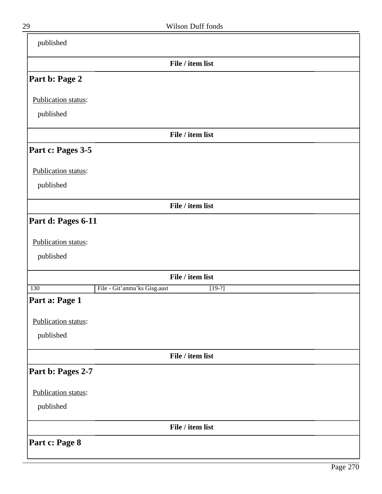| published           |                                          |
|---------------------|------------------------------------------|
|                     | File / item list                         |
| Part b: Page 2      |                                          |
| Publication status: |                                          |
| published           |                                          |
|                     | File / item list                         |
| Part c: Pages 3-5   |                                          |
| Publication status: |                                          |
| published           |                                          |
|                     | File / item list                         |
| Part d: Pages 6-11  |                                          |
| Publication status: |                                          |
| published           |                                          |
|                     | File / item list                         |
| 130                 | File - Git'anma'ks Gisg.aast<br>$[19-?]$ |
| Part a: Page 1      |                                          |
| Publication status: |                                          |
| published           |                                          |
|                     | File / item list                         |
| Part b: Pages 2-7   |                                          |
| Publication status: |                                          |
| published           |                                          |
|                     | File / item list                         |
| Part c: Page 8      |                                          |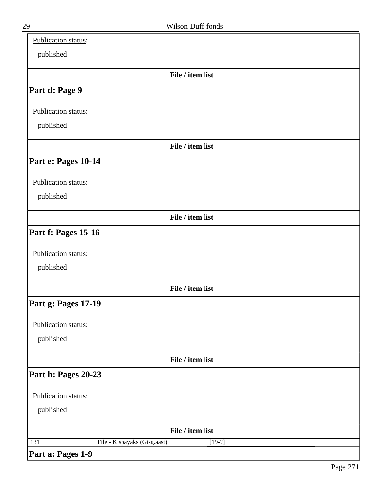| Publication status: |                                          |
|---------------------|------------------------------------------|
| published           |                                          |
|                     | File / item list                         |
| Part d: Page 9      |                                          |
| Publication status: |                                          |
| published           |                                          |
|                     | File / item list                         |
| Part e: Pages 10-14 |                                          |
| Publication status: |                                          |
| published           |                                          |
|                     | File / item list                         |
| Part f: Pages 15-16 |                                          |
| Publication status: |                                          |
| published           |                                          |
|                     | File / item list                         |
| Part g: Pages 17-19 |                                          |
| Publication status: |                                          |
| published           |                                          |
|                     | File / item list                         |
| Part h: Pages 20-23 |                                          |
| Publication status: |                                          |
| published           |                                          |
|                     | File / item list                         |
| 131                 | File - Kispayaks (Gisg.aast)<br>$[19-?]$ |
| Part a: Pages 1-9   |                                          |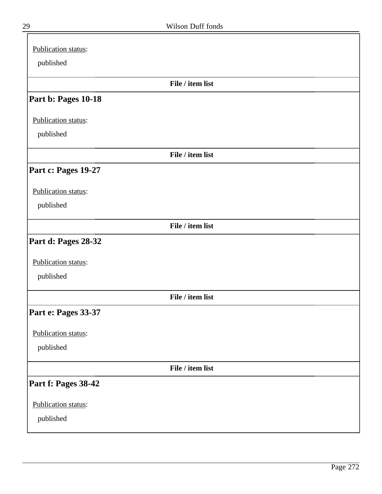| Publication status: |  |
|---------------------|--|
| published           |  |
| File / item list    |  |
| Part b: Pages 10-18 |  |
| Publication status: |  |
| published           |  |
| File / item list    |  |
| Part c: Pages 19-27 |  |
| Publication status: |  |
| published           |  |
| File / item list    |  |
| Part d: Pages 28-32 |  |
| Publication status: |  |
| published           |  |
| File / item list    |  |
| Part e: Pages 33-37 |  |
| Publication status: |  |
| published           |  |
| File / item list    |  |
| Part f: Pages 38-42 |  |
| Publication status: |  |
| published           |  |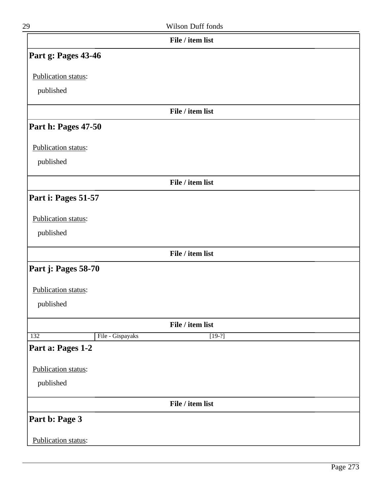| 29                         |                  | Wilson Duff fonds            |  |
|----------------------------|------------------|------------------------------|--|
|                            |                  | File / item list             |  |
| Part g: Pages 43-46        |                  |                              |  |
| Publication status:        |                  |                              |  |
| published                  |                  |                              |  |
|                            |                  | File / item list             |  |
| Part h: Pages 47-50        |                  |                              |  |
| Publication status:        |                  |                              |  |
| published                  |                  |                              |  |
|                            |                  | File / item list             |  |
| Part i: Pages 51-57        |                  |                              |  |
| Publication status:        |                  |                              |  |
| published                  |                  |                              |  |
|                            |                  | File / item list             |  |
| Part j: Pages 58-70        |                  |                              |  |
| Publication status:        |                  |                              |  |
| published                  |                  |                              |  |
|                            |                  |                              |  |
| 132                        | File - Gispayaks | File / item list<br>$[19-?]$ |  |
| Part a: Pages 1-2          |                  |                              |  |
| Publication status:        |                  |                              |  |
| published                  |                  |                              |  |
|                            |                  | File / item list             |  |
| Part b: Page 3             |                  |                              |  |
|                            |                  |                              |  |
| <b>Publication status:</b> |                  |                              |  |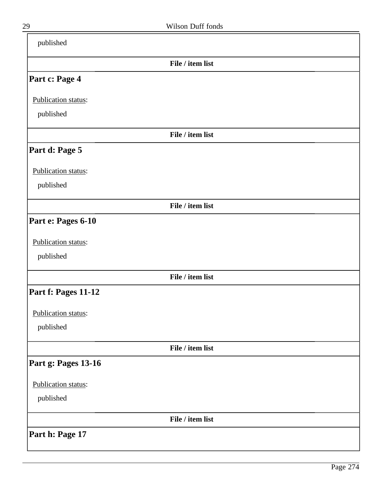| published           |                  |  |
|---------------------|------------------|--|
|                     | File / item list |  |
| Part c: Page 4      |                  |  |
| Publication status: |                  |  |
| published           |                  |  |
|                     | File / item list |  |
| Part d: Page 5      |                  |  |
| Publication status: |                  |  |
| published           |                  |  |
|                     | File / item list |  |
| Part e: Pages 6-10  |                  |  |
| Publication status: |                  |  |
| published           |                  |  |
|                     | File / item list |  |
| Part f: Pages 11-12 |                  |  |
| Publication status: |                  |  |
| published           |                  |  |
|                     | File / item list |  |
| Part g: Pages 13-16 |                  |  |
| Publication status: |                  |  |
| published           |                  |  |
|                     | File / item list |  |
| Part h: Page 17     |                  |  |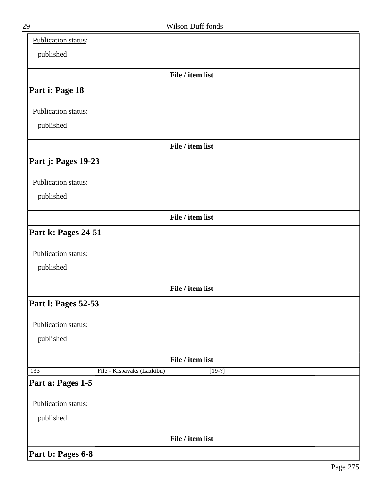| Publication status:        |                                        |
|----------------------------|----------------------------------------|
| published                  |                                        |
|                            | File / item list                       |
| Part i: Page 18            |                                        |
| Publication status:        |                                        |
| published                  |                                        |
|                            | File / item list                       |
| Part j: Pages 19-23        |                                        |
| Publication status:        |                                        |
| published                  |                                        |
|                            | File / item list                       |
| Part k: Pages 24-51        |                                        |
| Publication status:        |                                        |
| published                  |                                        |
|                            | File / item list                       |
| <b>Part I: Pages 52-53</b> |                                        |
| Publication status:        |                                        |
| published                  |                                        |
|                            | File / item list                       |
| 133                        | File - Kispayaks (Laxkibu)<br>$[19-?]$ |
| Part a: Pages 1-5          |                                        |
| Publication status:        |                                        |
| published                  |                                        |
|                            | File / item list                       |
| Part b: Pages 6-8          |                                        |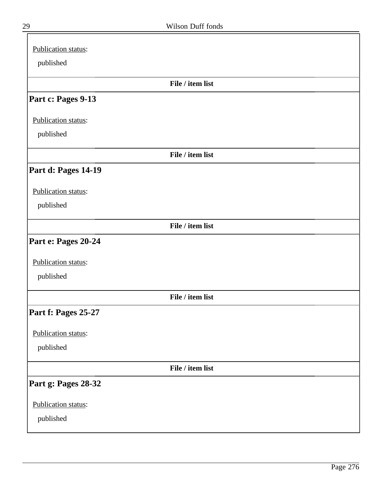| published           |  |
|---------------------|--|
| File / item list    |  |
| Part c: Pages 9-13  |  |
| Publication status: |  |
| published           |  |
| File / item list    |  |
| Part d: Pages 14-19 |  |
| Publication status: |  |
| published           |  |
| File / item list    |  |
| Part e: Pages 20-24 |  |
| Publication status: |  |
| published           |  |
| File / item list    |  |
| Part f: Pages 25-27 |  |
| Publication status: |  |
| published           |  |
| File / item list    |  |
| Part g: Pages 28-32 |  |
| Publication status: |  |
| published           |  |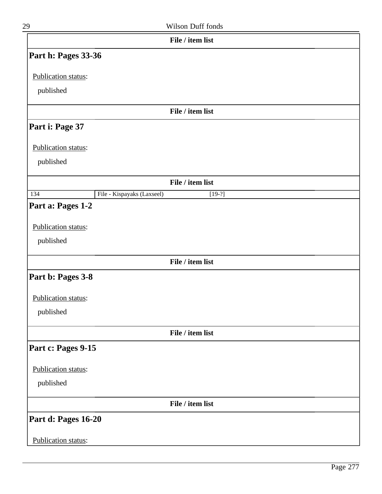| 29                  | Wilson Duff fonds                      |
|---------------------|----------------------------------------|
|                     | File / item list                       |
| Part h: Pages 33-36 |                                        |
| Publication status: |                                        |
| published           |                                        |
|                     |                                        |
|                     | File / item list                       |
| Part i: Page 37     |                                        |
| Publication status: |                                        |
| published           |                                        |
|                     |                                        |
|                     | File / item list                       |
| 134                 | File - Kispayaks (Laxseel)<br>$[19-?]$ |
| Part a: Pages 1-2   |                                        |
| Publication status: |                                        |
| published           |                                        |
|                     | File / item list                       |
|                     |                                        |
| Part b: Pages 3-8   |                                        |
| Publication status: |                                        |
| published           |                                        |
|                     | File / item list                       |
|                     |                                        |
| Part c: Pages 9-15  |                                        |
| Publication status: |                                        |
| published           |                                        |
|                     | File / item list                       |
| Part d: Pages 16-20 |                                        |
|                     |                                        |
| Publication status: |                                        |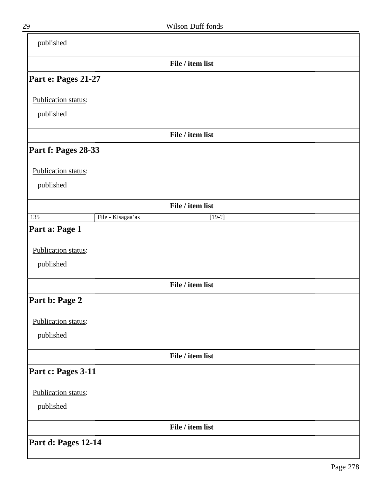| published           |                   |                  |  |
|---------------------|-------------------|------------------|--|
|                     |                   | File / item list |  |
| Part e: Pages 21-27 |                   |                  |  |
| Publication status: |                   |                  |  |
| published           |                   |                  |  |
|                     |                   | File / item list |  |
| Part f: Pages 28-33 |                   |                  |  |
| Publication status: |                   |                  |  |
| published           |                   |                  |  |
|                     |                   | File / item list |  |
| 135                 | File - Kisagaa'as | $[19-?]$         |  |
| Part a: Page 1      |                   |                  |  |
| Publication status: |                   |                  |  |
| published           |                   |                  |  |
|                     |                   | File / item list |  |
| Part b: Page 2      |                   |                  |  |
| Publication status: |                   |                  |  |
| published           |                   |                  |  |
|                     |                   | File / item list |  |
| Part c: Pages 3-11  |                   |                  |  |
| Publication status: |                   |                  |  |
| published           |                   |                  |  |
|                     |                   | File / item list |  |
| Part d: Pages 12-14 |                   |                  |  |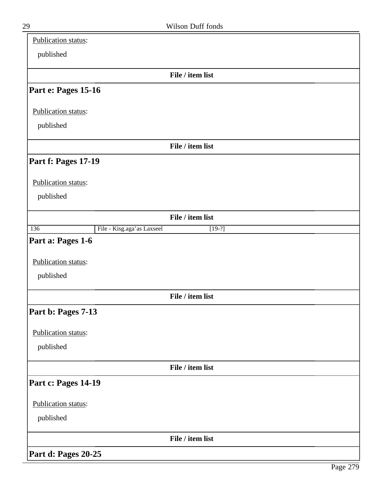| Publication status: |                            |                  |  |
|---------------------|----------------------------|------------------|--|
| published           |                            |                  |  |
|                     |                            | File / item list |  |
| Part e: Pages 15-16 |                            |                  |  |
| Publication status: |                            |                  |  |
| published           |                            |                  |  |
|                     |                            | File / item list |  |
| Part f: Pages 17-19 |                            |                  |  |
| Publication status: |                            |                  |  |
| published           |                            |                  |  |
|                     |                            | File / item list |  |
| 136                 | File - Kisg.aga'as Laxseel | $[19-?]$         |  |
| Part a: Pages 1-6   |                            |                  |  |
| Publication status: |                            |                  |  |
| published           |                            |                  |  |
|                     |                            | File / item list |  |
| Part b: Pages 7-13  |                            |                  |  |
| Publication status: |                            |                  |  |
| published           |                            |                  |  |
|                     |                            | File / item list |  |
| Part c: Pages 14-19 |                            |                  |  |
| Publication status: |                            |                  |  |
| published           |                            |                  |  |
|                     |                            | File / item list |  |
| Part d: Pages 20-25 |                            |                  |  |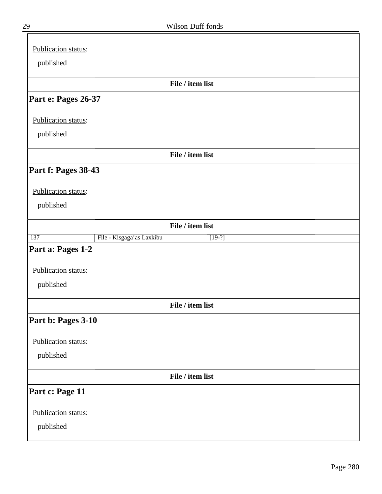| Publication status:                          |
|----------------------------------------------|
| published                                    |
|                                              |
| File / item list                             |
| Part e: Pages 26-37                          |
| Publication status:                          |
| published                                    |
| File / item list                             |
| Part f: Pages 38-43                          |
| Publication status:                          |
| published                                    |
| File / item list                             |
| File - Kisgaga'as Laxkibu<br>137<br>$[19-?]$ |
| Part a: Pages 1-2                            |
| Publication status:                          |
| published                                    |
| File / item list                             |
| Part b: Pages 3-10                           |
| Publication status:                          |
| published                                    |
| File / item list                             |
| Part c: Page 11                              |
| Publication status:                          |
| published                                    |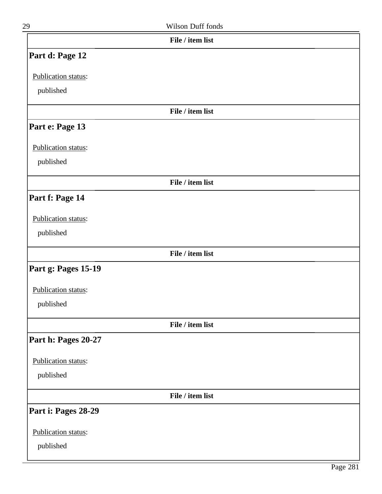| 29                         | <b>Wilson Duff fonds</b> |  |
|----------------------------|--------------------------|--|
|                            | File / item list         |  |
| Part d: Page 12            |                          |  |
| Publication status:        |                          |  |
| published                  |                          |  |
|                            | File / item list         |  |
| Part e: Page 13            |                          |  |
| Publication status:        |                          |  |
| published                  |                          |  |
|                            | File / item list         |  |
| Part f: Page 14            |                          |  |
| Publication status:        |                          |  |
| published                  |                          |  |
|                            | File / item list         |  |
| <b>Part g: Pages 15-19</b> |                          |  |

Publication status:

published

**File / item list**

## **Part h: Pages 20-27**

Publication status:

published

**File / item list**

## **Part i: Pages 28-29**

Publication status:

published

Page 281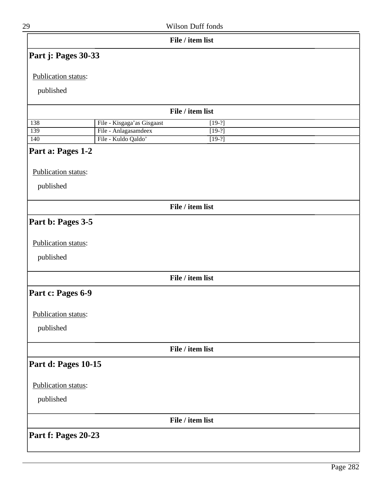| 29                  |                            | Wilson Duff fonds |  |
|---------------------|----------------------------|-------------------|--|
|                     |                            | File / item list  |  |
| Part j: Pages 30-33 |                            |                   |  |
| Publication status: |                            |                   |  |
|                     |                            |                   |  |
| published           |                            |                   |  |
|                     |                            | File / item list  |  |
| 138                 | File - Kisgaga'as Gisgaast | $[19-?]$          |  |
| 139                 | File - Anlagasamdeex       | $[19-?]$          |  |
| 140                 | File - Kuldo Qaldo'        | $[19-?]$          |  |
| Part a: Pages 1-2   |                            |                   |  |
| Publication status: |                            |                   |  |
|                     |                            |                   |  |
| published           |                            |                   |  |
|                     |                            | File / item list  |  |
| Part b: Pages 3-5   |                            |                   |  |
|                     |                            |                   |  |
| Publication status: |                            |                   |  |
| published           |                            |                   |  |
|                     |                            |                   |  |
|                     |                            | File / item list  |  |
| Part c: Pages 6-9   |                            |                   |  |
|                     |                            |                   |  |
| Publication status: |                            |                   |  |
| published           |                            |                   |  |
|                     |                            | File / item list  |  |
| Part d: Pages 10-15 |                            |                   |  |
|                     |                            |                   |  |
| Publication status: |                            |                   |  |
| published           |                            |                   |  |
|                     |                            | File / item list  |  |
|                     |                            |                   |  |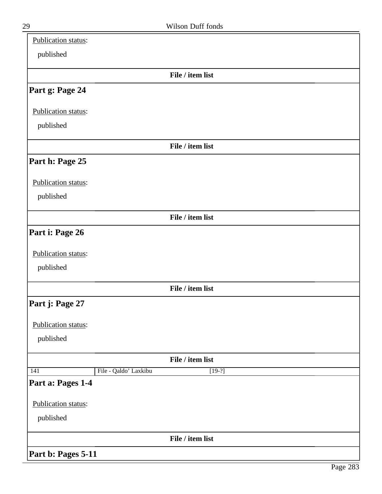| Publication status: |                       |                  |  |
|---------------------|-----------------------|------------------|--|
| published           |                       |                  |  |
|                     |                       | File / item list |  |
| Part g: Page 24     |                       |                  |  |
| Publication status: |                       |                  |  |
| published           |                       |                  |  |
|                     |                       | File / item list |  |
| Part h: Page 25     |                       |                  |  |
| Publication status: |                       |                  |  |
| published           |                       |                  |  |
|                     |                       | File / item list |  |
| Part i: Page 26     |                       |                  |  |
| Publication status: |                       |                  |  |
| published           |                       |                  |  |
|                     |                       | File / item list |  |
| Part j: Page 27     |                       |                  |  |
| Publication status: |                       |                  |  |
| published           |                       |                  |  |
|                     |                       | File / item list |  |
| 141                 | File - Qaldo' Laxkibu | $[19-?]$         |  |
| Part a: Pages 1-4   |                       |                  |  |
| Publication status: |                       |                  |  |
| published           |                       |                  |  |
|                     |                       | File / item list |  |
| Part b: Pages 5-11  |                       |                  |  |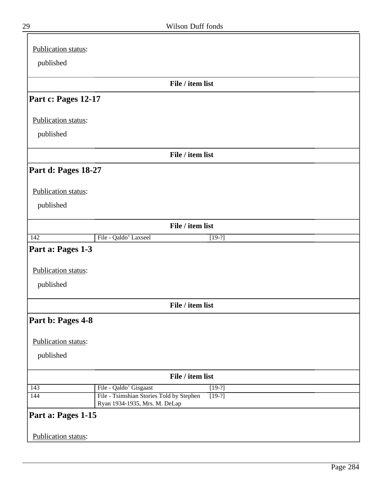| Publication status: |                                                                                       |  |
|---------------------|---------------------------------------------------------------------------------------|--|
| published           |                                                                                       |  |
|                     |                                                                                       |  |
|                     | File / item list                                                                      |  |
| Part c: Pages 12-17 |                                                                                       |  |
| Publication status: |                                                                                       |  |
| published           |                                                                                       |  |
|                     | File / item list                                                                      |  |
| Part d: Pages 18-27 |                                                                                       |  |
| Publication status: |                                                                                       |  |
| published           |                                                                                       |  |
|                     | File / item list                                                                      |  |
| $\overline{142}$    | File - Qaldo' Laxseel<br>$[19-?]$                                                     |  |
| Part a: Pages 1-3   |                                                                                       |  |
| Publication status: |                                                                                       |  |
| published           |                                                                                       |  |
|                     | File / item list                                                                      |  |
| Part b: Pages 4-8   |                                                                                       |  |
| Publication status: |                                                                                       |  |
| published           |                                                                                       |  |
|                     | File / item list                                                                      |  |
| 143                 | File - Qaldo' Gisgaast<br>$[19-?]$                                                    |  |
| 144                 | File - Tsimshian Stories Told by Stephen<br>$[19-?]$<br>Ryan 1934-1935, Mrs. M. DeLap |  |
| Part a: Pages 1-15  |                                                                                       |  |
| Publication status: |                                                                                       |  |

 $\bar{=}$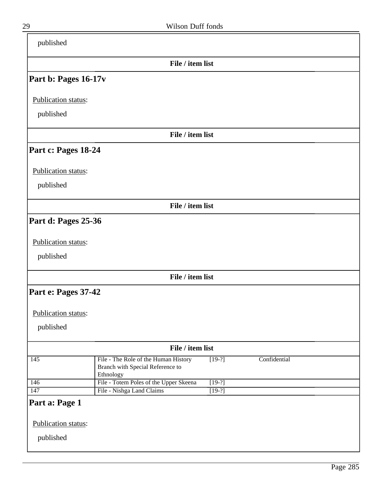| published                        |                                                                          |          |              |  |
|----------------------------------|--------------------------------------------------------------------------|----------|--------------|--|
|                                  | File / item list                                                         |          |              |  |
| Part b: Pages 16-17v             |                                                                          |          |              |  |
| Publication status:              |                                                                          |          |              |  |
| published                        |                                                                          |          |              |  |
|                                  | File / item list                                                         |          |              |  |
| Part c: Pages 18-24              |                                                                          |          |              |  |
| Publication status:              |                                                                          |          |              |  |
| published                        |                                                                          |          |              |  |
|                                  | File / item list                                                         |          |              |  |
| Part d: Pages 25-36              |                                                                          |          |              |  |
| Publication status:              |                                                                          |          |              |  |
| published                        |                                                                          |          |              |  |
|                                  | File / item list                                                         |          |              |  |
| Part e: Pages 37-42              |                                                                          |          |              |  |
| Publication status:              |                                                                          |          |              |  |
| published                        |                                                                          |          |              |  |
|                                  | File / item list                                                         |          |              |  |
| 145<br>Ethnology                 | File - The Role of the Human History<br>Branch with Special Reference to | $[19-?]$ | Confidential |  |
| 146                              | File - Totem Poles of the Upper Skeena                                   | $[19-?]$ |              |  |
| 147<br>Part a: Page 1            | File - Nishga Land Claims                                                | $[19-?]$ |              |  |
|                                  |                                                                          |          |              |  |
| Publication status:<br>published |                                                                          |          |              |  |

 $\overline{\phantom{a}}$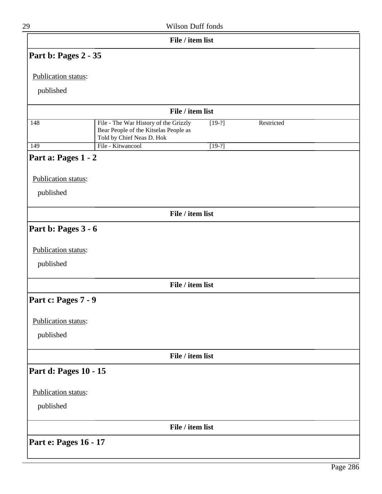| 29                    |                                                                                                             | Wilson Duff fonds |            |  |
|-----------------------|-------------------------------------------------------------------------------------------------------------|-------------------|------------|--|
|                       |                                                                                                             | File / item list  |            |  |
| Part b: Pages 2 - 35  |                                                                                                             |                   |            |  |
| Publication status:   |                                                                                                             |                   |            |  |
| published             |                                                                                                             |                   |            |  |
|                       |                                                                                                             | File / item list  |            |  |
| 148                   | File - The War History of the Grizzly<br>Bear People of the Kitselas People as<br>Told by Chief Neas D. Hok | $[19-?]$          | Restricted |  |
| 149                   | File - Kitwancool                                                                                           | $[19-?]$          |            |  |
| Part a: Pages 1 - 2   |                                                                                                             |                   |            |  |
| Publication status:   |                                                                                                             |                   |            |  |
| published             |                                                                                                             |                   |            |  |
|                       |                                                                                                             | File / item list  |            |  |
| Part b: Pages 3 - 6   |                                                                                                             |                   |            |  |
|                       |                                                                                                             |                   |            |  |
| Publication status:   |                                                                                                             |                   |            |  |
| published             |                                                                                                             |                   |            |  |
|                       |                                                                                                             | File / item list  |            |  |
| Part c: Pages 7 - 9   |                                                                                                             |                   |            |  |
| Publication status:   |                                                                                                             |                   |            |  |
| published             |                                                                                                             |                   |            |  |
|                       |                                                                                                             | File / item list  |            |  |
| Part d: Pages 10 - 15 |                                                                                                             |                   |            |  |
| Publication status:   |                                                                                                             |                   |            |  |
| published             |                                                                                                             |                   |            |  |
|                       |                                                                                                             |                   |            |  |
|                       |                                                                                                             | File / item list  |            |  |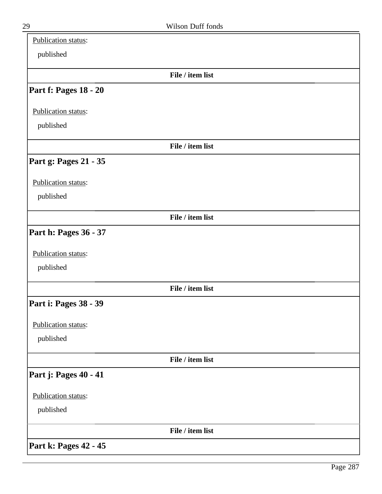| Publication status:   |                  |  |
|-----------------------|------------------|--|
| published             |                  |  |
|                       | File / item list |  |
| Part f: Pages 18 - 20 |                  |  |
| Publication status:   |                  |  |
| published             |                  |  |
|                       | File / item list |  |
| Part g: Pages 21 - 35 |                  |  |
| Publication status:   |                  |  |
| published             |                  |  |
|                       | File / item list |  |
| Part h: Pages 36 - 37 |                  |  |
| Publication status:   |                  |  |
| published             |                  |  |
|                       | File / item list |  |
| Part i: Pages 38 - 39 |                  |  |
| Publication status:   |                  |  |
| published             |                  |  |
|                       | File / item list |  |
| Part j: Pages 40 - 41 |                  |  |
| Publication status:   |                  |  |
| published             |                  |  |
|                       | File / item list |  |
| Part k: Pages 42 - 45 |                  |  |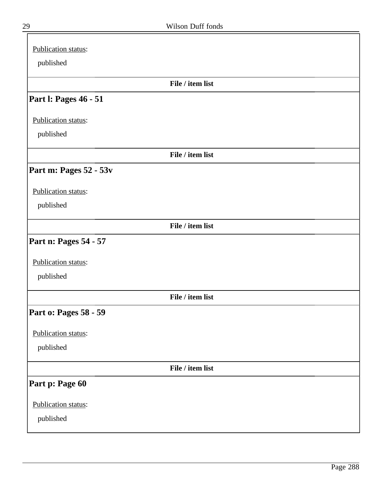| Publication status:    |                  |  |
|------------------------|------------------|--|
| published              |                  |  |
|                        | File / item list |  |
| Part I: Pages 46 - 51  |                  |  |
| Publication status:    |                  |  |
| published              |                  |  |
|                        | File / item list |  |
| Part m: Pages 52 - 53v |                  |  |
| Publication status:    |                  |  |
| published              |                  |  |
|                        | File / item list |  |
| Part n: Pages 54 - 57  |                  |  |
| Publication status:    |                  |  |
| published              |                  |  |
|                        | File / item list |  |
| Part o: Pages 58 - 59  |                  |  |
| Publication status:    |                  |  |
| published              |                  |  |
|                        | File / item list |  |
| Part p: Page 60        |                  |  |
| Publication status:    |                  |  |
| published              |                  |  |
|                        |                  |  |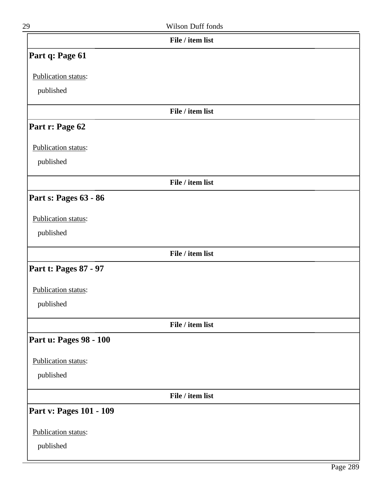| 29              | Wilson Duff fonds |
|-----------------|-------------------|
|                 | File / item list  |
| Part q: Page 61 |                   |

Publication status:

published

#### **File / item list**

## **Part r: Page 62**

Publication status:

published

**File / item list**

# **Part s: Pages 63 - 86**

#### Publication status:

published

#### **File / item list**

## **Part t: Pages 87 - 97**

Publication status:

published

**File / item list**

### **Part u: Pages 98 - 100**

Publication status:

published

**File / item list**

### **Part v: Pages 101 - 109**

Publication status: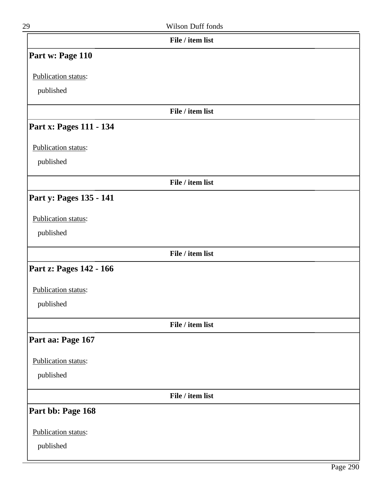| 29                      | Wilson Duff fonds |  |
|-------------------------|-------------------|--|
|                         | File / item list  |  |
| Part w: Page 110        |                   |  |
| Publication status:     |                   |  |
| published               |                   |  |
|                         | File / item list  |  |
| Part x: Pages 111 - 134 |                   |  |
| Publication status:     |                   |  |
| published               |                   |  |
|                         | File / item list  |  |
| Part y: Pages 135 - 141 |                   |  |
| Publication status:     |                   |  |
| published               |                   |  |
|                         | File / item list  |  |
| Part z: Pages 142 - 166 |                   |  |
| Publication status:     |                   |  |
| published               |                   |  |
|                         | File / item list  |  |
| Part aa: Page 167       |                   |  |
| Publication status:     |                   |  |
| published               |                   |  |
|                         | File / item list  |  |
| Part bb: Page 168       |                   |  |
| Publication status:     |                   |  |
| published               |                   |  |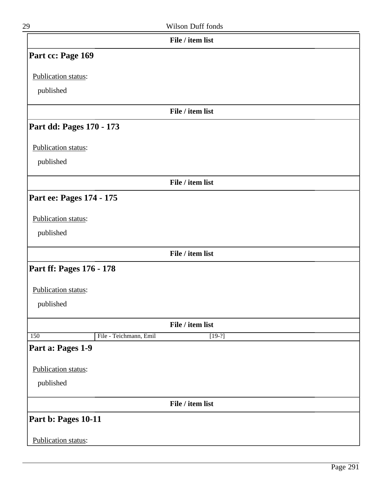| 29                       |                        | Wilson Duff fonds |  |
|--------------------------|------------------------|-------------------|--|
|                          |                        | File / item list  |  |
| Part cc: Page 169        |                        |                   |  |
| Publication status:      |                        |                   |  |
| published                |                        |                   |  |
|                          |                        | File / item list  |  |
| Part dd: Pages 170 - 173 |                        |                   |  |
| Publication status:      |                        |                   |  |
| published                |                        |                   |  |
|                          |                        | File / item list  |  |
| Part ee: Pages 174 - 175 |                        |                   |  |
| Publication status:      |                        |                   |  |
| published                |                        |                   |  |
|                          |                        | File / item list  |  |
| Part ff: Pages 176 - 178 |                        |                   |  |
|                          |                        |                   |  |
| Publication status:      |                        |                   |  |
| published                |                        |                   |  |
|                          |                        | File / item list  |  |
| 150                      | File - Teichmann, Emil | $[19-?]$          |  |
| Part a: Pages 1-9        |                        |                   |  |
| Publication status:      |                        |                   |  |
| published                |                        |                   |  |
|                          |                        | File / item list  |  |
| Part b: Pages 10-11      |                        |                   |  |
| Publication status:      |                        |                   |  |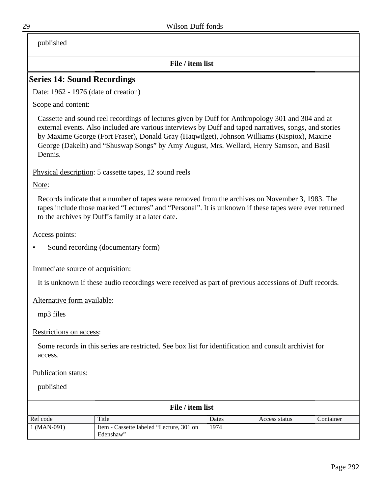published

#### **File / item list**

## **Series 14: Sound Recordings**

Date: 1962 - 1976 (date of creation)

Scope and content:

Cassette and sound reel recordings of lectures given by Duff for Anthropology 301 and 304 and at external events. Also included are various interviews by Duff and taped narratives, songs, and stories by Maxime George (Fort Fraser), Donald Gray (Haqwilget), Johnson Williams (Kispiox), Maxine George (Dakelh) and "Shuswap Songs" by Amy August, Mrs. Wellard, Henry Samson, and Basil Dennis.

Physical description: 5 cassette tapes, 12 sound reels

Note:

Records indicate that a number of tapes were removed from the archives on November 3, 1983. The tapes include those marked "Lectures" and "Personal". It is unknown if these tapes were ever returned to the archives by Duff's family at a later date.

Access points:

• Sound recording (documentary form)

Immediate source of acquisition:

It is unknown if these audio recordings were received as part of previous accessions of Duff records.

Alternative form available:

mp3 files

Restrictions on access:

Some records in this series are restricted. See box list for identification and consult archivist for access.

Publication status:

| File / item list |                                                       |       |               |           |  |
|------------------|-------------------------------------------------------|-------|---------------|-----------|--|
| Ref code         | Title                                                 | Dates | Access status | Container |  |
| $1$ (MAN-091)    | Item - Cassette labeled "Lecture, 301 on<br>Edenshaw" | 1974  |               |           |  |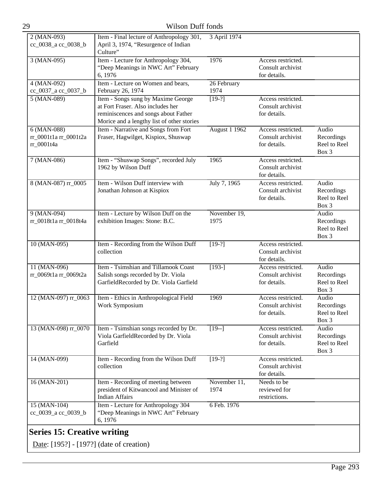| 29                                                   | Wilson Duff fonds                                                                                                                                             |                      |                                                         |                                              |
|------------------------------------------------------|---------------------------------------------------------------------------------------------------------------------------------------------------------------|----------------------|---------------------------------------------------------|----------------------------------------------|
| 2 (MAN-093)<br>cc_0038_a cc_0038_b                   | Item - Final lecture of Anthropology 301,<br>April 3, 1974, "Resurgence of Indian<br>Culture"                                                                 | 3 April 1974         |                                                         |                                              |
| 3 (MAN-095)                                          | Item - Lecture for Anthropology 304,<br>"Deep Meanings in NWC Art" February<br>6, 1976                                                                        | 1976                 | Access restricted.<br>Consult archivist<br>for details. |                                              |
| $4 (MAN-092)$<br>cc_0037_a cc_0037_b                 | Item - Lecture on Women and bears,<br>February 26, 1974                                                                                                       | 26 February<br>1974  |                                                         |                                              |
| $5 (MAN-089)$                                        | Item - Songs sung by Maxime George<br>at Fort Fraser. Also includes her<br>reminiscences and songs about Father<br>Morice and a lengthy list of other stories | $[19-?]$             | Access restricted.<br>Consult archivist<br>for details. |                                              |
| $6 (MAN-088)$<br>rr_0001t1a rr_0001t2a<br>rr_0001t4a | Item - Narrative and Songs from Fort<br>Fraser, Hagwilget, Kispiox, Shuswap                                                                                   | <b>August 1 1962</b> | Access restricted.<br>Consult archivist<br>for details. | Audio<br>Recordings<br>Reel to Reel<br>Box 3 |
| 7 (MAN-086)                                          | Item - "Shuswap Songs", recorded July<br>1962 by Wilson Duff                                                                                                  | 1965                 | Access restricted.<br>Consult archivist<br>for details. |                                              |
| 8 (MAN-087) rr_0005                                  | Item - Wilson Duff interview with<br>Jonathan Johnson at Kispiox                                                                                              | July 7, 1965         | Access restricted.<br>Consult archivist<br>for details. | Audio<br>Recordings<br>Reel to Reel<br>Box 3 |
| 9 (MAN-094)<br>rr_0018t1a rr_0018t4a                 | Item - Lecture by Wilson Duff on the<br>exhibition Images: Stone: B.C.                                                                                        | November 19,<br>1975 |                                                         | Audio<br>Recordings<br>Reel to Reel<br>Box 3 |
| 10 (MAN-095)                                         | Item - Recording from the Wilson Duff<br>collection                                                                                                           | $[19-?]$             | Access restricted.<br>Consult archivist<br>for details. |                                              |
| 11 (MAN-096)<br>rr_0069t1a rr_0069t2a                | Item - Tsimshian and Tillamook Coast<br>Salish songs recorded by Dr. Viola<br>GarfieldRecorded by Dr. Viola Garfield                                          | $[193-]$             | Access restricted.<br>Consult archivist<br>for details. | Audio<br>Recordings<br>Reel to Reel<br>Box 3 |
| 12 (MAN-097) rr_0063                                 | Item - Ethics in Anthropological Field<br>Work Symposium                                                                                                      | 1969                 | Access restricted.<br>Consult archivist<br>for details. | Audio<br>Recordings<br>Reel to Reel<br>Box 3 |
| 13 (MAN-098) rr_0070                                 | Item - Tsimshian songs recorded by Dr.<br>Viola GarfieldRecorded by Dr. Viola<br>Garfield                                                                     | $[19-]$              | Access restricted.<br>Consult archivist<br>for details. | Audio<br>Recordings<br>Reel to Reel<br>Box 3 |
| 14 (MAN-099)                                         | Item - Recording from the Wilson Duff<br>collection                                                                                                           | $[19-?]$             | Access restricted.<br>Consult archivist<br>for details. |                                              |
| 16 (MAN-201)                                         | Item - Recording of meeting between<br>president of Kitwancool and Minister of<br><b>Indian Affairs</b>                                                       | November 11,<br>1974 | Needs to be<br>reviewed for<br>restrictions.            |                                              |
| 15 (MAN-104)<br>cc_0039_a cc_0039_b                  | Item - Lecture for Anthropology 304<br>"Deep Meanings in NWC Art" February<br>6, 1976                                                                         | 6 Feb. 1976          |                                                         |                                              |

# **Series 15: Creative writing**

Date: [195?] - [197?] (date of creation)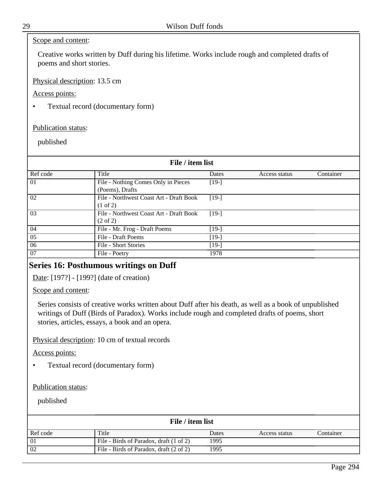#### Scope and content:

Creative works written by Duff during his lifetime. Works include rough and completed drafts of poems and short stories.

Physical description: 13.5 cm

Access points:

• Textual record (documentary form)

Publication status:

published

| File / item list |                                         |         |               |           |
|------------------|-----------------------------------------|---------|---------------|-----------|
| Ref code         | Title                                   | Dates   | Access status | Container |
| 01               | File - Nothing Comes Only in Pieces     | $[19-]$ |               |           |
|                  | (Poems), Drafts                         |         |               |           |
| 02               | File - Northwest Coast Art - Draft Book | $[19-]$ |               |           |
|                  | $(1 \text{ of } 2)$                     |         |               |           |
| 03               | File - Northwest Coast Art - Draft Book | $[19-]$ |               |           |
|                  | $(2 \text{ of } 2)$                     |         |               |           |
| 04               | File - Mr. Frog - Draft Poems           | $[19-]$ |               |           |
| 05               | File - Draft Poems                      | $[19-]$ |               |           |
| 06               | File - Short Stories                    | $[19-]$ |               |           |
| 07               | File - Poetry                           | 1978    |               |           |

### **Series 16: Posthumous writings on Duff**

Date: [197?] - [199?] (date of creation)

Scope and content:

Series consists of creative works written about Duff after his death, as well as a book of unpublished writings of Duff (Birds of Paradox). Works include rough and completed drafts of poems, short stories, articles, essays, a book and an opera.

Physical description: 10 cm of textual records

Access points:

• Textual record (documentary form)

Publication status:

| File / item list |                                         |       |               |           |  |
|------------------|-----------------------------------------|-------|---------------|-----------|--|
| Ref code         | Title                                   | Dates | Access status | Container |  |
| 01               | File - Birds of Paradox, draft (1 of 2) | 1995  |               |           |  |
| 02               | File - Birds of Paradox, draft (2 of 2) | 1995  |               |           |  |